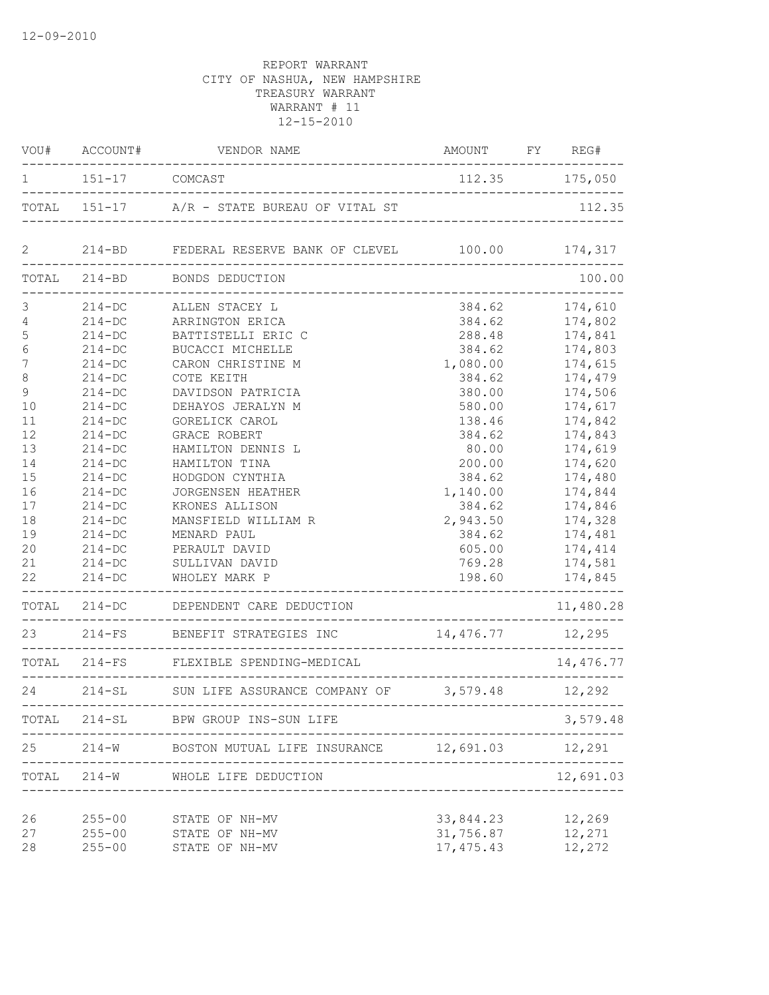| 112.35 175,050<br>151-17 COMCAST<br>$\mathbf{1}$<br>214-BD FEDERAL RESERVE BANK OF CLEVEL 100.00<br>$\mathbf{2}$<br>TOTAL 214-BD BONDS DEDUCTION<br>____________________________<br>$\mathfrak{Z}$<br>384.62<br>214-DC ALLEN STACEY L<br>$\sqrt{4}$<br>384.62<br>$214 - DC$<br>ARRINGTON ERICA<br>5<br>$214 - DC$<br>288.48<br>BATTISTELLI ERIC C<br>$\sqrt{6}$<br>384.62<br>$214-DC$<br>BUCACCI MICHELLE<br>7<br>$214 - DC$<br>CARON CHRISTINE M<br>1,080.00<br>8<br>$214-DC$<br>COTE KEITH<br>384.62 | AMOUNT FY REG# |
|--------------------------------------------------------------------------------------------------------------------------------------------------------------------------------------------------------------------------------------------------------------------------------------------------------------------------------------------------------------------------------------------------------------------------------------------------------------------------------------------------------|----------------|
|                                                                                                                                                                                                                                                                                                                                                                                                                                                                                                        |                |
|                                                                                                                                                                                                                                                                                                                                                                                                                                                                                                        |                |
|                                                                                                                                                                                                                                                                                                                                                                                                                                                                                                        | 174,317        |
|                                                                                                                                                                                                                                                                                                                                                                                                                                                                                                        | 100.00         |
|                                                                                                                                                                                                                                                                                                                                                                                                                                                                                                        | 174,610        |
|                                                                                                                                                                                                                                                                                                                                                                                                                                                                                                        | 174,802        |
|                                                                                                                                                                                                                                                                                                                                                                                                                                                                                                        | 174,841        |
|                                                                                                                                                                                                                                                                                                                                                                                                                                                                                                        | 174,803        |
|                                                                                                                                                                                                                                                                                                                                                                                                                                                                                                        | 174,615        |
|                                                                                                                                                                                                                                                                                                                                                                                                                                                                                                        | 174,479        |
| $\mathsf 9$<br>$214-DC$<br>DAVIDSON PATRICIA<br>380.00                                                                                                                                                                                                                                                                                                                                                                                                                                                 | 174,506        |
| 580.00<br>10<br>$214 - DC$<br>DEHAYOS JERALYN M                                                                                                                                                                                                                                                                                                                                                                                                                                                        | 174,617        |
| 11<br>$214 - DC$<br>GORELICK CAROL<br>138.46                                                                                                                                                                                                                                                                                                                                                                                                                                                           | 174,842        |
| 12<br>$214 - DC$<br>384.62<br><b>GRACE ROBERT</b>                                                                                                                                                                                                                                                                                                                                                                                                                                                      | 174,843        |
| 80.00<br>13<br>$214-DC$<br>HAMILTON DENNIS L                                                                                                                                                                                                                                                                                                                                                                                                                                                           | 174,619        |
| $214 - DC$<br>200.00<br>14<br>HAMILTON TINA                                                                                                                                                                                                                                                                                                                                                                                                                                                            | 174,620        |
| 15<br>$214 - DC$<br>HODGDON CYNTHIA<br>384.62                                                                                                                                                                                                                                                                                                                                                                                                                                                          | 174,480        |
| 16<br>$214 - DC$<br><b>JORGENSEN HEATHER</b><br>1,140.00                                                                                                                                                                                                                                                                                                                                                                                                                                               | 174,844        |
| 17<br>$214 - DC$<br>KRONES ALLISON<br>384.62                                                                                                                                                                                                                                                                                                                                                                                                                                                           | 174,846        |
| 18<br>$214 - DC$<br>MANSFIELD WILLIAM R<br>2,943.50                                                                                                                                                                                                                                                                                                                                                                                                                                                    | 174,328        |
| 19<br>$214 - DC$<br>MENARD PAUL<br>384.62                                                                                                                                                                                                                                                                                                                                                                                                                                                              | 174,481        |
| 20<br>$214 - DC$<br>605.00<br>PERAULT DAVID                                                                                                                                                                                                                                                                                                                                                                                                                                                            | 174,414        |
| 21<br>$214-DC$<br>769.28<br>SULLIVAN DAVID                                                                                                                                                                                                                                                                                                                                                                                                                                                             | 174,581        |
| 22<br>$214 - DC$<br>198.60<br>WHOLEY MARK P                                                                                                                                                                                                                                                                                                                                                                                                                                                            | 174,845        |
| TOTAL 214-DC<br>DEPENDENT CARE DEDUCTION<br>--------------------------------                                                                                                                                                                                                                                                                                                                                                                                                                           | 11,480.28      |
| 23 214-FS BENEFIT STRATEGIES INC<br>$14,476.77$ $12,295$<br>________________________________                                                                                                                                                                                                                                                                                                                                                                                                           |                |
| TOTAL 214-FS FLEXIBLE SPENDING-MEDICAL                                                                                                                                                                                                                                                                                                                                                                                                                                                                 | 14,476.77      |
| 24<br>214-SL SUN LIFE ASSURANCE COMPANY OF 3,579.48 12,292                                                                                                                                                                                                                                                                                                                                                                                                                                             |                |
| TOTAL<br>$214 - SL$<br>BPW GROUP INS-SUN LIFE                                                                                                                                                                                                                                                                                                                                                                                                                                                          | 3,579.48       |
| 12,691.03<br>25<br>$214 - W$<br>BOSTON MUTUAL LIFE INSURANCE                                                                                                                                                                                                                                                                                                                                                                                                                                           | 12,291         |
| $214 - W$<br>TOTAL<br>WHOLE LIFE DEDUCTION                                                                                                                                                                                                                                                                                                                                                                                                                                                             | 12,691.03      |
| 26<br>$255 - 00$<br>33,844.23<br>STATE OF NH-MV                                                                                                                                                                                                                                                                                                                                                                                                                                                        | 12,269         |
| 31,756.87<br>27<br>$255 - 00$<br>STATE OF NH-MV                                                                                                                                                                                                                                                                                                                                                                                                                                                        | 12,271         |
| 17, 475.43<br>28<br>$255 - 00$<br>STATE OF NH-MV                                                                                                                                                                                                                                                                                                                                                                                                                                                       | 12,272         |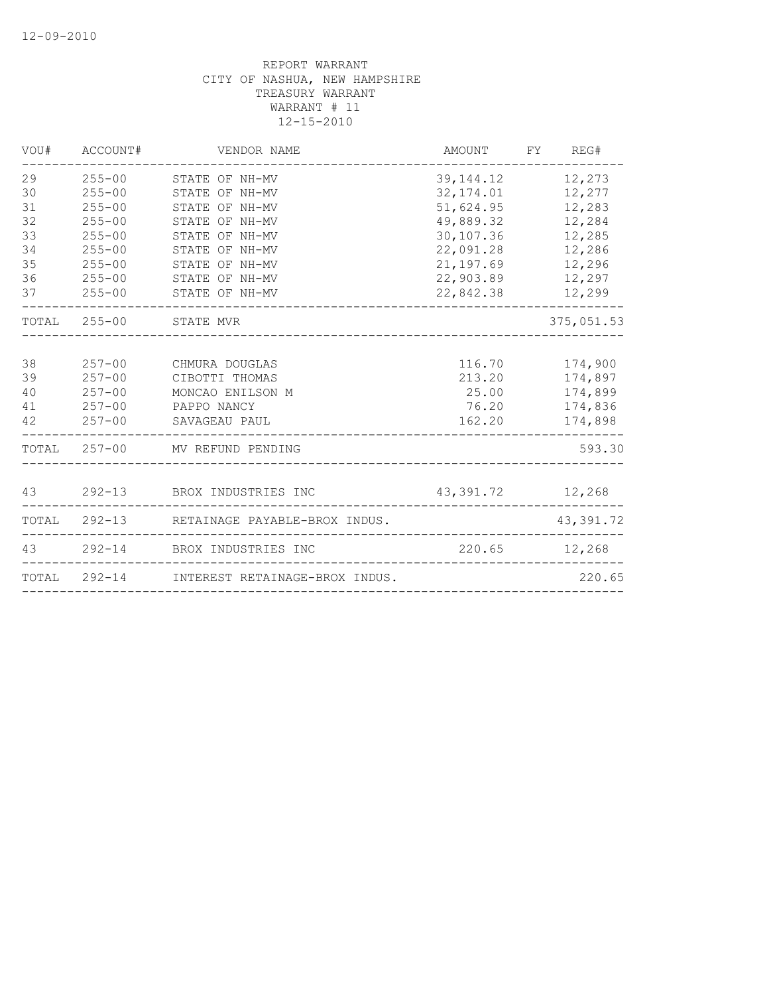| ACCOUNT#                                                                                                                   | VENDOR NAME                                                                                                                                  |                                                                                                                                                                                                                                                    |                                                                                                             |
|----------------------------------------------------------------------------------------------------------------------------|----------------------------------------------------------------------------------------------------------------------------------------------|----------------------------------------------------------------------------------------------------------------------------------------------------------------------------------------------------------------------------------------------------|-------------------------------------------------------------------------------------------------------------|
| $255 - 00$<br>$255 - 00$<br>$255 - 00$<br>$255 - 00$<br>$255 - 00$<br>$255 - 00$<br>$255 - 00$<br>$255 - 00$<br>$255 - 00$ | STATE OF NH-MV<br>STATE OF NH-MV<br>STATE OF NH-MV<br>STATE OF NH-MV<br>STATE OF NH-MV<br>STATE OF NH-MV<br>STATE OF NH-MV<br>STATE OF NH-MV | 32, 174.01<br>51,624.95<br>49,889.32<br>30,107.36<br>22,091.28<br>21, 197.69<br>22,903.89<br>22,842.38                                                                                                                                             | 12,273<br>12,277<br>12,283<br>12,284<br>12,285<br>12,286<br>12,296<br>12,297<br>12,299                      |
|                                                                                                                            |                                                                                                                                              |                                                                                                                                                                                                                                                    | 375,051.53                                                                                                  |
| $257 - 00$<br>$257 - 00$<br>$257 - 00$<br>$257 - 00$<br>$257 - 00$                                                         | CHMURA DOUGLAS<br>CIBOTTI THOMAS<br>MONCAO ENILSON M<br>SAVAGEAU PAUL                                                                        | 162.20                                                                                                                                                                                                                                             | 174,900<br>174,897<br>174,899<br>174,836<br>174,898                                                         |
|                                                                                                                            |                                                                                                                                              |                                                                                                                                                                                                                                                    | 593.30                                                                                                      |
|                                                                                                                            |                                                                                                                                              |                                                                                                                                                                                                                                                    |                                                                                                             |
|                                                                                                                            |                                                                                                                                              |                                                                                                                                                                                                                                                    | 43,391.72                                                                                                   |
|                                                                                                                            |                                                                                                                                              |                                                                                                                                                                                                                                                    |                                                                                                             |
|                                                                                                                            |                                                                                                                                              |                                                                                                                                                                                                                                                    | 220.65                                                                                                      |
|                                                                                                                            |                                                                                                                                              | STATE OF NH-MV<br>TOTAL 255-00 STATE MVR<br>PAPPO NANCY<br>TOTAL 257-00 MV REFUND PENDING<br>43 292-13 BROX INDUSTRIES INC<br>292-13 RETAINAGE PAYABLE-BROX INDUS.<br>43 292-14 BROX INDUSTRIES INC<br>TOTAL 292-14 INTEREST RETAINAGE-BROX INDUS. | AMOUNT FY REG#<br>39, 144. 12<br>116.70<br>213.20<br>25.00<br>76.20<br>43, 391. 72 12, 268<br>220.65 12,268 |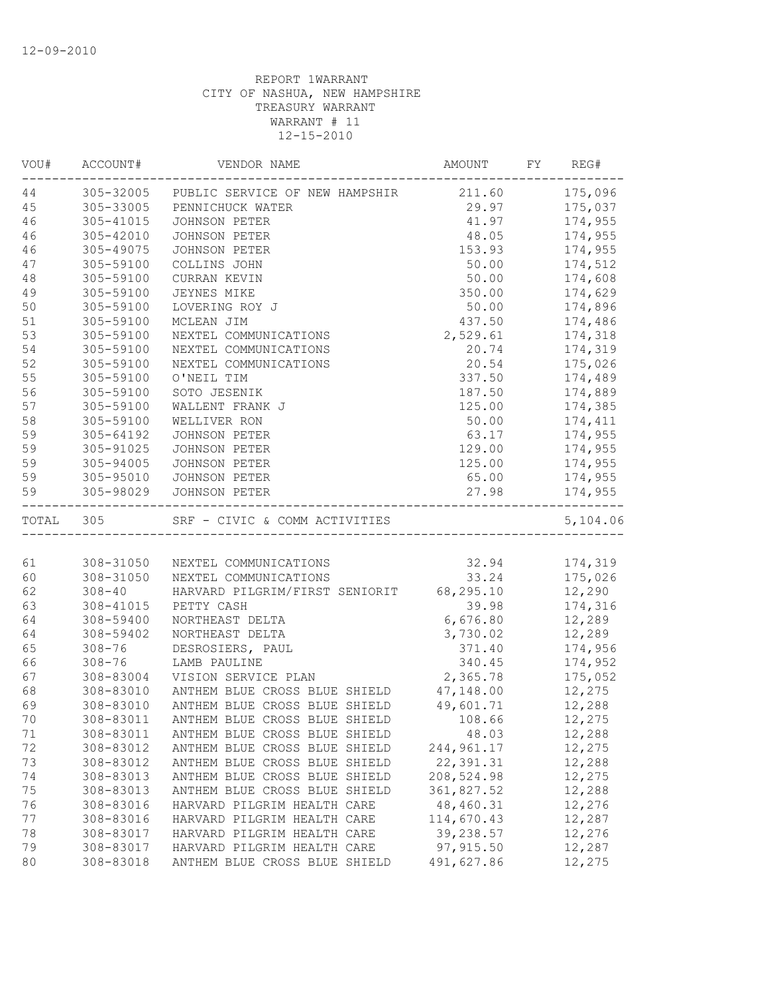| VOU#  | ACCOUNT#   | VENDOR NAME                              | AMOUNT     | FY | REG#     |
|-------|------------|------------------------------------------|------------|----|----------|
| 44    | 305-32005  | PUBLIC SERVICE OF NEW HAMPSHIR 211.60    |            |    | 175,096  |
| 45    | 305-33005  | PENNICHUCK WATER                         | 29.97      |    | 175,037  |
| 46    | 305-41015  | <b>JOHNSON PETER</b>                     | 41.97      |    | 174,955  |
| 46    | 305-42010  | JOHNSON PETER                            | 48.05      |    | 174,955  |
| 46    | 305-49075  | JOHNSON PETER                            | 153.93     |    | 174,955  |
| 47    | 305-59100  | COLLINS JOHN                             | 50.00      |    | 174,512  |
| 48    | 305-59100  | CURRAN KEVIN                             | 50.00      |    | 174,608  |
| 49    | 305-59100  | JEYNES MIKE                              | 350.00     |    | 174,629  |
| 50    | 305-59100  | LOVERING ROY J                           | 50.00      |    | 174,896  |
| 51    | 305-59100  | MCLEAN JIM                               | 437.50     |    | 174,486  |
| 53    | 305-59100  | NEXTEL COMMUNICATIONS                    | 2,529.61   |    | 174,318  |
| 54    | 305-59100  | NEXTEL COMMUNICATIONS                    | 20.74      |    | 174,319  |
| 52    | 305-59100  | NEXTEL COMMUNICATIONS                    | 20.54      |    | 175,026  |
| 55    | 305-59100  | O'NEIL TIM                               | 337.50     |    | 174,489  |
| 56    | 305-59100  | SOTO JESENIK                             | 187.50     |    | 174,889  |
| 57    | 305-59100  | WALLENT FRANK J                          | 125.00     |    | 174,385  |
| 58    | 305-59100  | WELLIVER RON                             | 50.00      |    | 174,411  |
| 59    | 305-64192  | JOHNSON PETER                            | 63.17      |    | 174,955  |
| 59    | 305-91025  | JOHNSON PETER                            | 129.00     |    | 174,955  |
| 59    | 305-94005  | <b>JOHNSON PETER</b>                     | 125.00     |    | 174,955  |
| 59    | 305-95010  | JOHNSON PETER                            | 65.00      |    | 174,955  |
| 59    | 305-98029  | <b>JOHNSON PETER</b>                     | 27.98      |    | 174,955  |
| TOTAL | 305        |                                          |            |    | 5,104.06 |
|       |            |                                          |            |    |          |
| 61    | 308-31050  | NEXTEL COMMUNICATIONS                    | 32.94      |    | 174,319  |
| 60    | 308-31050  | NEXTEL COMMUNICATIONS                    | 33.24      |    | 175,026  |
| 62    | $308 - 40$ | HARVARD PILGRIM/FIRST SENIORIT 68,295.10 |            |    | 12,290   |
| 63    | 308-41015  | PETTY CASH                               | 39.98      |    | 174,316  |
| 64    | 308-59400  | NORTHEAST DELTA                          | 6,676.80   |    | 12,289   |
| 64    | 308-59402  | NORTHEAST DELTA                          | 3,730.02   |    | 12,289   |
| 65    | $308 - 76$ | DESROSIERS, PAUL                         | 371.40     |    | 174,956  |
| 66    | $308 - 76$ | LAMB PAULINE                             | 340.45     |    | 174,952  |
| 67    | 308-83004  | VISION SERVICE PLAN                      | 2,365.78   |    | 175,052  |
| 68    | 308-83010  | ANTHEM BLUE CROSS BLUE SHIELD            | 47,148.00  |    | 12,275   |
| 69    | 308-83010  | ANTHEM BLUE CROSS BLUE SHIELD            | 49,601.71  |    | 12,288   |
| 70    | 308-83011  | ANTHEM BLUE CROSS BLUE SHIELD            | 108.66     |    | 12,275   |
| 71    | 308-83011  | ANTHEM BLUE CROSS BLUE SHIELD            | 48.03      |    | 12,288   |
| 72    | 308-83012  | ANTHEM BLUE CROSS BLUE SHIELD            | 244,961.17 |    | 12,275   |
| 73    | 308-83012  | ANTHEM BLUE CROSS BLUE SHIELD            | 22, 391.31 |    | 12,288   |
| 74    | 308-83013  | ANTHEM BLUE CROSS BLUE SHIELD            | 208,524.98 |    | 12,275   |
| 75    | 308-83013  | ANTHEM BLUE CROSS BLUE SHIELD            | 361,827.52 |    | 12,288   |
| 76    | 308-83016  | HARVARD PILGRIM HEALTH CARE              | 48,460.31  |    | 12,276   |
| 77    | 308-83016  | HARVARD PILGRIM HEALTH CARE              | 114,670.43 |    | 12,287   |
| 78    | 308-83017  | HARVARD PILGRIM HEALTH CARE              | 39,238.57  |    | 12,276   |
| 79    | 308-83017  | HARVARD PILGRIM HEALTH CARE              | 97, 915.50 |    | 12,287   |
|       |            |                                          |            |    |          |
| 80    | 308-83018  | ANTHEM BLUE CROSS BLUE SHIELD            | 491,627.86 |    | 12,275   |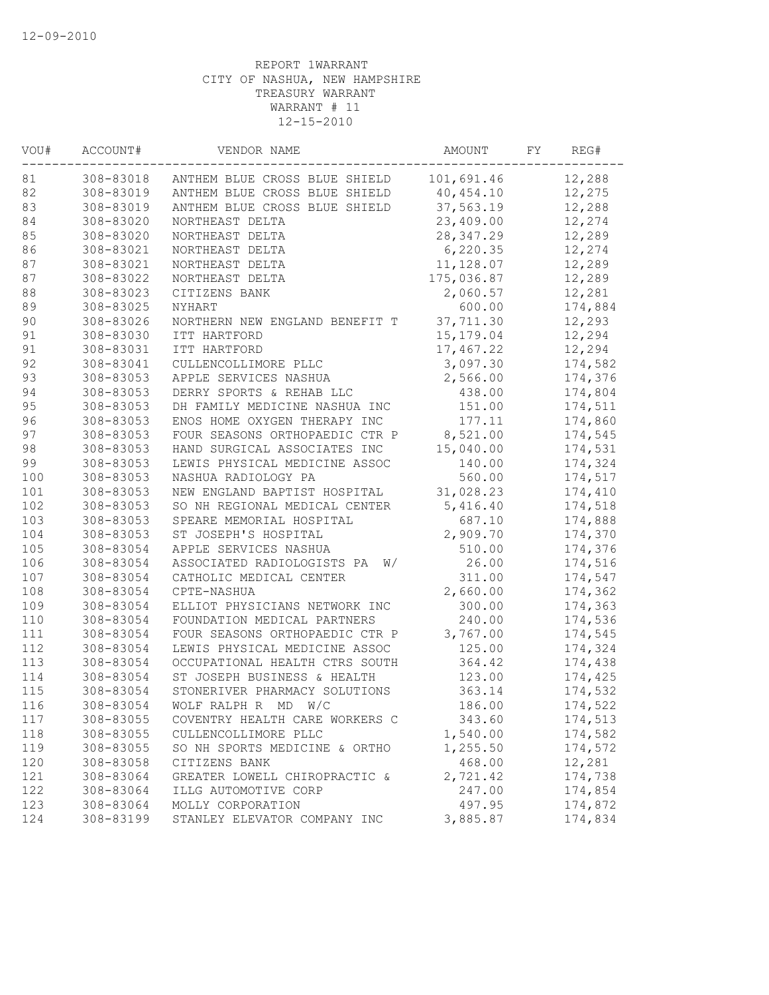| VOU#   | ACCOUNT#  | VENDOR NAME                      | AMOUNT     | FΥ | REG#    |
|--------|-----------|----------------------------------|------------|----|---------|
| 81     | 308-83018 | ANTHEM BLUE CROSS BLUE SHIELD    | 101,691.46 |    | 12,288  |
| 82     | 308-83019 | ANTHEM BLUE CROSS BLUE SHIELD    | 40,454.10  |    | 12,275  |
| 83     | 308-83019 | ANTHEM BLUE CROSS BLUE SHIELD    | 37,563.19  |    | 12,288  |
| 84     | 308-83020 | NORTHEAST DELTA                  | 23,409.00  |    | 12,274  |
| 85     | 308-83020 | NORTHEAST DELTA                  | 28, 347.29 |    | 12,289  |
| 86     | 308-83021 | NORTHEAST DELTA                  | 6,220.35   |    | 12,274  |
| 87     | 308-83021 | NORTHEAST DELTA                  | 11, 128.07 |    | 12,289  |
| 87     | 308-83022 | NORTHEAST DELTA                  | 175,036.87 |    | 12,289  |
| $8\,8$ | 308-83023 | CITIZENS BANK                    | 2,060.57   |    | 12,281  |
| 89     | 308-83025 | NYHART                           | 600.00     |    | 174,884 |
| 90     | 308-83026 | NORTHERN NEW ENGLAND BENEFIT T   | 37,711.30  |    | 12,293  |
| 91     | 308-83030 | ITT HARTFORD                     | 15, 179.04 |    | 12,294  |
| 91     | 308-83031 | ITT HARTFORD                     | 17,467.22  |    | 12,294  |
| 92     | 308-83041 | CULLENCOLLIMORE PLLC             | 3,097.30   |    | 174,582 |
| 93     | 308-83053 | APPLE SERVICES NASHUA            | 2,566.00   |    | 174,376 |
| 94     | 308-83053 | DERRY SPORTS & REHAB LLC         | 438.00     |    | 174,804 |
| 95     | 308-83053 | DH FAMILY MEDICINE NASHUA INC    | 151.00     |    | 174,511 |
| 96     | 308-83053 | ENOS HOME OXYGEN THERAPY INC     | 177.11     |    | 174,860 |
| 97     | 308-83053 | FOUR SEASONS ORTHOPAEDIC CTR P   | 8,521.00   |    | 174,545 |
| 98     | 308-83053 | HAND SURGICAL ASSOCIATES INC     | 15,040.00  |    | 174,531 |
| 99     | 308-83053 | LEWIS PHYSICAL MEDICINE ASSOC    | 140.00     |    | 174,324 |
| 100    | 308-83053 | NASHUA RADIOLOGY PA              | 560.00     |    | 174,517 |
| 101    | 308-83053 | NEW ENGLAND BAPTIST HOSPITAL     | 31,028.23  |    | 174,410 |
| 102    | 308-83053 | SO NH REGIONAL MEDICAL CENTER    | 5,416.40   |    | 174,518 |
| 103    | 308-83053 | SPEARE MEMORIAL HOSPITAL         | 687.10     |    | 174,888 |
| 104    | 308-83053 | ST JOSEPH'S HOSPITAL             | 2,909.70   |    | 174,370 |
| 105    | 308-83054 | APPLE SERVICES NASHUA            | 510.00     |    | 174,376 |
| 106    | 308-83054 | ASSOCIATED RADIOLOGISTS PA<br>W/ | 26.00      |    | 174,516 |
| 107    | 308-83054 | CATHOLIC MEDICAL CENTER          | 311.00     |    | 174,547 |
| 108    | 308-83054 | CPTE-NASHUA                      | 2,660.00   |    | 174,362 |
| 109    | 308-83054 | ELLIOT PHYSICIANS NETWORK INC    | 300.00     |    | 174,363 |
| 110    | 308-83054 | FOUNDATION MEDICAL PARTNERS      | 240.00     |    | 174,536 |
| 111    | 308-83054 | FOUR SEASONS ORTHOPAEDIC CTR P   | 3,767.00   |    | 174,545 |
| 112    | 308-83054 | LEWIS PHYSICAL MEDICINE ASSOC    | 125.00     |    | 174,324 |
| 113    | 308-83054 | OCCUPATIONAL HEALTH CTRS SOUTH   | 364.42     |    | 174,438 |
| 114    | 308-83054 | ST JOSEPH BUSINESS & HEALTH      | 123.00     |    | 174,425 |
| 115    | 308-83054 | STONERIVER PHARMACY SOLUTIONS    | 363.14     |    | 174,532 |
| 116    | 308-83054 | WOLF RALPH R MD W/C              | 186.00     |    | 174,522 |
| 117    | 308-83055 | COVENTRY HEALTH CARE WORKERS C   | 343.60     |    | 174,513 |
| 118    | 308-83055 | CULLENCOLLIMORE PLLC             | 1,540.00   |    | 174,582 |
| 119    | 308-83055 | SO NH SPORTS MEDICINE & ORTHO    | 1,255.50   |    | 174,572 |
| 120    | 308-83058 | CITIZENS BANK                    | 468.00     |    | 12,281  |
| 121    | 308-83064 | GREATER LOWELL CHIROPRACTIC &    | 2,721.42   |    | 174,738 |
| 122    | 308-83064 | ILLG AUTOMOTIVE CORP             | 247.00     |    | 174,854 |
| 123    | 308-83064 | MOLLY CORPORATION                | 497.95     |    | 174,872 |
| 124    | 308-83199 | STANLEY ELEVATOR COMPANY INC     | 3,885.87   |    | 174,834 |
|        |           |                                  |            |    |         |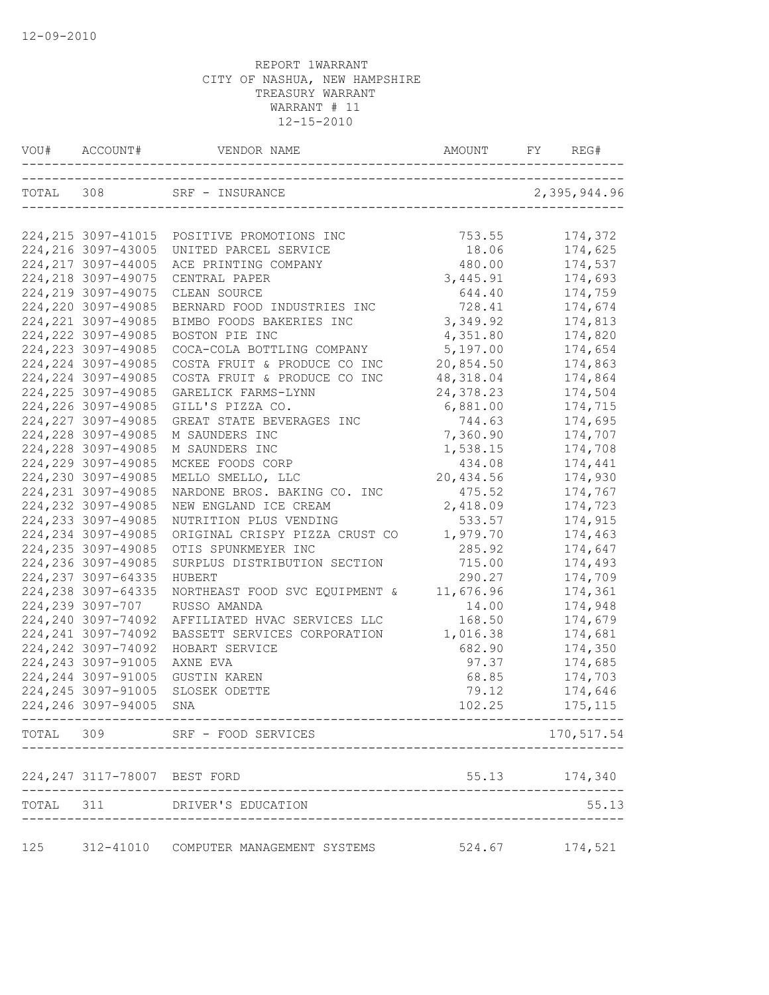|       |                               | VOU# ACCOUNT# VENDOR NAME AMOUNT FY REG-                               |                              | REG#           |
|-------|-------------------------------|------------------------------------------------------------------------|------------------------------|----------------|
|       |                               | TOTAL 308 SRF – INSURANCE 2,395,944.96<br>____________________________ |                              |                |
|       |                               | 224, 215 3097-41015 POSITIVE PROMOTIONS INC                            | 753.55                       | 174,372        |
|       | 224, 216 3097-43005           | UNITED PARCEL SERVICE                                                  | 18.06                        | 174,625        |
|       | 224, 217 3097-44005           | ACE PRINTING COMPANY                                                   | 480.00                       | 174,537        |
|       | 224, 218 3097-49075           | CENTRAL PAPER                                                          | 3,445.91                     | 174,693        |
|       | 224, 219 3097-49075           | CLEAN SOURCE                                                           | 644.40                       | 174,759        |
|       | 224, 220 3097-49085           | BERNARD FOOD INDUSTRIES INC                                            | 728.41                       | 174,674        |
|       | 224, 221 3097-49085           | BIMBO FOODS BAKERIES INC                                               | 3,349.92                     | 174,813        |
|       | 224, 222 3097-49085           | BOSTON PIE INC                                                         | 4,351.80                     | 174,820        |
|       | 224, 223 3097-49085           | COCA-COLA BOTTLING COMPANY                                             | 5,197.00                     | 174,654        |
|       | 224, 224 3097-49085           | COSTA FRUIT & PRODUCE CO INC                                           | 20,854.50                    | 174,863        |
|       | 224, 224 3097-49085           | COSTA FRUIT & PRODUCE CO INC                                           | 48, 318.04                   | 174,864        |
|       | 224, 225 3097-49085           | GARELICK FARMS-LYNN                                                    | 24, 378.23                   | 174,504        |
|       | 224, 226 3097-49085           | GILL'S PIZZA CO.                                                       | 6,881.00                     | 174,715        |
|       | 224, 227 3097-49085           | GREAT STATE BEVERAGES INC                                              | 744.63                       | 174,695        |
|       | 224, 228 3097-49085           | M SAUNDERS INC                                                         | 7,360.90                     | 174,707        |
|       | 224, 228 3097-49085           | M SAUNDERS INC                                                         | 1,538.15                     | 174,708        |
|       | 224, 229 3097-49085           | MCKEE FOODS CORP                                                       | 434.08                       | 174,441        |
|       | 224,230 3097-49085            | MELLO SMELLO, LLC                                                      | 20,434.56                    | 174,930        |
|       | 224, 231 3097-49085           | NARDONE BROS. BAKING CO. INC                                           | 475.52                       | 174,767        |
|       | 224, 232 3097-49085           | NEW ENGLAND ICE CREAM                                                  | 2,418.09                     | 174,723        |
|       | 224, 233 3097-49085           | NUTRITION PLUS VENDING                                                 | 533.57                       | 174,915        |
|       | 224, 234 3097-49085           | ORIGINAL CRISPY PIZZA CRUST CO                                         | 1,979.70                     | 174,463        |
|       | 224, 235 3097-49085           | OTIS SPUNKMEYER INC                                                    | 285.92                       | 174,647        |
|       | 224,236 3097-49085            | SURPLUS DISTRIBUTION SECTION                                           | 715.00                       | 174,493        |
|       | 224, 237 3097-64335           | HUBERT                                                                 | 290.27                       | 174,709        |
|       | 224, 238 3097-64335           | NORTHEAST FOOD SVC EQUIPMENT &                                         | 11,676.96                    | 174,361        |
|       | 224,239 3097-707              | RUSSO AMANDA                                                           | 14.00                        | 174,948        |
|       | 224, 240 3097-74092           | AFFILIATED HVAC SERVICES LLC                                           | 168.50                       | 174,679        |
|       | 224, 241 3097-74092           | BASSETT SERVICES CORPORATION                                           | 1,016.38                     | 174,681        |
|       | 224, 242 3097-74092           | HOBART SERVICE                                                         | 682.90                       | 174,350        |
|       | 224, 243 3097-91005           | AXNE EVA                                                               | 97.37                        | 174,685        |
|       | 224, 244 3097-91005           | <b>GUSTIN KAREN</b>                                                    | 68.85                        | 174,703        |
|       | 224, 245 3097-91005           | SLOSEK ODETTE                                                          | 79.12                        | 174,646        |
|       | 224,246 3097-94005 SNA        |                                                                        | 102.25                       | 175,115        |
|       |                               | TOTAL 309 SRF - FOOD SERVICES                                          | ____________________________ | 170,517.54     |
|       | 224, 247 3117-78007 BEST FORD |                                                                        |                              | 55.13 174,340  |
|       |                               |                                                                        |                              |                |
| TOTAL | 311                           | DRIVER'S EDUCATION                                                     |                              | 55.13          |
| 125   |                               | 312-41010 COMPUTER MANAGEMENT SYSTEMS                                  |                              | 524.67 174,521 |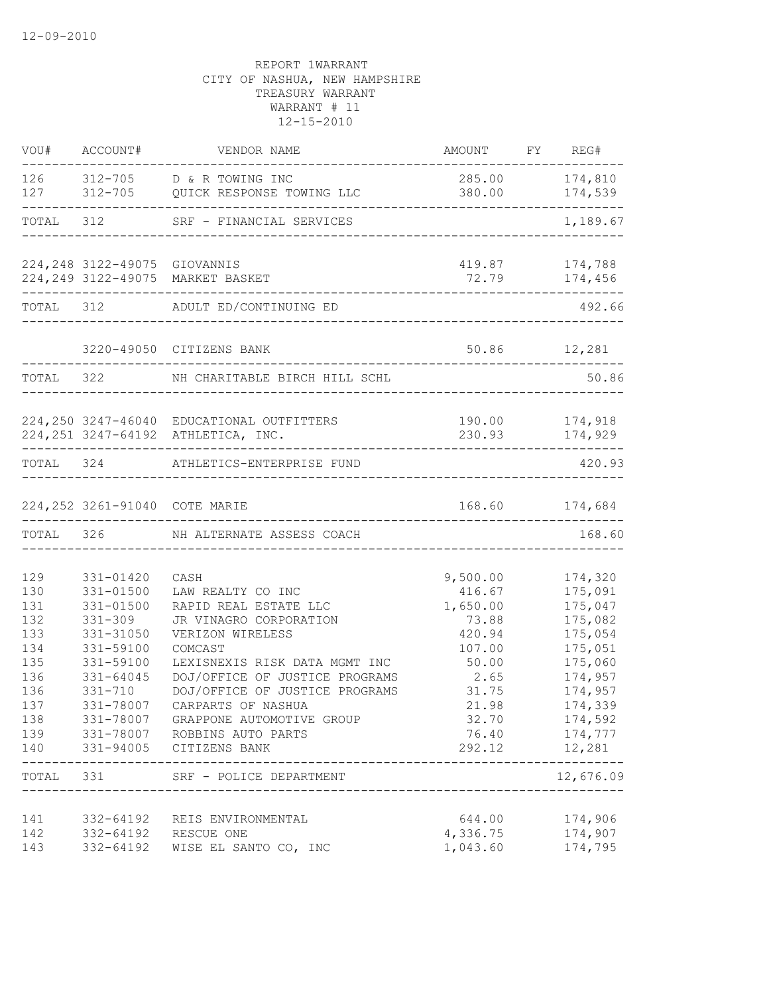|                                                                                         |                                                                                                                                        | VOU# ACCOUNT# VENDOR NAME                                                                                                                                                                                                                                                                                                                                                                                 | AMOUNT FY REG#                                                                                          |                                                                                                                                                                                                |
|-----------------------------------------------------------------------------------------|----------------------------------------------------------------------------------------------------------------------------------------|-----------------------------------------------------------------------------------------------------------------------------------------------------------------------------------------------------------------------------------------------------------------------------------------------------------------------------------------------------------------------------------------------------------|---------------------------------------------------------------------------------------------------------|------------------------------------------------------------------------------------------------------------------------------------------------------------------------------------------------|
|                                                                                         |                                                                                                                                        | 126 312-705 D & R TOWING INC<br>127 312-705 QUICK RESPONSE TOWING LLC                                                                                                                                                                                                                                                                                                                                     | 285.00 174,810                                                                                          | 380.00 174,539<br>_________________                                                                                                                                                            |
|                                                                                         |                                                                                                                                        | TOTAL 312 SRF - FINANCIAL SERVICES                                                                                                                                                                                                                                                                                                                                                                        |                                                                                                         | 1,189.67                                                                                                                                                                                       |
|                                                                                         |                                                                                                                                        | 224, 248 3122-49075 GIOVANNIS<br>224,249 3122-49075 MARKET BASKET                                                                                                                                                                                                                                                                                                                                         | 72.79                                                                                                   | 419.87 174,788<br>174,456                                                                                                                                                                      |
|                                                                                         |                                                                                                                                        | TOTAL 312 ADULT ED/CONTINUING ED                                                                                                                                                                                                                                                                                                                                                                          | -----------------------------------                                                                     | 492.66                                                                                                                                                                                         |
|                                                                                         |                                                                                                                                        | 3220-49050 CITIZENS BANK                                                                                                                                                                                                                                                                                                                                                                                  | 50.86 12,281                                                                                            |                                                                                                                                                                                                |
|                                                                                         |                                                                                                                                        | TOTAL 322 NH CHARITABLE BIRCH HILL SCHL                                                                                                                                                                                                                                                                                                                                                                   |                                                                                                         | 50.86                                                                                                                                                                                          |
|                                                                                         |                                                                                                                                        | 224,250 3247-46040 EDUCATIONAL OUTFITTERS<br>224, 251 3247-64192 ATHLETICA, INC.                                                                                                                                                                                                                                                                                                                          |                                                                                                         | 190.00 174,918<br>230.93 174,929                                                                                                                                                               |
|                                                                                         |                                                                                                                                        | TOTAL 324 ATHLETICS-ENTERPRISE FUND                                                                                                                                                                                                                                                                                                                                                                       |                                                                                                         | 420.93                                                                                                                                                                                         |
|                                                                                         |                                                                                                                                        | 224,252 3261-91040 COTE MARIE                                                                                                                                                                                                                                                                                                                                                                             |                                                                                                         | 168.60 174,684                                                                                                                                                                                 |
|                                                                                         |                                                                                                                                        | TOTAL 326 NH ALTERNATE ASSESS COACH                                                                                                                                                                                                                                                                                                                                                                       |                                                                                                         | 168.60                                                                                                                                                                                         |
| 129<br>130<br>131<br>132<br>133<br>134<br>135<br>136<br>136<br>137<br>138<br>139<br>140 | 331-01420<br>$331 - 01500$<br>331-01500<br>$331 - 309$<br>331-31050<br>331-59100<br>331-59100<br>331-64045<br>$331 - 710$<br>331-78007 | CASH<br>LAW REALTY CO INC<br>RAPID REAL ESTATE LLC<br>JR VINAGRO CORPORATION<br>VERIZON WIRELESS<br>COMCAST<br>LEXISNEXIS RISK DATA MGMT INC<br>DOJ/OFFICE OF JUSTICE PROGRAMS<br>DOJ/OFFICE OF JUSTICE PROGRAMS<br>CARPARTS OF NASHUA<br>331-78007 GRAPPONE AUTOMOTIVE GROUP<br>331-78007 ROBBINS AUTO PARTS<br>331-94005 CITIZENS BANK<br>TOTAL 331 SRF - POLICE DEPARTMENT<br>------------------------ | 9,500.00<br>416.67<br>1,650.00<br>73.88<br>420.94<br>107.00<br>50.00<br>2.65<br>31.75<br>21.98<br>32.70 | 174,320<br>175,091<br>175,047<br>175,082<br>175,054<br>175,051<br>175,060<br>174,957<br>174,957<br>174,339<br>174,592<br>76.40 174,777<br>292.12 12,281<br>. <u>.</u><br>12,676.09<br>-------- |
| 141<br>142<br>143                                                                       |                                                                                                                                        | 332-64192 REIS ENVIRONMENTAL<br>332-64192 RESCUE ONE<br>332-64192 WISE EL SANTO CO, INC                                                                                                                                                                                                                                                                                                                   | 644.00<br>4,336.75<br>1,043.60                                                                          | 174,906<br>174,907<br>174,795                                                                                                                                                                  |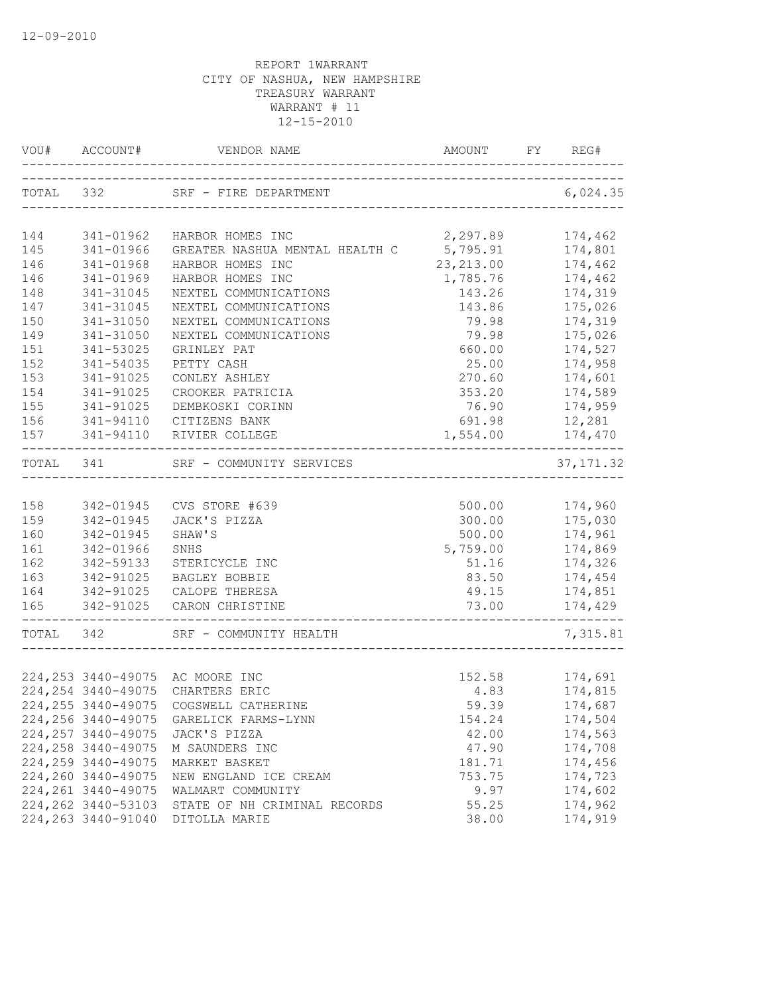| VOU#       | ACCOUNT#               |                                                    |                            | FY REG#            |
|------------|------------------------|----------------------------------------------------|----------------------------|--------------------|
|            |                        | TOTAL 332 SRF - FIRE DEPARTMENT                    | __________________________ | 6,024.35           |
| 144        | 341-01962              | HARBOR HOMES INC                                   | 2,297.89                   | 174,462            |
| 145        | 341-01966              | GREATER NASHUA MENTAL HEALTH C                     | 5,795.91                   | 174,801            |
| 146        | 341-01968              | HARBOR HOMES INC                                   | 23, 213.00                 | 174,462            |
| 146        | 341-01969              | HARBOR HOMES INC                                   | 1,785.76                   | 174,462            |
| 148        | 341-31045              | NEXTEL COMMUNICATIONS                              | 143.26                     | 174,319            |
| 147        | 341-31045              | NEXTEL COMMUNICATIONS                              | 143.86                     | 175,026            |
| 150        | 341-31050              | NEXTEL COMMUNICATIONS                              | 79.98                      | 174,319            |
| 149        | 341-31050              | NEXTEL COMMUNICATIONS                              | 79.98                      | 175,026            |
| 151        | 341-53025              | GRINLEY PAT                                        | 660.00                     | 174,527            |
| 152        | 341-54035              | PETTY CASH                                         | 25.00                      | 174,958            |
| 153        | 341-91025              | CONLEY ASHLEY                                      | 270.60                     | 174,601            |
| 154        | 341-91025              | CROOKER PATRICIA                                   | 353.20                     | 174,589            |
| 155        | 341-91025              | DEMBKOSKI CORINN                                   | 76.90                      | 174,959            |
| 156        | 341-94110              | CITIZENS BANK                                      | 691.98                     | 12,281             |
| 157        | 341-94110              | RIVIER COLLEGE                                     | 1,554.00                   | 174,470            |
| TOTAL 341  |                        | SRF - COMMUNITY SERVICES<br>---------------------- |                            | 37, 171.32         |
|            |                        |                                                    |                            |                    |
| 158        | 342-01945              | CVS STORE #639                                     | 500.00                     | 174,960            |
| 159        | 342-01945              | JACK'S PIZZA                                       | 300.00                     | 175,030            |
| 160        | 342-01945              | SHAW'S                                             | 500.00                     | 174,961            |
| 161        | 342-01966              | SNHS                                               | 5,759.00                   | 174,869            |
| 162        | 342-59133              | STERICYCLE INC                                     | 51.16                      | 174,326            |
| 163        | 342-91025              | <b>BAGLEY BOBBIE</b>                               | 83.50                      | 174,454            |
| 164<br>165 | 342-91025<br>342-91025 | CALOPE THERESA<br>CARON CHRISTINE                  | 49.15<br>73.00             | 174,851<br>174,429 |
| TOTAL 342  |                        | SRF - COMMUNITY HEALTH                             |                            | 7,315.81           |
|            |                        |                                                    |                            |                    |
|            |                        | 224, 253 3440-49075 AC MOORE INC                   | 152.58                     | 174,691            |
|            |                        | 224, 254 3440-49075 CHARTERS ERIC                  | 4.83                       | 174,815            |
|            |                        | 224, 255 3440-49075 COGSWELL CATHERINE             | 59.39                      | 174,687            |
|            |                        | 224, 256 3440-49075 GARELICK FARMS-LYNN            | 154.24                     | 174,504            |
|            | 224, 257 3440-49075    | JACK'S PIZZA                                       | 42.00                      | 174,563            |
|            | 224, 258 3440-49075    | M SAUNDERS INC                                     | 47.90                      | 174,708            |
|            | 224,259 3440-49075     | MARKET BASKET                                      | 181.71                     | 174,456            |
|            | 224,260 3440-49075     | NEW ENGLAND ICE CREAM                              | 753.75                     | 174,723            |
|            | 224, 261 3440-49075    | WALMART COMMUNITY                                  | 9.97                       | 174,602            |
|            | 224, 262 3440-53103    | STATE OF NH CRIMINAL RECORDS                       | 55.25                      | 174,962            |
|            | 224, 263 3440-91040    | DITOLLA MARIE                                      | 38.00                      | 174,919            |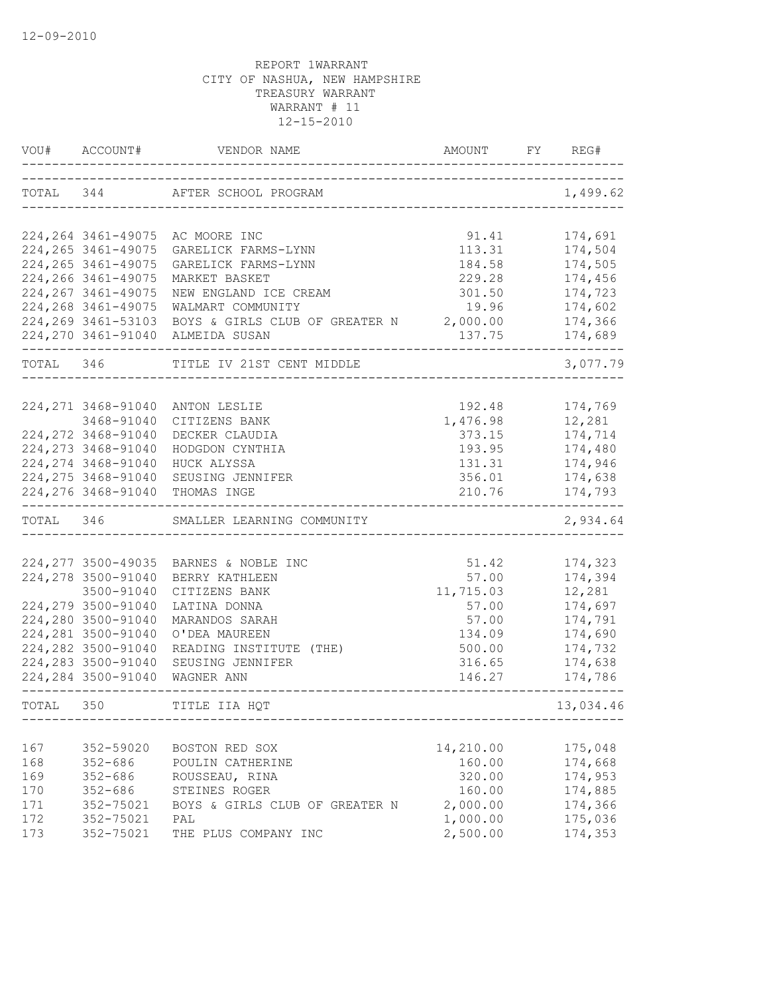|           | VOU# ACCOUNT#                            | VENDOR NAME                     | AMOUNT                           | FY. | REG#               |
|-----------|------------------------------------------|---------------------------------|----------------------------------|-----|--------------------|
| TOTAL 344 |                                          | AFTER SCHOOL PROGRAM            | -------------------------------- |     | 1,499.62           |
|           |                                          | 224,264 3461-49075 AC MOORE INC | 91.41                            |     | 174,691            |
|           | 224, 265 3461-49075                      | GARELICK FARMS-LYNN             | 113.31                           |     | 174,504            |
|           | 224, 265 3461-49075                      | GARELICK FARMS-LYNN             | 184.58                           |     | 174,505            |
|           | 224, 266 3461-49075                      | MARKET BASKET                   | 229.28                           |     | 174,456            |
|           | 224, 267 3461-49075                      | NEW ENGLAND ICE CREAM           | 301.50                           |     | 174,723            |
|           | 224, 268 3461-49075                      | WALMART COMMUNITY               | 19.96                            |     | 174,602            |
|           | 224, 269 3461-53103                      | BOYS & GIRLS CLUB OF GREATER N  | 2,000.00                         |     | 174,366            |
|           | 224, 270 3461-91040                      | ALMEIDA SUSAN                   | 137.75                           |     | 174,689            |
| TOTAL 346 |                                          | TITLE IV 21ST CENT MIDDLE       |                                  |     | 3,077.79           |
|           |                                          |                                 |                                  |     |                    |
|           | 224, 271 3468-91040                      | ANTON LESLIE                    | 192.48                           |     | 174,769            |
|           | 3468-91040                               | CITIZENS BANK                   | 1,476.98                         |     | 12,281             |
|           | 224, 272 3468-91040                      | DECKER CLAUDIA                  | 373.15                           |     | 174,714            |
|           | 224, 273 3468-91040                      | HODGDON CYNTHIA                 | 193.95                           |     | 174,480            |
|           | 224, 274 3468-91040                      | HUCK ALYSSA                     | 131.31                           |     | 174,946            |
|           | 224, 275 3468-91040                      | SEUSING JENNIFER                | 356.01                           |     | 174,638            |
|           |                                          | 224, 276 3468-91040 THOMAS INGE | 210.76                           |     | 174,793            |
| TOTAL 346 |                                          | SMALLER LEARNING COMMUNITY      |                                  |     | 2,934.64           |
|           |                                          |                                 |                                  |     |                    |
|           | 224, 277 3500-49035                      | BARNES & NOBLE INC              | 51.42                            |     | 174,323            |
|           | 224,278 3500-91040                       | BERRY KATHLEEN                  | 57.00                            |     | 174,394            |
|           | 3500-91040                               | CITIZENS BANK                   | 11,715.03                        |     | 12,281             |
|           | 224,279 3500-91040                       | LATINA DONNA                    | 57.00                            |     | 174,697            |
|           | 224,280 3500-91040                       | MARANDOS SARAH                  | 57.00                            |     | 174,791            |
|           | 224, 281 3500-91040                      | O'DEA MAUREEN                   | 134.09                           |     | 174,690            |
|           | 224,282 3500-91040<br>224,283 3500-91040 | READING INSTITUTE (THE)         | 500.00                           |     | 174,732            |
|           | 224,284 3500-91040                       | SEUSING JENNIFER<br>WAGNER ANN  | 316.65<br>146.27                 |     | 174,638<br>174,786 |
| TOTAL     | 350                                      | TITLE IIA HQT                   |                                  |     | 13,034.46          |
|           |                                          |                                 |                                  |     |                    |
| 167       | 352-59020                                | BOSTON RED SOX                  | 14,210.00                        |     | 175,048            |
| 168       | $352 - 686$                              | POULIN CATHERINE                | 160.00                           |     | 174,668            |
| 169       | $352 - 686$                              | ROUSSEAU, RINA                  | 320.00                           |     | 174,953            |
| 170       | $352 - 686$                              | STEINES ROGER                   | 160.00                           |     | 174,885            |
| 171       | 352-75021                                | BOYS & GIRLS CLUB OF GREATER N  | 2,000.00                         |     | 174,366            |
| 172       | 352-75021                                | PAL                             | 1,000.00                         |     | 175,036            |
| 173       | 352-75021                                | THE PLUS COMPANY INC            | 2,500.00                         |     | 174,353            |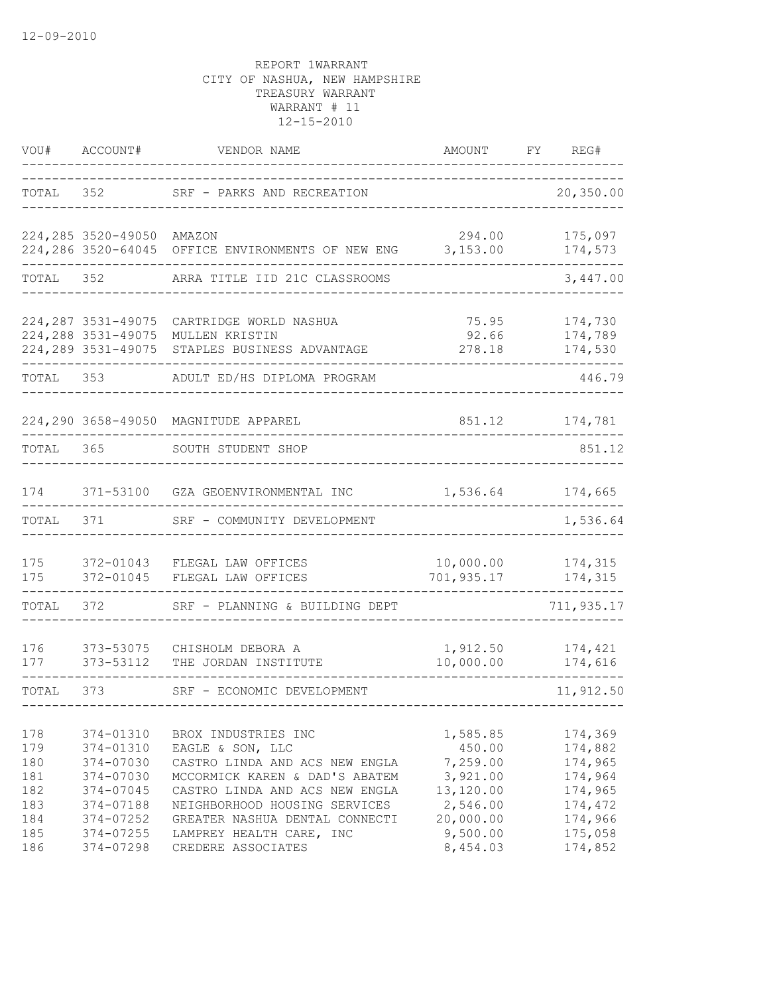| VOU#                                          | ACCOUNT#                                                                                | VENDOR NAME                                                                                                                                                                                                      | AMOUNT                                                                           | FY | REG#                                                                      |
|-----------------------------------------------|-----------------------------------------------------------------------------------------|------------------------------------------------------------------------------------------------------------------------------------------------------------------------------------------------------------------|----------------------------------------------------------------------------------|----|---------------------------------------------------------------------------|
| TOTAL                                         | 352                                                                                     | SRF - PARKS AND RECREATION                                                                                                                                                                                       |                                                                                  |    | 20,350.00                                                                 |
|                                               | 224,285 3520-49050<br>224,286 3520-64045                                                | AMAZON<br>OFFICE ENVIRONMENTS OF NEW ENG                                                                                                                                                                         | 294.00<br>3,153.00                                                               |    | 175,097<br>174,573                                                        |
| TOTAL                                         | 352                                                                                     | ARRA TITLE IID 21C CLASSROOMS                                                                                                                                                                                    |                                                                                  |    | 3,447.00                                                                  |
|                                               | 224, 287 3531-49075<br>224,288 3531-49075<br>224, 289 3531-49075                        | CARTRIDGE WORLD NASHUA<br>MULLEN KRISTIN<br>STAPLES BUSINESS ADVANTAGE                                                                                                                                           | 75.95<br>92.66<br>278.18                                                         |    | 174,730<br>174,789<br>174,530                                             |
| TOTAL                                         | 353                                                                                     | ADULT ED/HS DIPLOMA PROGRAM                                                                                                                                                                                      |                                                                                  |    | 446.79                                                                    |
|                                               | 224,290 3658-49050                                                                      | MAGNITUDE APPAREL                                                                                                                                                                                                | 851.12                                                                           |    | 174,781                                                                   |
| TOTAL                                         | 365                                                                                     | SOUTH STUDENT SHOP                                                                                                                                                                                               |                                                                                  |    | 851.12                                                                    |
| 174                                           | 371-53100                                                                               | GZA GEOENVIRONMENTAL INC                                                                                                                                                                                         | 1,536.64                                                                         |    | 174,665                                                                   |
| TOTAL                                         | 371                                                                                     | SRF - COMMUNITY DEVELOPMENT                                                                                                                                                                                      |                                                                                  |    | 1,536.64                                                                  |
| 175<br>175                                    | 372-01043<br>372-01045                                                                  | FLEGAL LAW OFFICES<br>FLEGAL LAW OFFICES                                                                                                                                                                         | 10,000.00<br>701,935.17                                                          |    | 174,315<br>174,315                                                        |
| TOTAL                                         | 372                                                                                     | SRF - PLANNING & BUILDING DEPT                                                                                                                                                                                   |                                                                                  |    | 711,935.17                                                                |
| 176<br>177                                    | 373-53075<br>373-53112                                                                  | CHISHOLM DEBORA A<br>THE JORDAN INSTITUTE                                                                                                                                                                        | 1,912.50<br>10,000.00                                                            |    | 174,421<br>174,616                                                        |
| TOTAL                                         | 373                                                                                     | SRF - ECONOMIC DEVELOPMENT                                                                                                                                                                                       |                                                                                  |    | 11,912.50                                                                 |
| 178<br>179<br>180<br>181<br>182<br>183<br>184 | 374-01310<br>374-01310<br>374-07030<br>374-07030<br>374-07045<br>374-07188<br>374-07252 | BROX INDUSTRIES INC<br>EAGLE & SON, LLC<br>CASTRO LINDA AND ACS NEW ENGLA<br>MCCORMICK KAREN & DAD'S ABATEM<br>CASTRO LINDA AND ACS NEW ENGLA<br>NEIGHBORHOOD HOUSING SERVICES<br>GREATER NASHUA DENTAL CONNECTI | 1,585.85<br>450.00<br>7,259.00<br>3,921.00<br>13,120.00<br>2,546.00<br>20,000.00 |    | 174,369<br>174,882<br>174,965<br>174,964<br>174,965<br>174,472<br>174,966 |
| 185<br>186                                    | 374-07255<br>374-07298                                                                  | LAMPREY HEALTH CARE, INC<br>CREDERE ASSOCIATES                                                                                                                                                                   | 9,500.00<br>8,454.03                                                             |    | 175,058<br>174,852                                                        |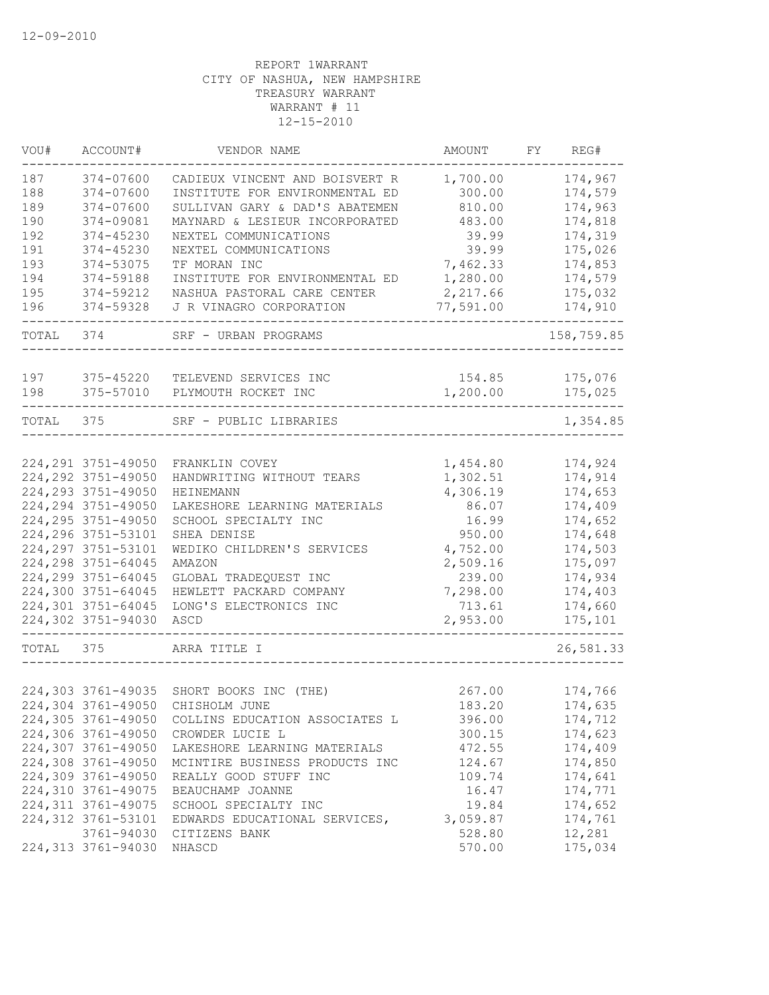| VOU#  | ACCOUNT#            | VENDOR NAME                              | AMOUNT    | FY | REG#       |
|-------|---------------------|------------------------------------------|-----------|----|------------|
| 187   | 374-07600           | CADIEUX VINCENT AND BOISVERT R           | 1,700.00  |    | 174,967    |
| 188   | 374-07600           | INSTITUTE FOR ENVIRONMENTAL ED           | 300.00    |    | 174,579    |
| 189   | $374 - 07600$       | SULLIVAN GARY & DAD'S ABATEMEN           | 810.00    |    | 174,963    |
| 190   | 374-09081           | MAYNARD & LESIEUR INCORPORATED           | 483.00    |    | 174,818    |
| 192   | 374-45230           | NEXTEL COMMUNICATIONS                    | 39.99     |    | 174,319    |
| 191   | 374-45230           | NEXTEL COMMUNICATIONS                    | 39.99     |    | 175,026    |
| 193   | 374-53075           | TF MORAN INC                             | 7,462.33  |    | 174,853    |
| 194   | 374-59188           | INSTITUTE FOR ENVIRONMENTAL ED           | 1,280.00  |    | 174,579    |
| 195   | 374-59212           | NASHUA PASTORAL CARE CENTER              | 2,217.66  |    | 175,032    |
| 196   | 374-59328           | J R VINAGRO CORPORATION                  | 77,591.00 |    | 174,910    |
| TOTAL | 374                 | SRF - URBAN PROGRAMS                     |           |    | 158,759.85 |
|       |                     |                                          |           |    |            |
| 197   | 375-45220           | TELEVEND SERVICES INC                    | 154.85    |    | 175,076    |
| 198   | 375-57010           | PLYMOUTH ROCKET INC                      | 1,200.00  |    | 175,025    |
| TOTAL | 375                 | SRF - PUBLIC LIBRARIES                   |           |    | 1,354.85   |
|       |                     |                                          |           |    |            |
|       | 224, 291 3751-49050 | FRANKLIN COVEY                           | 1,454.80  |    | 174,924    |
|       | 224, 292 3751-49050 | HANDWRITING WITHOUT TEARS                | 1,302.51  |    | 174,914    |
|       | 224, 293 3751-49050 | <b>HEINEMANN</b>                         | 4,306.19  |    | 174,653    |
|       | 224, 294 3751-49050 | LAKESHORE LEARNING MATERIALS             | 86.07     |    | 174,409    |
|       | 224, 295 3751-49050 | SCHOOL SPECIALTY INC                     | 16.99     |    | 174,652    |
|       | 224, 296 3751-53101 | SHEA DENISE                              | 950.00    |    | 174,648    |
|       | 224, 297 3751-53101 | WEDIKO CHILDREN'S SERVICES               | 4,752.00  |    | 174,503    |
|       | 224, 298 3751-64045 | AMAZON                                   | 2,509.16  |    | 175,097    |
|       | 224,299 3751-64045  | GLOBAL TRADEQUEST INC                    | 239.00    |    | 174,934    |
|       | 224,300 3751-64045  | HEWLETT PACKARD COMPANY                  | 7,298.00  |    | 174,403    |
|       | 224,301 3751-64045  | LONG'S ELECTRONICS INC                   | 713.61    |    | 174,660    |
|       | 224,302 3751-94030  | ASCD                                     | 2,953.00  |    | 175,101    |
| TOTAL | 375                 | ARRA TITLE I                             |           |    | 26,581.33  |
|       |                     |                                          |           |    |            |
|       |                     | 224,303 3761-49035 SHORT BOOKS INC (THE) | 267.00    |    | 174,766    |
|       |                     | 224,304 3761-49050 CHISHOLM JUNE         | 183.20    |    | 174,635    |
|       | 224,305 3761-49050  | COLLINS EDUCATION ASSOCIATES L           | 396.00    |    | 174,712    |
|       | 224,306 3761-49050  | CROWDER LUCIE L                          | 300.15    |    | 174,623    |
|       | 224,307 3761-49050  | LAKESHORE LEARNING MATERIALS             | 472.55    |    | 174,409    |
|       | 224,308 3761-49050  | MCINTIRE BUSINESS PRODUCTS INC           | 124.67    |    | 174,850    |
|       | 224,309 3761-49050  | REALLY GOOD STUFF INC                    | 109.74    |    | 174,641    |
|       | 224,310 3761-49075  | BEAUCHAMP JOANNE                         | 16.47     |    | 174,771    |
|       | 224,311 3761-49075  | SCHOOL SPECIALTY INC                     | 19.84     |    | 174,652    |
|       | 224,312 3761-53101  | EDWARDS EDUCATIONAL SERVICES,            | 3,059.87  |    | 174,761    |
|       | 3761-94030          | CITIZENS BANK                            | 528.80    |    | 12,281     |
|       | 224,313 3761-94030  | NHASCD                                   | 570.00    |    | 175,034    |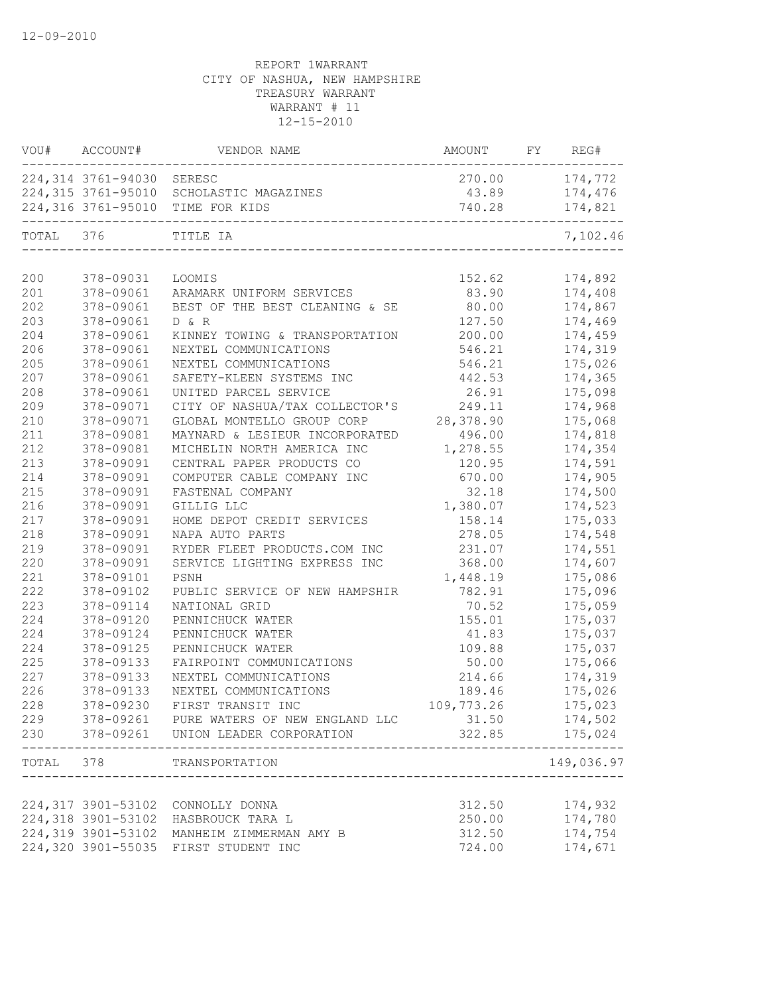| VOU#      | ACCOUNT#                  | VENDOR NAME                                | AMOUNT     | FY | REG#       |
|-----------|---------------------------|--------------------------------------------|------------|----|------------|
|           | 224,314 3761-94030 SERESC |                                            | 270.00     |    | 174,772    |
|           |                           | 224,315 3761-95010 SCHOLASTIC MAGAZINES    | 43.89      |    | 174,476    |
|           |                           | 224,316 3761-95010 TIME FOR KIDS           | 740.28     |    | 174,821    |
| TOTAL 376 |                           | TITLE IA                                   |            |    | 7,102.46   |
| 200       | 378-09031                 | LOOMIS                                     | 152.62     |    | 174,892    |
| 201       | 378-09061                 | ARAMARK UNIFORM SERVICES                   | 83.90      |    | 174,408    |
| 202       | 378-09061                 | BEST OF THE BEST CLEANING & SE             | 80.00      |    | 174,867    |
| 203       | 378-09061                 | D & R                                      | 127.50     |    | 174,469    |
| 204       | 378-09061                 | KINNEY TOWING & TRANSPORTATION             | 200.00     |    | 174,459    |
| 206       | 378-09061                 | NEXTEL COMMUNICATIONS                      | 546.21     |    | 174,319    |
| 205       | 378-09061                 | NEXTEL COMMUNICATIONS                      | 546.21     |    | 175,026    |
| 207       | 378-09061                 | SAFETY-KLEEN SYSTEMS INC                   | 442.53     |    | 174,365    |
| 208       | 378-09061                 | UNITED PARCEL SERVICE                      | 26.91      |    | 175,098    |
| 209       | 378-09071                 | CITY OF NASHUA/TAX COLLECTOR'S             | 249.11     |    | 174,968    |
| 210       | 378-09071                 | GLOBAL MONTELLO GROUP CORP                 | 28,378.90  |    | 175,068    |
| 211       | 378-09081                 | MAYNARD & LESIEUR INCORPORATED             | 496.00     |    | 174,818    |
| 212       | 378-09081                 | MICHELIN NORTH AMERICA INC                 | 1,278.55   |    | 174,354    |
| 213       | 378-09091                 | CENTRAL PAPER PRODUCTS CO                  | 120.95     |    | 174,591    |
| 214       | 378-09091                 | COMPUTER CABLE COMPANY INC                 | 670.00     |    | 174,905    |
| 215       | 378-09091                 | FASTENAL COMPANY                           | 32.18      |    | 174,500    |
| 216       | 378-09091                 | GILLIG LLC                                 | 1,380.07   |    | 174,523    |
| 217       | 378-09091                 | HOME DEPOT CREDIT SERVICES                 | 158.14     |    | 175,033    |
| 218       | 378-09091                 | NAPA AUTO PARTS                            | 278.05     |    | 174,548    |
| 219       | 378-09091                 | RYDER FLEET PRODUCTS.COM INC               | 231.07     |    | 174,551    |
| 220       | 378-09091                 | SERVICE LIGHTING EXPRESS INC               | 368.00     |    | 174,607    |
| 221       | 378-09101                 | PSNH                                       | 1,448.19   |    | 175,086    |
| 222       | 378-09102                 | PUBLIC SERVICE OF NEW HAMPSHIR             | 782.91     |    | 175,096    |
| 223       | 378-09114                 | NATIONAL GRID                              | 70.52      |    | 175,059    |
| 224       | 378-09120                 | PENNICHUCK WATER                           | 155.01     |    | 175,037    |
| 224       | 378-09124                 | PENNICHUCK WATER                           | 41.83      |    | 175,037    |
| 224       | 378-09125                 | PENNICHUCK WATER                           | 109.88     |    | 175,037    |
| 225       | 378-09133                 | FAIRPOINT COMMUNICATIONS                   | 50.00      |    | 175,066    |
| 227       | 378-09133                 | NEXTEL COMMUNICATIONS                      | 214.66     |    | 174,319    |
| 226       | 378-09133                 | NEXTEL COMMUNICATIONS                      | 189.46     |    | 175,026    |
| 228       |                           | 378-09230 FIRST TRANSIT INC                | 109,773.26 |    | 175,023    |
| 229       |                           | 378-09261 PURE WATERS OF NEW ENGLAND LLC   | 31.50      |    | 174,502    |
|           |                           | 230 378-09261 UNION LEADER CORPORATION     | 322.85     |    | 175,024    |
| TOTAL 378 |                           | TRANSPORTATION                             |            |    | 149,036.97 |
|           |                           |                                            |            |    |            |
|           |                           | 224,317 3901-53102 CONNOLLY DONNA          | 312.50     |    | 174,932    |
|           |                           | 224,318 3901-53102 HASBROUCK TARA L        | 250.00     |    | 174,780    |
|           |                           | 224,319 3901-53102 MANHEIM ZIMMERMAN AMY B | 312.50     |    | 174,754    |
|           |                           | 224,320 3901-55035 FIRST STUDENT INC       | 724.00     |    | 174,671    |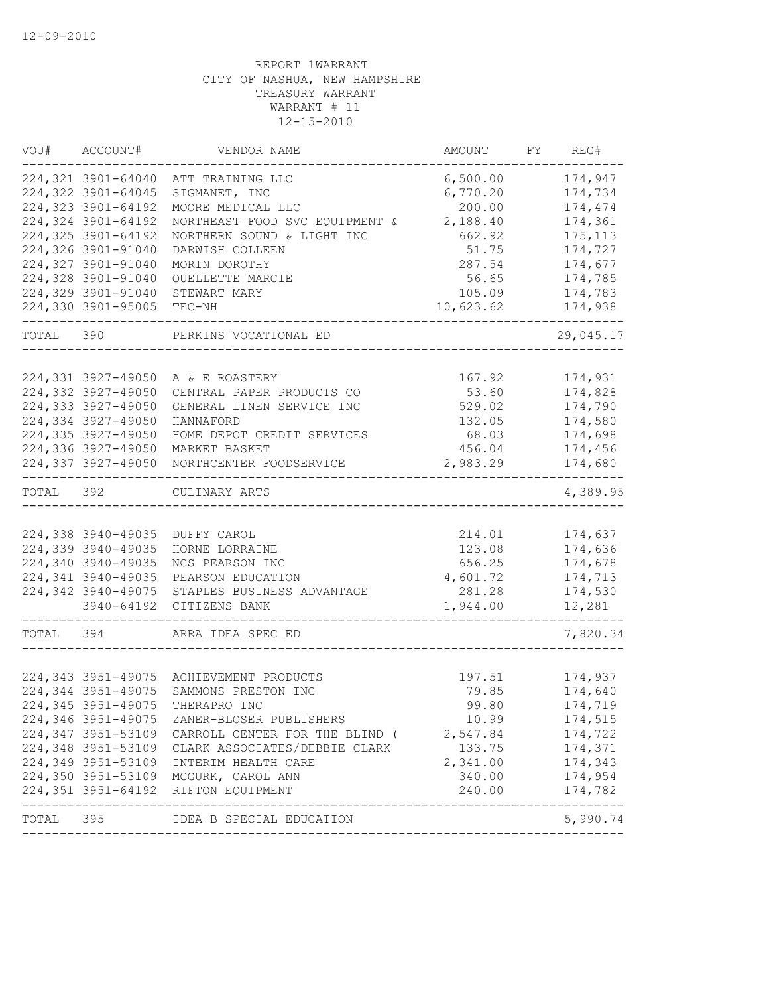| 224,321 3901-64040<br>6,500.00<br>ATT TRAINING LLC<br>224,322 3901-64045<br>SIGMANET, INC<br>6,770.20<br>MOORE MEDICAL LLC<br>200.00<br>NORTHEAST FOOD SVC EQUIPMENT &<br>2,188.40<br>NORTHERN SOUND & LIGHT INC<br>662.92<br>51.75<br>DARWISH COLLEEN<br>287.54<br>MORIN DOROTHY<br>56.65<br>OUELLETTE MARCIE<br>105.09<br>STEWART MARY<br>TEC-NH<br>10,623.62<br>TOTAL<br>390<br>PERKINS VOCATIONAL ED<br>224,331 3927-49050<br>A & E ROASTERY<br>167.92<br>224,332 3927-49050<br>53.60<br>CENTRAL PAPER PRODUCTS CO<br>529.02<br>GENERAL LINEN SERVICE INC<br>132.05<br>HANNAFORD<br>68.03<br>HOME DEPOT CREDIT SERVICES<br>MARKET BASKET<br>456.04<br>NORTHCENTER FOODSERVICE<br>2,983.29<br>392<br>TOTAL<br>CULINARY ARTS<br>224,338 3940-49035<br>214.01<br>DUFFY CAROL<br>HORNE LORRAINE<br>123.08<br>NCS PEARSON INC<br>656.25<br>PEARSON EDUCATION<br>4,601.72<br>STAPLES BUSINESS ADVANTAGE<br>281.28<br>3940-64192<br>1,944.00<br>CITIZENS BANK<br>TOTAL<br>394<br>ARRA IDEA SPEC ED<br>197.51<br>ACHIEVEMENT PRODUCTS<br>SAMMONS PRESTON INC<br>79.85<br>THERAPRO INC<br>99.80<br>224,346 3951-49075<br>10.99<br>ZANER-BLOSER PUBLISHERS<br>2,547.84<br>CARROLL CENTER FOR THE BLIND (<br>CLARK ASSOCIATES/DEBBIE CLARK<br>133.75<br>2,341.00<br>INTERIM HEALTH CARE | VOU# | ACCOUNT# | VENDOR NAME | AMOUNT | FY | REG#      |
|----------------------------------------------------------------------------------------------------------------------------------------------------------------------------------------------------------------------------------------------------------------------------------------------------------------------------------------------------------------------------------------------------------------------------------------------------------------------------------------------------------------------------------------------------------------------------------------------------------------------------------------------------------------------------------------------------------------------------------------------------------------------------------------------------------------------------------------------------------------------------------------------------------------------------------------------------------------------------------------------------------------------------------------------------------------------------------------------------------------------------------------------------------------------------------------------------------------------------------------------------------------------------------|------|----------|-------------|--------|----|-----------|
| 224,323 3901-64192<br>224,324 3901-64192<br>224,325 3901-64192<br>224,326 3901-91040<br>224,327 3901-91040<br>224,328 3901-91040<br>224,329 3901-91040<br>224,330 3901-95005<br>224,333 3927-49050<br>224,334 3927-49050<br>224,335 3927-49050<br>224,336 3927-49050<br>224,337 3927-49050<br>224,339 3940-49035<br>224,340 3940-49035<br>224,341 3940-49035<br>224,342 3940-49075<br>224,343 3951-49075<br>224,344 3951-49075<br>224,345 3951-49075<br>224,347 3951-53109<br>224,348 3951-53109<br>224,349 3951-53109<br>224,350 3951-53109 MCGURK, CAROL ANN                                                                                                                                                                                                                                                                                                                                                                                                                                                                                                                                                                                                                                                                                                                   |      |          |             |        |    | 174,947   |
|                                                                                                                                                                                                                                                                                                                                                                                                                                                                                                                                                                                                                                                                                                                                                                                                                                                                                                                                                                                                                                                                                                                                                                                                                                                                                  |      |          |             |        |    | 174,734   |
|                                                                                                                                                                                                                                                                                                                                                                                                                                                                                                                                                                                                                                                                                                                                                                                                                                                                                                                                                                                                                                                                                                                                                                                                                                                                                  |      |          |             |        |    | 174,474   |
|                                                                                                                                                                                                                                                                                                                                                                                                                                                                                                                                                                                                                                                                                                                                                                                                                                                                                                                                                                                                                                                                                                                                                                                                                                                                                  |      |          |             |        |    | 174,361   |
|                                                                                                                                                                                                                                                                                                                                                                                                                                                                                                                                                                                                                                                                                                                                                                                                                                                                                                                                                                                                                                                                                                                                                                                                                                                                                  |      |          |             |        |    | 175, 113  |
|                                                                                                                                                                                                                                                                                                                                                                                                                                                                                                                                                                                                                                                                                                                                                                                                                                                                                                                                                                                                                                                                                                                                                                                                                                                                                  |      |          |             |        |    | 174,727   |
|                                                                                                                                                                                                                                                                                                                                                                                                                                                                                                                                                                                                                                                                                                                                                                                                                                                                                                                                                                                                                                                                                                                                                                                                                                                                                  |      |          |             |        |    | 174,677   |
|                                                                                                                                                                                                                                                                                                                                                                                                                                                                                                                                                                                                                                                                                                                                                                                                                                                                                                                                                                                                                                                                                                                                                                                                                                                                                  |      |          |             |        |    | 174,785   |
|                                                                                                                                                                                                                                                                                                                                                                                                                                                                                                                                                                                                                                                                                                                                                                                                                                                                                                                                                                                                                                                                                                                                                                                                                                                                                  |      |          |             |        |    | 174,783   |
|                                                                                                                                                                                                                                                                                                                                                                                                                                                                                                                                                                                                                                                                                                                                                                                                                                                                                                                                                                                                                                                                                                                                                                                                                                                                                  |      |          |             |        |    | 174,938   |
|                                                                                                                                                                                                                                                                                                                                                                                                                                                                                                                                                                                                                                                                                                                                                                                                                                                                                                                                                                                                                                                                                                                                                                                                                                                                                  |      |          |             |        |    | 29,045.17 |
|                                                                                                                                                                                                                                                                                                                                                                                                                                                                                                                                                                                                                                                                                                                                                                                                                                                                                                                                                                                                                                                                                                                                                                                                                                                                                  |      |          |             |        |    |           |
|                                                                                                                                                                                                                                                                                                                                                                                                                                                                                                                                                                                                                                                                                                                                                                                                                                                                                                                                                                                                                                                                                                                                                                                                                                                                                  |      |          |             |        |    | 174,931   |
|                                                                                                                                                                                                                                                                                                                                                                                                                                                                                                                                                                                                                                                                                                                                                                                                                                                                                                                                                                                                                                                                                                                                                                                                                                                                                  |      |          |             |        |    | 174,828   |
|                                                                                                                                                                                                                                                                                                                                                                                                                                                                                                                                                                                                                                                                                                                                                                                                                                                                                                                                                                                                                                                                                                                                                                                                                                                                                  |      |          |             |        |    | 174,790   |
|                                                                                                                                                                                                                                                                                                                                                                                                                                                                                                                                                                                                                                                                                                                                                                                                                                                                                                                                                                                                                                                                                                                                                                                                                                                                                  |      |          |             |        |    | 174,580   |
|                                                                                                                                                                                                                                                                                                                                                                                                                                                                                                                                                                                                                                                                                                                                                                                                                                                                                                                                                                                                                                                                                                                                                                                                                                                                                  |      |          |             |        |    | 174,698   |
|                                                                                                                                                                                                                                                                                                                                                                                                                                                                                                                                                                                                                                                                                                                                                                                                                                                                                                                                                                                                                                                                                                                                                                                                                                                                                  |      |          |             |        |    | 174,456   |
|                                                                                                                                                                                                                                                                                                                                                                                                                                                                                                                                                                                                                                                                                                                                                                                                                                                                                                                                                                                                                                                                                                                                                                                                                                                                                  |      |          |             |        |    | 174,680   |
|                                                                                                                                                                                                                                                                                                                                                                                                                                                                                                                                                                                                                                                                                                                                                                                                                                                                                                                                                                                                                                                                                                                                                                                                                                                                                  |      |          |             |        |    | 4,389.95  |
|                                                                                                                                                                                                                                                                                                                                                                                                                                                                                                                                                                                                                                                                                                                                                                                                                                                                                                                                                                                                                                                                                                                                                                                                                                                                                  |      |          |             |        |    |           |
|                                                                                                                                                                                                                                                                                                                                                                                                                                                                                                                                                                                                                                                                                                                                                                                                                                                                                                                                                                                                                                                                                                                                                                                                                                                                                  |      |          |             |        |    | 174,637   |
|                                                                                                                                                                                                                                                                                                                                                                                                                                                                                                                                                                                                                                                                                                                                                                                                                                                                                                                                                                                                                                                                                                                                                                                                                                                                                  |      |          |             |        |    | 174,636   |
|                                                                                                                                                                                                                                                                                                                                                                                                                                                                                                                                                                                                                                                                                                                                                                                                                                                                                                                                                                                                                                                                                                                                                                                                                                                                                  |      |          |             |        |    | 174,678   |
|                                                                                                                                                                                                                                                                                                                                                                                                                                                                                                                                                                                                                                                                                                                                                                                                                                                                                                                                                                                                                                                                                                                                                                                                                                                                                  |      |          |             |        |    | 174,713   |
|                                                                                                                                                                                                                                                                                                                                                                                                                                                                                                                                                                                                                                                                                                                                                                                                                                                                                                                                                                                                                                                                                                                                                                                                                                                                                  |      |          |             |        |    | 174,530   |
|                                                                                                                                                                                                                                                                                                                                                                                                                                                                                                                                                                                                                                                                                                                                                                                                                                                                                                                                                                                                                                                                                                                                                                                                                                                                                  |      |          |             |        |    | 12,281    |
|                                                                                                                                                                                                                                                                                                                                                                                                                                                                                                                                                                                                                                                                                                                                                                                                                                                                                                                                                                                                                                                                                                                                                                                                                                                                                  |      |          |             |        |    | 7,820.34  |
|                                                                                                                                                                                                                                                                                                                                                                                                                                                                                                                                                                                                                                                                                                                                                                                                                                                                                                                                                                                                                                                                                                                                                                                                                                                                                  |      |          |             |        |    |           |
|                                                                                                                                                                                                                                                                                                                                                                                                                                                                                                                                                                                                                                                                                                                                                                                                                                                                                                                                                                                                                                                                                                                                                                                                                                                                                  |      |          |             |        |    | 174,937   |
|                                                                                                                                                                                                                                                                                                                                                                                                                                                                                                                                                                                                                                                                                                                                                                                                                                                                                                                                                                                                                                                                                                                                                                                                                                                                                  |      |          |             |        |    | 174,640   |
|                                                                                                                                                                                                                                                                                                                                                                                                                                                                                                                                                                                                                                                                                                                                                                                                                                                                                                                                                                                                                                                                                                                                                                                                                                                                                  |      |          |             |        |    | 174,719   |
|                                                                                                                                                                                                                                                                                                                                                                                                                                                                                                                                                                                                                                                                                                                                                                                                                                                                                                                                                                                                                                                                                                                                                                                                                                                                                  |      |          |             |        |    | 174,515   |
|                                                                                                                                                                                                                                                                                                                                                                                                                                                                                                                                                                                                                                                                                                                                                                                                                                                                                                                                                                                                                                                                                                                                                                                                                                                                                  |      |          |             |        |    | 174,722   |
|                                                                                                                                                                                                                                                                                                                                                                                                                                                                                                                                                                                                                                                                                                                                                                                                                                                                                                                                                                                                                                                                                                                                                                                                                                                                                  |      |          |             |        |    | 174,371   |
|                                                                                                                                                                                                                                                                                                                                                                                                                                                                                                                                                                                                                                                                                                                                                                                                                                                                                                                                                                                                                                                                                                                                                                                                                                                                                  |      |          |             |        |    | 174,343   |
|                                                                                                                                                                                                                                                                                                                                                                                                                                                                                                                                                                                                                                                                                                                                                                                                                                                                                                                                                                                                                                                                                                                                                                                                                                                                                  |      |          |             | 340.00 |    | 174,954   |
| 224,351 3951-64192 RIFTON EQUIPMENT<br>240.00                                                                                                                                                                                                                                                                                                                                                                                                                                                                                                                                                                                                                                                                                                                                                                                                                                                                                                                                                                                                                                                                                                                                                                                                                                    |      |          |             |        |    | 174,782   |
| --------------<br>--------------<br>TOTAL 395<br>IDEA B SPECIAL EDUCATION                                                                                                                                                                                                                                                                                                                                                                                                                                                                                                                                                                                                                                                                                                                                                                                                                                                                                                                                                                                                                                                                                                                                                                                                        |      |          |             |        |    | 5,990.74  |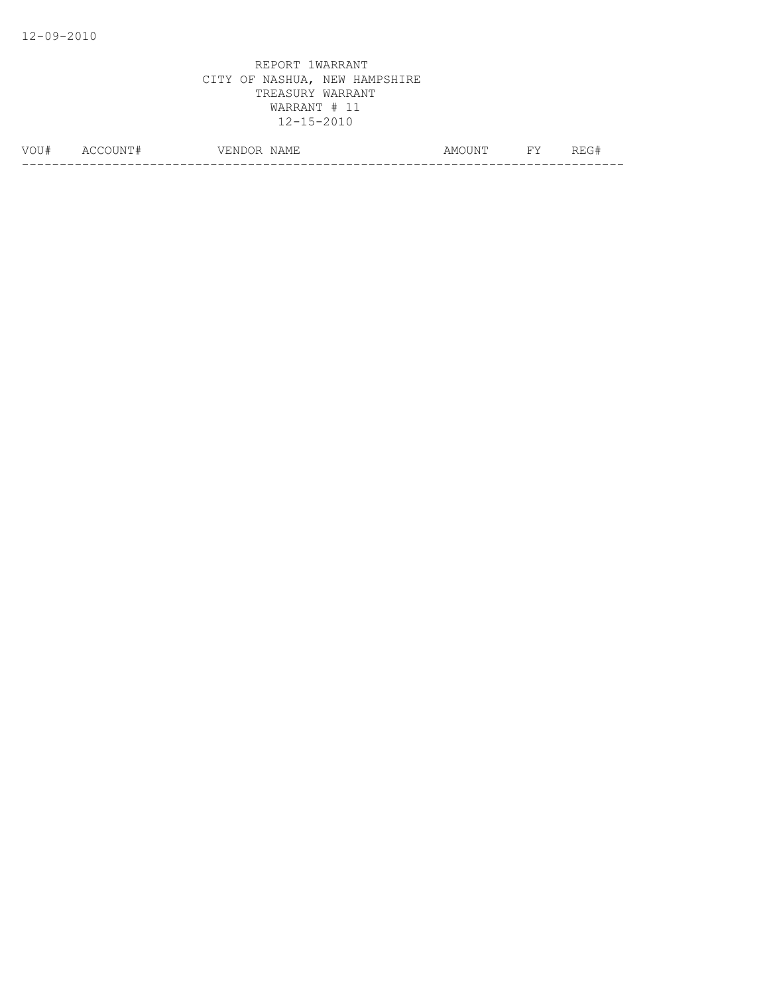| VOU# | N<br>Δſ | $-$<br>NAMF<br>ہر<br>, ⊥⊥⊥⊥ | ⊣ ∆⊺ਾ⊤<br>AMO<br>, <b>. .</b> . | <b>TTT.</b> | ---<br>____ |
|------|---------|-----------------------------|---------------------------------|-------------|-------------|
|      |         |                             |                                 |             |             |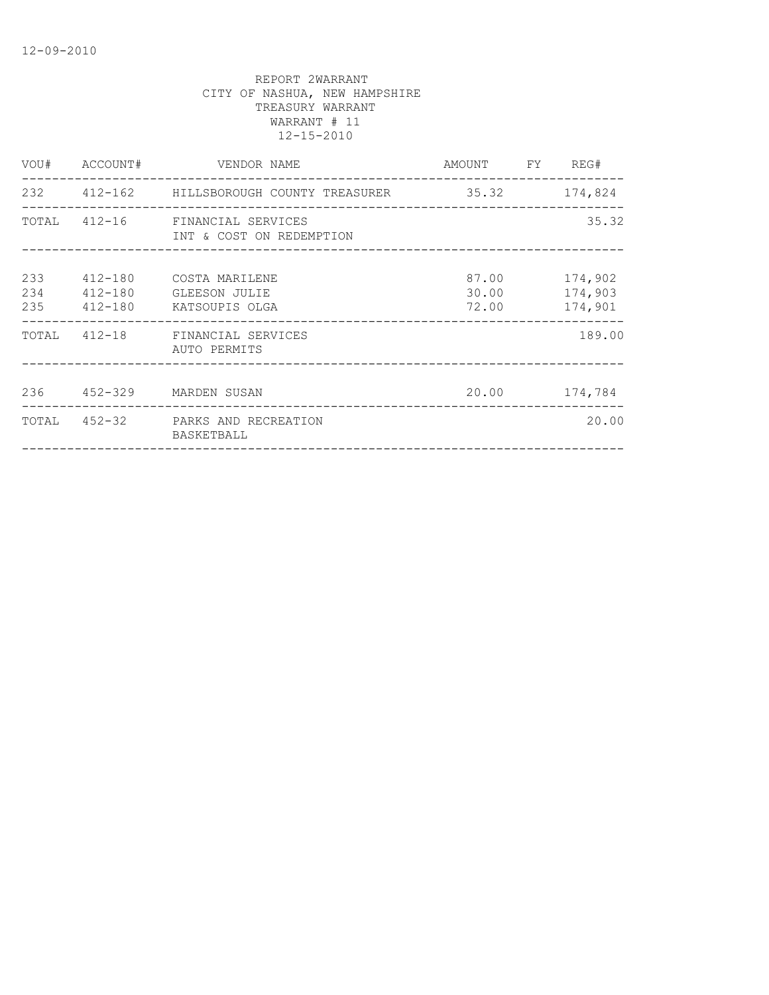|            |                        | VOU# ACCOUNT# VENDOR NAME                                   | AMOUNT FY REG# |                                     |
|------------|------------------------|-------------------------------------------------------------|----------------|-------------------------------------|
|            |                        | 232 412-162 HILLSBOROUGH COUNTY TREASURER 35.32 174,824     |                |                                     |
|            |                        | TOTAL 412-16 FINANCIAL SERVICES<br>INT & COST ON REDEMPTION |                | 35.32                               |
| 233<br>234 | 412-180<br>235 412-180 | 412-180 COSTA MARILENE<br>GLEESON JULIE<br>KATSOUPIS OLGA   | 30.00<br>72.00 | 87.00 174,902<br>174,903<br>174,901 |
|            |                        | TOTAL 412-18 FINANCIAL SERVICES<br>AUTO PERMITS             |                | 189.00                              |
|            |                        | 236  452-329  MARDEN SUSAN                                  |                | 20.00 174,784                       |
|            |                        | TOTAL 452-32 PARKS AND RECREATION<br>BASKETBALL             |                | 20.00                               |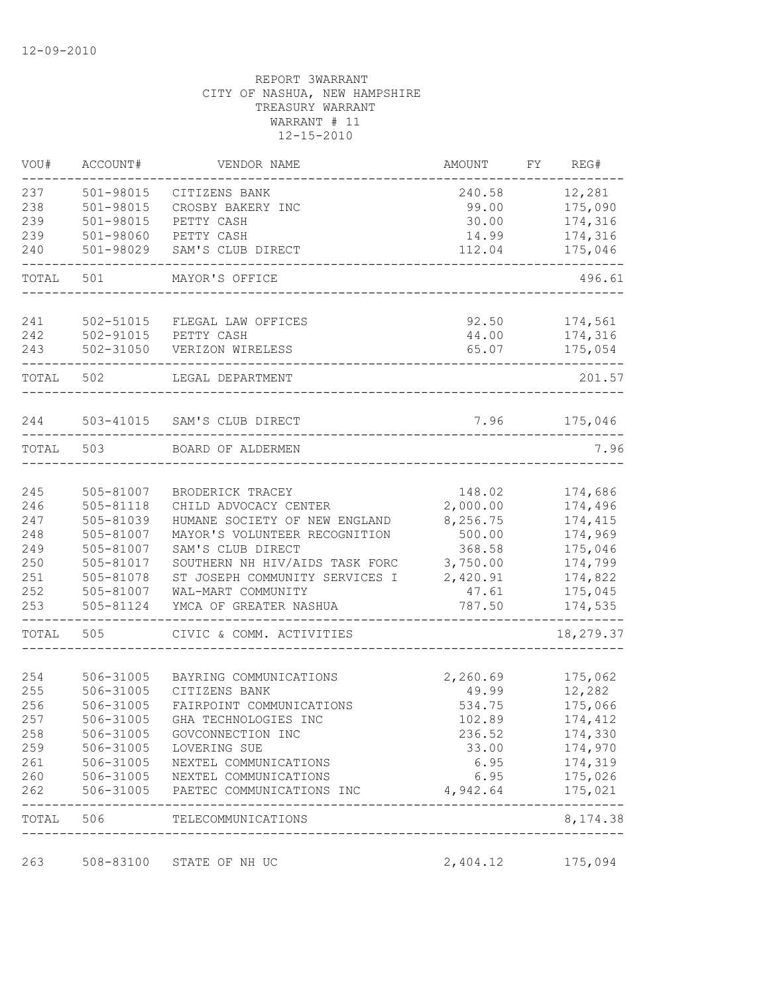| VOU#       | ACCOUNT#               | VENDOR NAME                               | AMOUNT             | FY. | REG#                     |
|------------|------------------------|-------------------------------------------|--------------------|-----|--------------------------|
| 237        | 501-98015              | CITIZENS BANK                             | 240.58             |     | 12,281                   |
| 238        | 501-98015              | CROSBY BAKERY INC                         | 99.00              |     | 175,090                  |
| 239        | 501-98015              | PETTY CASH                                | 30.00              |     | 174,316                  |
| 239        | 501-98060              | PETTY CASH                                | 14.99              |     | 174,316                  |
| 240        | 501-98029              | SAM'S CLUB DIRECT                         | 112.04             |     | 175,046                  |
| TOTAL      | 501                    | MAYOR'S OFFICE                            |                    |     | 496.61                   |
| 241        | 502-51015              | FLEGAL LAW OFFICES                        | 92.50              |     | 174,561                  |
| 242        | 502-91015              | PETTY CASH                                | 44.00              |     | 174,316                  |
| 243        | 502-31050              | VERIZON WIRELESS                          | 65.07              |     | 175,054                  |
| TOTAL      | 502                    | LEGAL DEPARTMENT                          |                    |     | 201.57                   |
| 244        |                        | 503-41015 SAM'S CLUB DIRECT               | 7.96               |     | 175,046                  |
| TOTAL      | 503                    | BOARD OF ALDERMEN                         |                    |     | 7.96                     |
|            |                        |                                           |                    |     |                          |
| 245<br>246 | 505-81007<br>505-81118 | BRODERICK TRACEY<br>CHILD ADVOCACY CENTER | 148.02<br>2,000.00 |     | 174,686<br>174,496       |
| 247        | 505-81039              | HUMANE SOCIETY OF NEW ENGLAND             | 8,256.75           |     | 174,415                  |
| 248        | 505-81007              | MAYOR'S VOLUNTEER RECOGNITION             | 500.00             |     | 174,969                  |
| 249        | 505-81007              | SAM'S CLUB DIRECT                         | 368.58             |     | 175,046                  |
| 250        | 505-81017              | SOUTHERN NH HIV/AIDS TASK FORC            | 3,750.00           |     | 174,799                  |
| 251        | 505-81078              | ST JOSEPH COMMUNITY SERVICES I            | 2,420.91           |     | 174,822                  |
| 252        | 505-81007              | WAL-MART COMMUNITY                        | 47.61              |     | 175,045                  |
| 253        | 505-81124              | YMCA OF GREATER NASHUA                    | 787.50             |     | 174,535                  |
| TOTAL      | 505                    | CIVIC & COMM. ACTIVITIES                  |                    |     | 18,279.37                |
|            |                        |                                           |                    |     |                          |
| 254<br>255 | 506-31005<br>506-31005 | BAYRING COMMUNICATIONS<br>CITIZENS BANK   | 2,260.69<br>49.99  |     | 175,062<br>12,282        |
| 256        | 506-31005              | FAIRPOINT COMMUNICATIONS                  | 534.75             |     | 175,066                  |
| 257        | 506-31005              | GHA TECHNOLOGIES INC                      | 102.89             |     | 174,412                  |
| 258        | 506-31005              | GOVCONNECTION INC                         | 236.52             |     | 174,330                  |
| 259        |                        | 506-31005 LOVERING SUE                    | 33.00              |     | 174,970                  |
| 261        |                        | 506-31005 NEXTEL COMMUNICATIONS           | 6.95               |     | 174,319                  |
| 260        |                        | 506-31005 NEXTEL COMMUNICATIONS           | 6.95               |     | 175,026                  |
| 262        |                        | 506-31005 PAETEC COMMUNICATIONS INC       | 4,942.64           |     | 175,021                  |
|            |                        | TOTAL 506 TELECOMMUNICATIONS              |                    |     | . <u>.</u> .<br>8,174.38 |
| 263        | 508-83100              | STATE OF NH UC                            | 2,404.12           |     | 175,094                  |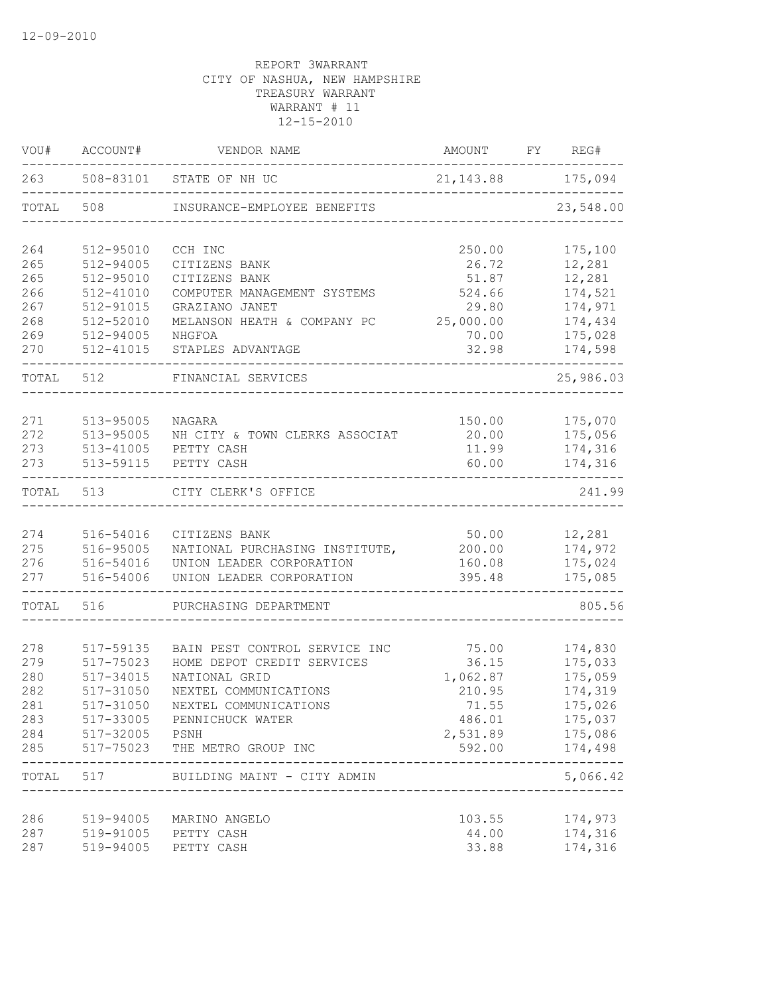| VOU#                                                 | ACCOUNT#                                                                                                 | VENDOR NAME                                                                                                                                                                         | AMOUNT                                                                     | FY | REG#                                                                                                        |
|------------------------------------------------------|----------------------------------------------------------------------------------------------------------|-------------------------------------------------------------------------------------------------------------------------------------------------------------------------------------|----------------------------------------------------------------------------|----|-------------------------------------------------------------------------------------------------------------|
| 263                                                  | 508-83101                                                                                                | STATE OF NH UC                                                                                                                                                                      | 21, 143.88                                                                 |    | 175,094                                                                                                     |
| TOTAL                                                | 508                                                                                                      | INSURANCE-EMPLOYEE BENEFITS                                                                                                                                                         |                                                                            |    | 23,548.00                                                                                                   |
| 264<br>265<br>265<br>266<br>267<br>268<br>269<br>270 | 512-95010<br>512-94005<br>512-95010<br>$512 - 41010$<br>512-91015<br>512-52010<br>512-94005<br>512-41015 | CCH INC<br>CITIZENS BANK<br>CITIZENS BANK<br>COMPUTER MANAGEMENT SYSTEMS<br>GRAZIANO JANET<br>MELANSON HEATH & COMPANY PC<br>NHGFOA<br>STAPLES ADVANTAGE                            | 250.00<br>26.72<br>51.87<br>524.66<br>29.80<br>25,000.00<br>70.00<br>32.98 |    | 175,100<br>12,281<br>12,281<br>174,521<br>174,971<br>174,434<br>175,028<br>174,598                          |
| TOTAL                                                | 512                                                                                                      | FINANCIAL SERVICES                                                                                                                                                                  |                                                                            |    | 25,986.03                                                                                                   |
| 271<br>272<br>273<br>273                             | 513-95005<br>513-95005<br>$513 - 41005$<br>513-59115                                                     | NAGARA<br>NH CITY & TOWN CLERKS ASSOCIAT<br>PETTY CASH<br>PETTY CASH                                                                                                                | 150.00<br>20.00<br>11.99<br>60.00                                          |    | 175,070<br>175,056<br>174,316<br>174,316                                                                    |
| TOTAL                                                | 513                                                                                                      | CITY CLERK'S OFFICE                                                                                                                                                                 |                                                                            |    | 241.99                                                                                                      |
| 274<br>275<br>276<br>277                             | 516-54016<br>516-95005<br>516-54016<br>516-54006                                                         | CITIZENS BANK<br>NATIONAL PURCHASING INSTITUTE,<br>UNION LEADER CORPORATION<br>UNION LEADER CORPORATION                                                                             | 50.00<br>200.00<br>160.08<br>395.48                                        |    | 12,281<br>174,972<br>175,024<br>175,085                                                                     |
| TOTAL                                                | 516                                                                                                      | PURCHASING DEPARTMENT                                                                                                                                                               |                                                                            |    | 805.56                                                                                                      |
| 278<br>279<br>280<br>282<br>281<br>283<br>284<br>285 | 517-59135<br>517-75023<br>517-34015<br>517-31050<br>517-31050<br>517-32005 PSNH<br>517-75023             | BAIN PEST CONTROL SERVICE INC<br>HOME DEPOT CREDIT SERVICES<br>NATIONAL GRID<br>NEXTEL COMMUNICATIONS<br>NEXTEL COMMUNICATIONS<br>517-33005 PENNICHUCK WATER<br>THE METRO GROUP INC | 75.00<br>36.15<br>1,062.87<br>210.95<br>71.55<br>486.01<br>592.00          |    | 174,830<br>175,033<br>175,059<br>174,319<br>175,026<br>175,037<br>2,531.89 175,086<br>174,498<br>. <u>.</u> |
|                                                      |                                                                                                          | TOTAL 517 BUILDING MAINT - CITY ADMIN                                                                                                                                               |                                                                            |    | 5,066.42                                                                                                    |
| 286<br>287<br>287                                    | 519-94005                                                                                                | 519-94005 MARINO ANGELO<br>519-91005 PETTY CASH<br>PETTY CASH                                                                                                                       | 103.55<br>44.00<br>33.88                                                   |    | 174,973<br>174,316<br>174,316                                                                               |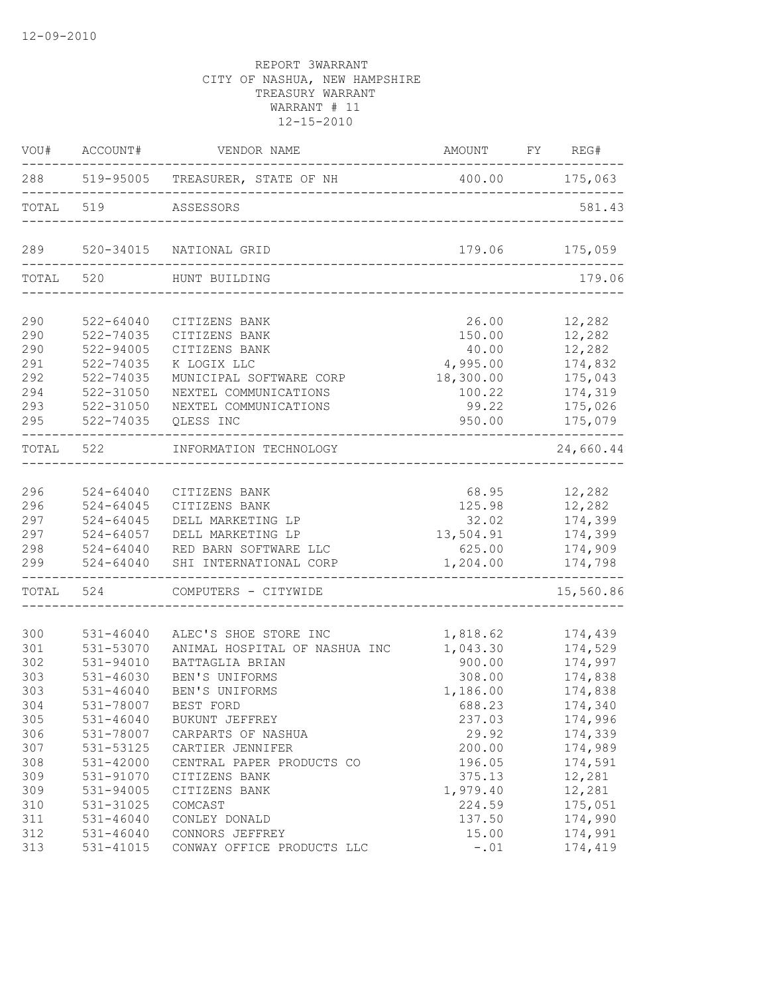|           |                                             | VOU# ACCOUNT# VENDOR NAME                            | AMOUNT FY REG# | $- - - -$           |
|-----------|---------------------------------------------|------------------------------------------------------|----------------|---------------------|
|           |                                             | 288 519-95005 TREASURER, STATE OF NH 400.00 175,063  |                |                     |
|           | TOTAL 519                                   | ASSESSORS                                            |                | 581.43              |
| 289       |                                             | 520-34015 NATIONAL GRID<br>_________________________ |                | 179.06 175,059      |
| TOTAL 520 |                                             | HUNT BUILDING                                        |                | 179.06              |
| 290       | $522 - 64040$                               | CITIZENS BANK                                        | 26.00          | 12,282              |
| 290       | 522-74035                                   | CITIZENS BANK                                        | 150.00         | 12,282              |
| 290       | 522-94005                                   | CITIZENS BANK                                        | 40.00          | 12,282              |
| 291       | 522-74035                                   | K LOGIX LLC                                          | 4,995.00       | 174,832             |
| 292       | 522-74035                                   | MUNICIPAL SOFTWARE CORP                              | 18,300.00      | 175,043             |
| 294       | 522-31050                                   | NEXTEL COMMUNICATIONS                                | 100.22         | 174,319             |
| 293       | 522-31050                                   | NEXTEL COMMUNICATIONS                                | 99.22          | 175,026             |
| 295       |                                             | 522-74035 QLESS INC                                  | 950.00         | 175,079<br>-------- |
|           | TOTAL 522                                   | INFORMATION TECHNOLOGY<br>_______________________    |                | 24,660.44           |
| 296       | $524 - 64040$                               |                                                      | 68.95 12,282   |                     |
| 296       | $524 - 64045$                               | CITIZENS BANK<br>CITIZENS BANK                       | 125.98 12,282  |                     |
| 297       | 524-64045                                   | DELL MARKETING LP                                    | 32.02          | 174,399             |
| 297       | 524-64057                                   | DELL MARKETING LP                                    | 13,504.91      | 174,399             |
| 298       |                                             | RED BARN SOFTWARE LLC                                | 625.00         | 174,909             |
| 299       | $524 - 64040$<br>$524 - 64040$<br>524-64040 | SHI INTERNATIONAL CORP                               | 1,204.00       | 174,798             |
|           |                                             | TOTAL 524 COMPUTERS - CITYWIDE                       |                | 15,560.86           |
| 300       |                                             | ALEC'S SHOE STORE INC                                | 1,818.62       | 174,439             |
| 301       | 531-46040<br>531-53070                      |                                                      | 1,043.30       | 174,529             |
| 302       | 531-94010                                   | ANIMAL HOSPITAL OF NASHUA INC<br>BATTAGLIA BRIAN     | 900.00         | 174,997             |
| 303       | 531-46030                                   | BEN'S UNIFORMS                                       | 308.00         | 174,838             |
| 303       | $531 - 46040$                               | BEN'S UNIFORMS                                       | 1,186.00       | 174,838             |
| 304       | 531-78007                                   | BEST FORD                                            | 688.23         | 174,340             |
| 305       | 531-46040                                   | BUKUNT JEFFREY                                       | 237.03         | 174,996             |
| 306       | 531-78007                                   | CARPARTS OF NASHUA                                   | 29.92          | 174,339             |
| 307       | 531-53125                                   | CARTIER JENNIFER                                     | 200.00         | 174,989             |
| 308       | 531-42000                                   | CENTRAL PAPER PRODUCTS CO                            | 196.05         | 174,591             |
| 309       | 531-91070                                   | CITIZENS BANK                                        | 375.13         | 12,281              |
| 309       | 531-94005                                   | CITIZENS BANK                                        | 1,979.40       | 12,281              |
| 310       | 531-31025                                   | COMCAST                                              | 224.59         | 175,051             |
| 311       | 531-46040                                   | CONLEY DONALD                                        | 137.50         | 174,990             |
| 312       | 531-46040                                   | CONNORS JEFFREY                                      | 15.00          | 174,991             |
| 313       | 531-41015                                   | CONWAY OFFICE PRODUCTS LLC                           | $-.01$         | 174,419             |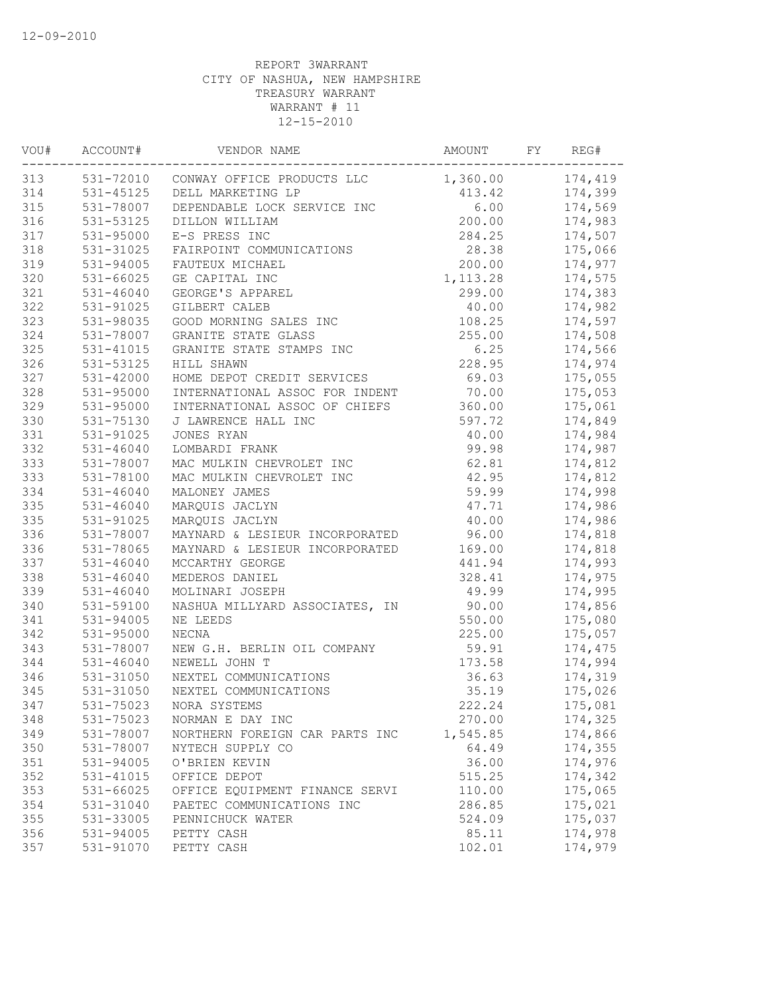| VOU# | ACCOUNT#      | VENDOR NAME                          | AMOUNT           | FY | REG#           |
|------|---------------|--------------------------------------|------------------|----|----------------|
| 313  |               | 531-72010 CONWAY OFFICE PRODUCTS LLC | 1,360.00 174,419 |    |                |
| 314  |               | 531-45125 DELL MARKETING LP          |                  |    | 413.42 174,399 |
| 315  | 531-78007     | DEPENDABLE LOCK SERVICE INC          | 6.00             |    | 174,569        |
| 316  | 531-53125     | DILLON WILLIAM                       | 200.00           |    | 174,983        |
| 317  | 531-95000     | E-S PRESS INC                        | 284.25           |    | 174,507        |
| 318  | 531-31025     | FAIRPOINT COMMUNICATIONS             | 28.38            |    | 175,066        |
| 319  | 531-94005     | FAUTEUX MICHAEL                      | 200.00           |    | 174,977        |
| 320  | $531 - 66025$ | GE CAPITAL INC                       | 1, 113.28        |    | 174,575        |
| 321  | 531-46040     | GEORGE'S APPAREL                     | 299.00           |    | 174,383        |
| 322  | 531-91025     | GILBERT CALEB                        | 40.00            |    | 174,982        |
| 323  | 531-98035     | GOOD MORNING SALES INC               | 108.25           |    | 174,597        |
| 324  | 531-78007     | GRANITE STATE GLASS                  | 255.00           |    | 174,508        |
| 325  | 531-41015     | GRANITE STATE STAMPS INC             | 6.25             |    | 174,566        |
| 326  | 531-53125     | HILL SHAWN                           | 228.95           |    | 174,974        |
| 327  | 531-42000     | HOME DEPOT CREDIT SERVICES           | 69.03            |    | 175,055        |
| 328  | 531-95000     | INTERNATIONAL ASSOC FOR INDENT       | 70.00            |    | 175,053        |
| 329  | 531-95000     | INTERNATIONAL ASSOC OF CHIEFS        | 360.00           |    | 175,061        |
| 330  | 531-75130     | J LAWRENCE HALL INC                  | 597.72           |    | 174,849        |
| 331  | 531-91025     | JONES RYAN                           | 40.00            |    | 174,984        |
| 332  | $531 - 46040$ | LOMBARDI FRANK                       | 99.98            |    | 174,987        |
| 333  | 531-78007     | MAC MULKIN CHEVROLET INC             | 62.81            |    | 174,812        |
| 333  | 531-78100     | MAC MULKIN CHEVROLET INC             | 42.95            |    | 174,812        |
| 334  | $531 - 46040$ | MALONEY JAMES                        | 59.99            |    | 174,998        |
| 335  | $531 - 46040$ | MARQUIS JACLYN                       | 47.71            |    | 174,986        |
| 335  | 531-91025     | MARQUIS JACLYN                       | 40.00            |    | 174,986        |
| 336  | 531-78007     | MAYNARD & LESIEUR INCORPORATED       | 96.00            |    | 174,818        |
| 336  | 531-78065     | MAYNARD & LESIEUR INCORPORATED       | 169.00           |    | 174,818        |
| 337  | $531 - 46040$ | MCCARTHY GEORGE                      | 441.94           |    | 174,993        |
| 338  | $531 - 46040$ | MEDEROS DANIEL                       | 328.41           |    | 174,975        |
| 339  | $531 - 46040$ | MOLINARI JOSEPH                      | 49.99            |    | 174,995        |
| 340  | 531-59100     | NASHUA MILLYARD ASSOCIATES, IN       | 90.00            |    | 174,856        |
| 341  | 531-94005     | NE LEEDS                             | 550.00           |    | 175,080        |
| 342  | 531-95000     | NECNA                                | 225.00           |    | 175,057        |
| 343  | 531-78007     | NEW G.H. BERLIN OIL COMPANY          | 59.91            |    | 174,475        |
| 344  | 531-46040     | NEWELL JOHN T                        | 173.58           |    | 174,994        |
| 346  | 531-31050     | NEXTEL COMMUNICATIONS                | 36.63            |    | 174,319        |
| 345  | 531-31050     | NEXTEL COMMUNICATIONS                | 35.19            |    | 175,026        |
| 347  | 531-75023     | NORA SYSTEMS                         | 222.24           |    | 175,081        |
| 348  | 531-75023     | NORMAN E DAY INC                     | 270.00           |    | 174,325        |
| 349  | 531-78007     | NORTHERN FOREIGN CAR PARTS INC       | 1,545.85         |    | 174,866        |
| 350  | 531-78007     | NYTECH SUPPLY CO                     | 64.49            |    | 174,355        |
| 351  | 531-94005     | O'BRIEN KEVIN                        | 36.00            |    | 174,976        |
| 352  | 531-41015     | OFFICE DEPOT                         | 515.25           |    | 174,342        |
| 353  | $531 - 66025$ | OFFICE EQUIPMENT FINANCE SERVI       | 110.00           |    | 175,065        |
| 354  | 531-31040     | PAETEC COMMUNICATIONS INC            | 286.85           |    | 175,021        |
| 355  | 531-33005     | PENNICHUCK WATER                     | 524.09           |    | 175,037        |
| 356  | 531-94005     | PETTY CASH                           | 85.11            |    | 174,978        |
| 357  | 531-91070     | PETTY CASH                           | 102.01           |    | 174,979        |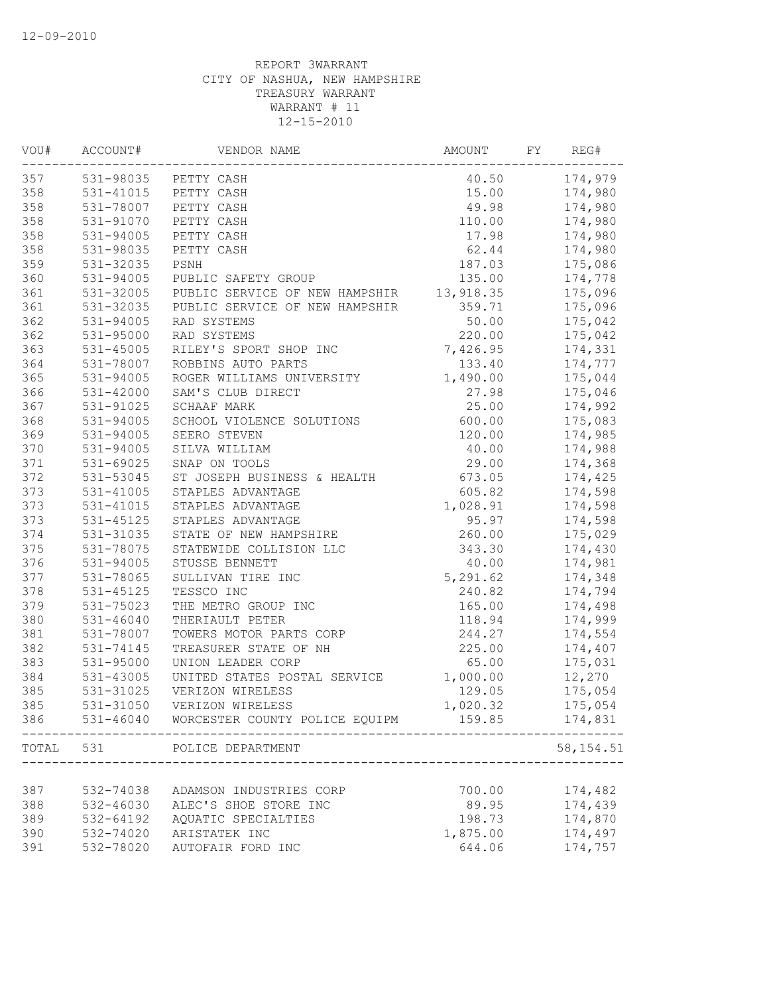| VOU#  | ACCOUNT#      | VENDOR NAME                    | AMOUNT    | FY | REG#       |
|-------|---------------|--------------------------------|-----------|----|------------|
| 357   |               | 531-98035 PETTY CASH           | 40.50     |    | 174,979    |
| 358   | 531-41015     | PETTY CASH                     | 15.00     |    | 174,980    |
| 358   | 531-78007     | PETTY CASH                     | 49.98     |    | 174,980    |
| 358   | 531-91070     | PETTY CASH                     | 110.00    |    | 174,980    |
| 358   | 531-94005     | PETTY CASH                     | 17.98     |    | 174,980    |
| 358   | 531-98035     | PETTY CASH                     | 62.44     |    | 174,980    |
| 359   | 531-32035     | PSNH                           | 187.03    |    | 175,086    |
| 360   | 531-94005     | PUBLIC SAFETY GROUP            | 135.00    |    | 174,778    |
| 361   | 531-32005     | PUBLIC SERVICE OF NEW HAMPSHIR | 13,918.35 |    | 175,096    |
| 361   | 531-32035     | PUBLIC SERVICE OF NEW HAMPSHIR | 359.71    |    | 175,096    |
| 362   | 531-94005     | RAD SYSTEMS                    | 50.00     |    | 175,042    |
| 362   | 531-95000     | RAD SYSTEMS                    | 220.00    |    | 175,042    |
| 363   | 531-45005     | RILEY'S SPORT SHOP INC         | 7,426.95  |    | 174,331    |
| 364   | 531-78007     | ROBBINS AUTO PARTS             | 133.40    |    | 174,777    |
| 365   | 531-94005     | ROGER WILLIAMS UNIVERSITY      | 1,490.00  |    | 175,044    |
| 366   | 531-42000     | SAM'S CLUB DIRECT              | 27.98     |    | 175,046    |
| 367   | 531-91025     | SCHAAF MARK                    | 25.00     |    | 174,992    |
| 368   | 531-94005     | SCHOOL VIOLENCE SOLUTIONS      | 600.00    |    | 175,083    |
| 369   | 531-94005     | SEERO STEVEN                   | 120.00    |    | 174,985    |
| 370   | 531-94005     | SILVA WILLIAM                  | 40.00     |    | 174,988    |
| 371   | 531-69025     | SNAP ON TOOLS                  | 29.00     |    | 174,368    |
| 372   | 531-53045     | ST JOSEPH BUSINESS & HEALTH    | 673.05    |    | 174,425    |
| 373   | 531-41005     | STAPLES ADVANTAGE              | 605.82    |    | 174,598    |
| 373   | 531-41015     | STAPLES ADVANTAGE              | 1,028.91  |    | 174,598    |
| 373   | 531-45125     | STAPLES ADVANTAGE              | 95.97     |    | 174,598    |
| 374   | 531-31035     | STATE OF NEW HAMPSHIRE         | 260.00    |    | 175,029    |
| 375   | 531-78075     | STATEWIDE COLLISION LLC        | 343.30    |    | 174,430    |
| 376   | $531 - 94005$ | STUSSE BENNETT                 | 40.00     |    | 174,981    |
| 377   | 531-78065     | SULLIVAN TIRE INC              | 5,291.62  |    | 174,348    |
| 378   | 531-45125     | TESSCO INC                     | 240.82    |    | 174,794    |
| 379   | 531-75023     | THE METRO GROUP INC            | 165.00    |    | 174,498    |
| 380   | $531 - 46040$ | THERIAULT PETER                | 118.94    |    | 174,999    |
| 381   | 531-78007     | TOWERS MOTOR PARTS CORP        | 244.27    |    | 174,554    |
| 382   | 531-74145     | TREASURER STATE OF NH          | 225.00    |    | 174,407    |
|       |               | UNION LEADER CORP              | 65.00     |    |            |
| 383   | 531-95000     |                                |           |    | 175,031    |
| 384   | 531-43005     | UNITED STATES POSTAL SERVICE   | 1,000.00  |    | 12,270     |
| 385   | 531-31025     | VERIZON WIRELESS               | 129.05    |    | 175,054    |
| 385   | 531-31050     | VERIZON WIRELESS               | 1,020.32  |    | 175,054    |
| 386   | 531-46040     | WORCESTER COUNTY POLICE EQUIPM | 159.85    |    | 174,831    |
| TOTAL | 531           | POLICE DEPARTMENT              |           |    | 58, 154.51 |
|       |               |                                |           |    |            |
| 387   | 532-74038     | ADAMSON INDUSTRIES CORP        | 700.00    |    | 174,482    |
| 388   | 532-46030     | ALEC'S SHOE STORE INC          | 89.95     |    | 174,439    |
| 389   | 532-64192     | AQUATIC SPECIALTIES            | 198.73    |    | 174,870    |
| 390   | 532-74020     | ARISTATEK INC                  | 1,875.00  |    | 174,497    |
| 391   | 532-78020     | AUTOFAIR FORD INC              | 644.06    |    | 174,757    |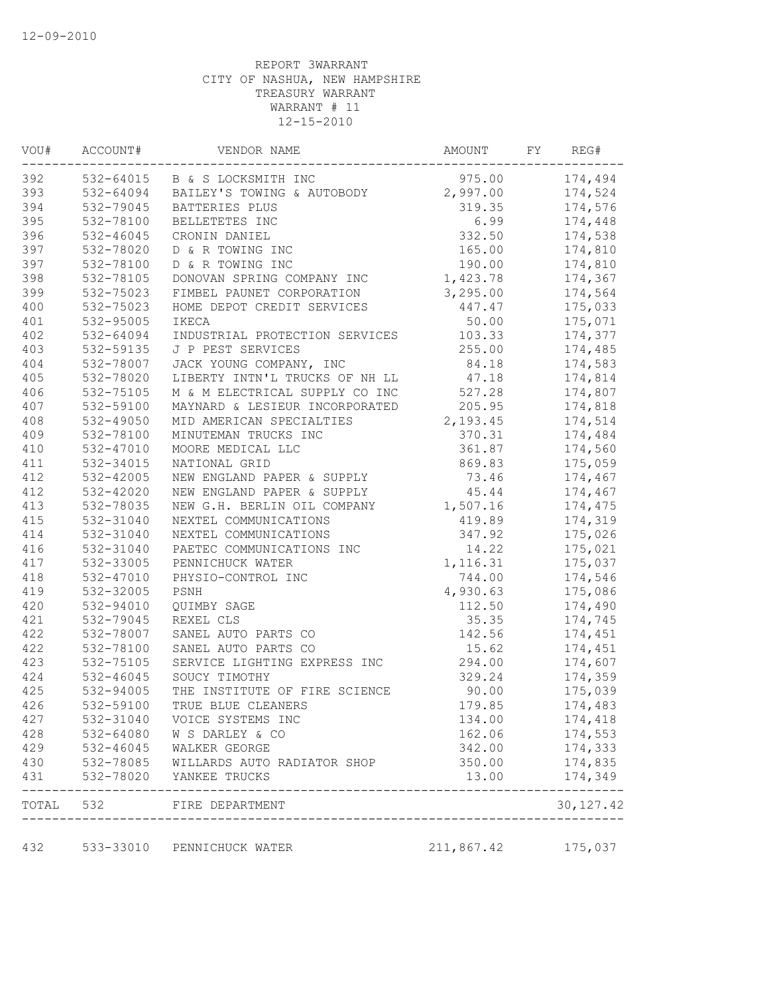| VOU# | ACCOUNT#      | VENDOR NAME                         | AMOUNT     | FY | REG#       |
|------|---------------|-------------------------------------|------------|----|------------|
| 392  |               | 532-64015 B & S LOCKSMITH INC       | 975.00     |    | 174,494    |
| 393  | 532-64094     | BAILEY'S TOWING & AUTOBODY 2,997.00 |            |    | 174,524    |
| 394  | 532-79045     | BATTERIES PLUS                      | 319.35     |    | 174,576    |
| 395  | 532-78100     | BELLETETES INC                      | 6.99       |    | 174,448    |
| 396  | 532-46045     | CRONIN DANIEL                       | 332.50     |    | 174,538    |
| 397  | 532-78020     | D & R TOWING INC                    | 165.00     |    | 174,810    |
| 397  | 532-78100     | D & R TOWING INC                    | 190.00     |    | 174,810    |
| 398  | 532-78105     | DONOVAN SPRING COMPANY INC          | 1,423.78   |    | 174,367    |
| 399  | 532-75023     | FIMBEL PAUNET CORPORATION           | 3,295.00   |    | 174,564    |
| 400  | 532-75023     | HOME DEPOT CREDIT SERVICES          | 447.47     |    | 175,033    |
| 401  | 532-95005     | IKECA                               | 50.00      |    | 175,071    |
| 402  | 532-64094     | INDUSTRIAL PROTECTION SERVICES      | 103.33     |    | 174,377    |
| 403  | 532-59135     | J P PEST SERVICES                   | 255.00     |    | 174,485    |
| 404  | 532-78007     | JACK YOUNG COMPANY, INC             | 84.18      |    | 174,583    |
| 405  | 532-78020     | LIBERTY INTN'L TRUCKS OF NH LL      | 47.18      |    | 174,814    |
| 406  | 532-75105     | M & M ELECTRICAL SUPPLY CO INC      | 527.28     |    | 174,807    |
| 407  | 532-59100     | MAYNARD & LESIEUR INCORPORATED      | 205.95     |    | 174,818    |
| 408  | 532-49050     | MID AMERICAN SPECIALTIES            | 2,193.45   |    | 174,514    |
| 409  | 532-78100     | MINUTEMAN TRUCKS INC                | 370.31     |    | 174,484    |
| 410  | 532-47010     | MOORE MEDICAL LLC                   | 361.87     |    | 174,560    |
| 411  | 532-34015     | NATIONAL GRID                       | 869.83     |    | 175,059    |
| 412  | 532-42005     | NEW ENGLAND PAPER & SUPPLY          | 73.46      |    | 174,467    |
| 412  | 532-42020     | NEW ENGLAND PAPER & SUPPLY          | 45.44      |    | 174,467    |
| 413  | 532-78035     | NEW G.H. BERLIN OIL COMPANY         | 1,507.16   |    | 174,475    |
| 415  | 532-31040     | NEXTEL COMMUNICATIONS               | 419.89     |    | 174,319    |
| 414  | 532-31040     | NEXTEL COMMUNICATIONS               | 347.92     |    | 175,026    |
| 416  | 532-31040     | PAETEC COMMUNICATIONS INC           | 14.22      |    | 175,021    |
| 417  | 532-33005     | PENNICHUCK WATER                    | 1,116.31   |    | 175,037    |
| 418  | 532-47010     | PHYSIO-CONTROL INC                  | 744.00     |    | 174,546    |
| 419  | 532-32005     | PSNH                                | 4,930.63   |    | 175,086    |
| 420  | 532-94010     | QUIMBY SAGE                         | 112.50     |    | 174,490    |
| 421  | 532-79045     | REXEL CLS                           | 35.35      |    | 174,745    |
| 422  | 532-78007     | SANEL AUTO PARTS CO                 | 142.56     |    | 174,451    |
| 422  | 532-78100     | SANEL AUTO PARTS CO                 | 15.62      |    | 174,451    |
| 423  | 532-75105     | SERVICE LIGHTING EXPRESS INC        | 294.00     |    | 174,607    |
| 424  | 532-46045     | SOUCY TIMOTHY                       | 329.24     |    | 174,359    |
| 425  | 532-94005     | THE INSTITUTE OF FIRE SCIENCE       | 90.00      |    | 175,039    |
| 426  | 532-59100     | TRUE BLUE CLEANERS                  | 179.85     |    | 174,483    |
| 427  | 532-31040     | VOICE SYSTEMS INC                   | 134.00     |    | 174,418    |
| 428  | 532-64080     | W S DARLEY & CO                     | 162.06     |    | 174,553    |
| 429  | $532 - 46045$ | WALKER GEORGE                       | 342.00     |    | 174,333    |
| 430  | $532 - 78085$ | WILLARDS AUTO RADIATOR SHOP         | 350.00     |    | 174,835    |
| 431  | 532-78020     | YANKEE TRUCKS                       | 13.00      |    | 174,349    |
|      |               | TOTAL 532 FIRE DEPARTMENT           |            |    | 30, 127.42 |
| 432  |               | 533-33010 PENNICHUCK WATER          | 211,867.42 |    | 175,037    |
|      |               |                                     |            |    |            |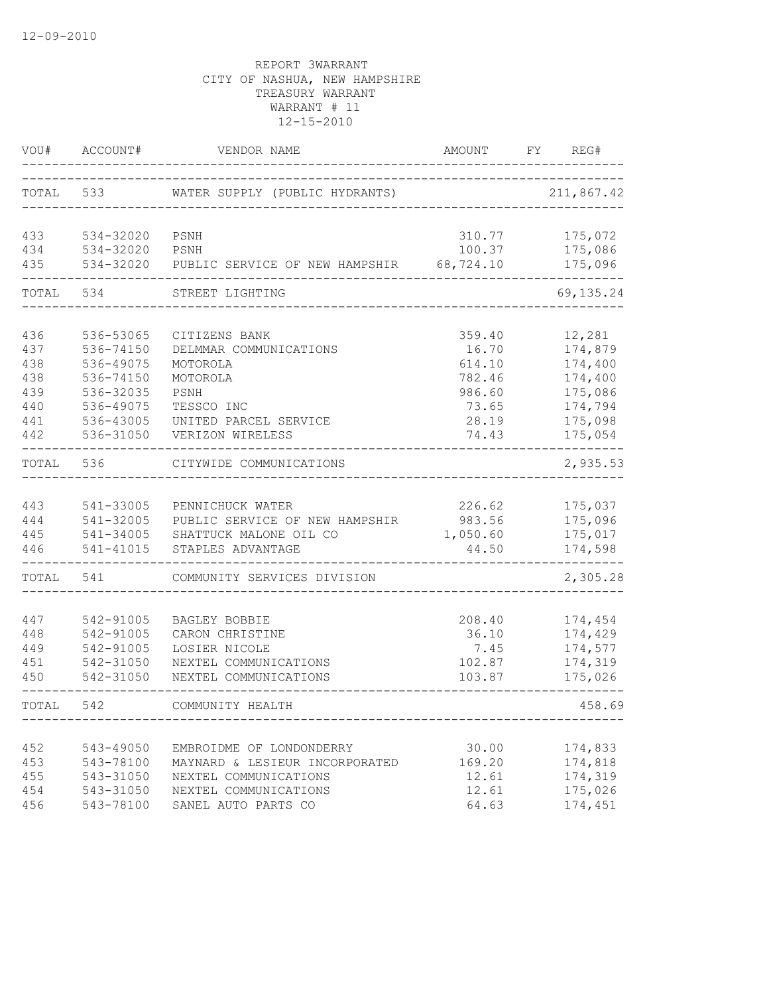| VOU#       | ACCOUNT#               | VENDOR NAME                                                | AMOUNT          | FY<br>REG#         |
|------------|------------------------|------------------------------------------------------------|-----------------|--------------------|
|            | TOTAL 533              | WATER SUPPLY (PUBLIC HYDRANTS)                             |                 | 211,867.42         |
| 433        | 534-32020              | PSNH                                                       | 310.77          | 175,072            |
| 434        | 534-32020              | PSNH                                                       | 100.37          | 175,086            |
| 435        | 534-32020              | PUBLIC SERVICE OF NEW HAMPSHIR 68,724.10                   |                 | 175,096            |
| TOTAL      | 534                    | STREET LIGHTING                                            |                 | 69, 135.24         |
| 436        | 536-53065              | CITIZENS BANK                                              | 359.40          | 12,281             |
| 437        | 536-74150              | DELMMAR COMMUNICATIONS                                     | 16.70           | 174,879            |
| 438        | 536-49075              | MOTOROLA                                                   | 614.10          | 174,400            |
| 438        | 536-74150              | MOTOROLA                                                   | 782.46          | 174,400            |
| 439        | 536-32035              | PSNH                                                       | 986.60          | 175,086            |
| 440        | 536-49075              | TESSCO INC                                                 | 73.65           | 174,794            |
| 441        | 536-43005              | UNITED PARCEL SERVICE                                      | 28.19           | 175,098            |
| 442        | 536-31050              | VERIZON WIRELESS                                           | 74.43           | 175,054            |
| TOTAL      | 536                    | CITYWIDE COMMUNICATIONS                                    |                 | 2,935.53           |
|            |                        |                                                            |                 |                    |
| 443        | 541-33005              | PENNICHUCK WATER                                           | 226.62          | 175,037            |
| 444        | 541-32005              | PUBLIC SERVICE OF NEW HAMPSHIR                             | 983.56          | 175,096            |
| 445        | 541-34005              | SHATTUCK MALONE OIL CO                                     | 1,050.60        | 175,017            |
| 446        | 541-41015              | STAPLES ADVANTAGE                                          | 44.50           | 174,598            |
| TOTAL      | 541                    | COMMUNITY SERVICES DIVISION                                |                 | 2,305.28           |
| 447        | 542-91005              | BAGLEY BOBBIE                                              | 208.40          | 174,454            |
| 448        | 542-91005              | CARON CHRISTINE                                            | 36.10           | 174,429            |
| 449        | 542-91005              | LOSIER NICOLE                                              | 7.45            | 174,577            |
| 451        | 542-31050              | NEXTEL COMMUNICATIONS                                      | 102.87          | 174,319            |
| 450        | 542-31050              | NEXTEL COMMUNICATIONS                                      | 103.87          | 175,026            |
| TOTAL      | 542                    | COMMUNITY HEALTH                                           |                 | 458.69             |
|            |                        |                                                            |                 |                    |
| 452<br>453 | 543-49050              | EMBROIDME OF LONDONDERRY<br>MAYNARD & LESIEUR INCORPORATED | 30.00           | 174,833            |
| 455        | 543-78100<br>543-31050 | NEXTEL COMMUNICATIONS                                      | 169.20<br>12.61 | 174,818<br>174,319 |
| 454        | 543-31050              | NEXTEL COMMUNICATIONS                                      | 12.61           | 175,026            |
| 456        | 543-78100              | SANEL AUTO PARTS CO                                        | 64.63           | 174,451            |
|            |                        |                                                            |                 |                    |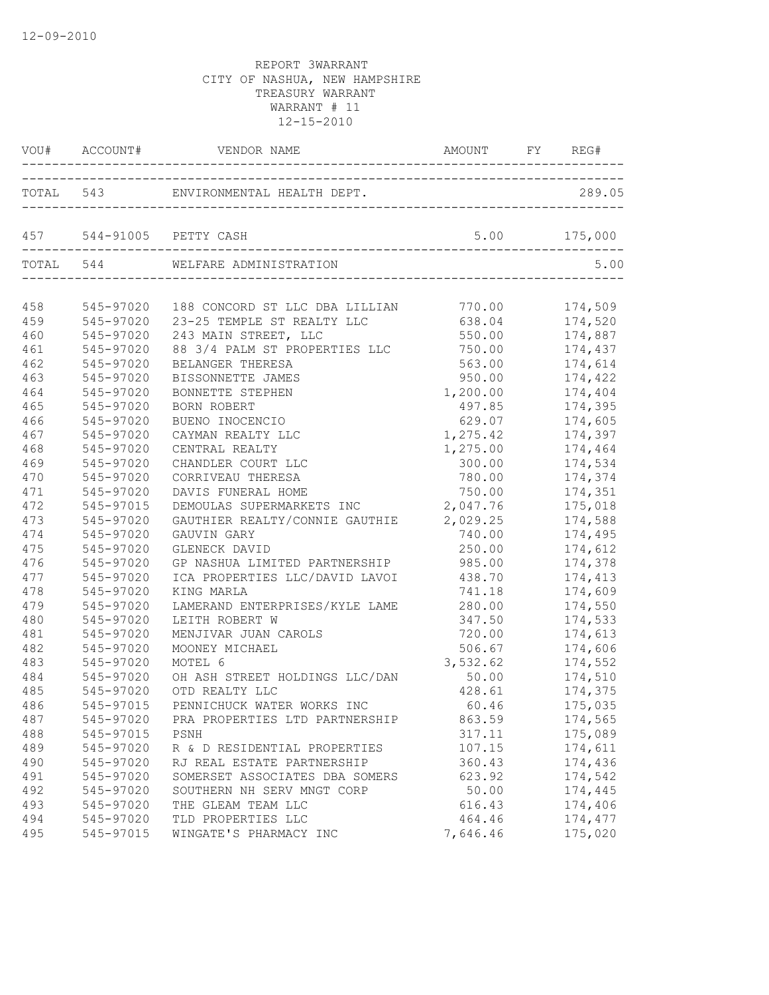| TOTAL 543 ENVIRONMENTAL HEALTH DEPT.<br>289.05<br>5.00 175,000<br>457 544-91005 PETTY CASH<br>TOTAL 544 WELFARE ADMINISTRATION<br>5.00<br>174,509<br>545-97020<br>188 CONCORD ST LLC DBA LILLIAN 770.00<br>23-25 TEMPLE ST REALTY LLC<br>174,520<br>545-97020<br>638.04<br>243 MAIN STREET, LLC<br>550.00<br>174,887<br>545-97020<br>88 3/4 PALM ST PROPERTIES LLC<br>750.00<br>545-97020<br>174,437<br>174,614<br>545-97020<br>BELANGER THERESA<br>563.00<br>950.00<br>545-97020<br>174,422<br>BISSONNETTE JAMES<br>545-97020<br>1,200.00<br>174,404<br>BONNETTE STEPHEN<br>174,395<br>545-97020<br><b>BORN ROBERT</b><br>497.85<br>466<br>545-97020<br>629.07<br>BUENO INOCENCIO<br>174,605<br>467<br>545-97020<br>1,275.42<br>174,397<br>CAYMAN REALTY LLC<br>468<br>545-97020<br>CENTRAL REALTY<br>1,275.00<br>174,464<br>469<br>545-97020<br>CHANDLER COURT LLC<br>300.00<br>174,534<br>470<br>CORRIVEAU THERESA<br>174,374<br>545-97020<br>780.00<br>471<br>750.00<br>174,351<br>545-97020<br>DAVIS FUNERAL HOME<br>2,047.76<br>472<br>545-97015<br>DEMOULAS SUPERMARKETS INC<br>175,018<br>GAUTHIER REALTY/CONNIE GAUTHIE 2,029.25<br>473<br>545-97020<br>174,588<br>474<br>545-97020<br>GAUVIN GARY<br>740.00<br>174,495<br>475<br>545-97020<br>GLENECK DAVID<br>250.00<br>174,612<br>476<br>545-97020<br>GP NASHUA LIMITED PARTNERSHIP<br>985.00<br>174,378<br>477<br>545-97020<br>ICA PROPERTIES LLC/DAVID LAVOI<br>174,413<br>438.70<br>478<br>545-97020<br>174,609<br>KING MARLA<br>741.18<br>479<br>LAMERAND ENTERPRISES/KYLE LAME<br>280.00<br>174,550<br>545-97020<br>480<br>174,533<br>545-97020<br>LEITH ROBERT W<br>347.50<br>481<br>545-97020<br>MENJIVAR JUAN CAROLS<br>720.00<br>174,613<br>482<br>545-97020<br>506.67<br>174,606<br>MOONEY MICHAEL<br>483<br>545-97020<br>MOTEL 6<br>3,532.62<br>174,552<br>484<br>545-97020<br>50.00    174,510<br>OH ASH STREET HOLDINGS LLC/DAN<br>485<br>545-97020<br>OTD REALTY LLC<br>428.61<br>174,375<br>486<br>545-97015 PENNICHUCK WATER WORKS INC<br>60.46<br>175,035<br>487<br>545-97020<br>174,565<br>PRA PROPERTIES LTD PARTNERSHIP<br>863.59<br>488<br>175,089<br>545-97015<br>317.11<br>PSNH<br>489<br>545-97020<br>107.15<br>174,611<br>R & D RESIDENTIAL PROPERTIES<br>490<br>545-97020<br>174,436<br>RJ REAL ESTATE PARTNERSHIP<br>360.43<br>491<br>SOMERSET ASSOCIATES DBA SOMERS<br>545-97020<br>623.92<br>174,542<br>SOUTHERN NH SERV MNGT CORP<br>492<br>545-97020<br>50.00<br>174,445<br>493<br>545-97020<br>THE GLEAM TEAM LLC<br>616.43<br>174,406<br>494<br>545-97020<br>TLD PROPERTIES LLC<br>464.46<br>174,477<br>495<br>545-97015<br>WINGATE'S PHARMACY INC<br>7,646.46<br>175,020 |     | VOU# ACCOUNT# VENDOR NAME | AMOUNT FY REG# |  |
|------------------------------------------------------------------------------------------------------------------------------------------------------------------------------------------------------------------------------------------------------------------------------------------------------------------------------------------------------------------------------------------------------------------------------------------------------------------------------------------------------------------------------------------------------------------------------------------------------------------------------------------------------------------------------------------------------------------------------------------------------------------------------------------------------------------------------------------------------------------------------------------------------------------------------------------------------------------------------------------------------------------------------------------------------------------------------------------------------------------------------------------------------------------------------------------------------------------------------------------------------------------------------------------------------------------------------------------------------------------------------------------------------------------------------------------------------------------------------------------------------------------------------------------------------------------------------------------------------------------------------------------------------------------------------------------------------------------------------------------------------------------------------------------------------------------------------------------------------------------------------------------------------------------------------------------------------------------------------------------------------------------------------------------------------------------------------------------------------------------------------------------------------------------------------------------------------------------------------------------------------------------------------------------------------------------------------------------------------------------------------------------------------------------------------------------------------------------------------------------------------------------------------------------------------------------------------------------------------------------------------------------------------------------------|-----|---------------------------|----------------|--|
|                                                                                                                                                                                                                                                                                                                                                                                                                                                                                                                                                                                                                                                                                                                                                                                                                                                                                                                                                                                                                                                                                                                                                                                                                                                                                                                                                                                                                                                                                                                                                                                                                                                                                                                                                                                                                                                                                                                                                                                                                                                                                                                                                                                                                                                                                                                                                                                                                                                                                                                                                                                                                                                                        |     |                           |                |  |
|                                                                                                                                                                                                                                                                                                                                                                                                                                                                                                                                                                                                                                                                                                                                                                                                                                                                                                                                                                                                                                                                                                                                                                                                                                                                                                                                                                                                                                                                                                                                                                                                                                                                                                                                                                                                                                                                                                                                                                                                                                                                                                                                                                                                                                                                                                                                                                                                                                                                                                                                                                                                                                                                        |     |                           |                |  |
|                                                                                                                                                                                                                                                                                                                                                                                                                                                                                                                                                                                                                                                                                                                                                                                                                                                                                                                                                                                                                                                                                                                                                                                                                                                                                                                                                                                                                                                                                                                                                                                                                                                                                                                                                                                                                                                                                                                                                                                                                                                                                                                                                                                                                                                                                                                                                                                                                                                                                                                                                                                                                                                                        |     |                           |                |  |
|                                                                                                                                                                                                                                                                                                                                                                                                                                                                                                                                                                                                                                                                                                                                                                                                                                                                                                                                                                                                                                                                                                                                                                                                                                                                                                                                                                                                                                                                                                                                                                                                                                                                                                                                                                                                                                                                                                                                                                                                                                                                                                                                                                                                                                                                                                                                                                                                                                                                                                                                                                                                                                                                        | 458 |                           |                |  |
|                                                                                                                                                                                                                                                                                                                                                                                                                                                                                                                                                                                                                                                                                                                                                                                                                                                                                                                                                                                                                                                                                                                                                                                                                                                                                                                                                                                                                                                                                                                                                                                                                                                                                                                                                                                                                                                                                                                                                                                                                                                                                                                                                                                                                                                                                                                                                                                                                                                                                                                                                                                                                                                                        | 459 |                           |                |  |
|                                                                                                                                                                                                                                                                                                                                                                                                                                                                                                                                                                                                                                                                                                                                                                                                                                                                                                                                                                                                                                                                                                                                                                                                                                                                                                                                                                                                                                                                                                                                                                                                                                                                                                                                                                                                                                                                                                                                                                                                                                                                                                                                                                                                                                                                                                                                                                                                                                                                                                                                                                                                                                                                        | 460 |                           |                |  |
|                                                                                                                                                                                                                                                                                                                                                                                                                                                                                                                                                                                                                                                                                                                                                                                                                                                                                                                                                                                                                                                                                                                                                                                                                                                                                                                                                                                                                                                                                                                                                                                                                                                                                                                                                                                                                                                                                                                                                                                                                                                                                                                                                                                                                                                                                                                                                                                                                                                                                                                                                                                                                                                                        | 461 |                           |                |  |
|                                                                                                                                                                                                                                                                                                                                                                                                                                                                                                                                                                                                                                                                                                                                                                                                                                                                                                                                                                                                                                                                                                                                                                                                                                                                                                                                                                                                                                                                                                                                                                                                                                                                                                                                                                                                                                                                                                                                                                                                                                                                                                                                                                                                                                                                                                                                                                                                                                                                                                                                                                                                                                                                        | 462 |                           |                |  |
|                                                                                                                                                                                                                                                                                                                                                                                                                                                                                                                                                                                                                                                                                                                                                                                                                                                                                                                                                                                                                                                                                                                                                                                                                                                                                                                                                                                                                                                                                                                                                                                                                                                                                                                                                                                                                                                                                                                                                                                                                                                                                                                                                                                                                                                                                                                                                                                                                                                                                                                                                                                                                                                                        | 463 |                           |                |  |
|                                                                                                                                                                                                                                                                                                                                                                                                                                                                                                                                                                                                                                                                                                                                                                                                                                                                                                                                                                                                                                                                                                                                                                                                                                                                                                                                                                                                                                                                                                                                                                                                                                                                                                                                                                                                                                                                                                                                                                                                                                                                                                                                                                                                                                                                                                                                                                                                                                                                                                                                                                                                                                                                        | 464 |                           |                |  |
|                                                                                                                                                                                                                                                                                                                                                                                                                                                                                                                                                                                                                                                                                                                                                                                                                                                                                                                                                                                                                                                                                                                                                                                                                                                                                                                                                                                                                                                                                                                                                                                                                                                                                                                                                                                                                                                                                                                                                                                                                                                                                                                                                                                                                                                                                                                                                                                                                                                                                                                                                                                                                                                                        | 465 |                           |                |  |
|                                                                                                                                                                                                                                                                                                                                                                                                                                                                                                                                                                                                                                                                                                                                                                                                                                                                                                                                                                                                                                                                                                                                                                                                                                                                                                                                                                                                                                                                                                                                                                                                                                                                                                                                                                                                                                                                                                                                                                                                                                                                                                                                                                                                                                                                                                                                                                                                                                                                                                                                                                                                                                                                        |     |                           |                |  |
|                                                                                                                                                                                                                                                                                                                                                                                                                                                                                                                                                                                                                                                                                                                                                                                                                                                                                                                                                                                                                                                                                                                                                                                                                                                                                                                                                                                                                                                                                                                                                                                                                                                                                                                                                                                                                                                                                                                                                                                                                                                                                                                                                                                                                                                                                                                                                                                                                                                                                                                                                                                                                                                                        |     |                           |                |  |
|                                                                                                                                                                                                                                                                                                                                                                                                                                                                                                                                                                                                                                                                                                                                                                                                                                                                                                                                                                                                                                                                                                                                                                                                                                                                                                                                                                                                                                                                                                                                                                                                                                                                                                                                                                                                                                                                                                                                                                                                                                                                                                                                                                                                                                                                                                                                                                                                                                                                                                                                                                                                                                                                        |     |                           |                |  |
|                                                                                                                                                                                                                                                                                                                                                                                                                                                                                                                                                                                                                                                                                                                                                                                                                                                                                                                                                                                                                                                                                                                                                                                                                                                                                                                                                                                                                                                                                                                                                                                                                                                                                                                                                                                                                                                                                                                                                                                                                                                                                                                                                                                                                                                                                                                                                                                                                                                                                                                                                                                                                                                                        |     |                           |                |  |
|                                                                                                                                                                                                                                                                                                                                                                                                                                                                                                                                                                                                                                                                                                                                                                                                                                                                                                                                                                                                                                                                                                                                                                                                                                                                                                                                                                                                                                                                                                                                                                                                                                                                                                                                                                                                                                                                                                                                                                                                                                                                                                                                                                                                                                                                                                                                                                                                                                                                                                                                                                                                                                                                        |     |                           |                |  |
|                                                                                                                                                                                                                                                                                                                                                                                                                                                                                                                                                                                                                                                                                                                                                                                                                                                                                                                                                                                                                                                                                                                                                                                                                                                                                                                                                                                                                                                                                                                                                                                                                                                                                                                                                                                                                                                                                                                                                                                                                                                                                                                                                                                                                                                                                                                                                                                                                                                                                                                                                                                                                                                                        |     |                           |                |  |
|                                                                                                                                                                                                                                                                                                                                                                                                                                                                                                                                                                                                                                                                                                                                                                                                                                                                                                                                                                                                                                                                                                                                                                                                                                                                                                                                                                                                                                                                                                                                                                                                                                                                                                                                                                                                                                                                                                                                                                                                                                                                                                                                                                                                                                                                                                                                                                                                                                                                                                                                                                                                                                                                        |     |                           |                |  |
|                                                                                                                                                                                                                                                                                                                                                                                                                                                                                                                                                                                                                                                                                                                                                                                                                                                                                                                                                                                                                                                                                                                                                                                                                                                                                                                                                                                                                                                                                                                                                                                                                                                                                                                                                                                                                                                                                                                                                                                                                                                                                                                                                                                                                                                                                                                                                                                                                                                                                                                                                                                                                                                                        |     |                           |                |  |
|                                                                                                                                                                                                                                                                                                                                                                                                                                                                                                                                                                                                                                                                                                                                                                                                                                                                                                                                                                                                                                                                                                                                                                                                                                                                                                                                                                                                                                                                                                                                                                                                                                                                                                                                                                                                                                                                                                                                                                                                                                                                                                                                                                                                                                                                                                                                                                                                                                                                                                                                                                                                                                                                        |     |                           |                |  |
|                                                                                                                                                                                                                                                                                                                                                                                                                                                                                                                                                                                                                                                                                                                                                                                                                                                                                                                                                                                                                                                                                                                                                                                                                                                                                                                                                                                                                                                                                                                                                                                                                                                                                                                                                                                                                                                                                                                                                                                                                                                                                                                                                                                                                                                                                                                                                                                                                                                                                                                                                                                                                                                                        |     |                           |                |  |
|                                                                                                                                                                                                                                                                                                                                                                                                                                                                                                                                                                                                                                                                                                                                                                                                                                                                                                                                                                                                                                                                                                                                                                                                                                                                                                                                                                                                                                                                                                                                                                                                                                                                                                                                                                                                                                                                                                                                                                                                                                                                                                                                                                                                                                                                                                                                                                                                                                                                                                                                                                                                                                                                        |     |                           |                |  |
|                                                                                                                                                                                                                                                                                                                                                                                                                                                                                                                                                                                                                                                                                                                                                                                                                                                                                                                                                                                                                                                                                                                                                                                                                                                                                                                                                                                                                                                                                                                                                                                                                                                                                                                                                                                                                                                                                                                                                                                                                                                                                                                                                                                                                                                                                                                                                                                                                                                                                                                                                                                                                                                                        |     |                           |                |  |
|                                                                                                                                                                                                                                                                                                                                                                                                                                                                                                                                                                                                                                                                                                                                                                                                                                                                                                                                                                                                                                                                                                                                                                                                                                                                                                                                                                                                                                                                                                                                                                                                                                                                                                                                                                                                                                                                                                                                                                                                                                                                                                                                                                                                                                                                                                                                                                                                                                                                                                                                                                                                                                                                        |     |                           |                |  |
|                                                                                                                                                                                                                                                                                                                                                                                                                                                                                                                                                                                                                                                                                                                                                                                                                                                                                                                                                                                                                                                                                                                                                                                                                                                                                                                                                                                                                                                                                                                                                                                                                                                                                                                                                                                                                                                                                                                                                                                                                                                                                                                                                                                                                                                                                                                                                                                                                                                                                                                                                                                                                                                                        |     |                           |                |  |
|                                                                                                                                                                                                                                                                                                                                                                                                                                                                                                                                                                                                                                                                                                                                                                                                                                                                                                                                                                                                                                                                                                                                                                                                                                                                                                                                                                                                                                                                                                                                                                                                                                                                                                                                                                                                                                                                                                                                                                                                                                                                                                                                                                                                                                                                                                                                                                                                                                                                                                                                                                                                                                                                        |     |                           |                |  |
|                                                                                                                                                                                                                                                                                                                                                                                                                                                                                                                                                                                                                                                                                                                                                                                                                                                                                                                                                                                                                                                                                                                                                                                                                                                                                                                                                                                                                                                                                                                                                                                                                                                                                                                                                                                                                                                                                                                                                                                                                                                                                                                                                                                                                                                                                                                                                                                                                                                                                                                                                                                                                                                                        |     |                           |                |  |
|                                                                                                                                                                                                                                                                                                                                                                                                                                                                                                                                                                                                                                                                                                                                                                                                                                                                                                                                                                                                                                                                                                                                                                                                                                                                                                                                                                                                                                                                                                                                                                                                                                                                                                                                                                                                                                                                                                                                                                                                                                                                                                                                                                                                                                                                                                                                                                                                                                                                                                                                                                                                                                                                        |     |                           |                |  |
|                                                                                                                                                                                                                                                                                                                                                                                                                                                                                                                                                                                                                                                                                                                                                                                                                                                                                                                                                                                                                                                                                                                                                                                                                                                                                                                                                                                                                                                                                                                                                                                                                                                                                                                                                                                                                                                                                                                                                                                                                                                                                                                                                                                                                                                                                                                                                                                                                                                                                                                                                                                                                                                                        |     |                           |                |  |
|                                                                                                                                                                                                                                                                                                                                                                                                                                                                                                                                                                                                                                                                                                                                                                                                                                                                                                                                                                                                                                                                                                                                                                                                                                                                                                                                                                                                                                                                                                                                                                                                                                                                                                                                                                                                                                                                                                                                                                                                                                                                                                                                                                                                                                                                                                                                                                                                                                                                                                                                                                                                                                                                        |     |                           |                |  |
|                                                                                                                                                                                                                                                                                                                                                                                                                                                                                                                                                                                                                                                                                                                                                                                                                                                                                                                                                                                                                                                                                                                                                                                                                                                                                                                                                                                                                                                                                                                                                                                                                                                                                                                                                                                                                                                                                                                                                                                                                                                                                                                                                                                                                                                                                                                                                                                                                                                                                                                                                                                                                                                                        |     |                           |                |  |
|                                                                                                                                                                                                                                                                                                                                                                                                                                                                                                                                                                                                                                                                                                                                                                                                                                                                                                                                                                                                                                                                                                                                                                                                                                                                                                                                                                                                                                                                                                                                                                                                                                                                                                                                                                                                                                                                                                                                                                                                                                                                                                                                                                                                                                                                                                                                                                                                                                                                                                                                                                                                                                                                        |     |                           |                |  |
|                                                                                                                                                                                                                                                                                                                                                                                                                                                                                                                                                                                                                                                                                                                                                                                                                                                                                                                                                                                                                                                                                                                                                                                                                                                                                                                                                                                                                                                                                                                                                                                                                                                                                                                                                                                                                                                                                                                                                                                                                                                                                                                                                                                                                                                                                                                                                                                                                                                                                                                                                                                                                                                                        |     |                           |                |  |
|                                                                                                                                                                                                                                                                                                                                                                                                                                                                                                                                                                                                                                                                                                                                                                                                                                                                                                                                                                                                                                                                                                                                                                                                                                                                                                                                                                                                                                                                                                                                                                                                                                                                                                                                                                                                                                                                                                                                                                                                                                                                                                                                                                                                                                                                                                                                                                                                                                                                                                                                                                                                                                                                        |     |                           |                |  |
|                                                                                                                                                                                                                                                                                                                                                                                                                                                                                                                                                                                                                                                                                                                                                                                                                                                                                                                                                                                                                                                                                                                                                                                                                                                                                                                                                                                                                                                                                                                                                                                                                                                                                                                                                                                                                                                                                                                                                                                                                                                                                                                                                                                                                                                                                                                                                                                                                                                                                                                                                                                                                                                                        |     |                           |                |  |
|                                                                                                                                                                                                                                                                                                                                                                                                                                                                                                                                                                                                                                                                                                                                                                                                                                                                                                                                                                                                                                                                                                                                                                                                                                                                                                                                                                                                                                                                                                                                                                                                                                                                                                                                                                                                                                                                                                                                                                                                                                                                                                                                                                                                                                                                                                                                                                                                                                                                                                                                                                                                                                                                        |     |                           |                |  |
|                                                                                                                                                                                                                                                                                                                                                                                                                                                                                                                                                                                                                                                                                                                                                                                                                                                                                                                                                                                                                                                                                                                                                                                                                                                                                                                                                                                                                                                                                                                                                                                                                                                                                                                                                                                                                                                                                                                                                                                                                                                                                                                                                                                                                                                                                                                                                                                                                                                                                                                                                                                                                                                                        |     |                           |                |  |
|                                                                                                                                                                                                                                                                                                                                                                                                                                                                                                                                                                                                                                                                                                                                                                                                                                                                                                                                                                                                                                                                                                                                                                                                                                                                                                                                                                                                                                                                                                                                                                                                                                                                                                                                                                                                                                                                                                                                                                                                                                                                                                                                                                                                                                                                                                                                                                                                                                                                                                                                                                                                                                                                        |     |                           |                |  |
|                                                                                                                                                                                                                                                                                                                                                                                                                                                                                                                                                                                                                                                                                                                                                                                                                                                                                                                                                                                                                                                                                                                                                                                                                                                                                                                                                                                                                                                                                                                                                                                                                                                                                                                                                                                                                                                                                                                                                                                                                                                                                                                                                                                                                                                                                                                                                                                                                                                                                                                                                                                                                                                                        |     |                           |                |  |
|                                                                                                                                                                                                                                                                                                                                                                                                                                                                                                                                                                                                                                                                                                                                                                                                                                                                                                                                                                                                                                                                                                                                                                                                                                                                                                                                                                                                                                                                                                                                                                                                                                                                                                                                                                                                                                                                                                                                                                                                                                                                                                                                                                                                                                                                                                                                                                                                                                                                                                                                                                                                                                                                        |     |                           |                |  |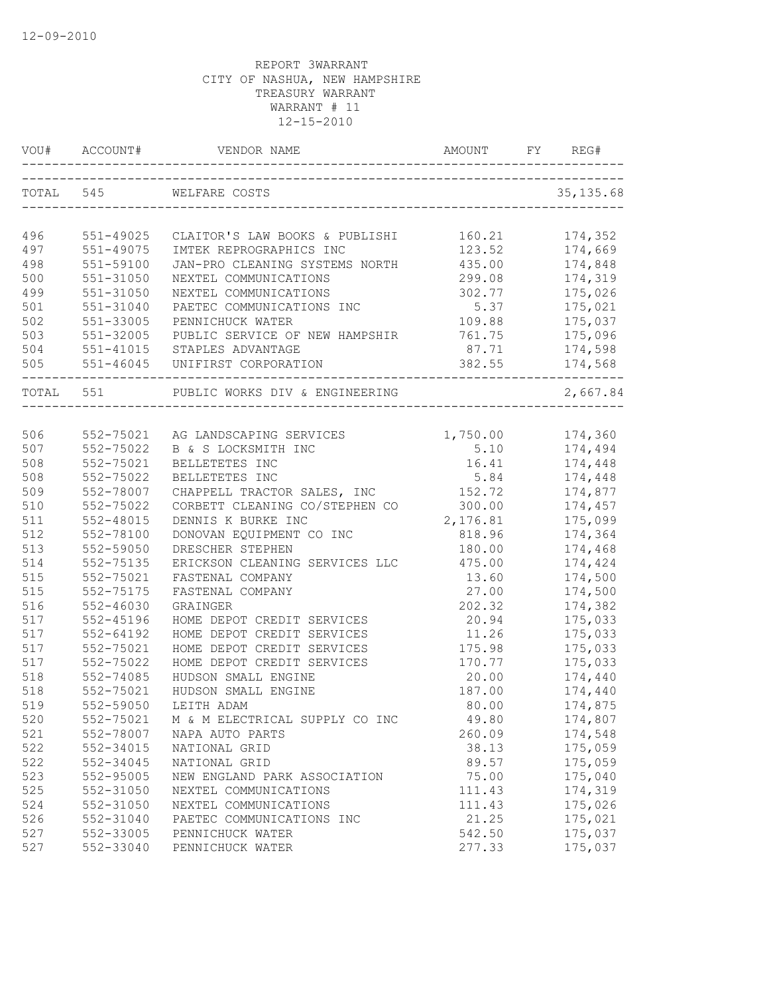| VOU#      |               |                                                                          |                  | REG#       |
|-----------|---------------|--------------------------------------------------------------------------|------------------|------------|
|           | TOTAL 545     | WELFARE COSTS                                                            |                  | 35, 135.68 |
|           |               |                                                                          |                  |            |
| 496       | 551-49025     | CLAITOR'S LAW BOOKS & PUBLISHI                                           | 160.21           | 174,352    |
| 497       | 551-49075     | IMTEK REPROGRAPHICS INC                                                  | 123.52           | 174,669    |
| 498       | 551-59100     | JAN-PRO CLEANING SYSTEMS NORTH                                           | 435.00           | 174,848    |
| 500       | 551-31050     | NEXTEL COMMUNICATIONS                                                    | 299.08           | 174,319    |
| 499       | 551-31050     | NEXTEL COMMUNICATIONS                                                    | 302.77           | 175,026    |
| 501       | 551-31040     | PAETEC COMMUNICATIONS INC                                                | 5.37             | 175,021    |
| 502       | 551-33005     | PENNICHUCK WATER                                                         | 109.88           | 175,037    |
| 503       | 551-32005     | PUBLIC SERVICE OF NEW HAMPSHIR                                           | 761.75           | 175,096    |
| 504       | 551-41015     | STAPLES ADVANTAGE                                                        | 87.71            | 174,598    |
| 505       |               | 551-46045 UNIFIRST CORPORATION<br>______________________________________ | 382.55           | 174,568    |
| TOTAL 551 |               | PUBLIC WORKS DIV & ENGINEERING                                           |                  | 2,667.84   |
|           |               |                                                                          |                  |            |
| 506       | 552-75021     | AG LANDSCAPING SERVICES                                                  | 1,750.00 174,360 |            |
| 507       | 552-75022     | B & S LOCKSMITH INC                                                      | 5.10             | 174,494    |
| 508       | 552-75021     | BELLETETES INC                                                           | 16.41            | 174,448    |
| 508       | 552-75022     | BELLETETES INC                                                           | 5.84             | 174,448    |
| 509       | 552-78007     | CHAPPELL TRACTOR SALES, INC                                              | 152.72           | 174,877    |
| 510       | 552-75022     | CORBETT CLEANING CO/STEPHEN CO                                           | 300.00           | 174,457    |
| 511       | 552-48015     | DENNIS K BURKE INC                                                       | 2,176.81         | 175,099    |
| 512       | 552-78100     | DONOVAN EQUIPMENT CO INC                                                 | 818.96           | 174,364    |
| 513       | 552-59050     | DRESCHER STEPHEN                                                         | 180.00           | 174,468    |
| 514       | 552-75135     | ERICKSON CLEANING SERVICES LLC                                           | 475.00           | 174,424    |
| 515       | 552-75021     | FASTENAL COMPANY                                                         | 13.60            | 174,500    |
| 515       | 552-75175     | FASTENAL COMPANY                                                         | 27.00            | 174,500    |
| 516       | 552-46030     | GRAINGER                                                                 | 202.32           | 174,382    |
| 517       | 552-45196     | HOME DEPOT CREDIT SERVICES                                               | 20.94            | 175,033    |
| 517       | $552 - 64192$ | HOME DEPOT CREDIT SERVICES                                               | 11.26            | 175,033    |
| 517       | 552-75021     | HOME DEPOT CREDIT SERVICES                                               | 175.98           | 175,033    |
| 517       | 552-75022     | HOME DEPOT CREDIT SERVICES                                               | 170.77           | 175,033    |
| 518       | 552-74085     | HUDSON SMALL ENGINE                                                      | 20.00            | 174,440    |
| 518       | 552-75021     | HUDSON SMALL ENGINE                                                      | 187.00           | 174,440    |
| 519       | 552-59050     | LEITH ADAM                                                               | 80.00            | 174,875    |
| 520       | 552-75021     | M & M ELECTRICAL SUPPLY CO INC                                           | 49.80            | 174,807    |
| 521       | 552-78007     | NAPA AUTO PARTS                                                          | 260.09           | 174,548    |
| 522       | 552-34015     | NATIONAL GRID                                                            | 38.13            | 175,059    |
| 522       | 552-34045     | NATIONAL GRID                                                            | 89.57            | 175,059    |
| 523       | 552-95005     | NEW ENGLAND PARK ASSOCIATION                                             | 75.00            | 175,040    |
| 525       | 552-31050     | NEXTEL COMMUNICATIONS                                                    | 111.43           | 174,319    |
| 524       | 552-31050     | NEXTEL COMMUNICATIONS                                                    | 111.43           | 175,026    |
| 526       | 552-31040     | PAETEC COMMUNICATIONS INC                                                | 21.25            | 175,021    |
| 527       | 552-33005     | PENNICHUCK WATER                                                         | 542.50           | 175,037    |
| 527       | 552-33040     | PENNICHUCK WATER                                                         | 277.33           | 175,037    |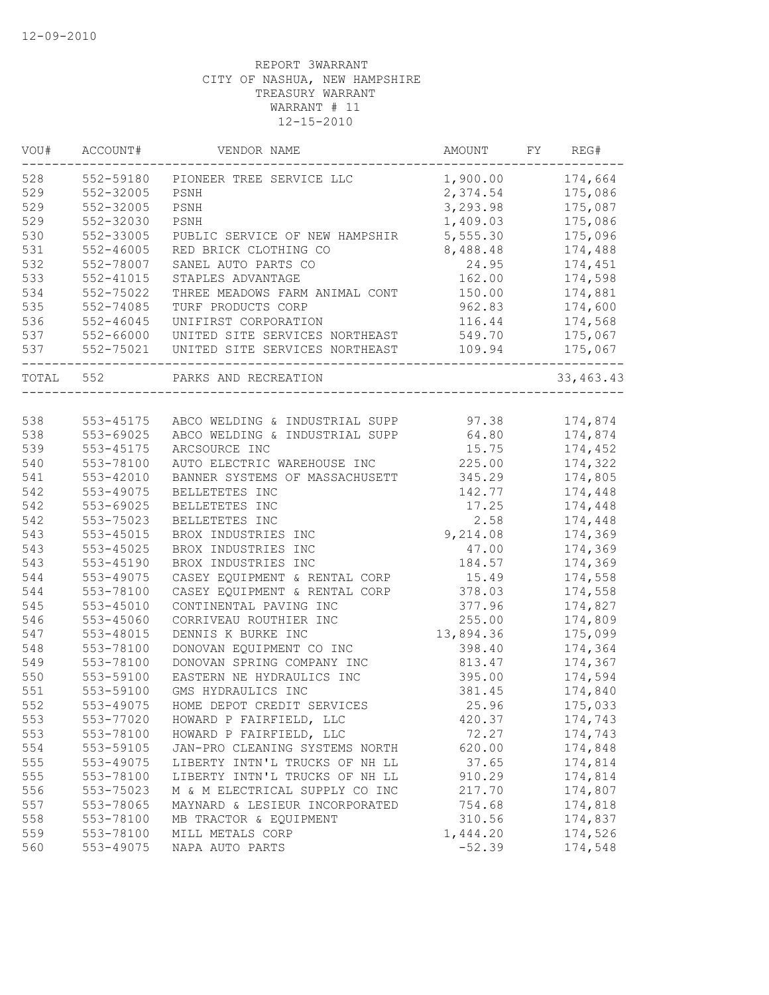| WOU#  | ACCOUNT#      | VENDOR NAME                    | AMOUNT    | FY | REG#        |
|-------|---------------|--------------------------------|-----------|----|-------------|
| 528   | 552-59180     | PIONEER TREE SERVICE LLC       | 1,900.00  |    | 174,664     |
| 529   | 552-32005     | PSNH                           | 2,374.54  |    | 175,086     |
| 529   | 552-32005     | PSNH                           | 3,293.98  |    | 175,087     |
| 529   | 552-32030     | PSNH                           | 1,409.03  |    | 175,086     |
| 530   | 552-33005     | PUBLIC SERVICE OF NEW HAMPSHIR | 5,555.30  |    | 175,096     |
| 531   | $552 - 46005$ | RED BRICK CLOTHING CO          | 8,488.48  |    | 174,488     |
| 532   | 552-78007     | SANEL AUTO PARTS CO            | 24.95     |    | 174,451     |
| 533   | $552 - 41015$ | STAPLES ADVANTAGE              | 162.00    |    | 174,598     |
| 534   | 552-75022     | THREE MEADOWS FARM ANIMAL CONT | 150.00    |    | 174,881     |
| 535   | 552-74085     | TURF PRODUCTS CORP             | 962.83    |    | 174,600     |
| 536   | $552 - 46045$ | UNIFIRST CORPORATION           | 116.44    |    | 174,568     |
| 537   | 552-66000     | UNITED SITE SERVICES NORTHEAST | 549.70    |    | 175,067     |
| 537   | 552-75021     | UNITED SITE SERVICES NORTHEAST | 109.94    |    | 175,067     |
| TOTAL | 552           | PARKS AND RECREATION           |           |    | 33, 463. 43 |
|       |               |                                |           |    |             |
| 538   | 553-45175     | ABCO WELDING & INDUSTRIAL SUPP | 97.38     |    | 174,874     |
| 538   | 553-69025     | ABCO WELDING & INDUSTRIAL SUPP | 64.80     |    | 174,874     |
| 539   | 553-45175     | ARCSOURCE INC                  | 15.75     |    | 174,452     |
| 540   | 553-78100     | AUTO ELECTRIC WAREHOUSE INC    | 225.00    |    | 174,322     |
| 541   | 553-42010     | BANNER SYSTEMS OF MASSACHUSETT | 345.29    |    | 174,805     |
| 542   | 553-49075     | BELLETETES INC                 | 142.77    |    | 174,448     |
| 542   | 553-69025     | BELLETETES INC                 | 17.25     |    | 174,448     |
| 542   | 553-75023     | BELLETETES INC                 | 2.58      |    | 174,448     |
| 543   | 553-45015     | BROX INDUSTRIES INC            | 9,214.08  |    | 174,369     |
| 543   | 553-45025     | BROX INDUSTRIES INC            | 47.00     |    | 174,369     |
| 543   | 553-45190     | BROX INDUSTRIES INC            | 184.57    |    | 174,369     |
| 544   | 553-49075     | CASEY EQUIPMENT & RENTAL CORP  | 15.49     |    | 174,558     |
| 544   | 553-78100     | CASEY EQUIPMENT & RENTAL CORP  | 378.03    |    | 174,558     |
| 545   | 553-45010     | CONTINENTAL PAVING INC         | 377.96    |    | 174,827     |
| 546   | 553-45060     | CORRIVEAU ROUTHIER INC         | 255.00    |    | 174,809     |
| 547   | 553-48015     | DENNIS K BURKE INC             | 13,894.36 |    | 175,099     |
| 548   | 553-78100     | DONOVAN EQUIPMENT CO INC       | 398.40    |    | 174,364     |
| 549   | 553-78100     | DONOVAN SPRING COMPANY INC     | 813.47    |    | 174,367     |
| 550   | 553-59100     | EASTERN NE HYDRAULICS INC      | 395.00    |    | 174,594     |
| 551   | 553-59100     | GMS HYDRAULICS INC             | 381.45    |    | 174,840     |
| 552   | 553-49075     | HOME DEPOT CREDIT SERVICES     | 25.96     |    | 175,033     |
| 553   | 553-77020     | HOWARD P FAIRFIELD, LLC        | 420.37    |    | 174,743     |
| 553   | 553-78100     | HOWARD P FAIRFIELD, LLC        | 72.27     |    | 174,743     |
| 554   | 553-59105     | JAN-PRO CLEANING SYSTEMS NORTH | 620.00    |    | 174,848     |
| 555   | 553-49075     | LIBERTY INTN'L TRUCKS OF NH LL | 37.65     |    | 174,814     |
| 555   |               |                                | 910.29    |    | 174,814     |
|       | 553-78100     | LIBERTY INTN'L TRUCKS OF NH LL |           |    |             |
| 556   | 553-75023     | M & M ELECTRICAL SUPPLY CO INC | 217.70    |    | 174,807     |
| 557   | 553-78065     | MAYNARD & LESIEUR INCORPORATED | 754.68    |    | 174,818     |
| 558   | 553-78100     | MB TRACTOR & EQUIPMENT         | 310.56    |    | 174,837     |
| 559   | 553-78100     | MILL METALS CORP               | 1,444.20  |    | 174,526     |
| 560   | 553-49075     | NAPA AUTO PARTS                | $-52.39$  |    | 174,548     |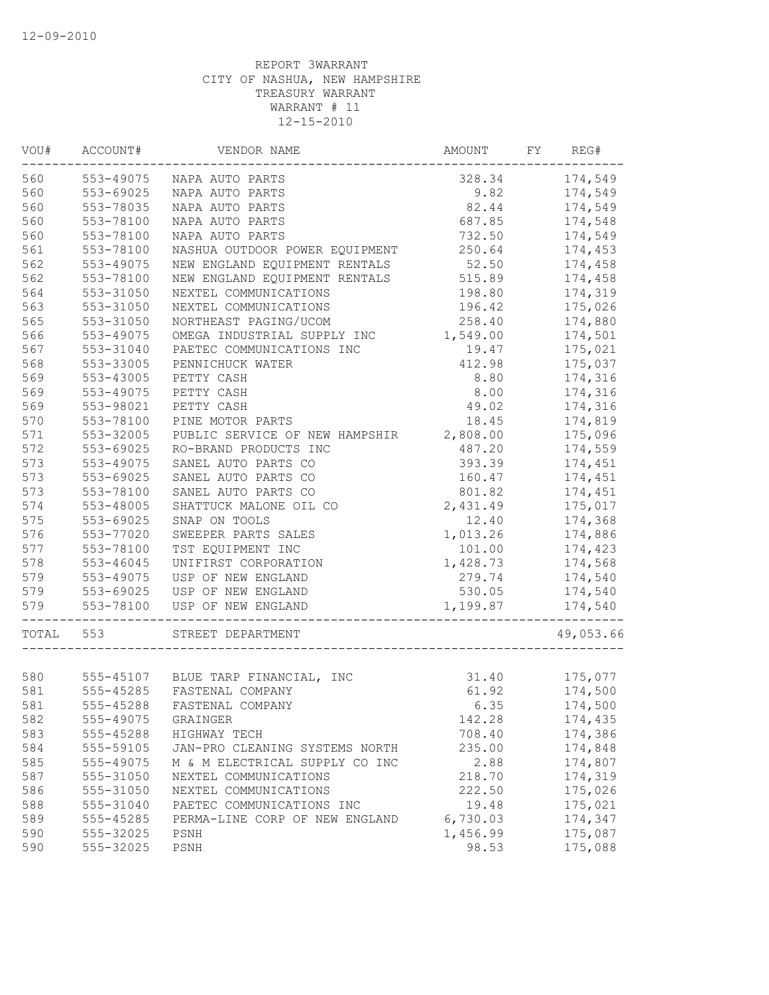| VOU#  | ACCOUNT#  | VENDOR NAME                        | AMOUNT   | FY | REG#      |
|-------|-----------|------------------------------------|----------|----|-----------|
| 560   | 553-49075 | NAPA AUTO PARTS                    | 328.34   |    | 174,549   |
| 560   | 553-69025 | NAPA AUTO PARTS                    | 9.82     |    | 174,549   |
| 560   | 553-78035 | NAPA AUTO PARTS                    | 82.44    |    | 174,549   |
| 560   | 553-78100 | NAPA AUTO PARTS                    | 687.85   |    | 174,548   |
| 560   | 553-78100 | NAPA AUTO PARTS                    | 732.50   |    | 174,549   |
| 561   | 553-78100 | NASHUA OUTDOOR POWER EQUIPMENT     | 250.64   |    | 174,453   |
| 562   | 553-49075 | NEW ENGLAND EQUIPMENT RENTALS      | 52.50    |    | 174,458   |
| 562   | 553-78100 | NEW ENGLAND EQUIPMENT RENTALS      | 515.89   |    | 174,458   |
| 564   | 553-31050 | NEXTEL COMMUNICATIONS              | 198.80   |    | 174,319   |
| 563   | 553-31050 | NEXTEL COMMUNICATIONS              | 196.42   |    | 175,026   |
| 565   | 553-31050 | NORTHEAST PAGING/UCOM              | 258.40   |    | 174,880   |
| 566   | 553-49075 | OMEGA INDUSTRIAL SUPPLY INC        | 1,549.00 |    | 174,501   |
| 567   | 553-31040 | PAETEC COMMUNICATIONS INC          | 19.47    |    | 175,021   |
| 568   | 553-33005 | PENNICHUCK WATER                   | 412.98   |    | 175,037   |
| 569   | 553-43005 | PETTY CASH                         | 8.80     |    | 174,316   |
| 569   | 553-49075 | PETTY CASH                         | 8.00     |    | 174,316   |
| 569   | 553-98021 | PETTY CASH                         | 49.02    |    | 174,316   |
| 570   | 553-78100 | PINE MOTOR PARTS                   | 18.45    |    | 174,819   |
| 571   | 553-32005 | PUBLIC SERVICE OF NEW HAMPSHIR     | 2,808.00 |    | 175,096   |
| 572   | 553-69025 | RO-BRAND PRODUCTS INC              | 487.20   |    | 174,559   |
| 573   | 553-49075 | SANEL AUTO PARTS CO                | 393.39   |    | 174,451   |
| 573   | 553-69025 | SANEL AUTO PARTS CO                | 160.47   |    | 174,451   |
| 573   | 553-78100 | SANEL AUTO PARTS CO                | 801.82   |    | 174,451   |
| 574   | 553-48005 | SHATTUCK MALONE OIL CO             | 2,431.49 |    | 175,017   |
| 575   | 553-69025 | SNAP ON TOOLS                      | 12.40    |    | 174,368   |
|       |           |                                    |          |    |           |
| 576   | 553-77020 | SWEEPER PARTS SALES                | 1,013.26 |    | 174,886   |
| 577   | 553-78100 | TST EQUIPMENT INC                  | 101.00   |    | 174,423   |
| 578   | 553-46045 | UNIFIRST CORPORATION               | 1,428.73 |    | 174,568   |
| 579   | 553-49075 | USP OF NEW ENGLAND                 | 279.74   |    | 174,540   |
| 579   | 553-69025 | USP OF NEW ENGLAND                 | 530.05   |    | 174,540   |
| 579   | 553-78100 | USP OF NEW ENGLAND                 | 1,199.87 |    | 174,540   |
| TOTAL | 553       | STREET DEPARTMENT                  |          |    | 49,053.66 |
|       |           |                                    |          |    |           |
| 580   |           | 555-45107 BLUE TARP FINANCIAL, INC | 31.40    |    | 175,077   |
| 581   | 555-45285 | FASTENAL COMPANY                   | 61.92    |    | 174,500   |
| 581   | 555-45288 | FASTENAL COMPANY                   | 6.35     |    | 174,500   |
| 582   | 555-49075 | GRAINGER                           | 142.28   |    | 174,435   |
| 583   | 555-45288 | HIGHWAY TECH                       | 708.40   |    | 174,386   |
| 584   | 555-59105 | JAN-PRO CLEANING SYSTEMS NORTH     | 235.00   |    | 174,848   |
| 585   | 555-49075 | M & M ELECTRICAL SUPPLY CO INC     | 2.88     |    | 174,807   |
| 587   | 555-31050 | NEXTEL COMMUNICATIONS              | 218.70   |    | 174,319   |
| 586   | 555-31050 | NEXTEL COMMUNICATIONS              | 222.50   |    | 175,026   |
| 588   | 555-31040 | PAETEC COMMUNICATIONS INC          | 19.48    |    | 175,021   |
| 589   | 555-45285 | PERMA-LINE CORP OF NEW ENGLAND     | 6,730.03 |    | 174,347   |
| 590   | 555-32025 | PSNH                               | 1,456.99 |    | 175,087   |
| 590   | 555-32025 | PSNH                               | 98.53    |    | 175,088   |
|       |           |                                    |          |    |           |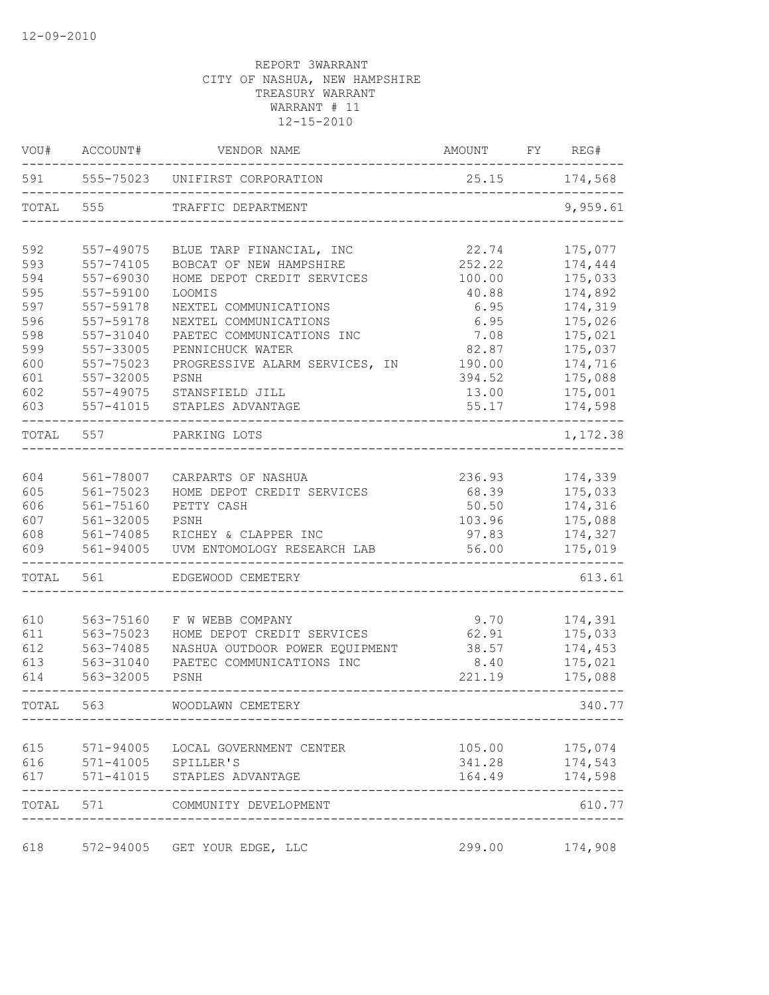| VOU#  | ACCOUNT#                | VENDOR NAME                       | AMOUNT |               | FY REG#        |
|-------|-------------------------|-----------------------------------|--------|---------------|----------------|
| 591   |                         | 555-75023 UNIFIRST CORPORATION    |        | 25.15 174,568 |                |
| TOTAL | 555                     | TRAFFIC DEPARTMENT                |        |               |                |
| 592   | 557-49075               | BLUE TARP FINANCIAL, INC          | 22.74  |               | 175,077        |
| 593   | 557-74105               | BOBCAT OF NEW HAMPSHIRE           | 252.22 |               | 174,444        |
| 594   | 557-69030               | HOME DEPOT CREDIT SERVICES        | 100.00 |               | 175,033        |
| 595   | 557-59100               | LOOMIS                            | 40.88  |               | 174,892        |
| 597   | 557-59178               | NEXTEL COMMUNICATIONS             | 6.95   |               | 174,319        |
| 596   | 557-59178               | NEXTEL COMMUNICATIONS             | 6.95   |               | 175,026        |
| 598   | 557-31040               | PAETEC COMMUNICATIONS INC         | 7.08   |               | 175,021        |
| 599   | 557-33005               | PENNICHUCK WATER                  | 82.87  |               | 175,037        |
| 600   | 557-75023               | PROGRESSIVE ALARM SERVICES,<br>IN | 190.00 |               | 174,716        |
| 601   | 557-32005               | PSNH                              | 394.52 |               | 175,088        |
| 602   | 557-49075               | STANSFIELD JILL                   | 13.00  |               | 175,001        |
| 603   | 557-41015               | STAPLES ADVANTAGE                 | 55.17  |               | 174,598        |
| TOTAL | 557                     | PARKING LOTS                      |        |               | 1,172.38       |
| 604   | 561-78007               | CARPARTS OF NASHUA                | 236.93 |               | 174,339        |
| 605   | 561-75023               | HOME DEPOT CREDIT SERVICES        | 68.39  |               | 175,033        |
| 606   | 561-75160               | PETTY CASH                        | 50.50  |               | 174,316        |
| 607   | 561-32005               | PSNH                              | 103.96 |               | 175,088        |
| 608   | 561-74085               | RICHEY & CLAPPER INC              | 97.83  |               | 174,327        |
| 609   | 561-94005               | UVM ENTOMOLOGY RESEARCH LAB       | 56.00  |               | 175,019        |
| TOTAL | 561                     | EDGEWOOD CEMETERY                 |        |               | 613.61         |
| 610   | 563-75160               | F W WEBB COMPANY                  | 9.70   |               | 174,391        |
| 611   | 563-75023               | HOME DEPOT CREDIT SERVICES        | 62.91  |               | 175,033        |
| 612   | 563-74085               | NASHUA OUTDOOR POWER EQUIPMENT    | 38.57  |               | 174,453        |
| 613   | 563-31040               | PAETEC COMMUNICATIONS INC         | 8.40   |               | 175,021        |
| 614   | 563-32005               | PSNH                              | 221.19 |               | 175,088        |
| TOTAL | 563                     | WOODLAWN CEMETERY                 |        |               | 340.77         |
|       |                         |                                   |        |               |                |
| 615   |                         | 571-94005 LOCAL GOVERNMENT CENTER |        |               | 105.00 175,074 |
|       | 616 571-41005 SPILLER'S |                                   | 341.28 |               | 174,543        |
| 617   |                         | 571-41015 STAPLES ADVANTAGE       | 164.49 |               | 174,598        |
|       |                         | TOTAL 571 COMMUNITY DEVELOPMENT   |        |               | 610.77         |
| 618   |                         | 572-94005 GET YOUR EDGE, LLC      | 299.00 |               | 174,908        |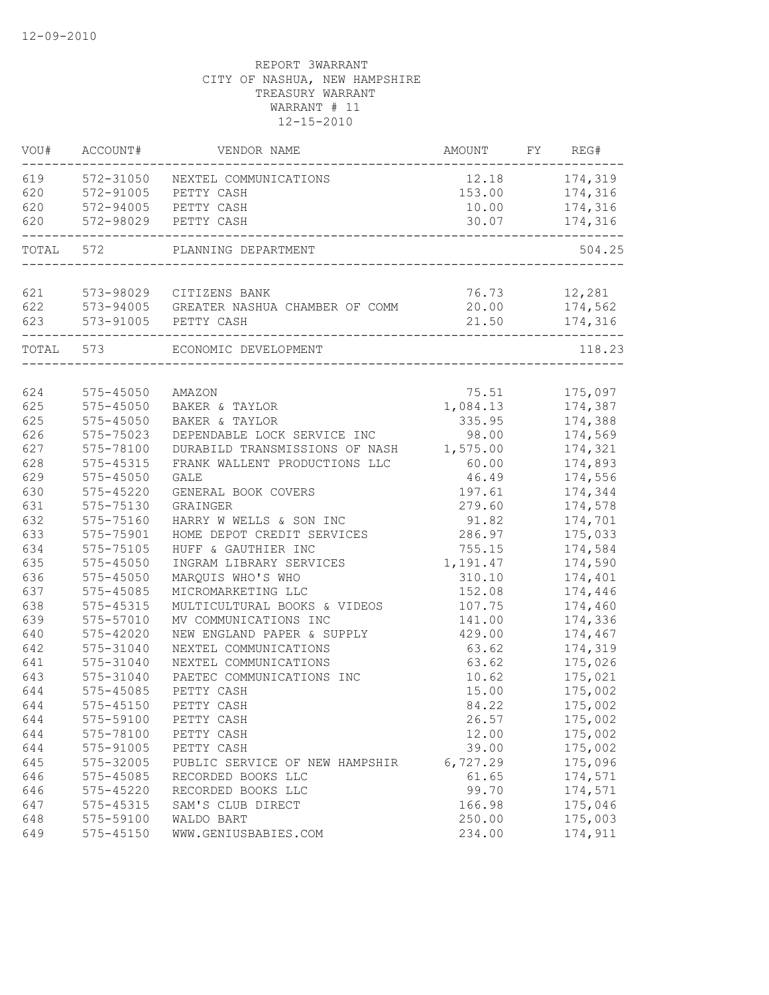| VOU#       | ACCOUNT#      | VENDOR NAME                              |                   | FY REG#            |  |
|------------|---------------|------------------------------------------|-------------------|--------------------|--|
| 619        |               | 572-31050 NEXTEL COMMUNICATIONS          | 12.18             | 174,319            |  |
| 620        |               | 572-91005 PETTY CASH                     |                   | 153.00 174,316     |  |
| 620        |               | 572-94005 PETTY CASH                     | 10.00             | 174,316            |  |
| 620        |               | 572-98029 PETTY CASH                     |                   | 30.07 174,316      |  |
| TOTAL 572  |               | PLANNING DEPARTMENT                      |                   | 504.25             |  |
| 621        |               | 573-98029 CITIZENS BANK                  | 76.73             | 12,281             |  |
| 622        |               | 573-94005 GREATER NASHUA CHAMBER OF COMM | 20.00             | 174,562            |  |
| 623        |               | 573-91005 PETTY CASH                     | 21.50             | 174,316            |  |
|            | TOTAL 573     | ECONOMIC DEVELOPMENT                     |                   | 118.23             |  |
|            | 575-45050     |                                          |                   |                    |  |
| 624<br>625 | 575-45050     | AMAZON<br>BAKER & TAYLOR                 | 75.51<br>1,084.13 | 175,097<br>174,387 |  |
| 625        | $575 - 45050$ | BAKER & TAYLOR                           | 335.95            | 174,388            |  |
| 626        | $575 - 75023$ | DEPENDABLE LOCK SERVICE INC              | 98.00             | 174,569            |  |
| 627        | 575-78100     | DURABILD TRANSMISSIONS OF NASH           | 1,575.00          | 174,321            |  |
| 628        | $575 - 45315$ | FRANK WALLENT PRODUCTIONS LLC            | 60.00             | 174,893            |  |
| 629        | 575-45050     | <b>GALE</b>                              | 46.49             | 174,556            |  |
| 630        | 575-45220     | GENERAL BOOK COVERS                      | 197.61            | 174,344            |  |
| 631        | 575-75130     | GRAINGER                                 | 279.60            | 174,578            |  |
| 632        | 575-75160     | HARRY W WELLS & SON INC                  | 91.82             | 174,701            |  |
| 633        | 575-75901     | HOME DEPOT CREDIT SERVICES               | 286.97            | 175,033            |  |
| 634        | 575-75105     | HUFF & GAUTHIER INC                      | 755.15            | 174,584            |  |
| 635        | 575-45050     | INGRAM LIBRARY SERVICES                  | 1,191.47          | 174,590            |  |
| 636        | 575-45050     | MARQUIS WHO'S WHO                        | 310.10            | 174,401            |  |
| 637        | 575-45085     | MICROMARKETING LLC                       | 152.08            | 174,446            |  |
| 638        | 575-45315     | MULTICULTURAL BOOKS & VIDEOS             | 107.75            | 174,460            |  |
| 639        | 575-57010     | MV COMMUNICATIONS INC                    | 141.00            | 174,336            |  |
| 640        | 575-42020     | NEW ENGLAND PAPER & SUPPLY               | 429.00            | 174,467            |  |
| 642        | 575-31040     | NEXTEL COMMUNICATIONS                    | 63.62             | 174,319            |  |
| 641        | 575-31040     | NEXTEL COMMUNICATIONS                    | 63.62             | 175,026            |  |
| 643        | 575-31040     | PAETEC COMMUNICATIONS INC                | 10.62             | 175,021            |  |
| 644        | 575-45085     | PETTY CASH                               | 15.00             | 175,002            |  |
| 644        | 575-45150     | PETTY CASH                               | 84.22             | 175,002            |  |
| 644        | 575-59100     | PETTY CASH                               | 26.57             | 175,002            |  |
| 644        | 575-78100     | PETTY CASH                               | 12.00             | 175,002            |  |
| 644        | 575-91005     | PETTY CASH                               | 39.00             | 175,002            |  |
| 645        | 575-32005     | PUBLIC SERVICE OF NEW HAMPSHIR           | 6,727.29          | 175,096            |  |
| 646        | 575-45085     | RECORDED BOOKS LLC                       | 61.65             | 174,571            |  |
| 646        | 575-45220     | RECORDED BOOKS LLC                       | 99.70             | 174,571            |  |
| 647        | 575-45315     | SAM'S CLUB DIRECT                        | 166.98            | 175,046            |  |
| 648        | 575-59100     | WALDO BART                               | 250.00            | 175,003            |  |
| 649        | 575-45150     | WWW.GENIUSBABIES.COM                     | 234.00            | 174,911            |  |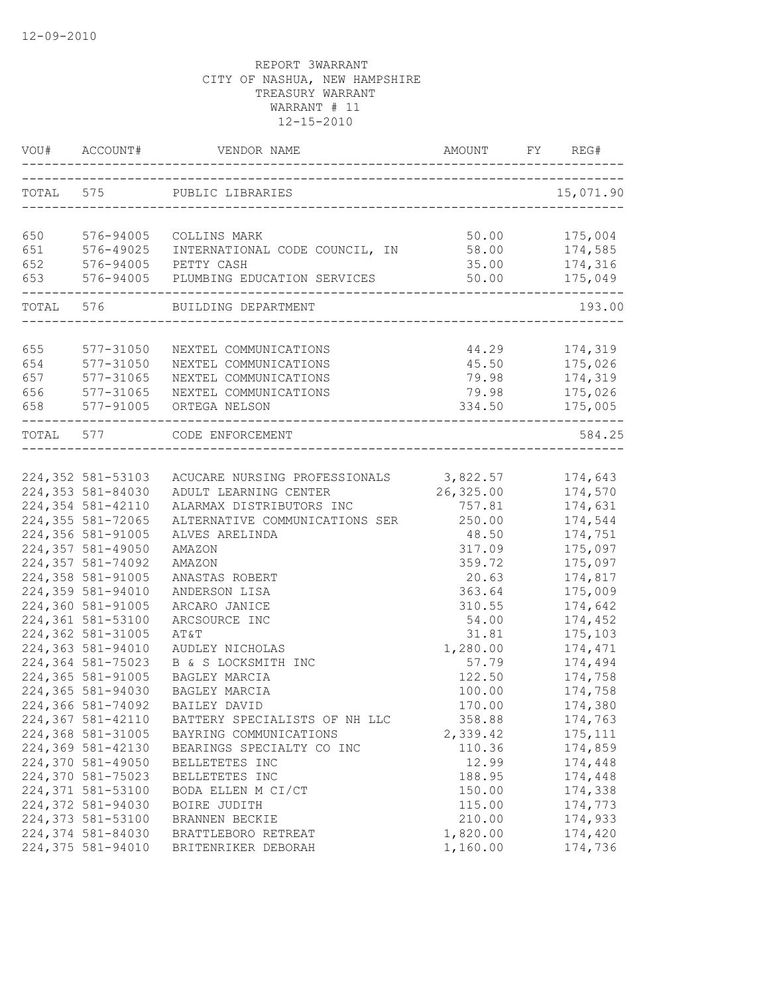|            | VOU# ACCOUNT#                                     | VENDOR NAME                                                        | AMOUNT         | FY. | REG#               |
|------------|---------------------------------------------------|--------------------------------------------------------------------|----------------|-----|--------------------|
|            |                                                   | TOTAL 575 PUBLIC LIBRARIES<br>------------------------------------ |                |     | 15,071.90          |
|            |                                                   |                                                                    |                |     |                    |
| 650        | 576-94005                                         | COLLINS MARK                                                       | 50.00          |     | 175,004            |
| 651<br>652 | 576-49025                                         | INTERNATIONAL CODE COUNCIL, IN<br>PETTY CASH                       | 58.00          |     | 174,585<br>174,316 |
| 653        | 576-94005 PE<br>576-94005 PL<br>----------------- | 576-94005 PLUMBING EDUCATION SERVICES                              | 35.00<br>50.00 |     | 175,049            |
|            |                                                   | TOTAL 576 BUILDING DEPARTMENT                                      | -------------- |     | 193.00             |
|            |                                                   |                                                                    |                |     |                    |
| 655        | 577-31050                                         | NEXTEL COMMUNICATIONS                                              | 44.29          |     | 174,319            |
| 654        | 577-31050                                         | NEXTEL COMMUNICATIONS                                              | 45.50          |     | 175,026            |
| 657        | 577-31065                                         | NEXTEL COMMUNICATIONS                                              | 79.98          |     | 174,319            |
| 656        | 577-31065                                         | NEXTEL COMMUNICATIONS                                              | 79.98          |     | 175,026            |
| 658        |                                                   | 577-91005 ORTEGA NELSON                                            | 334.50         |     | 175,005            |
|            | TOTAL 577                                         | CODE ENFORCEMENT                                                   |                |     | 584.25             |
|            |                                                   |                                                                    |                |     |                    |
|            | 224,352 581-53103                                 | ACUCARE NURSING PROFESSIONALS 3,822.57                             |                |     | 174,643            |
|            | 224,353 581-84030                                 | ADULT LEARNING CENTER                                              | 26,325.00      |     | 174,570            |
|            | 224,354 581-42110                                 | ALARMAX DISTRIBUTORS INC                                           | 757.81         |     | 174,631            |
|            | 224,355 581-72065                                 | ALTERNATIVE COMMUNICATIONS SER                                     | 250.00         |     | 174,544            |
|            | 224,356 581-91005                                 | ALVES ARELINDA                                                     | 48.50          |     | 174,751            |
|            | 224,357 581-49050                                 | AMAZON                                                             | 317.09         |     | 175,097            |
|            | 224,357 581-74092                                 | AMAZON                                                             | 359.72         |     | 175,097            |
|            | 224,358 581-91005                                 | ANASTAS ROBERT                                                     | 20.63          |     | 174,817            |
|            | 224,359 581-94010                                 | ANDERSON LISA                                                      | 363.64         |     | 175,009            |
|            | 224,360 581-91005                                 | ARCARO JANICE                                                      | 310.55         |     | 174,642            |
|            | 224,361 581-53100                                 | ARCSOURCE INC                                                      | 54.00          |     | 174,452            |
|            | 224,362 581-31005                                 | AT&T                                                               | 31.81          |     | 175,103            |
|            | 224,363 581-94010                                 | AUDLEY NICHOLAS                                                    | 1,280.00       |     | 174,471            |
|            | 224,364 581-75023                                 | B & S LOCKSMITH INC                                                | 57.79          |     | 174,494            |
|            | 224,365 581-91005                                 | BAGLEY MARCIA                                                      | 122.50         |     | 174,758            |
|            | 224,365 581-94030                                 | BAGLEY MARCIA                                                      | 100.00         |     | 174,758            |
|            | 224,366 581-74092                                 | BAILEY DAVID                                                       | 170.00         |     | 174,380            |
|            | 224,367 581-42110                                 | BATTERY SPECIALISTS OF NH LLC                                      | 358.88         |     | 174,763            |
|            | 224,368 581-31005                                 | BAYRING COMMUNICATIONS                                             | 2,339.42       |     | 175, 111           |
|            | 224,369 581-42130                                 | BEARINGS SPECIALTY CO INC                                          | 110.36         |     | 174,859            |
|            | 224,370 581-49050                                 | BELLETETES INC                                                     | 12.99          |     | 174,448            |
|            | 224,370 581-75023                                 | BELLETETES INC                                                     | 188.95         |     | 174,448            |
|            | 224,371 581-53100                                 | BODA ELLEN M CI/CT                                                 | 150.00         |     | 174,338            |
|            | 224,372 581-94030                                 | BOIRE JUDITH                                                       | 115.00         |     | 174,773            |
|            | 224,373 581-53100                                 | BRANNEN BECKIE                                                     | 210.00         |     | 174,933            |
|            | 224,374 581-84030                                 | BRATTLEBORO RETREAT                                                | 1,820.00       |     | 174,420            |
|            | 224,375 581-94010                                 | BRITENRIKER DEBORAH                                                | 1,160.00       |     | 174,736            |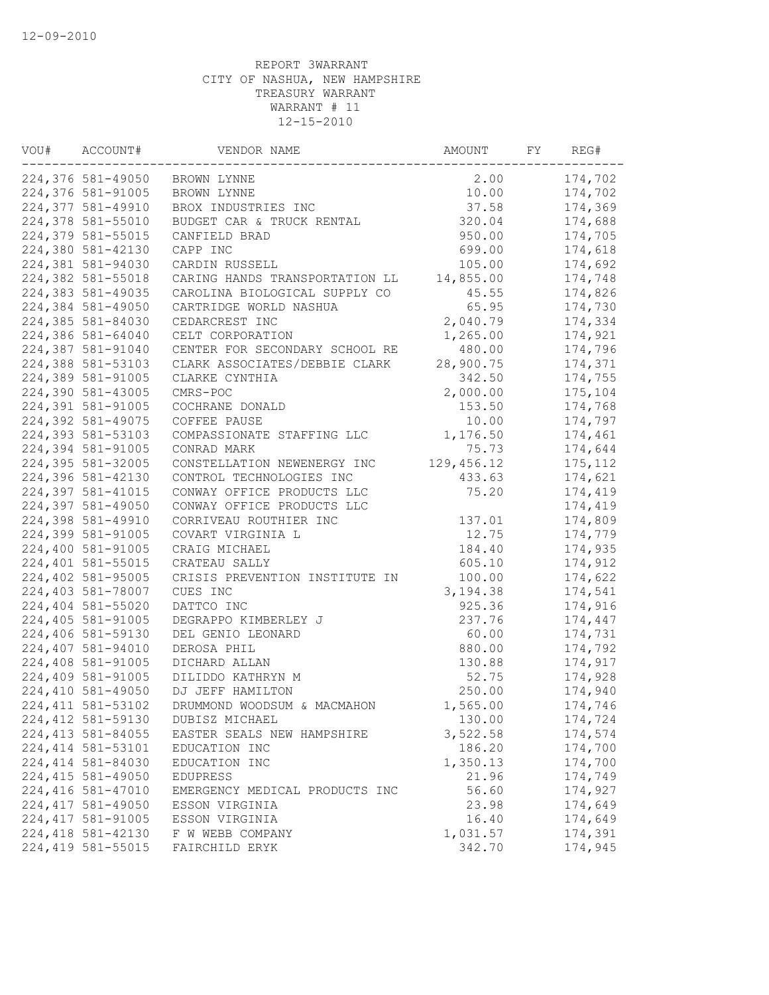| VOU# | ACCOUNT#           | VENDOR NAME                    | AMOUNT      | FY | REG#     |
|------|--------------------|--------------------------------|-------------|----|----------|
|      | 224,376 581-49050  | BROWN LYNNE                    | 2.00        |    | 174,702  |
|      | 224,376 581-91005  | BROWN LYNNE                    | 10.00       |    | 174,702  |
|      | 224,377 581-49910  | BROX INDUSTRIES INC            | 37.58       |    | 174,369  |
|      | 224,378 581-55010  | BUDGET CAR & TRUCK RENTAL      | 320.04      |    | 174,688  |
|      | 224,379 581-55015  | CANFIELD BRAD                  | 950.00      |    | 174,705  |
|      | 224,380 581-42130  | CAPP INC                       | 699.00      |    | 174,618  |
|      | 224,381 581-94030  | CARDIN RUSSELL                 | 105.00      |    | 174,692  |
|      | 224,382 581-55018  | CARING HANDS TRANSPORTATION LL | 14,855.00   |    | 174,748  |
|      | 224,383 581-49035  | CAROLINA BIOLOGICAL SUPPLY CO  | 45.55       |    | 174,826  |
|      | 224,384 581-49050  | CARTRIDGE WORLD NASHUA         | 65.95       |    | 174,730  |
|      | 224,385 581-84030  | CEDARCREST INC                 | 2,040.79    |    | 174,334  |
|      | 224,386 581-64040  | CELT CORPORATION               | 1,265.00    |    | 174,921  |
|      | 224,387 581-91040  | CENTER FOR SECONDARY SCHOOL RE | 480.00      |    | 174,796  |
|      | 224,388 581-53103  | CLARK ASSOCIATES/DEBBIE CLARK  | 28,900.75   |    | 174,371  |
|      | 224,389 581-91005  | CLARKE CYNTHIA                 | 342.50      |    | 174,755  |
|      | 224,390 581-43005  | CMRS-POC                       | 2,000.00    |    | 175,104  |
|      | 224,391 581-91005  | COCHRANE DONALD                | 153.50      |    | 174,768  |
|      | 224,392 581-49075  | COFFEE PAUSE                   | 10.00       |    | 174,797  |
|      | 224,393 581-53103  | COMPASSIONATE STAFFING LLC     | 1,176.50    |    | 174,461  |
|      | 224,394 581-91005  | CONRAD MARK                    | 75.73       |    | 174,644  |
|      | 224,395 581-32005  | CONSTELLATION NEWENERGY INC    | 129, 456.12 |    | 175, 112 |
|      | 224,396 581-42130  | CONTROL TECHNOLOGIES INC       | 433.63      |    | 174,621  |
|      | 224,397 581-41015  | CONWAY OFFICE PRODUCTS LLC     | 75.20       |    | 174,419  |
|      | 224,397 581-49050  | CONWAY OFFICE PRODUCTS LLC     |             |    | 174,419  |
|      | 224,398 581-49910  | CORRIVEAU ROUTHIER INC         | 137.01      |    | 174,809  |
|      | 224,399 581-91005  | COVART VIRGINIA L              | 12.75       |    | 174,779  |
|      | 224,400 581-91005  | CRAIG MICHAEL                  | 184.40      |    | 174,935  |
|      | 224,401 581-55015  | CRATEAU SALLY                  | 605.10      |    | 174,912  |
|      | 224,402 581-95005  | CRISIS PREVENTION INSTITUTE IN | 100.00      |    | 174,622  |
|      | 224,403 581-78007  | CUES INC                       | 3,194.38    |    | 174,541  |
|      | 224,404 581-55020  | DATTCO INC                     | 925.36      |    | 174,916  |
|      | 224,405 581-91005  | DEGRAPPO KIMBERLEY J           | 237.76      |    | 174,447  |
|      | 224,406 581-59130  | DEL GENIO LEONARD              | 60.00       |    | 174,731  |
|      | 224,407 581-94010  | DEROSA PHIL                    | 880.00      |    | 174,792  |
|      | 224,408 581-91005  | DICHARD ALLAN                  | 130.88      |    | 174,917  |
|      | 224,409 581-91005  | DILIDDO KATHRYN M              | 52.75       |    | 174,928  |
|      | 224,410 581-49050  | DJ JEFF HAMILTON               | 250.00      |    | 174,940  |
|      | 224, 411 581-53102 | DRUMMOND WOODSUM & MACMAHON    | 1,565.00    |    | 174,746  |
|      | 224, 412 581-59130 | DUBISZ MICHAEL                 | 130.00      |    | 174,724  |
|      | 224, 413 581-84055 | EASTER SEALS NEW HAMPSHIRE     | 3,522.58    |    | 174,574  |
|      | 224, 414 581-53101 | EDUCATION INC                  | 186.20      |    | 174,700  |
|      | 224, 414 581-84030 | EDUCATION INC                  | 1,350.13    |    | 174,700  |
|      | 224, 415 581-49050 | <b>EDUPRESS</b>                | 21.96       |    | 174,749  |
|      | 224,416 581-47010  | EMERGENCY MEDICAL PRODUCTS INC | 56.60       |    | 174,927  |
|      | 224, 417 581-49050 | ESSON VIRGINIA                 | 23.98       |    | 174,649  |
|      | 224, 417 581-91005 | ESSON VIRGINIA                 | 16.40       |    | 174,649  |
|      | 224, 418 581-42130 | F W WEBB COMPANY               | 1,031.57    |    | 174,391  |
|      | 224,419 581-55015  | FAIRCHILD ERYK                 | 342.70      |    | 174,945  |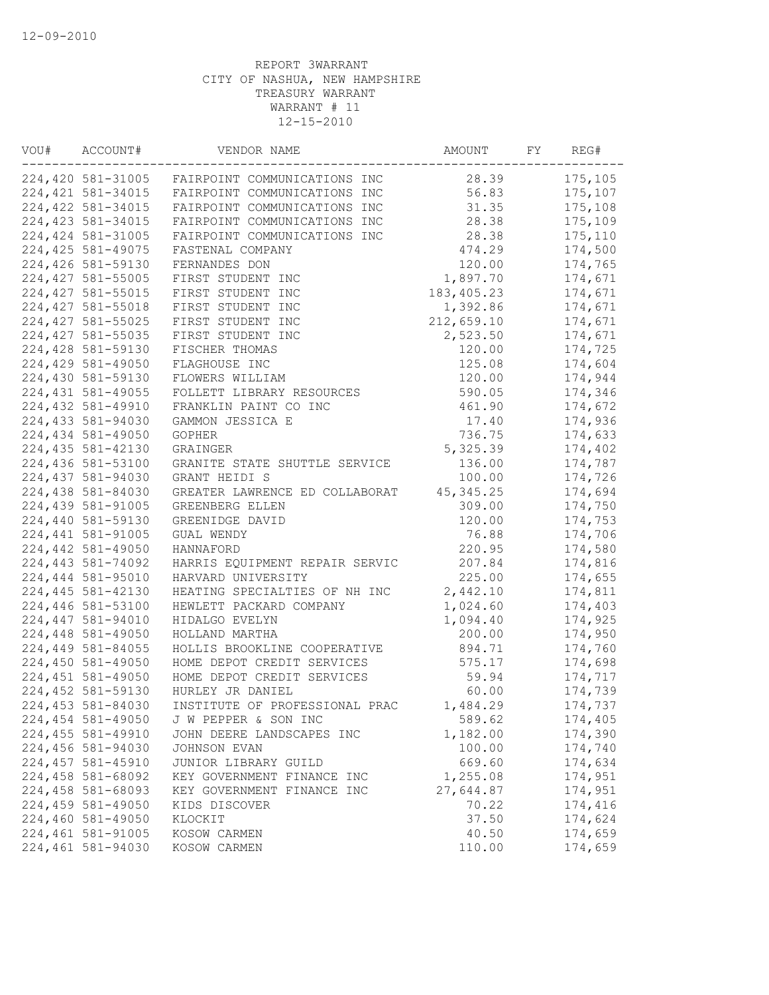| VOU# | ACCOUNT#           | VENDOR NAME                    | AMOUNT      | FY | REG#    |
|------|--------------------|--------------------------------|-------------|----|---------|
|      | 224,420 581-31005  | FAIRPOINT COMMUNICATIONS INC   | 28.39       |    | 175,105 |
|      | 224, 421 581-34015 | FAIRPOINT COMMUNICATIONS INC   | 56.83       |    | 175,107 |
|      | 224, 422 581-34015 | FAIRPOINT COMMUNICATIONS INC   | 31.35       |    | 175,108 |
|      | 224, 423 581-34015 | FAIRPOINT COMMUNICATIONS INC   | 28.38       |    | 175,109 |
|      | 224, 424 581-31005 | FAIRPOINT COMMUNICATIONS INC   | 28.38       |    | 175,110 |
|      | 224, 425 581-49075 | FASTENAL COMPANY               | 474.29      |    | 174,500 |
|      | 224,426 581-59130  | FERNANDES DON                  | 120.00      |    | 174,765 |
|      | 224,427 581-55005  | FIRST STUDENT INC              | 1,897.70    |    | 174,671 |
|      | 224,427 581-55015  | FIRST STUDENT INC              | 183, 405.23 |    | 174,671 |
|      | 224, 427 581-55018 | FIRST STUDENT INC              | 1,392.86    |    | 174,671 |
|      | 224,427 581-55025  | FIRST STUDENT INC              | 212,659.10  |    | 174,671 |
|      | 224, 427 581-55035 | FIRST STUDENT INC              | 2,523.50    |    | 174,671 |
|      | 224,428 581-59130  | FISCHER THOMAS                 | 120.00      |    | 174,725 |
|      | 224,429 581-49050  | FLAGHOUSE INC                  | 125.08      |    | 174,604 |
|      | 224,430 581-59130  | FLOWERS WILLIAM                | 120.00      |    | 174,944 |
|      | 224,431 581-49055  | FOLLETT LIBRARY RESOURCES      | 590.05      |    | 174,346 |
|      | 224,432 581-49910  | FRANKLIN PAINT CO INC          | 461.90      |    | 174,672 |
|      | 224,433 581-94030  | GAMMON JESSICA E               | 17.40       |    | 174,936 |
|      | 224,434 581-49050  | <b>GOPHER</b>                  | 736.75      |    | 174,633 |
|      | 224,435 581-42130  | GRAINGER                       | 5,325.39    |    | 174,402 |
|      | 224,436 581-53100  | GRANITE STATE SHUTTLE SERVICE  | 136.00      |    | 174,787 |
|      | 224,437 581-94030  | GRANT HEIDI S                  | 100.00      |    | 174,726 |
|      | 224,438 581-84030  | GREATER LAWRENCE ED COLLABORAT | 45, 345.25  |    | 174,694 |
|      | 224,439 581-91005  | GREENBERG ELLEN                | 309.00      |    | 174,750 |
|      | 224,440 581-59130  | GREENIDGE DAVID                | 120.00      |    | 174,753 |
|      | 224,441 581-91005  | GUAL WENDY                     | 76.88       |    | 174,706 |
|      | 224,442 581-49050  | HANNAFORD                      | 220.95      |    | 174,580 |
|      | 224,443 581-74092  | HARRIS EQUIPMENT REPAIR SERVIC | 207.84      |    | 174,816 |
|      | 224,444 581-95010  | HARVARD UNIVERSITY             | 225.00      |    | 174,655 |
|      | 224,445 581-42130  | HEATING SPECIALTIES OF NH INC  | 2,442.10    |    | 174,811 |
|      | 224,446 581-53100  | HEWLETT PACKARD COMPANY        | 1,024.60    |    | 174,403 |
|      |                    |                                |             |    |         |
|      | 224,447 581-94010  | HIDALGO EVELYN                 | 1,094.40    |    | 174,925 |
|      | 224,448 581-49050  | HOLLAND MARTHA                 | 200.00      |    | 174,950 |
|      | 224,449 581-84055  | HOLLIS BROOKLINE COOPERATIVE   | 894.71      |    | 174,760 |
|      | 224,450 581-49050  | HOME DEPOT CREDIT SERVICES     | 575.17      |    | 174,698 |
|      | 224,451 581-49050  | HOME DEPOT CREDIT SERVICES     | 59.94       |    | 174,717 |
|      | 224,452 581-59130  | HURLEY JR DANIEL               | 60.00       |    | 174,739 |
|      | 224,453 581-84030  | INSTITUTE OF PROFESSIONAL PRAC | 1,484.29    |    | 174,737 |
|      | 224,454 581-49050  | J W PEPPER & SON INC           | 589.62      |    | 174,405 |
|      | 224,455 581-49910  | JOHN DEERE LANDSCAPES INC      | 1,182.00    |    | 174,390 |
|      | 224,456 581-94030  | JOHNSON EVAN                   | 100.00      |    | 174,740 |
|      | 224,457 581-45910  | JUNIOR LIBRARY GUILD           | 669.60      |    | 174,634 |
|      | 224,458 581-68092  | KEY GOVERNMENT FINANCE INC     | 1,255.08    |    | 174,951 |
|      | 224,458 581-68093  | KEY GOVERNMENT FINANCE INC     | 27,644.87   |    | 174,951 |
|      | 224,459 581-49050  | KIDS DISCOVER                  | 70.22       |    | 174,416 |
|      | 224,460 581-49050  | KLOCKIT                        | 37.50       |    | 174,624 |
|      | 224,461 581-91005  | KOSOW CARMEN                   | 40.50       |    | 174,659 |
|      | 224,461 581-94030  | KOSOW CARMEN                   | 110.00      |    | 174,659 |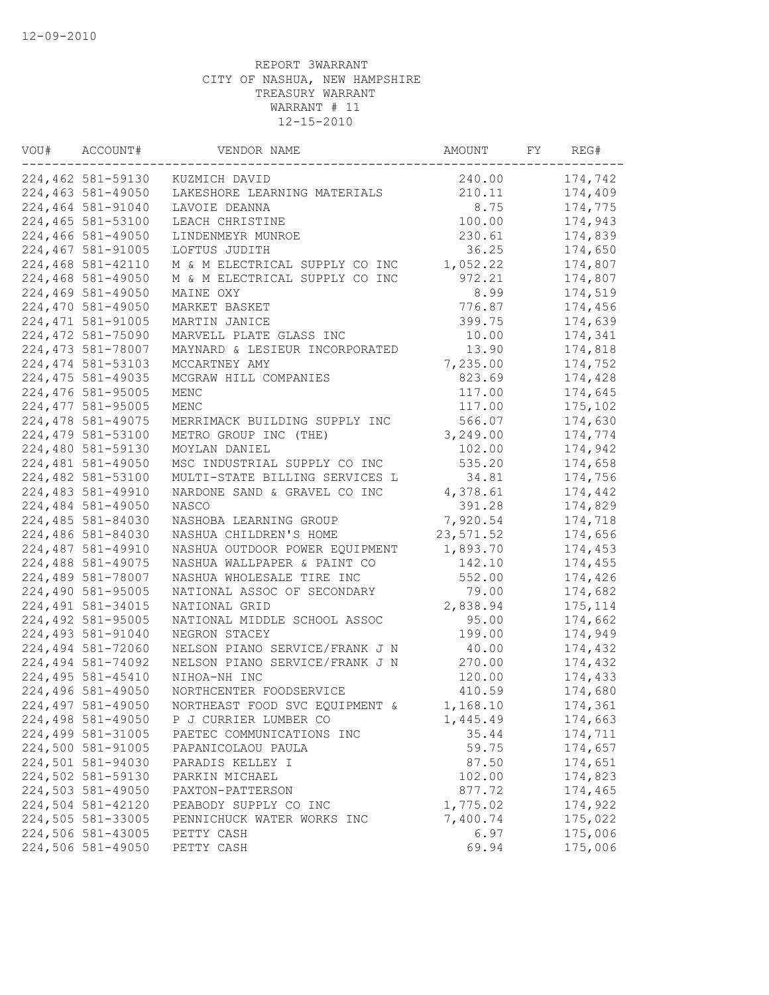| VOU# | ACCOUNT#           | VENDOR NAME                    | AMOUNT    | FY | REG#     |
|------|--------------------|--------------------------------|-----------|----|----------|
|      | 224,462 581-59130  | KUZMICH DAVID                  | 240.00    |    | 174,742  |
|      | 224,463 581-49050  | LAKESHORE LEARNING MATERIALS   | 210.11    |    | 174,409  |
|      | 224,464 581-91040  | LAVOIE DEANNA                  | 8.75      |    | 174,775  |
|      | 224,465 581-53100  | LEACH CHRISTINE                | 100.00    |    | 174,943  |
|      | 224,466 581-49050  | LINDENMEYR MUNROE              | 230.61    |    | 174,839  |
|      | 224,467 581-91005  | LOFTUS JUDITH                  | 36.25     |    | 174,650  |
|      | 224,468 581-42110  | M & M ELECTRICAL SUPPLY CO INC | 1,052.22  |    | 174,807  |
|      | 224,468 581-49050  | M & M ELECTRICAL SUPPLY CO INC | 972.21    |    | 174,807  |
|      | 224,469 581-49050  | MAINE OXY                      | 8.99      |    | 174,519  |
|      | 224,470 581-49050  | MARKET BASKET                  | 776.87    |    | 174,456  |
|      | 224, 471 581-91005 | MARTIN JANICE                  | 399.75    |    | 174,639  |
|      | 224,472 581-75090  | MARVELL PLATE GLASS INC        | 10.00     |    | 174,341  |
|      | 224, 473 581-78007 | MAYNARD & LESIEUR INCORPORATED | 13.90     |    | 174,818  |
|      | 224, 474 581-53103 | MCCARTNEY AMY                  | 7,235.00  |    | 174,752  |
|      | 224, 475 581-49035 | MCGRAW HILL COMPANIES          | 823.69    |    | 174,428  |
|      | 224,476 581-95005  | MENC                           | 117.00    |    | 174,645  |
|      | 224,477 581-95005  | MENC                           | 117.00    |    | 175,102  |
|      | 224,478 581-49075  | MERRIMACK BUILDING SUPPLY INC  | 566.07    |    | 174,630  |
|      | 224,479 581-53100  | METRO GROUP INC (THE)          | 3,249.00  |    | 174,774  |
|      | 224,480 581-59130  | MOYLAN DANIEL                  | 102.00    |    | 174,942  |
|      | 224,481 581-49050  | MSC INDUSTRIAL SUPPLY CO INC   | 535.20    |    | 174,658  |
|      | 224,482 581-53100  | MULTI-STATE BILLING SERVICES L | 34.81     |    | 174,756  |
|      | 224,483 581-49910  | NARDONE SAND & GRAVEL CO INC   | 4,378.61  |    | 174,442  |
|      | 224,484 581-49050  | <b>NASCO</b>                   | 391.28    |    | 174,829  |
|      | 224,485 581-84030  | NASHOBA LEARNING GROUP         | 7,920.54  |    | 174,718  |
|      | 224,486 581-84030  | NASHUA CHILDREN'S HOME         | 23,571.52 |    | 174,656  |
|      | 224,487 581-49910  | NASHUA OUTDOOR POWER EQUIPMENT | 1,893.70  |    | 174,453  |
|      | 224,488 581-49075  | NASHUA WALLPAPER & PAINT CO    | 142.10    |    | 174,455  |
|      | 224,489 581-78007  | NASHUA WHOLESALE TIRE INC      | 552.00    |    | 174,426  |
|      | 224,490 581-95005  | NATIONAL ASSOC OF SECONDARY    | 79.00     |    | 174,682  |
|      | 224,491 581-34015  | NATIONAL GRID                  | 2,838.94  |    | 175, 114 |
|      | 224,492 581-95005  | NATIONAL MIDDLE SCHOOL ASSOC   | 95.00     |    | 174,662  |
|      | 224,493 581-91040  | NEGRON STACEY                  | 199.00    |    | 174,949  |
|      | 224,494 581-72060  | NELSON PIANO SERVICE/FRANK J N | 40.00     |    | 174,432  |
|      | 224,494 581-74092  | NELSON PIANO SERVICE/FRANK J N | 270.00    |    | 174,432  |
|      | 224,495 581-45410  | NIHOA-NH INC                   | 120.00    |    | 174,433  |
|      | 224,496 581-49050  | NORTHCENTER FOODSERVICE        | 410.59    |    | 174,680  |
|      | 224,497 581-49050  | NORTHEAST FOOD SVC EQUIPMENT & | 1,168.10  |    | 174,361  |
|      | 224,498 581-49050  | P J CURRIER LUMBER CO          | 1,445.49  |    | 174,663  |
|      | 224,499 581-31005  | PAETEC COMMUNICATIONS INC      | 35.44     |    | 174,711  |
|      | 224,500 581-91005  | PAPANICOLAOU PAULA             | 59.75     |    | 174,657  |
|      | 224,501 581-94030  | PARADIS KELLEY I               | 87.50     |    | 174,651  |
|      | 224,502 581-59130  | PARKIN MICHAEL                 | 102.00    |    | 174,823  |
|      | 224,503 581-49050  | PAXTON-PATTERSON               | 877.72    |    | 174,465  |
|      | 224,504 581-42120  | PEABODY SUPPLY CO INC          | 1,775.02  |    | 174,922  |
|      | 224,505 581-33005  | PENNICHUCK WATER WORKS INC     | 7,400.74  |    | 175,022  |
|      | 224,506 581-43005  | PETTY CASH                     | 6.97      |    | 175,006  |
|      | 224,506 581-49050  | PETTY CASH                     | 69.94     |    | 175,006  |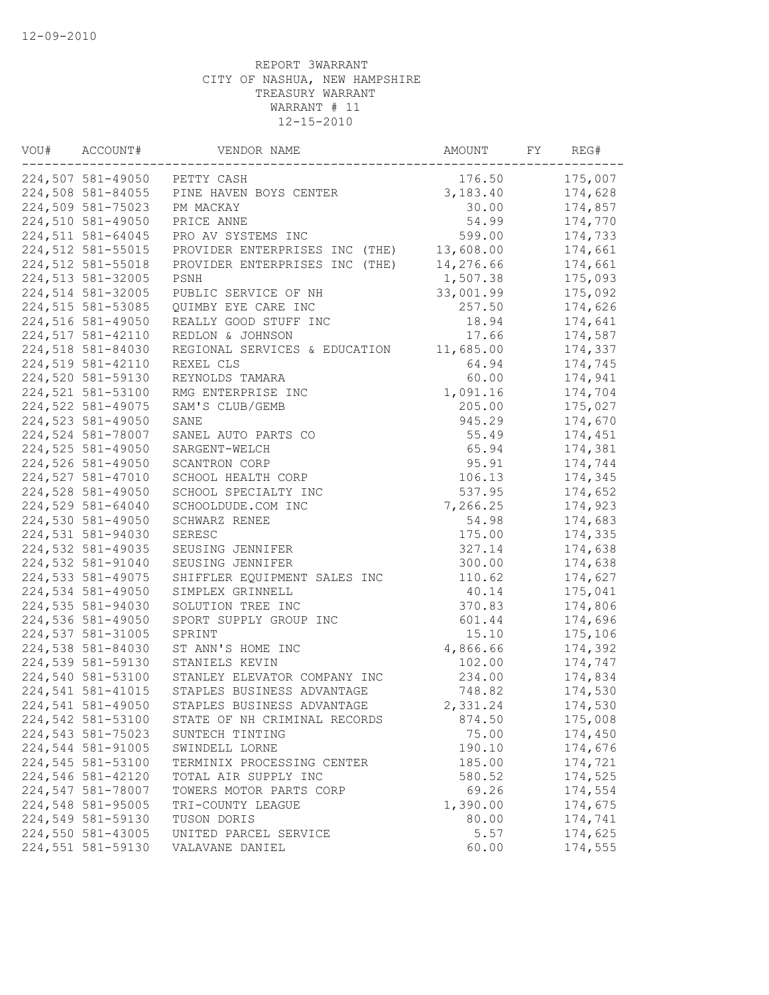| VOU# | ACCOUNT#          | VENDOR NAME                    | AMOUNT    | FY | REG#    |
|------|-------------------|--------------------------------|-----------|----|---------|
|      | 224,507 581-49050 | PETTY CASH                     | 176.50    |    | 175,007 |
|      | 224,508 581-84055 | PINE HAVEN BOYS CENTER         | 3,183.40  |    | 174,628 |
|      | 224,509 581-75023 | PM MACKAY                      | 30.00     |    | 174,857 |
|      | 224,510 581-49050 | PRICE ANNE                     | 54.99     |    | 174,770 |
|      | 224,511 581-64045 | PRO AV SYSTEMS INC             | 599.00    |    | 174,733 |
|      | 224,512 581-55015 | PROVIDER ENTERPRISES INC (THE) | 13,608.00 |    | 174,661 |
|      | 224,512 581-55018 | PROVIDER ENTERPRISES INC (THE) | 14,276.66 |    | 174,661 |
|      | 224,513 581-32005 | PSNH                           | 1,507.38  |    | 175,093 |
|      | 224,514 581-32005 | PUBLIC SERVICE OF NH           | 33,001.99 |    | 175,092 |
|      | 224,515 581-53085 | QUIMBY EYE CARE INC            | 257.50    |    | 174,626 |
|      | 224,516 581-49050 | REALLY GOOD STUFF INC          | 18.94     |    | 174,641 |
|      | 224,517 581-42110 | REDLON & JOHNSON               | 17.66     |    | 174,587 |
|      | 224,518 581-84030 | REGIONAL SERVICES & EDUCATION  | 11,685.00 |    | 174,337 |
|      | 224,519 581-42110 | REXEL CLS                      | 64.94     |    | 174,745 |
|      | 224,520 581-59130 | REYNOLDS TAMARA                | 60.00     |    | 174,941 |
|      | 224,521 581-53100 | RMG ENTERPRISE INC             | 1,091.16  |    | 174,704 |
|      | 224,522 581-49075 | SAM'S CLUB/GEMB                | 205.00    |    | 175,027 |
|      | 224,523 581-49050 | SANE                           | 945.29    |    | 174,670 |
|      | 224,524 581-78007 | SANEL AUTO PARTS CO            | 55.49     |    | 174,451 |
|      | 224,525 581-49050 | SARGENT-WELCH                  | 65.94     |    | 174,381 |
|      | 224,526 581-49050 | SCANTRON CORP                  | 95.91     |    | 174,744 |
|      | 224,527 581-47010 | SCHOOL HEALTH CORP             | 106.13    |    | 174,345 |
|      | 224,528 581-49050 | SCHOOL SPECIALTY INC           | 537.95    |    | 174,652 |
|      | 224,529 581-64040 | SCHOOLDUDE.COM INC             | 7,266.25  |    | 174,923 |
|      | 224,530 581-49050 | SCHWARZ RENEE                  | 54.98     |    | 174,683 |
|      | 224,531 581-94030 | SERESC                         | 175.00    |    | 174,335 |
|      | 224,532 581-49035 | SEUSING JENNIFER               | 327.14    |    | 174,638 |
|      | 224,532 581-91040 | SEUSING JENNIFER               | 300.00    |    | 174,638 |
|      | 224,533 581-49075 | SHIFFLER EQUIPMENT SALES INC   | 110.62    |    | 174,627 |
|      | 224,534 581-49050 | SIMPLEX GRINNELL               | 40.14     |    | 175,041 |
|      | 224,535 581-94030 | SOLUTION TREE INC              | 370.83    |    | 174,806 |
|      | 224,536 581-49050 | SPORT SUPPLY GROUP INC         | 601.44    |    | 174,696 |
|      | 224,537 581-31005 | SPRINT                         | 15.10     |    | 175,106 |
|      | 224,538 581-84030 | ST ANN'S HOME INC              | 4,866.66  |    | 174,392 |
|      | 224,539 581-59130 | STANIELS KEVIN                 | 102.00    |    | 174,747 |
|      | 224,540 581-53100 | STANLEY ELEVATOR COMPANY INC   | 234.00    |    | 174,834 |
|      | 224,541 581-41015 | STAPLES BUSINESS ADVANTAGE     | 748.82    |    | 174,530 |
|      | 224,541 581-49050 | STAPLES BUSINESS ADVANTAGE     | 2,331.24  |    | 174,530 |
|      | 224,542 581-53100 | STATE OF NH CRIMINAL RECORDS   | 874.50    |    | 175,008 |
|      | 224,543 581-75023 | SUNTECH TINTING                | 75.00     |    | 174,450 |
|      | 224,544 581-91005 | SWINDELL LORNE                 | 190.10    |    | 174,676 |
|      | 224,545 581-53100 | TERMINIX PROCESSING CENTER     | 185.00    |    | 174,721 |
|      | 224,546 581-42120 | TOTAL AIR SUPPLY INC           | 580.52    |    | 174,525 |
|      | 224,547 581-78007 | TOWERS MOTOR PARTS CORP        | 69.26     |    | 174,554 |
|      | 224,548 581-95005 | TRI-COUNTY LEAGUE              | 1,390.00  |    | 174,675 |
|      | 224,549 581-59130 | TUSON DORIS                    | 80.00     |    | 174,741 |
|      | 224,550 581-43005 | UNITED PARCEL SERVICE          | 5.57      |    | 174,625 |
|      | 224,551 581-59130 | VALAVANE DANIEL                | 60.00     |    | 174,555 |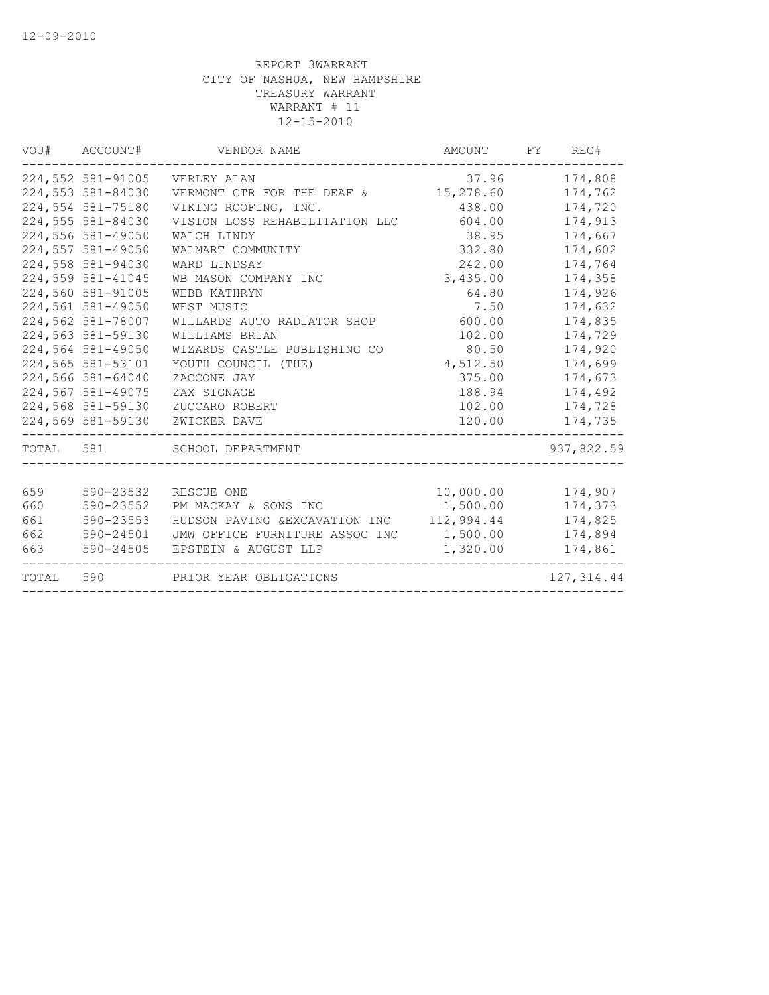| 224,552 581-91005<br>37.96<br>174,808<br>VERLEY ALAN<br>224,553 581-84030<br>VERMONT CTR FOR THE DEAF &<br>15,278.60<br>174,762<br>224,554 581-75180<br>VIKING ROOFING, INC.<br>438.00<br>174,720<br>224,555 581-84030<br>VISION LOSS REHABILITATION LLC<br>174,913<br>604.00<br>224,556 581-49050<br>38.95<br>174,667<br>WALCH LINDY<br>224,557 581-49050<br>332.80<br>174,602<br>WALMART COMMUNITY<br>224,558 581-94030<br>WARD LINDSAY<br>242.00<br>174,764<br>224,559 581-41045<br>174,358<br>WB MASON COMPANY INC<br>3,435.00<br>224,560 581-91005<br>174,926<br>WEBB KATHRYN<br>64.80<br>224,561 581-49050<br>174,632<br>WEST MUSIC<br>7.50<br>224,562 581-78007<br>WILLARDS AUTO RADIATOR SHOP<br>600.00<br>174,835<br>224,563 581-59130<br>102.00<br>WILLIAMS BRIAN<br>174,729<br>224,564 581-49050<br>80.50<br>174,920<br>WIZARDS CASTLE PUBLISHING CO<br>224,565 581-53101<br>174,699<br>YOUTH COUNCIL (THE)<br>4,512.50<br>224,566 581-64040<br>375.00<br>174,673<br>ZACCONE JAY<br>224,567 581-49075<br>174,492<br>ZAX SIGNAGE<br>188.94<br>224,568 581-59130<br>102.00<br>ZUCCARO ROBERT<br>174,728<br>224,569 581-59130<br>120.00<br>174,735<br>ZWICKER DAVE<br>TOTAL 581<br>SCHOOL DEPARTMENT<br>937,822.59 |  |
|----------------------------------------------------------------------------------------------------------------------------------------------------------------------------------------------------------------------------------------------------------------------------------------------------------------------------------------------------------------------------------------------------------------------------------------------------------------------------------------------------------------------------------------------------------------------------------------------------------------------------------------------------------------------------------------------------------------------------------------------------------------------------------------------------------------------------------------------------------------------------------------------------------------------------------------------------------------------------------------------------------------------------------------------------------------------------------------------------------------------------------------------------------------------------------------------------------------------------|--|
|                                                                                                                                                                                                                                                                                                                                                                                                                                                                                                                                                                                                                                                                                                                                                                                                                                                                                                                                                                                                                                                                                                                                                                                                                            |  |
|                                                                                                                                                                                                                                                                                                                                                                                                                                                                                                                                                                                                                                                                                                                                                                                                                                                                                                                                                                                                                                                                                                                                                                                                                            |  |
|                                                                                                                                                                                                                                                                                                                                                                                                                                                                                                                                                                                                                                                                                                                                                                                                                                                                                                                                                                                                                                                                                                                                                                                                                            |  |
|                                                                                                                                                                                                                                                                                                                                                                                                                                                                                                                                                                                                                                                                                                                                                                                                                                                                                                                                                                                                                                                                                                                                                                                                                            |  |
|                                                                                                                                                                                                                                                                                                                                                                                                                                                                                                                                                                                                                                                                                                                                                                                                                                                                                                                                                                                                                                                                                                                                                                                                                            |  |
|                                                                                                                                                                                                                                                                                                                                                                                                                                                                                                                                                                                                                                                                                                                                                                                                                                                                                                                                                                                                                                                                                                                                                                                                                            |  |
|                                                                                                                                                                                                                                                                                                                                                                                                                                                                                                                                                                                                                                                                                                                                                                                                                                                                                                                                                                                                                                                                                                                                                                                                                            |  |
|                                                                                                                                                                                                                                                                                                                                                                                                                                                                                                                                                                                                                                                                                                                                                                                                                                                                                                                                                                                                                                                                                                                                                                                                                            |  |
|                                                                                                                                                                                                                                                                                                                                                                                                                                                                                                                                                                                                                                                                                                                                                                                                                                                                                                                                                                                                                                                                                                                                                                                                                            |  |
|                                                                                                                                                                                                                                                                                                                                                                                                                                                                                                                                                                                                                                                                                                                                                                                                                                                                                                                                                                                                                                                                                                                                                                                                                            |  |
|                                                                                                                                                                                                                                                                                                                                                                                                                                                                                                                                                                                                                                                                                                                                                                                                                                                                                                                                                                                                                                                                                                                                                                                                                            |  |
|                                                                                                                                                                                                                                                                                                                                                                                                                                                                                                                                                                                                                                                                                                                                                                                                                                                                                                                                                                                                                                                                                                                                                                                                                            |  |
|                                                                                                                                                                                                                                                                                                                                                                                                                                                                                                                                                                                                                                                                                                                                                                                                                                                                                                                                                                                                                                                                                                                                                                                                                            |  |
|                                                                                                                                                                                                                                                                                                                                                                                                                                                                                                                                                                                                                                                                                                                                                                                                                                                                                                                                                                                                                                                                                                                                                                                                                            |  |
|                                                                                                                                                                                                                                                                                                                                                                                                                                                                                                                                                                                                                                                                                                                                                                                                                                                                                                                                                                                                                                                                                                                                                                                                                            |  |
|                                                                                                                                                                                                                                                                                                                                                                                                                                                                                                                                                                                                                                                                                                                                                                                                                                                                                                                                                                                                                                                                                                                                                                                                                            |  |
|                                                                                                                                                                                                                                                                                                                                                                                                                                                                                                                                                                                                                                                                                                                                                                                                                                                                                                                                                                                                                                                                                                                                                                                                                            |  |
|                                                                                                                                                                                                                                                                                                                                                                                                                                                                                                                                                                                                                                                                                                                                                                                                                                                                                                                                                                                                                                                                                                                                                                                                                            |  |
|                                                                                                                                                                                                                                                                                                                                                                                                                                                                                                                                                                                                                                                                                                                                                                                                                                                                                                                                                                                                                                                                                                                                                                                                                            |  |
|                                                                                                                                                                                                                                                                                                                                                                                                                                                                                                                                                                                                                                                                                                                                                                                                                                                                                                                                                                                                                                                                                                                                                                                                                            |  |
| 659<br>590-23532<br>10,000.00<br>RESCUE ONE<br>174,907                                                                                                                                                                                                                                                                                                                                                                                                                                                                                                                                                                                                                                                                                                                                                                                                                                                                                                                                                                                                                                                                                                                                                                     |  |
| 660<br>590-23552<br>1,500.00<br>PM MACKAY & SONS INC<br>174,373                                                                                                                                                                                                                                                                                                                                                                                                                                                                                                                                                                                                                                                                                                                                                                                                                                                                                                                                                                                                                                                                                                                                                            |  |
| 112,994.44<br>661<br>590-23553<br>HUDSON PAVING & EXCAVATION INC<br>174,825                                                                                                                                                                                                                                                                                                                                                                                                                                                                                                                                                                                                                                                                                                                                                                                                                                                                                                                                                                                                                                                                                                                                                |  |
| 662<br>1,500.00<br>590-24501<br>JMW OFFICE FURNITURE ASSOC INC<br>174,894                                                                                                                                                                                                                                                                                                                                                                                                                                                                                                                                                                                                                                                                                                                                                                                                                                                                                                                                                                                                                                                                                                                                                  |  |
| 663<br>590-24505<br>EPSTEIN & AUGUST LLP<br>1,320.00<br>174,861                                                                                                                                                                                                                                                                                                                                                                                                                                                                                                                                                                                                                                                                                                                                                                                                                                                                                                                                                                                                                                                                                                                                                            |  |
| TOTAL<br>590<br>127, 314.44<br>PRIOR YEAR OBLIGATIONS                                                                                                                                                                                                                                                                                                                                                                                                                                                                                                                                                                                                                                                                                                                                                                                                                                                                                                                                                                                                                                                                                                                                                                      |  |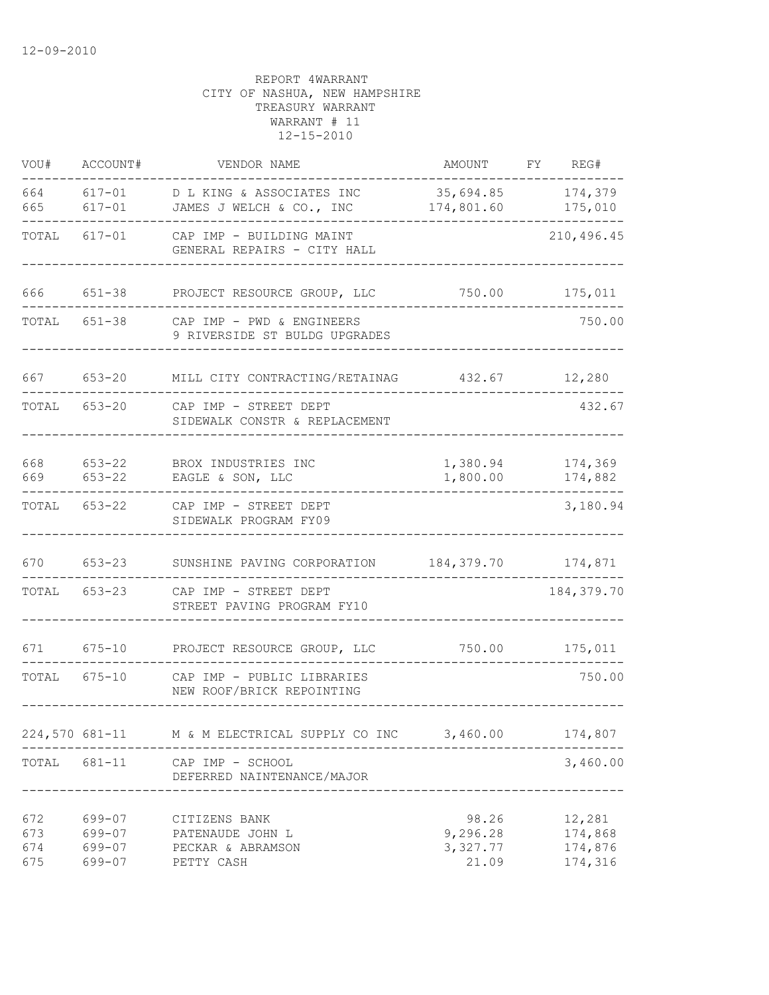| VOU#                     | ACCOUNT#                             | VENDOR NAME                                                          | AMOUNT                                 | FY. | REG#                                    |
|--------------------------|--------------------------------------|----------------------------------------------------------------------|----------------------------------------|-----|-----------------------------------------|
| 664<br>665               | $617 - 01$<br>$617 - 01$             | D L KING & ASSOCIATES INC<br>JAMES J WELCH & CO., INC                | 35,694.85<br>174,801.60                |     | 174,379<br>175,010                      |
| TOTAL                    | 617-01                               | CAP IMP - BUILDING MAINT<br>GENERAL REPAIRS - CITY HALL              |                                        |     | 210, 496.45                             |
| 666                      | 651-38                               | PROJECT RESOURCE GROUP, LLC                                          | 750.00                                 |     | 175,011                                 |
| TOTAL                    | 651-38                               | CAP IMP - PWD & ENGINEERS<br>9 RIVERSIDE ST BULDG UPGRADES           |                                        |     | 750.00                                  |
| 667                      | $653 - 20$                           | MILL CITY CONTRACTING/RETAINAG                                       | 432.67                                 |     | 12,280                                  |
| TOTAL                    | 653-20                               | CAP IMP - STREET DEPT<br>SIDEWALK CONSTR & REPLACEMENT               |                                        |     | 432.67                                  |
| 668<br>669               | $653 - 22$<br>$653 - 22$             | BROX INDUSTRIES INC<br>EAGLE & SON, LLC                              | 1,380.94<br>1,800.00                   |     | 174,369<br>174,882                      |
| TOTAL                    | $653 - 22$                           | CAP IMP - STREET DEPT<br>SIDEWALK PROGRAM FY09                       |                                        |     | 3,180.94                                |
| 670                      | $653 - 23$                           | SUNSHINE PAVING CORPORATION                                          | 184,379.70                             |     | 174,871                                 |
| TOTAL                    | $653 - 23$                           | CAP IMP - STREET DEPT<br>STREET PAVING PROGRAM FY10                  |                                        |     | 184, 379.70                             |
| 671                      | $675 - 10$                           | PROJECT RESOURCE GROUP, LLC                                          | 750.00                                 |     | 175,011                                 |
| TOTAL 675-10             |                                      | CAP IMP - PUBLIC LIBRARIES<br>NEW ROOF/BRICK REPOINTING              |                                        |     | 750.00                                  |
|                          |                                      | 224,570 681-11 M & M ELECTRICAL SUPPLY CO INC                        | 3,460.00                               |     | 174,807                                 |
| TOTAL                    | 681-11                               | CAP IMP - SCHOOL<br>DEFERRED NAINTENANCE/MAJOR                       |                                        |     | 3,460.00                                |
| 672<br>673<br>674<br>675 | 699-07<br>699-07<br>699-07<br>699-07 | CITIZENS BANK<br>PATENAUDE JOHN L<br>PECKAR & ABRAMSON<br>PETTY CASH | 98.26<br>9,296.28<br>3,327.77<br>21.09 |     | 12,281<br>174,868<br>174,876<br>174,316 |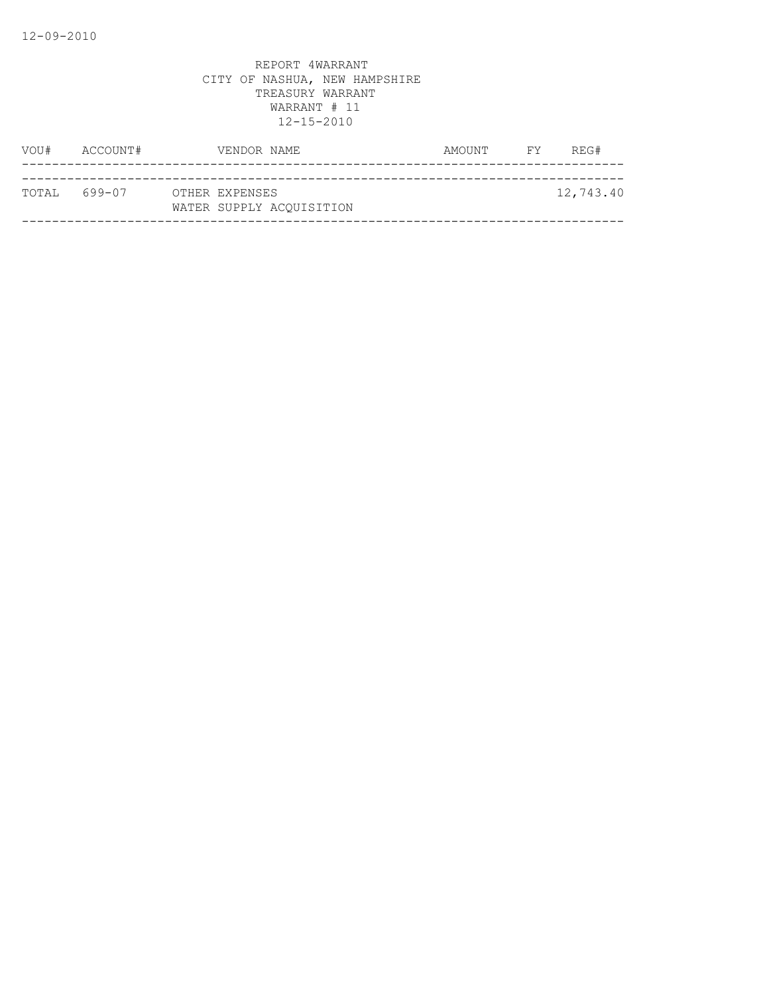| VOU#         | ACCOUNT# | VENDOR NAME              | AMOUNT | <b>EXECUTE</b> | REG#      |
|--------------|----------|--------------------------|--------|----------------|-----------|
| TOTAL 699-07 |          | OTHER EXPENSES           |        |                | 12,743.40 |
|              |          | WATER SUPPLY ACOUISITION |        |                |           |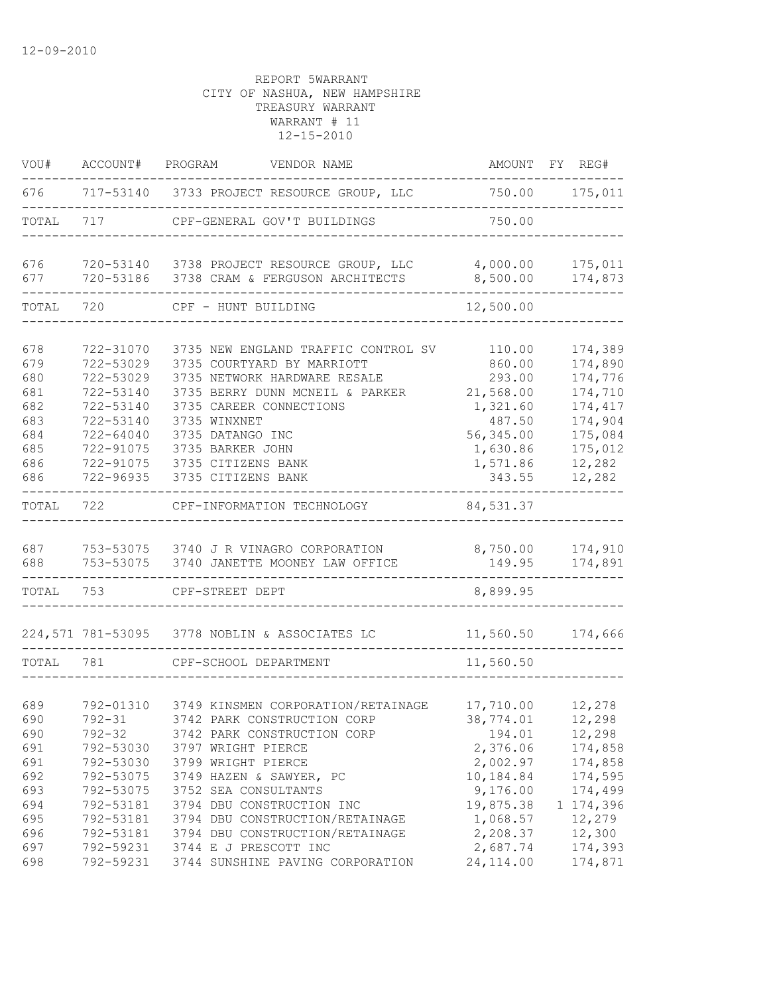| VOU#                                                               | ACCOUNT# PROGRAM                                                                                                               | VENDOR NAME                                                                                                                                                                                                                                                                |                                                                                                    | AMOUNT FY REG#                                                                                           |
|--------------------------------------------------------------------|--------------------------------------------------------------------------------------------------------------------------------|----------------------------------------------------------------------------------------------------------------------------------------------------------------------------------------------------------------------------------------------------------------------------|----------------------------------------------------------------------------------------------------|----------------------------------------------------------------------------------------------------------|
|                                                                    |                                                                                                                                | 676 717-53140 3733 PROJECT RESOURCE GROUP, LLC                                                                                                                                                                                                                             | 750.00 175,011                                                                                     |                                                                                                          |
| TOTAL                                                              |                                                                                                                                | 717 CPF-GENERAL GOV'T BUILDINGS                                                                                                                                                                                                                                            | 750.00                                                                                             |                                                                                                          |
| 676<br>677                                                         |                                                                                                                                | 720-53140 3738 PROJECT RESOURCE GROUP, LLC<br>720-53186 3738 CRAM & FERGUSON ARCHITECTS                                                                                                                                                                                    | 4,000.00<br>8,500.00                                                                               | 175,011<br>174,873                                                                                       |
| TOTAL 720                                                          |                                                                                                                                | CPF - HUNT BUILDING                                                                                                                                                                                                                                                        | 12,500.00                                                                                          |                                                                                                          |
|                                                                    |                                                                                                                                |                                                                                                                                                                                                                                                                            |                                                                                                    |                                                                                                          |
| 678<br>679<br>680<br>681<br>682<br>683<br>684<br>685<br>686<br>686 | 722-31070<br>722-53029<br>722-53029<br>722-53140<br>722-53140<br>722-53140<br>722-64040<br>722-91075<br>722-91075<br>722-96935 | 3735 NEW ENGLAND TRAFFIC CONTROL SV 110.00<br>3735 COURTYARD BY MARRIOTT<br>3735 NETWORK HARDWARE RESALE<br>3735 BERRY DUNN MCNEIL & PARKER<br>3735 CAREER CONNECTIONS<br>3735 WINXNET<br>3735 DATANGO INC<br>3735 BARKER JOHN<br>3735 CITIZENS BANK<br>3735 CITIZENS BANK | 860.00<br>293.00<br>21,568.00<br>1,321.60<br>487.50<br>56,345.00<br>1,630.86<br>1,571.86<br>343.55 | 174,389<br>174,890<br>174,776<br>174,710<br>174,417<br>174,904<br>175,084<br>175,012<br>12,282<br>12,282 |
| TOTAL                                                              | 722                                                                                                                            | CPF-INFORMATION TECHNOLOGY                                                                                                                                                                                                                                                 | 84,531.37                                                                                          |                                                                                                          |
|                                                                    |                                                                                                                                |                                                                                                                                                                                                                                                                            |                                                                                                    |                                                                                                          |
| 687<br>688                                                         |                                                                                                                                | 753-53075 3740 J R VINAGRO CORPORATION<br>753-53075 3740 JANETTE MOONEY LAW OFFICE<br>__________________                                                                                                                                                                   | 8,750.00<br>149.95                                                                                 | 174,910<br>174,891<br>------------                                                                       |
| TOTAL 753                                                          |                                                                                                                                | CPF-STREET DEPT                                                                                                                                                                                                                                                            | 8,899.95                                                                                           |                                                                                                          |
|                                                                    |                                                                                                                                | 224,571 781-53095 3778 NOBLIN & ASSOCIATES LC                                                                                                                                                                                                                              |                                                                                                    | 11,560.50 174,666                                                                                        |
| TOTAL 781                                                          |                                                                                                                                | CPF-SCHOOL DEPARTMENT                                                                                                                                                                                                                                                      | 11,560.50                                                                                          |                                                                                                          |
|                                                                    |                                                                                                                                |                                                                                                                                                                                                                                                                            |                                                                                                    |                                                                                                          |
| 689<br>690<br>690<br>691<br>691<br>692                             | 792-01310<br>$792 - 31$<br>$792 - 32$<br>792-53030<br>792-53075                                                                | 3749 KINSMEN CORPORATION/RETAINAGE<br>3742 PARK CONSTRUCTION CORP<br>3742 PARK CONSTRUCTION CORP<br>792-53030 3797 WRIGHT PIERCE<br>3799 WRIGHT PIERCE<br>3749 HAZEN & SAWYER, PC                                                                                          | 17,710.00<br>38,774.01<br>194.01<br>2,376.06<br>2,002.97<br>10,184.84                              | 12,278<br>12,298<br>12,298<br>174,858<br>174,858<br>174,595                                              |
| 693<br>694<br>695<br>696<br>697                                    | 792-53075<br>792-53181<br>792-53181<br>792-53181<br>792-59231                                                                  | 3752 SEA CONSULTANTS<br>3794 DBU CONSTRUCTION INC<br>3794 DBU CONSTRUCTION/RETAINAGE<br>3794 DBU CONSTRUCTION/RETAINAGE<br>3744 E J PRESCOTT INC                                                                                                                           | 9,176.00<br>19,875.38<br>1,068.57<br>2,208.37<br>2,687.74                                          | 174,499<br>1 174,396<br>12,279<br>12,300<br>174,393                                                      |
| 698                                                                | 792-59231                                                                                                                      | 3744 SUNSHINE PAVING CORPORATION                                                                                                                                                                                                                                           | 24, 114.00                                                                                         | 174,871                                                                                                  |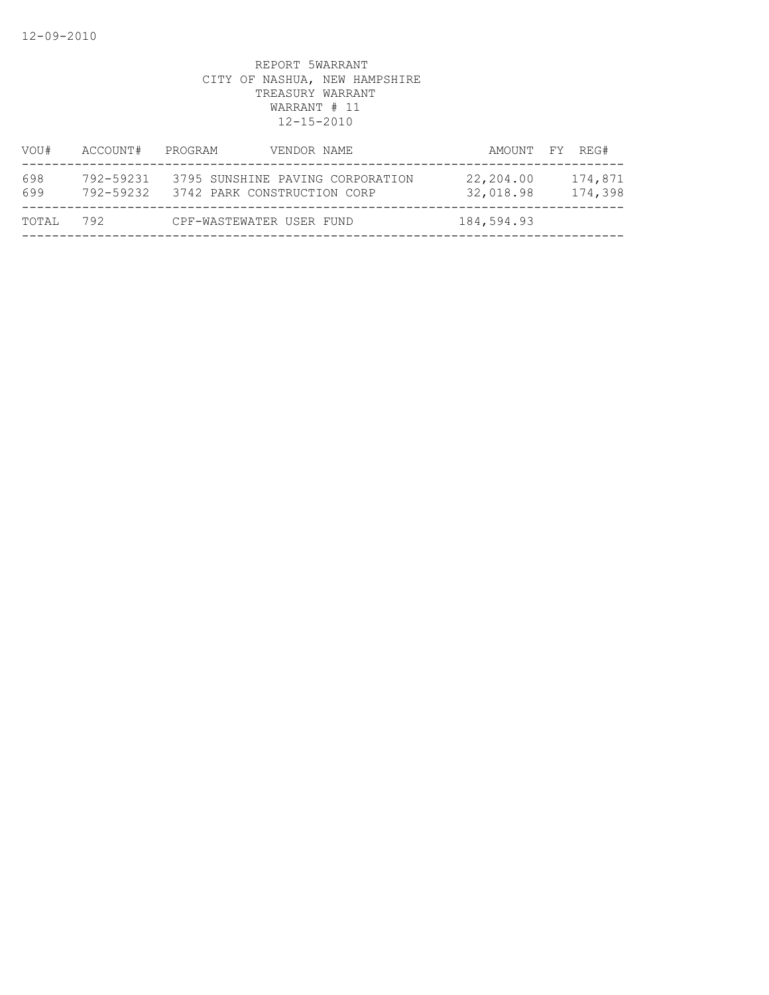| VOU#       | ACCOUNT#               | PROGRAM<br>VENDOR NAME                                          | AMOUNT FY REG#                               |
|------------|------------------------|-----------------------------------------------------------------|----------------------------------------------|
| 698<br>699 | 792-59231<br>792-59232 | 3795 SUNSHINE PAVING CORPORATION<br>3742 PARK CONSTRUCTION CORP | 22,204.00<br>174,871<br>32,018.98<br>174,398 |
| TOTAL      | 792                    | CPF-WASTEWATER USER FUND                                        | 184,594.93                                   |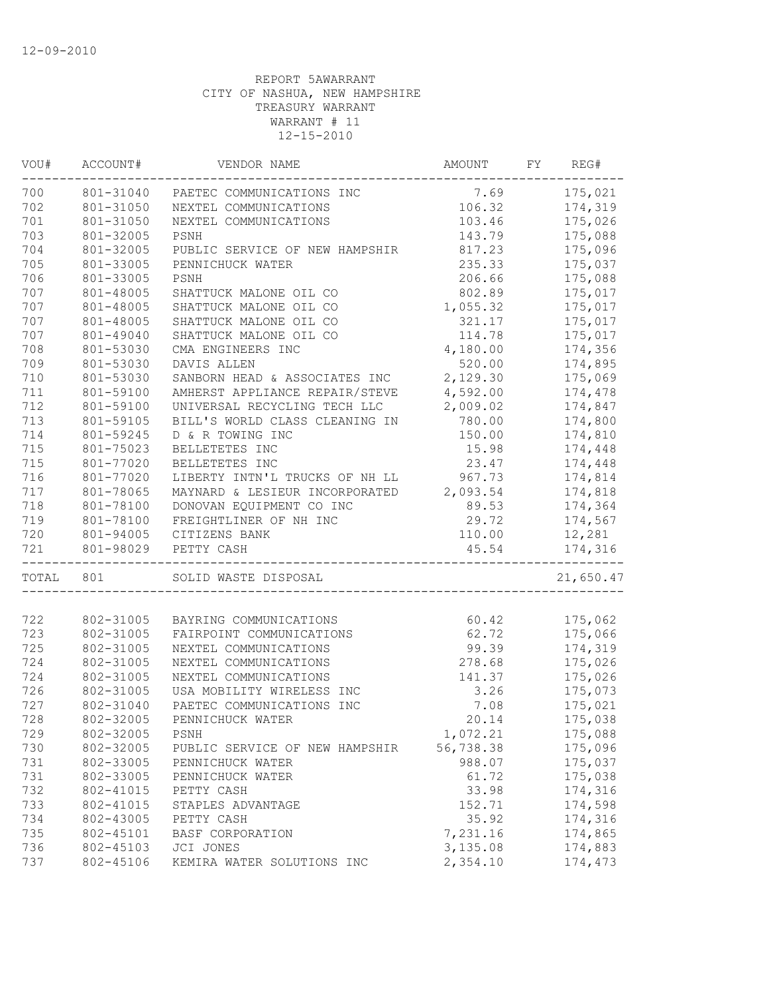| 175,021<br>801-31040<br>7.69<br>PAETEC COMMUNICATIONS INC<br>801-31050<br>106.32<br>174,319<br>NEXTEL COMMUNICATIONS<br>801-31050<br>103.46<br>175,026<br>NEXTEL COMMUNICATIONS<br>801-32005<br>175,088<br>PSNH<br>143.79<br>801-32005<br>817.23<br>175,096<br>PUBLIC SERVICE OF NEW HAMPSHIR<br>801-33005<br>235.33<br>175,037<br>PENNICHUCK WATER<br>801-33005<br>206.66<br>175,088<br>PSNH<br>801-48005<br>802.89<br>175,017<br>SHATTUCK MALONE OIL CO<br>801-48005<br>SHATTUCK MALONE OIL CO<br>1,055.32<br>175,017<br>801-48005<br>SHATTUCK MALONE OIL CO<br>175,017<br>321.17<br>801-49040<br>SHATTUCK MALONE OIL CO<br>114.78<br>175,017<br>801-53030<br>CMA ENGINEERS INC<br>4,180.00<br>174,356<br>801-53030<br>520.00<br>DAVIS ALLEN<br>174,895<br>710<br>801-53030<br>2,129.30<br>SANBORN HEAD & ASSOCIATES INC<br>175,069<br>711<br>801-59100<br>AMHERST APPLIANCE REPAIR/STEVE<br>4,592.00<br>174,478<br>712<br>801-59100<br>UNIVERSAL RECYCLING TECH LLC<br>2,009.02<br>174,847<br>713<br>BILL'S WORLD CLASS CLEANING IN<br>780.00<br>174,800<br>801-59105<br>714<br>801-59245<br>D & R TOWING INC<br>150.00<br>174,810<br>715<br>801-75023<br>15.98<br>174,448<br>BELLETETES INC<br>715<br>801-77020<br>BELLETETES INC<br>23.47<br>174,448<br>716<br>LIBERTY INTN'L TRUCKS OF NH LL<br>967.73<br>801-77020<br>174,814<br>717<br>MAYNARD & LESIEUR INCORPORATED<br>801-78065<br>2,093.54<br>174,818<br>718<br>801-78100<br>DONOVAN EQUIPMENT CO INC<br>89.53<br>174,364<br>719<br>801-78100<br>FREIGHTLINER OF NH INC<br>29.72<br>174,567<br>720<br>801-94005<br>110.00<br>12,281<br>CITIZENS BANK<br>801-98029<br>45.54<br>174,316<br>PETTY CASH<br>___________________________<br>801<br>SOLID WASTE DISPOSAL<br>802-31005<br>60.42<br>175,062<br>BAYRING COMMUNICATIONS<br>723<br>62.72<br>802-31005<br>175,066<br>FAIRPOINT COMMUNICATIONS<br>99.39<br>174,319<br>802-31005<br>NEXTEL COMMUNICATIONS<br>802-31005<br>NEXTEL COMMUNICATIONS<br>278.68<br>175,026<br>802-31005<br>141.37<br>175,026<br>NEXTEL COMMUNICATIONS<br>3.26<br>175,073<br>802-31005<br>USA MOBILITY WIRELESS INC<br>802-31040<br>PAETEC COMMUNICATIONS INC<br>7.08<br>175,021<br>802-32005<br>175,038<br>PENNICHUCK WATER<br>20.14<br>802-32005<br>729<br>1,072.21<br>175,088<br>PSNH<br>730<br>802-32005<br>56,738.38<br>175,096<br>PUBLIC SERVICE OF NEW HAMPSHIR<br>731<br>802-33005<br>988.07<br>175,037<br>PENNICHUCK WATER<br>61.72<br>731<br>802-33005<br>175,038<br>PENNICHUCK WATER<br>732<br>174,316<br>802-41015<br>PETTY CASH<br>33.98<br>733<br>802-41015<br>152.71<br>174,598<br>STAPLES ADVANTAGE<br>734<br>802-43005<br>35.92<br>174,316<br>PETTY CASH<br>735<br>7,231.16<br>174,865<br>802-45101<br>BASF CORPORATION<br>736<br>802-45103<br>3,135.08<br>JCI JONES<br>174,883<br>737<br>802-45106<br>2,354.10<br>174,473<br>KEMIRA WATER SOLUTIONS INC | VOU#  | ACCOUNT# | VENDOR NAME | AMOUNT | FY. | REG#      |
|-----------------------------------------------------------------------------------------------------------------------------------------------------------------------------------------------------------------------------------------------------------------------------------------------------------------------------------------------------------------------------------------------------------------------------------------------------------------------------------------------------------------------------------------------------------------------------------------------------------------------------------------------------------------------------------------------------------------------------------------------------------------------------------------------------------------------------------------------------------------------------------------------------------------------------------------------------------------------------------------------------------------------------------------------------------------------------------------------------------------------------------------------------------------------------------------------------------------------------------------------------------------------------------------------------------------------------------------------------------------------------------------------------------------------------------------------------------------------------------------------------------------------------------------------------------------------------------------------------------------------------------------------------------------------------------------------------------------------------------------------------------------------------------------------------------------------------------------------------------------------------------------------------------------------------------------------------------------------------------------------------------------------------------------------------------------------------------------------------------------------------------------------------------------------------------------------------------------------------------------------------------------------------------------------------------------------------------------------------------------------------------------------------------------------------------------------------------------------------------------------------------------------------------------------------------------------------------------------------------------------------------------------------------------------------------------------------------------------------------------------------------------------------------------------------------------------------------------------------------------|-------|----------|-------------|--------|-----|-----------|
|                                                                                                                                                                                                                                                                                                                                                                                                                                                                                                                                                                                                                                                                                                                                                                                                                                                                                                                                                                                                                                                                                                                                                                                                                                                                                                                                                                                                                                                                                                                                                                                                                                                                                                                                                                                                                                                                                                                                                                                                                                                                                                                                                                                                                                                                                                                                                                                                                                                                                                                                                                                                                                                                                                                                                                                                                                                                 | 700   |          |             |        |     |           |
|                                                                                                                                                                                                                                                                                                                                                                                                                                                                                                                                                                                                                                                                                                                                                                                                                                                                                                                                                                                                                                                                                                                                                                                                                                                                                                                                                                                                                                                                                                                                                                                                                                                                                                                                                                                                                                                                                                                                                                                                                                                                                                                                                                                                                                                                                                                                                                                                                                                                                                                                                                                                                                                                                                                                                                                                                                                                 | 702   |          |             |        |     |           |
|                                                                                                                                                                                                                                                                                                                                                                                                                                                                                                                                                                                                                                                                                                                                                                                                                                                                                                                                                                                                                                                                                                                                                                                                                                                                                                                                                                                                                                                                                                                                                                                                                                                                                                                                                                                                                                                                                                                                                                                                                                                                                                                                                                                                                                                                                                                                                                                                                                                                                                                                                                                                                                                                                                                                                                                                                                                                 | 701   |          |             |        |     |           |
|                                                                                                                                                                                                                                                                                                                                                                                                                                                                                                                                                                                                                                                                                                                                                                                                                                                                                                                                                                                                                                                                                                                                                                                                                                                                                                                                                                                                                                                                                                                                                                                                                                                                                                                                                                                                                                                                                                                                                                                                                                                                                                                                                                                                                                                                                                                                                                                                                                                                                                                                                                                                                                                                                                                                                                                                                                                                 | 703   |          |             |        |     |           |
|                                                                                                                                                                                                                                                                                                                                                                                                                                                                                                                                                                                                                                                                                                                                                                                                                                                                                                                                                                                                                                                                                                                                                                                                                                                                                                                                                                                                                                                                                                                                                                                                                                                                                                                                                                                                                                                                                                                                                                                                                                                                                                                                                                                                                                                                                                                                                                                                                                                                                                                                                                                                                                                                                                                                                                                                                                                                 | 704   |          |             |        |     |           |
|                                                                                                                                                                                                                                                                                                                                                                                                                                                                                                                                                                                                                                                                                                                                                                                                                                                                                                                                                                                                                                                                                                                                                                                                                                                                                                                                                                                                                                                                                                                                                                                                                                                                                                                                                                                                                                                                                                                                                                                                                                                                                                                                                                                                                                                                                                                                                                                                                                                                                                                                                                                                                                                                                                                                                                                                                                                                 | 705   |          |             |        |     |           |
|                                                                                                                                                                                                                                                                                                                                                                                                                                                                                                                                                                                                                                                                                                                                                                                                                                                                                                                                                                                                                                                                                                                                                                                                                                                                                                                                                                                                                                                                                                                                                                                                                                                                                                                                                                                                                                                                                                                                                                                                                                                                                                                                                                                                                                                                                                                                                                                                                                                                                                                                                                                                                                                                                                                                                                                                                                                                 | 706   |          |             |        |     |           |
|                                                                                                                                                                                                                                                                                                                                                                                                                                                                                                                                                                                                                                                                                                                                                                                                                                                                                                                                                                                                                                                                                                                                                                                                                                                                                                                                                                                                                                                                                                                                                                                                                                                                                                                                                                                                                                                                                                                                                                                                                                                                                                                                                                                                                                                                                                                                                                                                                                                                                                                                                                                                                                                                                                                                                                                                                                                                 | 707   |          |             |        |     |           |
|                                                                                                                                                                                                                                                                                                                                                                                                                                                                                                                                                                                                                                                                                                                                                                                                                                                                                                                                                                                                                                                                                                                                                                                                                                                                                                                                                                                                                                                                                                                                                                                                                                                                                                                                                                                                                                                                                                                                                                                                                                                                                                                                                                                                                                                                                                                                                                                                                                                                                                                                                                                                                                                                                                                                                                                                                                                                 | 707   |          |             |        |     |           |
|                                                                                                                                                                                                                                                                                                                                                                                                                                                                                                                                                                                                                                                                                                                                                                                                                                                                                                                                                                                                                                                                                                                                                                                                                                                                                                                                                                                                                                                                                                                                                                                                                                                                                                                                                                                                                                                                                                                                                                                                                                                                                                                                                                                                                                                                                                                                                                                                                                                                                                                                                                                                                                                                                                                                                                                                                                                                 | 707   |          |             |        |     |           |
|                                                                                                                                                                                                                                                                                                                                                                                                                                                                                                                                                                                                                                                                                                                                                                                                                                                                                                                                                                                                                                                                                                                                                                                                                                                                                                                                                                                                                                                                                                                                                                                                                                                                                                                                                                                                                                                                                                                                                                                                                                                                                                                                                                                                                                                                                                                                                                                                                                                                                                                                                                                                                                                                                                                                                                                                                                                                 | 707   |          |             |        |     |           |
|                                                                                                                                                                                                                                                                                                                                                                                                                                                                                                                                                                                                                                                                                                                                                                                                                                                                                                                                                                                                                                                                                                                                                                                                                                                                                                                                                                                                                                                                                                                                                                                                                                                                                                                                                                                                                                                                                                                                                                                                                                                                                                                                                                                                                                                                                                                                                                                                                                                                                                                                                                                                                                                                                                                                                                                                                                                                 | 708   |          |             |        |     |           |
|                                                                                                                                                                                                                                                                                                                                                                                                                                                                                                                                                                                                                                                                                                                                                                                                                                                                                                                                                                                                                                                                                                                                                                                                                                                                                                                                                                                                                                                                                                                                                                                                                                                                                                                                                                                                                                                                                                                                                                                                                                                                                                                                                                                                                                                                                                                                                                                                                                                                                                                                                                                                                                                                                                                                                                                                                                                                 | 709   |          |             |        |     |           |
|                                                                                                                                                                                                                                                                                                                                                                                                                                                                                                                                                                                                                                                                                                                                                                                                                                                                                                                                                                                                                                                                                                                                                                                                                                                                                                                                                                                                                                                                                                                                                                                                                                                                                                                                                                                                                                                                                                                                                                                                                                                                                                                                                                                                                                                                                                                                                                                                                                                                                                                                                                                                                                                                                                                                                                                                                                                                 |       |          |             |        |     |           |
|                                                                                                                                                                                                                                                                                                                                                                                                                                                                                                                                                                                                                                                                                                                                                                                                                                                                                                                                                                                                                                                                                                                                                                                                                                                                                                                                                                                                                                                                                                                                                                                                                                                                                                                                                                                                                                                                                                                                                                                                                                                                                                                                                                                                                                                                                                                                                                                                                                                                                                                                                                                                                                                                                                                                                                                                                                                                 |       |          |             |        |     |           |
|                                                                                                                                                                                                                                                                                                                                                                                                                                                                                                                                                                                                                                                                                                                                                                                                                                                                                                                                                                                                                                                                                                                                                                                                                                                                                                                                                                                                                                                                                                                                                                                                                                                                                                                                                                                                                                                                                                                                                                                                                                                                                                                                                                                                                                                                                                                                                                                                                                                                                                                                                                                                                                                                                                                                                                                                                                                                 |       |          |             |        |     |           |
|                                                                                                                                                                                                                                                                                                                                                                                                                                                                                                                                                                                                                                                                                                                                                                                                                                                                                                                                                                                                                                                                                                                                                                                                                                                                                                                                                                                                                                                                                                                                                                                                                                                                                                                                                                                                                                                                                                                                                                                                                                                                                                                                                                                                                                                                                                                                                                                                                                                                                                                                                                                                                                                                                                                                                                                                                                                                 |       |          |             |        |     |           |
|                                                                                                                                                                                                                                                                                                                                                                                                                                                                                                                                                                                                                                                                                                                                                                                                                                                                                                                                                                                                                                                                                                                                                                                                                                                                                                                                                                                                                                                                                                                                                                                                                                                                                                                                                                                                                                                                                                                                                                                                                                                                                                                                                                                                                                                                                                                                                                                                                                                                                                                                                                                                                                                                                                                                                                                                                                                                 |       |          |             |        |     |           |
|                                                                                                                                                                                                                                                                                                                                                                                                                                                                                                                                                                                                                                                                                                                                                                                                                                                                                                                                                                                                                                                                                                                                                                                                                                                                                                                                                                                                                                                                                                                                                                                                                                                                                                                                                                                                                                                                                                                                                                                                                                                                                                                                                                                                                                                                                                                                                                                                                                                                                                                                                                                                                                                                                                                                                                                                                                                                 |       |          |             |        |     |           |
|                                                                                                                                                                                                                                                                                                                                                                                                                                                                                                                                                                                                                                                                                                                                                                                                                                                                                                                                                                                                                                                                                                                                                                                                                                                                                                                                                                                                                                                                                                                                                                                                                                                                                                                                                                                                                                                                                                                                                                                                                                                                                                                                                                                                                                                                                                                                                                                                                                                                                                                                                                                                                                                                                                                                                                                                                                                                 |       |          |             |        |     |           |
|                                                                                                                                                                                                                                                                                                                                                                                                                                                                                                                                                                                                                                                                                                                                                                                                                                                                                                                                                                                                                                                                                                                                                                                                                                                                                                                                                                                                                                                                                                                                                                                                                                                                                                                                                                                                                                                                                                                                                                                                                                                                                                                                                                                                                                                                                                                                                                                                                                                                                                                                                                                                                                                                                                                                                                                                                                                                 |       |          |             |        |     |           |
|                                                                                                                                                                                                                                                                                                                                                                                                                                                                                                                                                                                                                                                                                                                                                                                                                                                                                                                                                                                                                                                                                                                                                                                                                                                                                                                                                                                                                                                                                                                                                                                                                                                                                                                                                                                                                                                                                                                                                                                                                                                                                                                                                                                                                                                                                                                                                                                                                                                                                                                                                                                                                                                                                                                                                                                                                                                                 |       |          |             |        |     |           |
|                                                                                                                                                                                                                                                                                                                                                                                                                                                                                                                                                                                                                                                                                                                                                                                                                                                                                                                                                                                                                                                                                                                                                                                                                                                                                                                                                                                                                                                                                                                                                                                                                                                                                                                                                                                                                                                                                                                                                                                                                                                                                                                                                                                                                                                                                                                                                                                                                                                                                                                                                                                                                                                                                                                                                                                                                                                                 |       |          |             |        |     |           |
|                                                                                                                                                                                                                                                                                                                                                                                                                                                                                                                                                                                                                                                                                                                                                                                                                                                                                                                                                                                                                                                                                                                                                                                                                                                                                                                                                                                                                                                                                                                                                                                                                                                                                                                                                                                                                                                                                                                                                                                                                                                                                                                                                                                                                                                                                                                                                                                                                                                                                                                                                                                                                                                                                                                                                                                                                                                                 |       |          |             |        |     |           |
|                                                                                                                                                                                                                                                                                                                                                                                                                                                                                                                                                                                                                                                                                                                                                                                                                                                                                                                                                                                                                                                                                                                                                                                                                                                                                                                                                                                                                                                                                                                                                                                                                                                                                                                                                                                                                                                                                                                                                                                                                                                                                                                                                                                                                                                                                                                                                                                                                                                                                                                                                                                                                                                                                                                                                                                                                                                                 |       |          |             |        |     |           |
|                                                                                                                                                                                                                                                                                                                                                                                                                                                                                                                                                                                                                                                                                                                                                                                                                                                                                                                                                                                                                                                                                                                                                                                                                                                                                                                                                                                                                                                                                                                                                                                                                                                                                                                                                                                                                                                                                                                                                                                                                                                                                                                                                                                                                                                                                                                                                                                                                                                                                                                                                                                                                                                                                                                                                                                                                                                                 | 721   |          |             |        |     |           |
|                                                                                                                                                                                                                                                                                                                                                                                                                                                                                                                                                                                                                                                                                                                                                                                                                                                                                                                                                                                                                                                                                                                                                                                                                                                                                                                                                                                                                                                                                                                                                                                                                                                                                                                                                                                                                                                                                                                                                                                                                                                                                                                                                                                                                                                                                                                                                                                                                                                                                                                                                                                                                                                                                                                                                                                                                                                                 | TOTAL |          |             |        |     | 21,650.47 |
|                                                                                                                                                                                                                                                                                                                                                                                                                                                                                                                                                                                                                                                                                                                                                                                                                                                                                                                                                                                                                                                                                                                                                                                                                                                                                                                                                                                                                                                                                                                                                                                                                                                                                                                                                                                                                                                                                                                                                                                                                                                                                                                                                                                                                                                                                                                                                                                                                                                                                                                                                                                                                                                                                                                                                                                                                                                                 |       |          |             |        |     |           |
|                                                                                                                                                                                                                                                                                                                                                                                                                                                                                                                                                                                                                                                                                                                                                                                                                                                                                                                                                                                                                                                                                                                                                                                                                                                                                                                                                                                                                                                                                                                                                                                                                                                                                                                                                                                                                                                                                                                                                                                                                                                                                                                                                                                                                                                                                                                                                                                                                                                                                                                                                                                                                                                                                                                                                                                                                                                                 | 722   |          |             |        |     |           |
|                                                                                                                                                                                                                                                                                                                                                                                                                                                                                                                                                                                                                                                                                                                                                                                                                                                                                                                                                                                                                                                                                                                                                                                                                                                                                                                                                                                                                                                                                                                                                                                                                                                                                                                                                                                                                                                                                                                                                                                                                                                                                                                                                                                                                                                                                                                                                                                                                                                                                                                                                                                                                                                                                                                                                                                                                                                                 |       |          |             |        |     |           |
|                                                                                                                                                                                                                                                                                                                                                                                                                                                                                                                                                                                                                                                                                                                                                                                                                                                                                                                                                                                                                                                                                                                                                                                                                                                                                                                                                                                                                                                                                                                                                                                                                                                                                                                                                                                                                                                                                                                                                                                                                                                                                                                                                                                                                                                                                                                                                                                                                                                                                                                                                                                                                                                                                                                                                                                                                                                                 | 725   |          |             |        |     |           |
|                                                                                                                                                                                                                                                                                                                                                                                                                                                                                                                                                                                                                                                                                                                                                                                                                                                                                                                                                                                                                                                                                                                                                                                                                                                                                                                                                                                                                                                                                                                                                                                                                                                                                                                                                                                                                                                                                                                                                                                                                                                                                                                                                                                                                                                                                                                                                                                                                                                                                                                                                                                                                                                                                                                                                                                                                                                                 | 724   |          |             |        |     |           |
|                                                                                                                                                                                                                                                                                                                                                                                                                                                                                                                                                                                                                                                                                                                                                                                                                                                                                                                                                                                                                                                                                                                                                                                                                                                                                                                                                                                                                                                                                                                                                                                                                                                                                                                                                                                                                                                                                                                                                                                                                                                                                                                                                                                                                                                                                                                                                                                                                                                                                                                                                                                                                                                                                                                                                                                                                                                                 | 724   |          |             |        |     |           |
|                                                                                                                                                                                                                                                                                                                                                                                                                                                                                                                                                                                                                                                                                                                                                                                                                                                                                                                                                                                                                                                                                                                                                                                                                                                                                                                                                                                                                                                                                                                                                                                                                                                                                                                                                                                                                                                                                                                                                                                                                                                                                                                                                                                                                                                                                                                                                                                                                                                                                                                                                                                                                                                                                                                                                                                                                                                                 | 726   |          |             |        |     |           |
|                                                                                                                                                                                                                                                                                                                                                                                                                                                                                                                                                                                                                                                                                                                                                                                                                                                                                                                                                                                                                                                                                                                                                                                                                                                                                                                                                                                                                                                                                                                                                                                                                                                                                                                                                                                                                                                                                                                                                                                                                                                                                                                                                                                                                                                                                                                                                                                                                                                                                                                                                                                                                                                                                                                                                                                                                                                                 | 727   |          |             |        |     |           |
|                                                                                                                                                                                                                                                                                                                                                                                                                                                                                                                                                                                                                                                                                                                                                                                                                                                                                                                                                                                                                                                                                                                                                                                                                                                                                                                                                                                                                                                                                                                                                                                                                                                                                                                                                                                                                                                                                                                                                                                                                                                                                                                                                                                                                                                                                                                                                                                                                                                                                                                                                                                                                                                                                                                                                                                                                                                                 | 728   |          |             |        |     |           |
|                                                                                                                                                                                                                                                                                                                                                                                                                                                                                                                                                                                                                                                                                                                                                                                                                                                                                                                                                                                                                                                                                                                                                                                                                                                                                                                                                                                                                                                                                                                                                                                                                                                                                                                                                                                                                                                                                                                                                                                                                                                                                                                                                                                                                                                                                                                                                                                                                                                                                                                                                                                                                                                                                                                                                                                                                                                                 |       |          |             |        |     |           |
|                                                                                                                                                                                                                                                                                                                                                                                                                                                                                                                                                                                                                                                                                                                                                                                                                                                                                                                                                                                                                                                                                                                                                                                                                                                                                                                                                                                                                                                                                                                                                                                                                                                                                                                                                                                                                                                                                                                                                                                                                                                                                                                                                                                                                                                                                                                                                                                                                                                                                                                                                                                                                                                                                                                                                                                                                                                                 |       |          |             |        |     |           |
|                                                                                                                                                                                                                                                                                                                                                                                                                                                                                                                                                                                                                                                                                                                                                                                                                                                                                                                                                                                                                                                                                                                                                                                                                                                                                                                                                                                                                                                                                                                                                                                                                                                                                                                                                                                                                                                                                                                                                                                                                                                                                                                                                                                                                                                                                                                                                                                                                                                                                                                                                                                                                                                                                                                                                                                                                                                                 |       |          |             |        |     |           |
|                                                                                                                                                                                                                                                                                                                                                                                                                                                                                                                                                                                                                                                                                                                                                                                                                                                                                                                                                                                                                                                                                                                                                                                                                                                                                                                                                                                                                                                                                                                                                                                                                                                                                                                                                                                                                                                                                                                                                                                                                                                                                                                                                                                                                                                                                                                                                                                                                                                                                                                                                                                                                                                                                                                                                                                                                                                                 |       |          |             |        |     |           |
|                                                                                                                                                                                                                                                                                                                                                                                                                                                                                                                                                                                                                                                                                                                                                                                                                                                                                                                                                                                                                                                                                                                                                                                                                                                                                                                                                                                                                                                                                                                                                                                                                                                                                                                                                                                                                                                                                                                                                                                                                                                                                                                                                                                                                                                                                                                                                                                                                                                                                                                                                                                                                                                                                                                                                                                                                                                                 |       |          |             |        |     |           |
|                                                                                                                                                                                                                                                                                                                                                                                                                                                                                                                                                                                                                                                                                                                                                                                                                                                                                                                                                                                                                                                                                                                                                                                                                                                                                                                                                                                                                                                                                                                                                                                                                                                                                                                                                                                                                                                                                                                                                                                                                                                                                                                                                                                                                                                                                                                                                                                                                                                                                                                                                                                                                                                                                                                                                                                                                                                                 |       |          |             |        |     |           |
|                                                                                                                                                                                                                                                                                                                                                                                                                                                                                                                                                                                                                                                                                                                                                                                                                                                                                                                                                                                                                                                                                                                                                                                                                                                                                                                                                                                                                                                                                                                                                                                                                                                                                                                                                                                                                                                                                                                                                                                                                                                                                                                                                                                                                                                                                                                                                                                                                                                                                                                                                                                                                                                                                                                                                                                                                                                                 |       |          |             |        |     |           |
|                                                                                                                                                                                                                                                                                                                                                                                                                                                                                                                                                                                                                                                                                                                                                                                                                                                                                                                                                                                                                                                                                                                                                                                                                                                                                                                                                                                                                                                                                                                                                                                                                                                                                                                                                                                                                                                                                                                                                                                                                                                                                                                                                                                                                                                                                                                                                                                                                                                                                                                                                                                                                                                                                                                                                                                                                                                                 |       |          |             |        |     |           |
|                                                                                                                                                                                                                                                                                                                                                                                                                                                                                                                                                                                                                                                                                                                                                                                                                                                                                                                                                                                                                                                                                                                                                                                                                                                                                                                                                                                                                                                                                                                                                                                                                                                                                                                                                                                                                                                                                                                                                                                                                                                                                                                                                                                                                                                                                                                                                                                                                                                                                                                                                                                                                                                                                                                                                                                                                                                                 |       |          |             |        |     |           |
|                                                                                                                                                                                                                                                                                                                                                                                                                                                                                                                                                                                                                                                                                                                                                                                                                                                                                                                                                                                                                                                                                                                                                                                                                                                                                                                                                                                                                                                                                                                                                                                                                                                                                                                                                                                                                                                                                                                                                                                                                                                                                                                                                                                                                                                                                                                                                                                                                                                                                                                                                                                                                                                                                                                                                                                                                                                                 |       |          |             |        |     |           |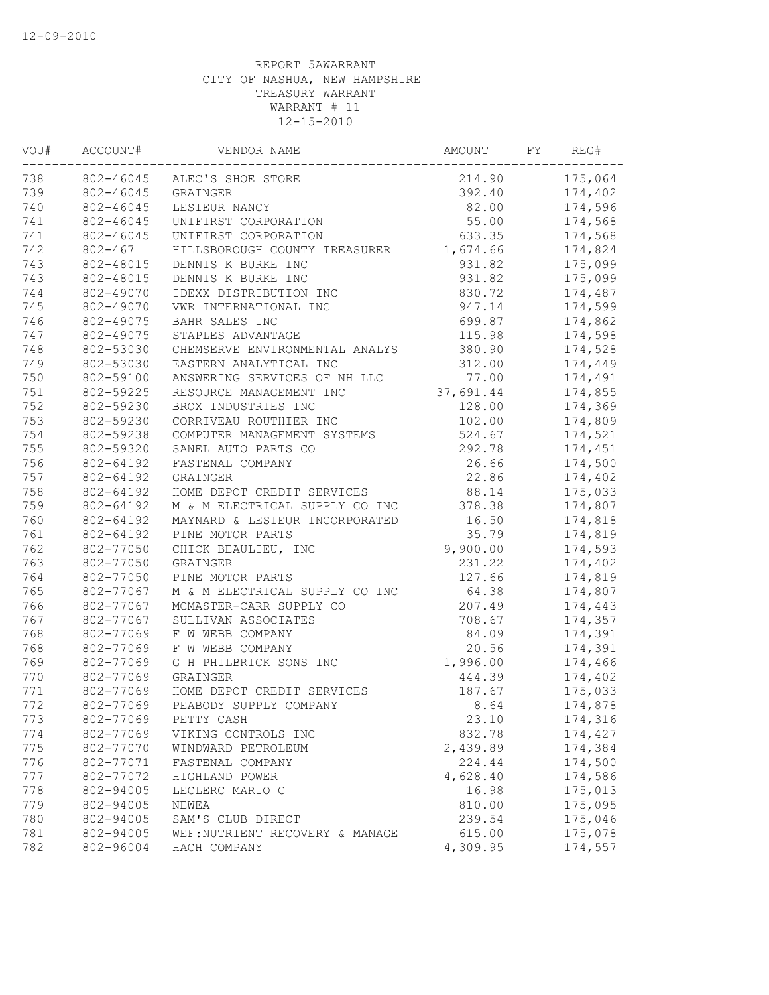| VOU# | ACCOUNT#    | VENDOR NAME                     | AMOUNT    | FY | REG#    |
|------|-------------|---------------------------------|-----------|----|---------|
| 738  |             | 802-46045 ALEC'S SHOE STORE     | 214.90    |    | 175,064 |
| 739  | 802-46045   | GRAINGER                        | 392.40    |    | 174,402 |
| 740  | 802-46045   | LESIEUR NANCY                   | 82.00     |    | 174,596 |
| 741  | 802-46045   | UNIFIRST CORPORATION            | 55.00     |    | 174,568 |
| 741  | 802-46045   | UNIFIRST CORPORATION            | 633.35    |    | 174,568 |
| 742  | $802 - 467$ | HILLSBOROUGH COUNTY TREASURER   | 1,674.66  |    | 174,824 |
| 743  | 802-48015   | DENNIS K BURKE INC              | 931.82    |    | 175,099 |
| 743  | 802-48015   | DENNIS K BURKE INC              | 931.82    |    | 175,099 |
| 744  | 802-49070   | IDEXX DISTRIBUTION INC          | 830.72    |    | 174,487 |
| 745  | 802-49070   | VWR INTERNATIONAL INC           | 947.14    |    | 174,599 |
| 746  | 802-49075   | BAHR SALES INC                  | 699.87    |    | 174,862 |
| 747  | 802-49075   | STAPLES ADVANTAGE               | 115.98    |    | 174,598 |
| 748  | 802-53030   | CHEMSERVE ENVIRONMENTAL ANALYS  | 380.90    |    | 174,528 |
| 749  | 802-53030   | EASTERN ANALYTICAL INC          | 312.00    |    | 174,449 |
| 750  | 802-59100   | ANSWERING SERVICES OF NH LLC    | 77.00     |    | 174,491 |
| 751  | 802-59225   | RESOURCE MANAGEMENT INC         | 37,691.44 |    | 174,855 |
| 752  | 802-59230   | BROX INDUSTRIES INC             | 128.00    |    | 174,369 |
| 753  | 802-59230   | CORRIVEAU ROUTHIER INC          | 102.00    |    | 174,809 |
| 754  | 802-59238   | COMPUTER MANAGEMENT SYSTEMS     | 524.67    |    | 174,521 |
| 755  | 802-59320   | SANEL AUTO PARTS CO             | 292.78    |    | 174,451 |
| 756  | 802-64192   | FASTENAL COMPANY                | 26.66     |    | 174,500 |
| 757  | 802-64192   | GRAINGER                        | 22.86     |    | 174,402 |
| 758  | 802-64192   | HOME DEPOT CREDIT SERVICES      | 88.14     |    | 175,033 |
| 759  | 802-64192   | M & M ELECTRICAL SUPPLY CO INC  | 378.38    |    | 174,807 |
| 760  | 802-64192   | MAYNARD & LESIEUR INCORPORATED  | 16.50     |    | 174,818 |
| 761  | 802-64192   | PINE MOTOR PARTS                | 35.79     |    | 174,819 |
| 762  | 802-77050   | CHICK BEAULIEU, INC             | 9,900.00  |    | 174,593 |
| 763  | 802-77050   | GRAINGER                        | 231.22    |    | 174,402 |
| 764  | 802-77050   | PINE MOTOR PARTS                | 127.66    |    |         |
| 765  | 802-77067   | M & M ELECTRICAL SUPPLY CO INC  | 64.38     |    | 174,819 |
|      |             |                                 |           |    | 174,807 |
| 766  | 802-77067   | MCMASTER-CARR SUPPLY CO         | 207.49    |    | 174,443 |
| 767  | 802-77067   | SULLIVAN ASSOCIATES             | 708.67    |    | 174,357 |
| 768  | 802-77069   | F W WEBB COMPANY                | 84.09     |    | 174,391 |
| 768  | 802-77069   | F W WEBB COMPANY                | 20.56     |    | 174,391 |
| 769  | 802-77069   | G H PHILBRICK SONS INC          | 1,996.00  |    | 174,466 |
| 770  | 802-77069   | GRAINGER                        | 444.39    |    | 174,402 |
| 771  | 802-77069   | HOME DEPOT CREDIT SERVICES      | 187.67    |    | 175,033 |
| 772  | 802-77069   | PEABODY SUPPLY COMPANY          | 8.64      |    | 174,878 |
| 773  | 802-77069   | PETTY CASH                      | 23.10     |    | 174,316 |
| 774  | 802-77069   | VIKING CONTROLS INC             | 832.78    |    | 174,427 |
| 775  | 802-77070   | WINDWARD PETROLEUM              | 2,439.89  |    | 174,384 |
| 776  | 802-77071   | FASTENAL COMPANY                | 224.44    |    | 174,500 |
| 777  | 802-77072   | HIGHLAND POWER                  | 4,628.40  |    | 174,586 |
| 778  | 802-94005   | LECLERC MARIO C                 | 16.98     |    | 175,013 |
| 779  | 802-94005   | NEWEA                           | 810.00    |    | 175,095 |
| 780  | 802-94005   | SAM'S CLUB DIRECT               | 239.54    |    | 175,046 |
| 781  | 802-94005   | WEF: NUTRIENT RECOVERY & MANAGE | 615.00    |    | 175,078 |
| 782  | 802-96004   | HACH COMPANY                    | 4,309.95  |    | 174,557 |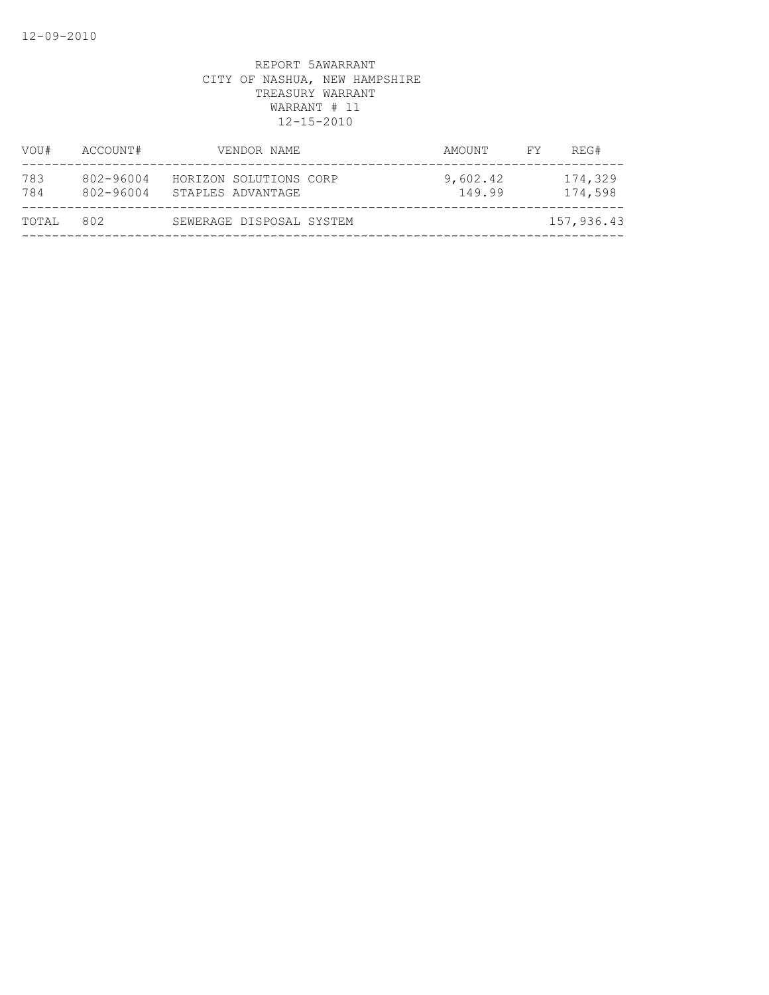| VOU#       | ACCOUNT#               | VENDOR NAME                                 | AMOUNT             | FY. | REG#               |
|------------|------------------------|---------------------------------------------|--------------------|-----|--------------------|
| 783<br>784 | 802-96004<br>802-96004 | HORIZON SOLUTIONS CORP<br>STAPLES ADVANTAGE | 9,602.42<br>149.99 |     | 174,329<br>174,598 |
| TOTAL      | 802                    | SEWERAGE DISPOSAL SYSTEM                    |                    |     | 157,936.43         |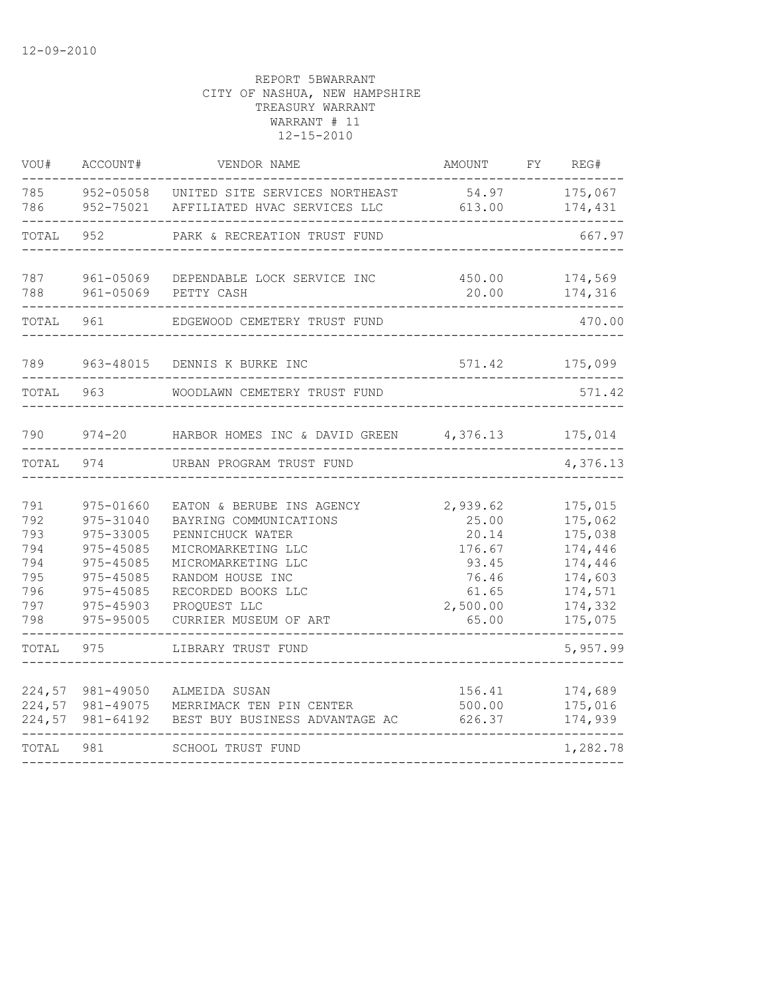| VOU#                                                        | ACCOUNT#                                                                                                          | VENDOR NAME                                                                                                                                                                                            | AMOUNT                                                                               | FY | REG#                                                                                            |
|-------------------------------------------------------------|-------------------------------------------------------------------------------------------------------------------|--------------------------------------------------------------------------------------------------------------------------------------------------------------------------------------------------------|--------------------------------------------------------------------------------------|----|-------------------------------------------------------------------------------------------------|
| 785<br>786                                                  | 952-75021                                                                                                         | 952-05058 UNITED SITE SERVICES NORTHEAST<br>AFFILIATED HVAC SERVICES LLC                                                                                                                               | 54.97<br>613.00                                                                      |    | 175,067<br>174,431                                                                              |
| TOTAL                                                       | 952                                                                                                               | PARK & RECREATION TRUST FUND                                                                                                                                                                           |                                                                                      |    | 667.97                                                                                          |
| 787<br>788                                                  | 961-05069<br>961-05069                                                                                            | DEPENDABLE LOCK SERVICE INC<br>450.00<br>20.00<br>PETTY CASH                                                                                                                                           |                                                                                      |    | 174,569<br>174,316                                                                              |
| TOTAL                                                       | 961                                                                                                               | EDGEWOOD CEMETERY TRUST FUND                                                                                                                                                                           |                                                                                      |    | 470.00                                                                                          |
| 789                                                         | 963-48015                                                                                                         | 571.42<br>DENNIS K BURKE INC                                                                                                                                                                           |                                                                                      |    | 175,099                                                                                         |
| TOTAL 963                                                   |                                                                                                                   | WOODLAWN CEMETERY TRUST FUND                                                                                                                                                                           |                                                                                      |    | 571.42                                                                                          |
| 790                                                         |                                                                                                                   | 974-20 HARBOR HOMES INC & DAVID GREEN 4,376.13                                                                                                                                                         |                                                                                      |    | 175,014                                                                                         |
| TOTAL                                                       | 974                                                                                                               | URBAN PROGRAM TRUST FUND                                                                                                                                                                               |                                                                                      |    | 4,376.13                                                                                        |
| 791<br>792<br>793<br>794<br>794<br>795<br>796<br>797<br>798 | 975-01660<br>975-31040<br>975-33005<br>975-45085<br>975-45085<br>975-45085<br>975-45085<br>975-45903<br>975-95005 | EATON & BERUBE INS AGENCY<br>BAYRING COMMUNICATIONS<br>PENNICHUCK WATER<br>MICROMARKETING LLC<br>MICROMARKETING LLC<br>RANDOM HOUSE INC<br>RECORDED BOOKS LLC<br>PROQUEST LLC<br>CURRIER MUSEUM OF ART | 2,939.62<br>25.00<br>20.14<br>176.67<br>93.45<br>76.46<br>61.65<br>2,500.00<br>65.00 |    | 175,015<br>175,062<br>175,038<br>174,446<br>174,446<br>174,603<br>174,571<br>174,332<br>175,075 |
| TOTAL                                                       | 975                                                                                                               | LIBRARY TRUST FUND                                                                                                                                                                                     |                                                                                      |    | 5,957.99                                                                                        |
| 224,57<br>224,57                                            | 981-49050<br>224,57 981-49075<br>981-64192                                                                        | ALMEIDA SUSAN<br>MERRIMACK TEN PIN CENTER<br>BEST BUY BUSINESS ADVANTAGE AC                                                                                                                            | 156.41<br>500.00<br>626.37                                                           |    | 174,689<br>175,016<br>174,939                                                                   |
| TOTAL                                                       | 981                                                                                                               | SCHOOL TRUST FUND                                                                                                                                                                                      |                                                                                      |    | 1,282.78                                                                                        |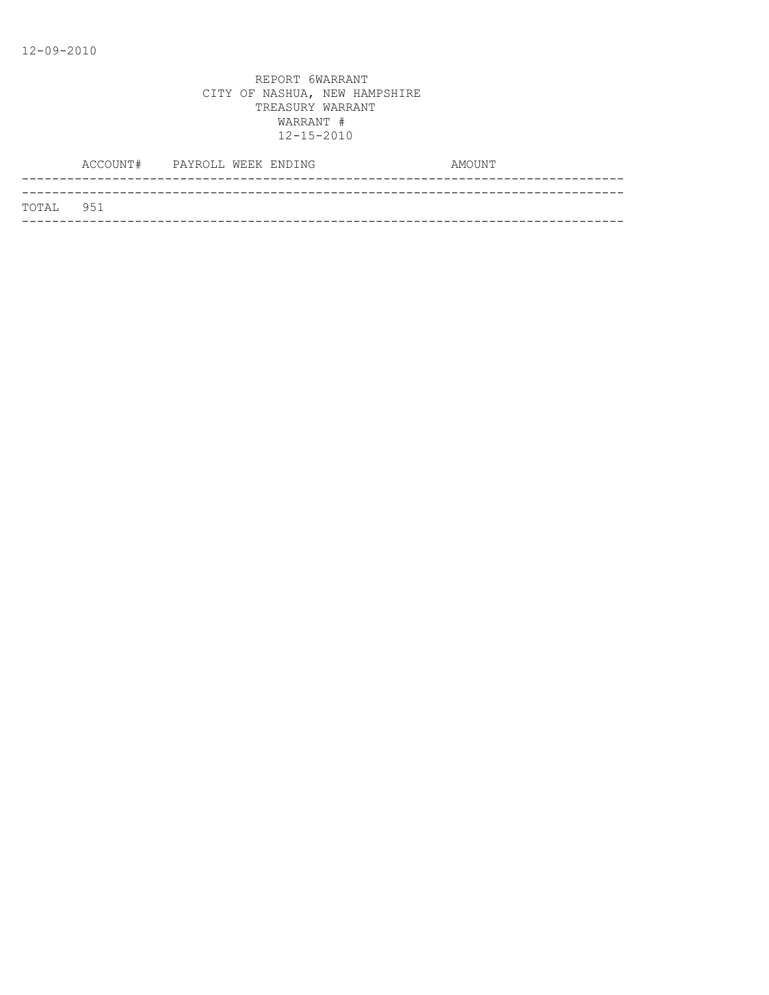|           | ACCOUNT# PAYROLL WEEK ENDING |  | AMOUNT |
|-----------|------------------------------|--|--------|
|           |                              |  |        |
| TOTAL 951 |                              |  |        |
|           |                              |  |        |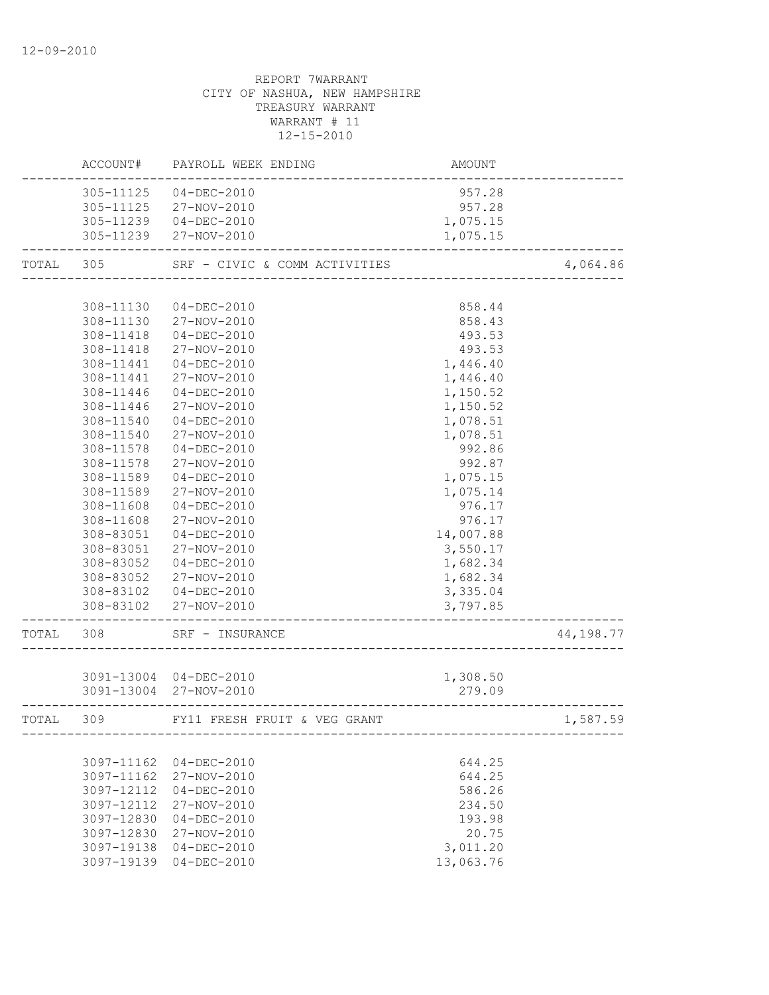# REPORT 7WARRANT CITY OF NASHUA, NEW HAMPSHIRE TREASURY WARRANT WARRANT # 11 12-15-2010 ACCOUNT# PAYROLL WEEK ENDING AMOUNT -------------------------------------------------------------------------------- 305-11125 04-DEC-2010 957.28 305-11125 27-NOV-2010 957.28 305-11239 04-DEC-2010 1,075.15 305-11239 27-NOV-2010 1,075.15 -------------------------------------------------------------------------------- TOTAL 305 SRF - CIVIC & COMM ACTIVITIES 4,064.86 -------------------------------------------------------------------------------- 308-11130 04-DEC-2010 858.44 308-11130 27-NOV-2010 858.43 308-11418 04-DEC-2010 493.53 308-11418 27-NOV-2010 493.53 308-11441 04-DEC-2010 1,446.40 308-11441 27-NOV-2010 1,446.40 308-11446 04-DEC-2010 1,150.52 308-11446 27-NOV-2010 1,150.52 308-11540 04-DEC-2010 1,078.51 308-11540 27-NOV-2010 1,078.51 308-11578 04-DEC-2010 992.86 308-11578 27-NOV-2010 992.87 308-11589 04-DEC-2010 1,075.15 308-11589 27-NOV-2010 1,075.14 308-11608 04-DEC-2010 976.17 308-11608 27-NOV-2010 976.17 308-83051 04-DEC-2010 14,007.88 308-83051 27-NOV-2010 3,550.17 308-83052 04-DEC-2010 1,682.34 308-83052 27-NOV-2010 1,682.34 308-83102 04-DEC-2010 3,335.04

 308-83102 27-NOV-2010 3,797.85 -------------------------------------------------------------------------------- TOTAL 308 SRF – INSURANCE 44,198.77 --------------------------------------------------------------------------------

|       | 3091-13004 | $04 - DEC - 2010$<br>3091-13004 27-NOV-2010 | 1,308.50<br>279.09 |          |
|-------|------------|---------------------------------------------|--------------------|----------|
| TOTAL | 309        | FY11 FRESH FRUIT & VEG GRANT                |                    | 1,587.59 |
|       |            |                                             |                    |          |
|       | 3097-11162 | $04 - DEC - 2010$                           | 644.25             |          |
|       | 3097-11162 | 27-NOV-2010                                 | 644.25             |          |
|       | 3097-12112 | $04 - DEC - 2010$                           | 586.26             |          |
|       | 3097-12112 | 27-NOV-2010                                 | 234.50             |          |
|       | 3097-12830 | $04 - DEC - 2010$                           | 193.98             |          |
|       | 3097-12830 | 27-NOV-2010                                 | 20.75              |          |
|       | 3097-19138 | $04 - DEC - 2010$                           | 3,011.20           |          |
|       | 3097-19139 | 04-DEC-2010                                 | 13,063.76          |          |
|       |            |                                             |                    |          |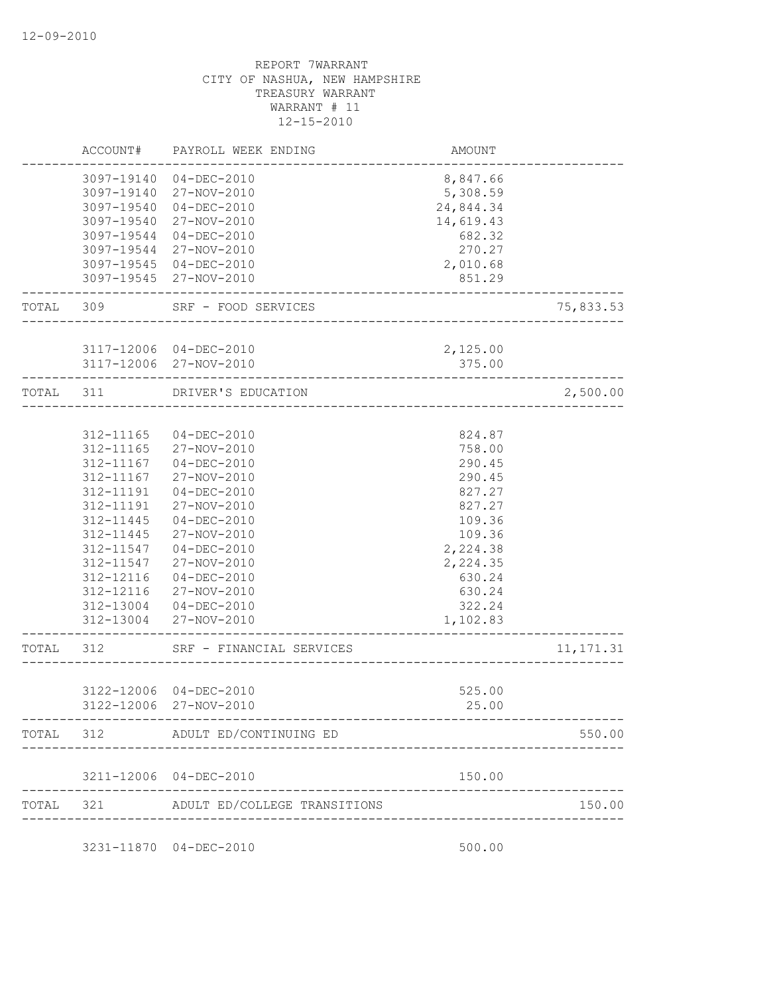|           | ACCOUNT#                 | PAYROLL WEEK ENDING                               | AMOUNT               |            |
|-----------|--------------------------|---------------------------------------------------|----------------------|------------|
|           | 3097-19140<br>3097-19140 | $04 - DEC - 2010$<br>27-NOV-2010                  | 8,847.66<br>5,308.59 |            |
|           | 3097-19540               | $04 - DEC - 2010$                                 | 24,844.34            |            |
|           | 3097-19540               | 27-NOV-2010                                       | 14,619.43            |            |
|           | 3097-19544               | $04 - DEC - 2010$                                 | 682.32               |            |
|           | 3097-19544               | 27-NOV-2010                                       | 270.27               |            |
|           |                          | 3097-19545 04-DEC-2010                            | 2,010.68             |            |
|           |                          | 3097-19545 27-NOV-2010                            | 851.29               |            |
| TOTAL 309 |                          | SRF - FOOD SERVICES<br><u>___________________</u> |                      | 75,833.53  |
|           |                          |                                                   |                      |            |
|           |                          | 3117-12006 04-DEC-2010                            | 2,125.00             |            |
|           |                          | 3117-12006 27-NOV-2010                            | 375.00               |            |
| TOTAL 311 |                          | DRIVER'S EDUCATION                                |                      | 2,500.00   |
|           |                          |                                                   |                      |            |
|           | 312-11165                | $04 - DEC - 2010$                                 | 824.87               |            |
|           | 312-11165                | 27-NOV-2010                                       | 758.00               |            |
|           | 312-11167                | $04 - DEC - 2010$                                 | 290.45               |            |
|           | 312-11167                | 27-NOV-2010                                       | 290.45               |            |
|           | 312-11191                | $04 - DEC - 2010$                                 | 827.27               |            |
|           | 312-11191                | 27-NOV-2010                                       | 827.27               |            |
|           | 312-11445                | $04 - DEC - 2010$                                 | 109.36               |            |
|           | 312-11445                | 27-NOV-2010                                       | 109.36               |            |
|           | 312-11547                | $04 - DEC - 2010$                                 | 2,224.38             |            |
|           | 312-11547                | 27-NOV-2010                                       | 2,224.35             |            |
|           | 312-12116                | $04 - DEC - 2010$                                 | 630.24               |            |
|           | 312-12116                | 27-NOV-2010                                       | 630.24               |            |
|           |                          | 312-13004 04-DEC-2010                             | 322.24               |            |
|           |                          | 312-13004 27-NOV-2010                             | 1,102.83             |            |
| TOTAL     | 312                      | SRF - FINANCIAL SERVICES                          |                      | 11, 171.31 |
|           |                          |                                                   |                      |            |
|           |                          | 3122-12006 04-DEC-2010                            | 525.00               |            |
|           |                          | 3122-12006 27-NOV-2010                            | 25.00                |            |
|           |                          | TOTAL 312 ADULT ED/CONTINUING ED                  |                      | 550.00     |
|           |                          | 3211-12006 04-DEC-2010                            | 150.00               |            |
|           |                          |                                                   |                      |            |
| TOTAL     |                          | 321 ADULT ED/COLLEGE TRANSITIONS                  |                      | 150.00     |
|           |                          | 3231-11870 04-DEC-2010                            | 500.00               |            |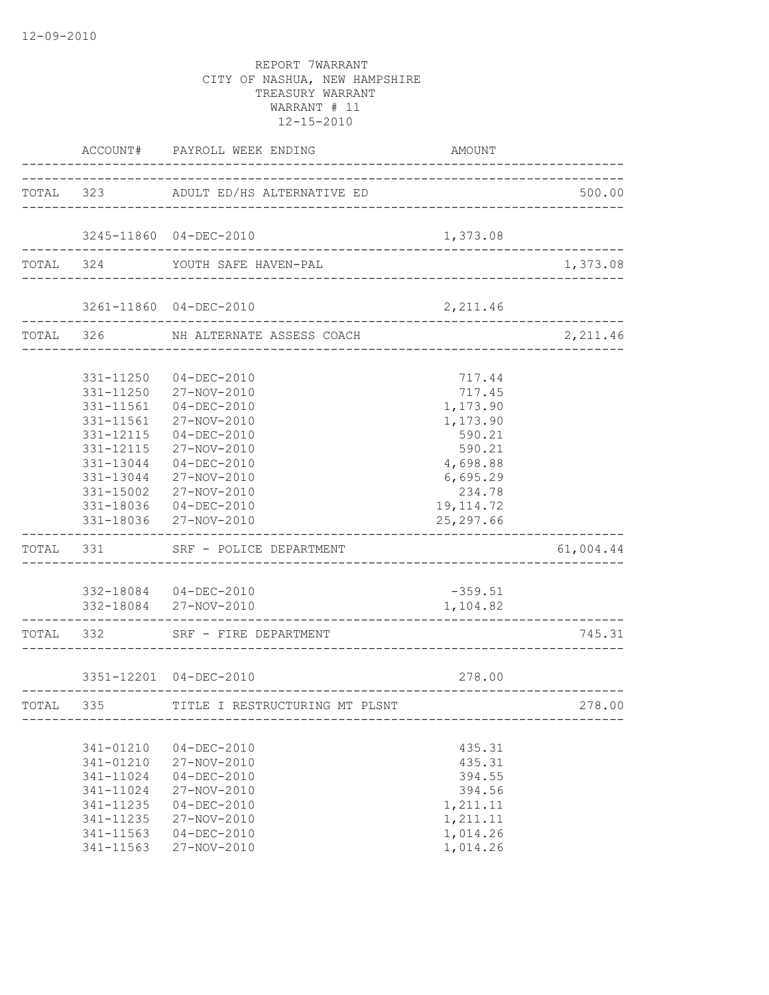|                                                                                                      | ACCOUNT# PAYROLL WEEK ENDING                                                                                                                                                                                          | AMOUNT                                                                                                                     |           |
|------------------------------------------------------------------------------------------------------|-----------------------------------------------------------------------------------------------------------------------------------------------------------------------------------------------------------------------|----------------------------------------------------------------------------------------------------------------------------|-----------|
|                                                                                                      | TOTAL 323 ADULT ED/HS ALTERNATIVE ED                                                                                                                                                                                  |                                                                                                                            | 500.00    |
|                                                                                                      | 3245-11860 04-DEC-2010                                                                                                                                                                                                | 1,373.08                                                                                                                   |           |
|                                                                                                      | TOTAL 324 YOUTH SAFE HAVEN-PAL                                                                                                                                                                                        |                                                                                                                            | 1,373.08  |
|                                                                                                      | 3261-11860 04-DEC-2010                                                                                                                                                                                                | 2,211.46                                                                                                                   |           |
|                                                                                                      | ______________________<br>TOTAL 326 NH ALTERNATE ASSESS COACH                                                                                                                                                         |                                                                                                                            | 2,211.46  |
| 331-11250<br>331-11250<br>331-11561<br>331-11561<br>331-12115<br>331-12115<br>331-15002              | 04-DEC-2010<br>27-NOV-2010<br>$04 - DEC - 2010$<br>27-NOV-2010<br>$04 - DEC - 2010$<br>27-NOV-2010<br>331-13044 04-DEC-2010<br>331-13044 27-NOV-2010<br>27-NOV-2010<br>331-18036 04-DEC-2010<br>331-18036 27-NOV-2010 | 717.44<br>717.45<br>1,173.90<br>1,173.90<br>590.21<br>590.21<br>4,698.88<br>6,695.29<br>234.78<br>19, 114.72<br>25, 297.66 |           |
|                                                                                                      | TOTAL 331 SRF - POLICE DEPARTMENT                                                                                                                                                                                     |                                                                                                                            | 61,004.44 |
|                                                                                                      | 332-18084 04-DEC-2010<br>332-18084 27-NOV-2010                                                                                                                                                                        | $-359.51$<br>1,104.82                                                                                                      |           |
|                                                                                                      | TOTAL 332 SRF - FIRE DEPARTMENT                                                                                                                                                                                       |                                                                                                                            | 745.31    |
|                                                                                                      | 3351-12201 04-DEC-2010                                                                                                                                                                                                | 278.00                                                                                                                     |           |
|                                                                                                      | TOTAL 335 TITLE I RESTRUCTURING MT PLSNT<br>---------------------------                                                                                                                                               |                                                                                                                            | 278.00    |
| 341-01210<br>341-01210<br>341-11024<br>341-11024<br>341-11235<br>341-11235<br>341-11563<br>341-11563 | $04 - DEC - 2010$<br>27-NOV-2010<br>$04 - DEC - 2010$<br>27-NOV-2010<br>$04 - DEC - 2010$<br>27-NOV-2010<br>$04 - DEC - 2010$<br>27-NOV-2010                                                                          | 435.31<br>435.31<br>394.55<br>394.56<br>1,211.11<br>1,211.11<br>1,014.26<br>1,014.26                                       |           |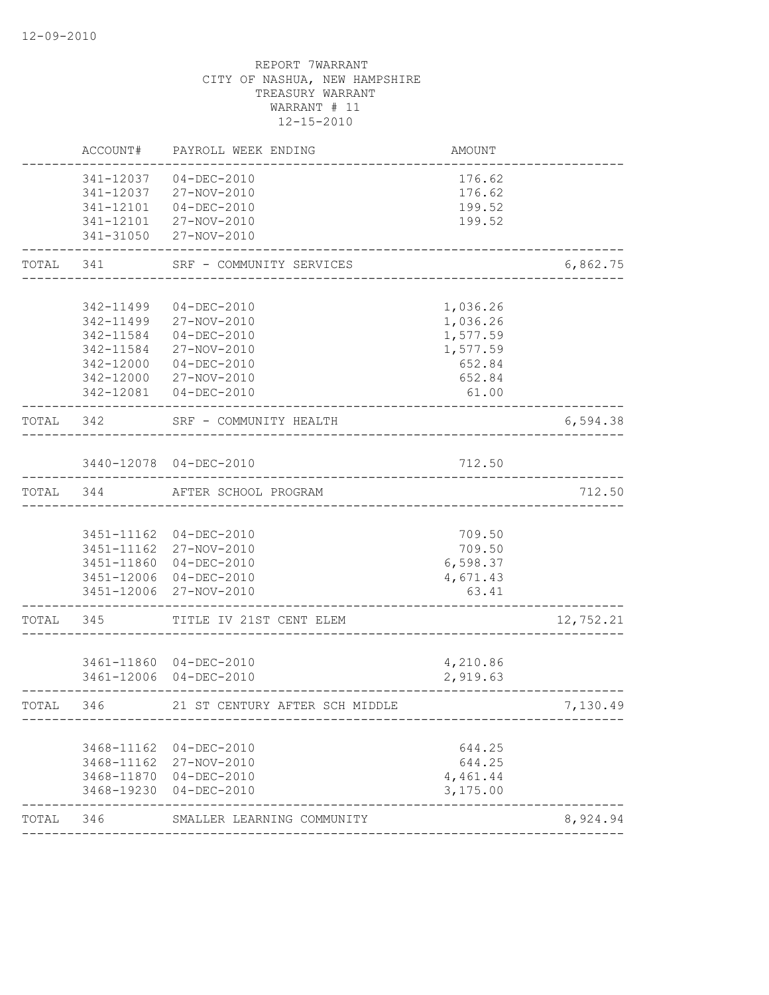|           | ACCOUNT#               | PAYROLL WEEK ENDING            | AMOUNT               |           |
|-----------|------------------------|--------------------------------|----------------------|-----------|
|           | 341-12037              | 04-DEC-2010                    | 176.62               |           |
|           | 341-12037              | 27-NOV-2010                    | 176.62               |           |
|           |                        | 341-12101  04-DEC-2010         | 199.52               |           |
|           |                        | 341-12101 27-NOV-2010          | 199.52               |           |
|           |                        | 341-31050 27-NOV-2010          |                      |           |
| TOTAL     | 341                    | SRF - COMMUNITY SERVICES       |                      | 6,862.75  |
|           |                        |                                |                      |           |
|           | 342-11499              | $04 - DEC - 2010$              | 1,036.26             |           |
|           | 342-11499              | 27-NOV-2010                    | 1,036.26             |           |
|           | 342-11584<br>342-11584 | $04 - DEC - 2010$              | 1,577.59<br>1,577.59 |           |
|           | 342-12000              | 27-NOV-2010<br>04-DEC-2010     | 652.84               |           |
|           |                        | 342-12000 27-NOV-2010          | 652.84               |           |
|           |                        | 342-12081  04-DEC-2010         | 61.00                |           |
| TOTAL 342 |                        | SRF - COMMUNITY HEALTH         |                      | 6,594.38  |
|           |                        | ______________                 |                      |           |
|           |                        | 3440-12078 04-DEC-2010         | 712.50               |           |
| TOTAL 344 |                        | AFTER SCHOOL PROGRAM           |                      | 712.50    |
|           |                        |                                |                      |           |
|           |                        | 3451-11162 04-DEC-2010         | 709.50               |           |
|           |                        | 3451-11162 27-NOV-2010         | 709.50               |           |
|           |                        | 3451-11860 04-DEC-2010         | 6,598.37             |           |
|           |                        | 3451-12006 04-DEC-2010         | 4,671.43             |           |
|           |                        | 3451-12006 27-NOV-2010         | 63.41                |           |
| TOTAL     | 345                    | TITLE IV 21ST CENT ELEM        |                      | 12,752.21 |
|           |                        | 3461-11860 04-DEC-2010         | 4,210.86             |           |
|           |                        | 3461-12006 04-DEC-2010         | 2,919.63             |           |
| TOTAL     | 346                    | 21 ST CENTURY AFTER SCH MIDDLE |                      | 7,130.49  |
|           |                        |                                |                      |           |
|           | 3468-11162             | 04-DEC-2010                    | 644.25               |           |
|           |                        | 3468-11162 27-NOV-2010         | 644.25               |           |
|           |                        | 3468-11870 04-DEC-2010         | 4,461.44             |           |
|           | 3468-19230             | 04-DEC-2010                    | 3,175.00             |           |
| TOTAL     | 346                    | SMALLER LEARNING COMMUNITY     |                      | 8,924.94  |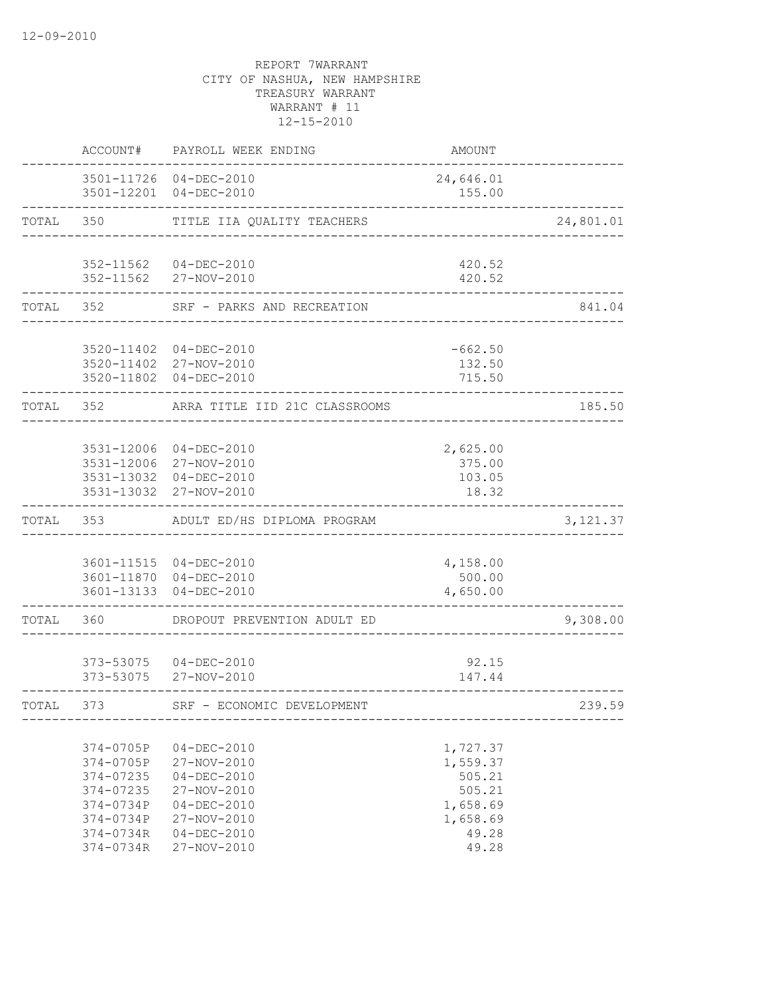|           | ACCOUNT#                                                                                             | PAYROLL WEEK ENDING                                                                                                                          | AMOUNT                                                                             |           |
|-----------|------------------------------------------------------------------------------------------------------|----------------------------------------------------------------------------------------------------------------------------------------------|------------------------------------------------------------------------------------|-----------|
|           |                                                                                                      | 3501-11726 04-DEC-2010<br>3501-12201 04-DEC-2010                                                                                             | 24,646.01<br>155.00                                                                |           |
| TOTAL     | 350                                                                                                  | TITLE IIA QUALITY TEACHERS                                                                                                                   |                                                                                    | 24,801.01 |
|           |                                                                                                      | 352-11562 04-DEC-2010<br>352-11562 27-NOV-2010                                                                                               | 420.52<br>420.52                                                                   |           |
| TOTAL 352 |                                                                                                      | SRF - PARKS AND RECREATION                                                                                                                   |                                                                                    | 841.04    |
|           |                                                                                                      | 3520-11402 04-DEC-2010<br>3520-11402 27-NOV-2010<br>3520-11802 04-DEC-2010                                                                   | $-662.50$<br>132.50<br>715.50                                                      |           |
| TOTAL 352 |                                                                                                      | ARRA TITLE IID 21C CLASSROOMS                                                                                                                |                                                                                    | 185.50    |
|           |                                                                                                      | 3531-12006 04-DEC-2010<br>3531-12006 27-NOV-2010<br>3531-13032 04-DEC-2010<br>3531-13032 27-NOV-2010                                         | 2,625.00<br>375.00<br>103.05<br>18.32                                              |           |
| TOTAL 353 |                                                                                                      | ADULT ED/HS DIPLOMA PROGRAM                                                                                                                  |                                                                                    | 3, 121.37 |
|           |                                                                                                      | 3601-11515 04-DEC-2010<br>3601-11870 04-DEC-2010<br>3601-13133 04-DEC-2010                                                                   | 4,158.00<br>500.00<br>4,650.00                                                     |           |
| TOTAL     | 360                                                                                                  | DROPOUT PREVENTION ADULT ED                                                                                                                  |                                                                                    | 9,308.00  |
|           | 373-53075                                                                                            | 373-53075  04-DEC-2010<br>27-NOV-2010                                                                                                        | 92.15<br>147.44                                                                    |           |
| TOTAL     | 373                                                                                                  | SRF - ECONOMIC DEVELOPMENT                                                                                                                   |                                                                                    | 239.59    |
|           | 374-0705P<br>374-0705P<br>374-07235<br>374-07235<br>374-0734P<br>374-0734P<br>374-0734R<br>374-0734R | $04 - DEC - 2010$<br>27-NOV-2010<br>$04 - DEC - 2010$<br>27-NOV-2010<br>$04 - DEC - 2010$<br>27-NOV-2010<br>$04 - DEC - 2010$<br>27-NOV-2010 | 1,727.37<br>1,559.37<br>505.21<br>505.21<br>1,658.69<br>1,658.69<br>49.28<br>49.28 |           |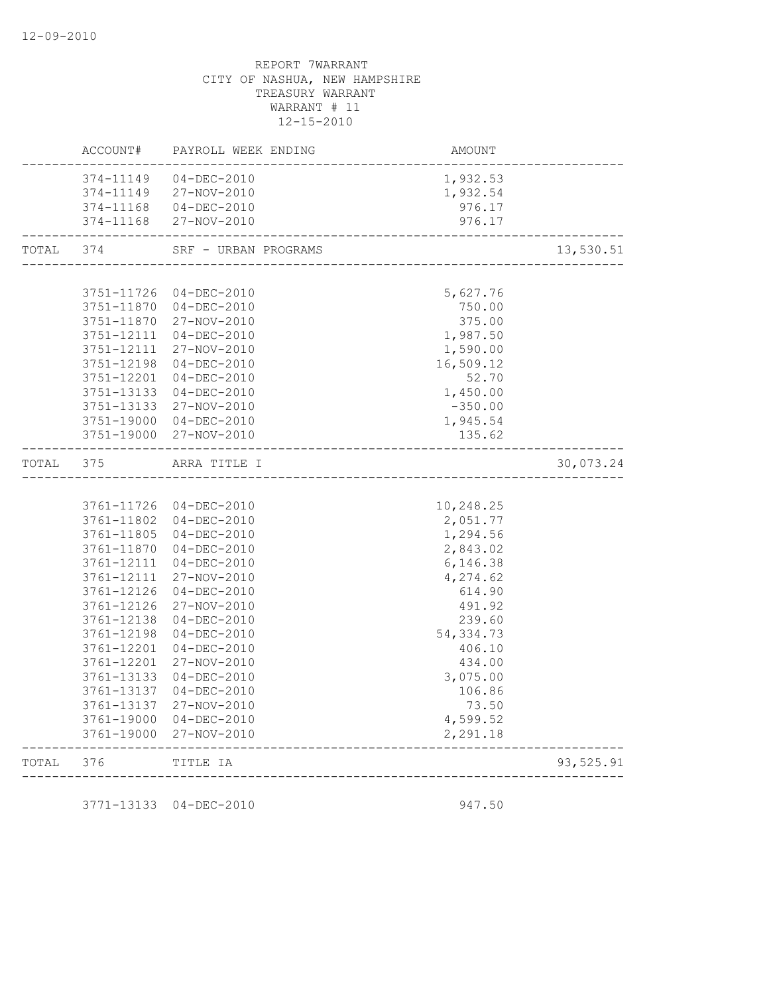|       | ACCOUNT#   | PAYROLL WEEK ENDING    | AMOUNT               |           |
|-------|------------|------------------------|----------------------|-----------|
|       | 374-11149  | 04-DEC-2010            | 1,932.53             |           |
|       | 374-11149  | 27-NOV-2010            | 1,932.54             |           |
|       | 374-11168  | 04-DEC-2010            | 976.17               |           |
|       | 374-11168  | 27-NOV-2010            | 976.17               |           |
| TOTAL | 374        | SRF - URBAN PROGRAMS   | ____________________ | 13,530.51 |
|       |            |                        |                      |           |
|       | 3751-11726 | 04-DEC-2010            | 5,627.76             |           |
|       | 3751-11870 | $04 - DEC - 2010$      | 750.00               |           |
|       | 3751-11870 | 27-NOV-2010            | 375.00               |           |
|       | 3751-12111 | 04-DEC-2010            | 1,987.50             |           |
|       | 3751-12111 | 27-NOV-2010            | 1,590.00             |           |
|       | 3751-12198 | 04-DEC-2010            | 16,509.12            |           |
|       | 3751-12201 | $04 - DEC - 2010$      | 52.70                |           |
|       | 3751-13133 | 04-DEC-2010            | 1,450.00             |           |
|       | 3751-13133 | 27-NOV-2010            | $-350.00$            |           |
|       | 3751-19000 | 04-DEC-2010            | 1,945.54             |           |
|       | 3751-19000 | 27-NOV-2010            | 135.62               |           |
| TOTAL | 375        | ARRA TITLE I           |                      | 30,073.24 |
|       |            |                        |                      |           |
|       |            | 3761-11726 04-DEC-2010 | 10,248.25            |           |
|       | 3761-11802 | 04-DEC-2010            | 2,051.77             |           |
|       | 3761-11805 | $04 - DEC - 2010$      | 1,294.56             |           |
|       | 3761-11870 | 04-DEC-2010            | 2,843.02             |           |
|       | 3761-12111 | 04-DEC-2010            | 6,146.38             |           |
|       | 3761-12111 | 27-NOV-2010            | 4,274.62             |           |
|       | 3761-12126 | 04-DEC-2010            | 614.90               |           |
|       | 3761-12126 | 27-NOV-2010            | 491.92               |           |
|       | 3761-12138 | 04-DEC-2010            | 239.60               |           |
|       | 3761-12198 | $04 - DEC - 2010$      | 54, 334.73           |           |
|       | 3761-12201 | $04 - DEC - 2010$      | 406.10               |           |
|       | 3761-12201 | 27-NOV-2010            | 434.00               |           |
|       | 3761-13133 | 04-DEC-2010            | 3,075.00             |           |
|       | 3761-13137 | $04 - DEC - 2010$      | 106.86               |           |
|       | 3761-13137 | 27-NOV-2010            | 73.50                |           |
|       | 3761-19000 | 04-DEC-2010            | 4,599.52             |           |
|       | 3761-19000 | 27-NOV-2010            | 2,291.18             |           |
|       |            |                        |                      |           |

3771-13133 04-DEC-2010 947.50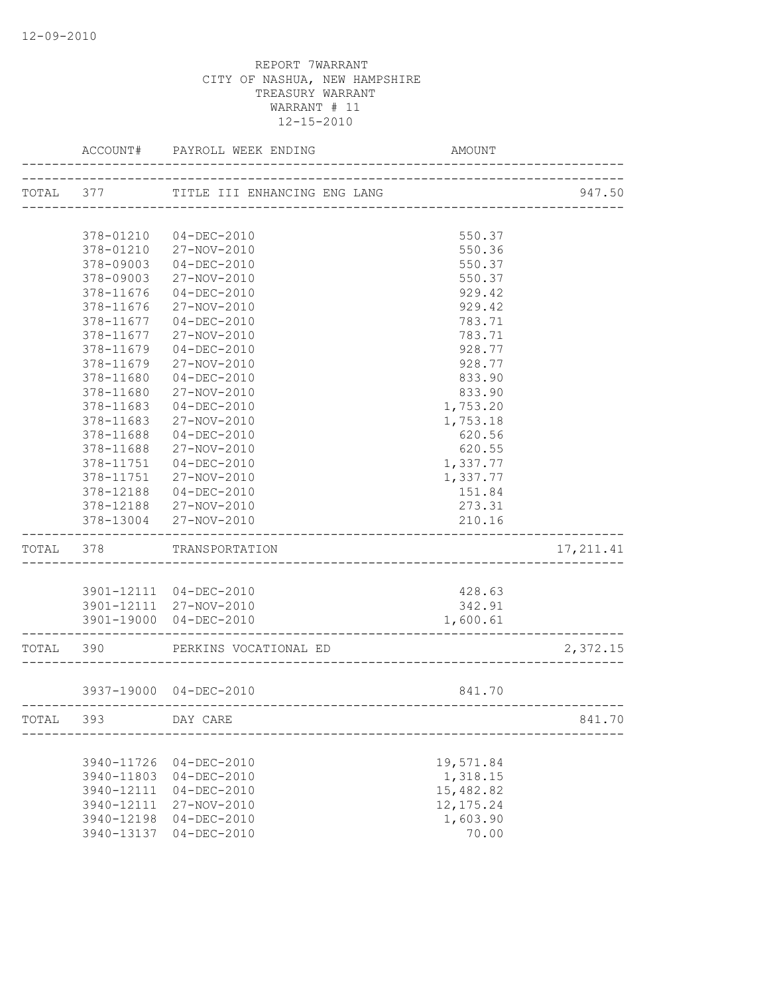|           | ACCOUNT#   | PAYROLL WEEK ENDING          | AMOUNT                           |            |
|-----------|------------|------------------------------|----------------------------------|------------|
| TOTAL 377 |            | TITLE III ENHANCING ENG LANG |                                  | 947.50     |
|           |            |                              | -------------------------------- |            |
|           | 378-01210  | 04-DEC-2010                  | 550.37                           |            |
|           | 378-01210  | 27-NOV-2010                  | 550.36                           |            |
|           | 378-09003  | $04 - DEC - 2010$            | 550.37                           |            |
|           | 378-09003  | 27-NOV-2010                  | 550.37                           |            |
|           | 378-11676  | $04 - DEC - 2010$            | 929.42                           |            |
|           | 378-11676  | 27-NOV-2010                  | 929.42                           |            |
|           | 378-11677  | $04 - DEC - 2010$            | 783.71                           |            |
|           | 378-11677  | 27-NOV-2010                  | 783.71                           |            |
|           | 378-11679  | $04 - DEC - 2010$            | 928.77                           |            |
|           | 378-11679  | 27-NOV-2010                  | 928.77                           |            |
|           | 378-11680  | $04 - DEC - 2010$            | 833.90                           |            |
|           | 378-11680  | 27-NOV-2010                  | 833.90                           |            |
|           | 378-11683  | $04 - DEC - 2010$            | 1,753.20                         |            |
|           | 378-11683  | 27-NOV-2010                  | 1,753.18                         |            |
|           | 378-11688  | $04 - DEC - 2010$            | 620.56                           |            |
|           | 378-11688  | 27-NOV-2010                  | 620.55                           |            |
|           | 378-11751  | $04 - DEC - 2010$            | 1,337.77                         |            |
|           | 378-11751  | 27-NOV-2010                  | 1,337.77                         |            |
|           | 378-12188  | 04-DEC-2010                  | 151.84                           |            |
|           | 378-12188  | 27-NOV-2010                  | 273.31                           |            |
|           | 378-13004  | 27-NOV-2010                  | 210.16                           |            |
| TOTAL 378 |            | TRANSPORTATION               |                                  | 17, 211.41 |
|           |            |                              |                                  |            |
|           |            | 3901-12111 04-DEC-2010       | 428.63                           |            |
|           |            | 3901-12111 27-NOV-2010       | 342.91                           |            |
|           |            | 3901-19000 04-DEC-2010       | 1,600.61                         |            |
| TOTAL 390 |            | PERKINS VOCATIONAL ED        |                                  | 2,372.15   |
|           |            | 3937-19000 04-DEC-2010       | 841.70                           |            |
| TOTAL     | 393        | DAY CARE                     |                                  | 841.70     |
|           |            |                              |                                  |            |
|           | 3940-11726 | $04 - DEC - 2010$            | 19,571.84                        |            |
|           | 3940-11803 | $04 - DEC - 2010$            | 1,318.15                         |            |
|           | 3940-12111 | $04 - DEC - 2010$            | 15,482.82                        |            |
|           | 3940-12111 | 27-NOV-2010                  | 12, 175.24                       |            |
|           | 3940-12198 | $04 - DEC - 2010$            | 1,603.90                         |            |
|           | 3940-13137 | $04 - DEC - 2010$            | 70.00                            |            |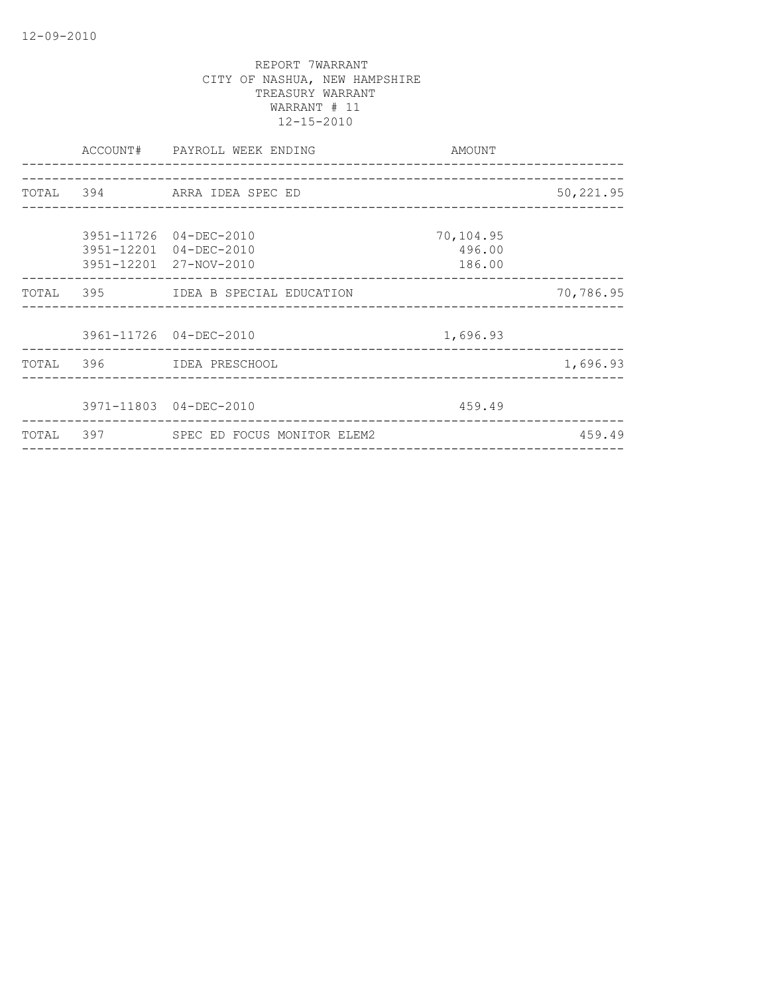|  | ACCOUNT# PAYROLL WEEK ENDING<br>_______________________ | AMOUNT                        |           |
|--|---------------------------------------------------------|-------------------------------|-----------|
|  |                                                         |                               |           |
|  | TOTAL 394 ARRA IDEA SPEC ED                             |                               | 50,221.95 |
|  |                                                         |                               |           |
|  | 3951-11726 04-DEC-2010                                  | 70,104.95                     |           |
|  | 3951-12201 04-DEC-2010                                  | 496.00                        |           |
|  | 3951-12201 27-NOV-2010                                  | 186.00                        |           |
|  | TOTAL 395 IDEA B SPECIAL EDUCATION                      |                               | 70,786.95 |
|  |                                                         |                               |           |
|  | 3961-11726 04-DEC-2010                                  | 1,696.93                      |           |
|  | TOTAL 396 IDEA PRESCHOOL                                |                               | 1,696.93  |
|  |                                                         |                               |           |
|  | 3971-11803 04-DEC-2010                                  | 459.49                        |           |
|  | TOTAL 397 SPEC ED FOCUS MONITOR ELEM2                   | _____________________________ | 459.49    |
|  |                                                         |                               |           |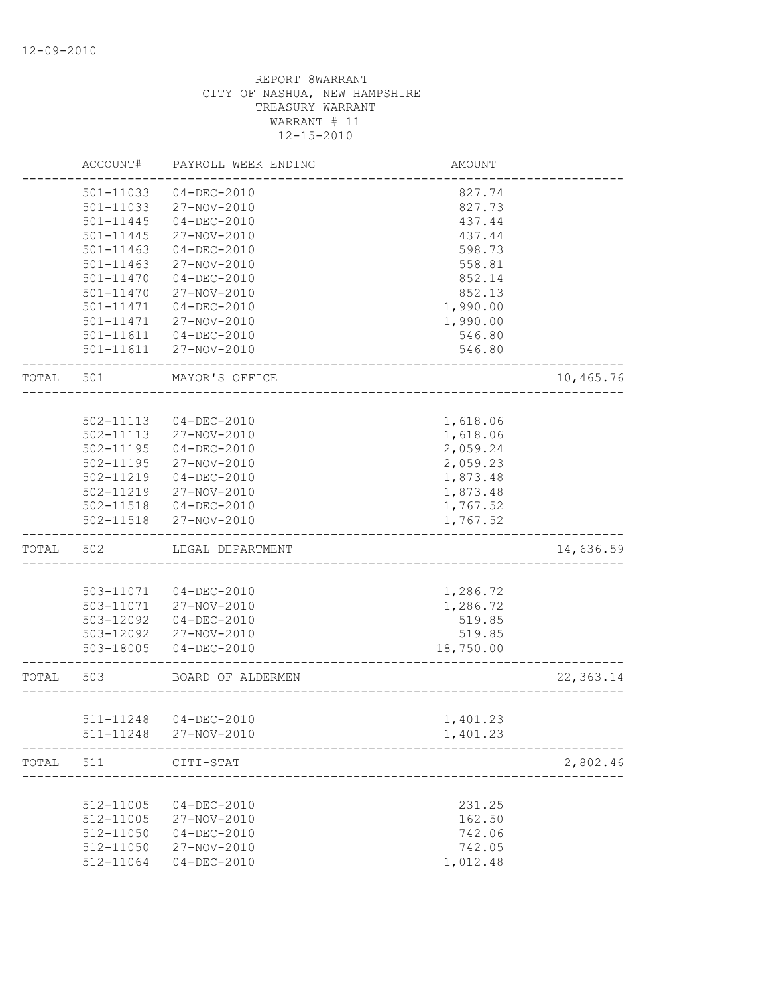|       | ACCOUNT#  | PAYROLL WEEK ENDING    | AMOUNT                  |            |
|-------|-----------|------------------------|-------------------------|------------|
|       | 501-11033 | $04 - DEC - 2010$      | 827.74                  |            |
|       | 501-11033 | 27-NOV-2010            | 827.73                  |            |
|       | 501-11445 | $04 - DEC - 2010$      | 437.44                  |            |
|       | 501-11445 | 27-NOV-2010            | 437.44                  |            |
|       | 501-11463 | $04 - DEC - 2010$      | 598.73                  |            |
|       | 501-11463 | 27-NOV-2010            | 558.81                  |            |
|       | 501-11470 | $04 - DEC - 2010$      | 852.14                  |            |
|       | 501-11470 | 27-NOV-2010            | 852.13                  |            |
|       | 501-11471 | $04 - DEC - 2010$      | 1,990.00                |            |
|       | 501-11471 | 27-NOV-2010            | 1,990.00                |            |
|       |           | 501-11611  04-DEC-2010 | 546.80                  |            |
|       | 501-11611 | 27-NOV-2010            | 546.80                  |            |
| TOTAL | 501       | MAYOR'S OFFICE         |                         | 10,465.76  |
|       |           |                        |                         |            |
|       | 502-11113 | $04 - DEC - 2010$      | 1,618.06                |            |
|       | 502-11113 | 27-NOV-2010            | 1,618.06                |            |
|       | 502-11195 | $04-DEC-2010$          | 2,059.24                |            |
|       | 502-11195 | 27-NOV-2010            | 2,059.23                |            |
|       | 502-11219 | 04-DEC-2010            | 1,873.48                |            |
|       | 502-11219 | 27-NOV-2010            | 1,873.48                |            |
|       | 502-11518 | 04-DEC-2010            | 1,767.52                |            |
|       | 502-11518 | 27-NOV-2010            | 1,767.52                |            |
| TOTAL | 502       | LEGAL DEPARTMENT       |                         | 14,636.59  |
|       |           |                        |                         |            |
|       | 503-11071 | $04 - DEC - 2010$      | 1,286.72                |            |
|       | 503-11071 | 27-NOV-2010            | 1,286.72                |            |
|       | 503-12092 | $04 - DEC - 2010$      | 519.85                  |            |
|       | 503-12092 | 27-NOV-2010            | 519.85                  |            |
|       | 503-18005 | $04 - DEC - 2010$      | 18,750.00               |            |
| TOTAL | 503       | BOARD OF ALDERMEN      | ----------------------- | 22, 363.14 |
|       |           |                        |                         |            |
|       | 511-11248 | 04-DEC-2010            | 1,401.23                |            |
|       | 511-11248 | 27-NOV-2010            | 1,401.23                |            |
| TOTAL | 511       | CITI-STAT              |                         | 2,802.46   |
|       |           |                        |                         |            |
|       | 512-11005 | $04 - DEC - 2010$      | 231.25                  |            |
|       | 512-11005 | 27-NOV-2010            | 162.50                  |            |
|       | 512-11050 | $04 - DEC - 2010$      | 742.06                  |            |
|       | 512-11050 | 27-NOV-2010            | 742.05                  |            |
|       | 512-11064 | $04 - DEC - 2010$      | 1,012.48                |            |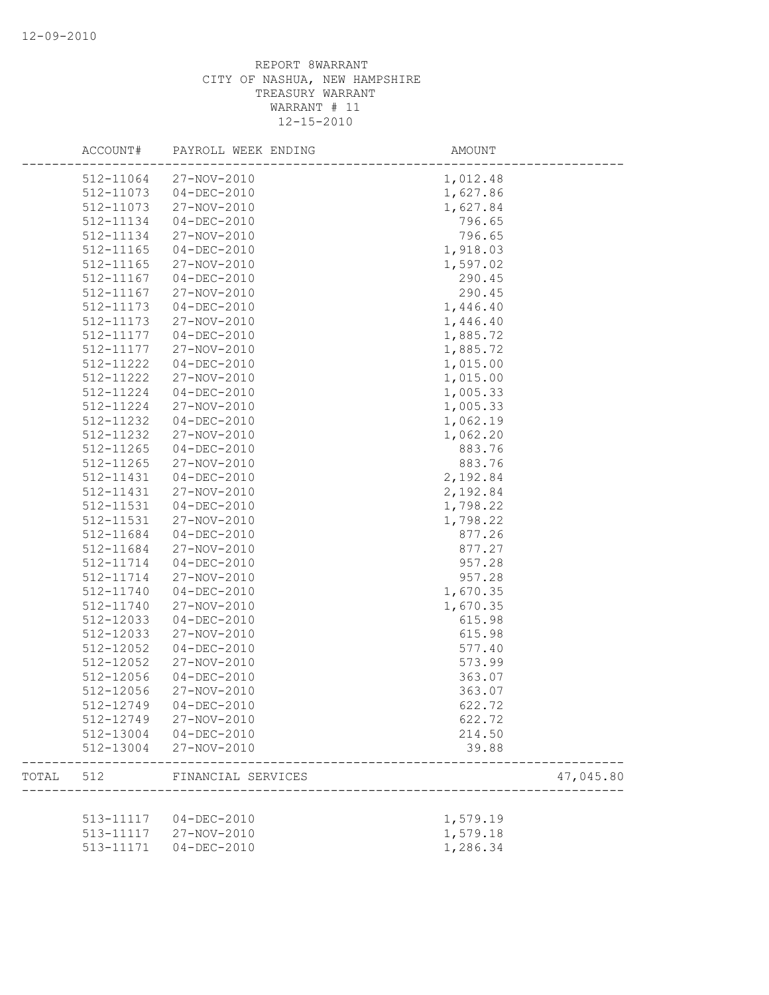|       | ACCOUNT#      | PAYROLL WEEK ENDING    | AMOUNT   |           |
|-------|---------------|------------------------|----------|-----------|
|       | 512-11064     | 27-NOV-2010            | 1,012.48 |           |
|       | 512-11073     | $04 - DEC - 2010$      | 1,627.86 |           |
|       | 512-11073     | 27-NOV-2010            | 1,627.84 |           |
|       | 512-11134     | $04-DEC-2010$          | 796.65   |           |
|       | 512-11134     | 27-NOV-2010            | 796.65   |           |
|       | 512-11165     | $04 - DEC - 2010$      | 1,918.03 |           |
|       | 512-11165     | 27-NOV-2010            | 1,597.02 |           |
|       | 512-11167     | $04 - DEC - 2010$      | 290.45   |           |
|       | 512-11167     | 27-NOV-2010            | 290.45   |           |
|       | 512-11173     | $04 - DEC - 2010$      | 1,446.40 |           |
|       | 512-11173     | 27-NOV-2010            | 1,446.40 |           |
|       | 512-11177     | $04 - DEC - 2010$      | 1,885.72 |           |
|       | 512-11177     | 27-NOV-2010            | 1,885.72 |           |
|       | 512-11222     | $04 - DEC - 2010$      | 1,015.00 |           |
|       | 512-11222     | 27-NOV-2010            | 1,015.00 |           |
|       | 512-11224     | $04-DEC-2010$          | 1,005.33 |           |
|       | 512-11224     | 27-NOV-2010            | 1,005.33 |           |
|       | 512-11232     | $04 - DEC - 2010$      | 1,062.19 |           |
|       | 512-11232     | 27-NOV-2010            | 1,062.20 |           |
|       | 512-11265     | $04-DEC-2010$          | 883.76   |           |
|       | $512 - 11265$ | 27-NOV-2010            | 883.76   |           |
|       | 512-11431     | $04-DEC-2010$          | 2,192.84 |           |
|       | 512-11431     | 27-NOV-2010            | 2,192.84 |           |
|       | 512-11531     | $04 - DEC - 2010$      | 1,798.22 |           |
|       | 512-11531     | 27-NOV-2010            | 1,798.22 |           |
|       | 512-11684     | $04 - DEC - 2010$      | 877.26   |           |
|       | 512-11684     | 27-NOV-2010            | 877.27   |           |
|       | 512-11714     | $04 - DEC - 2010$      | 957.28   |           |
|       | 512-11714     | 27-NOV-2010            | 957.28   |           |
|       | 512-11740     | $04 - DEC - 2010$      | 1,670.35 |           |
|       | 512-11740     | 27-NOV-2010            | 1,670.35 |           |
|       | 512-12033     | $04 - DEC - 2010$      | 615.98   |           |
|       | 512-12033     | 27-NOV-2010            | 615.98   |           |
|       | 512-12052     | $04 - DEC - 2010$      | 577.40   |           |
|       | 512-12052     | 27-NOV-2010            | 573.99   |           |
|       | 512-12056     | $04 - DEC - 2010$      | 363.07   |           |
|       | 512-12056     | 27-NOV-2010            | 363.07   |           |
|       |               | 512-12749 04-DEC-2010  | 622.72   |           |
|       |               | 512-12749 27-NOV-2010  | 622.72   |           |
|       |               | 512-13004 04-DEC-2010  | 214.50   |           |
|       | 512-13004     | 27-NOV-2010            | 39.88    |           |
| TOTAL | 512           | FINANCIAL SERVICES     |          | 47,045.80 |
|       |               |                        |          |           |
|       |               | 513-11117  04-DEC-2010 | 1,579.19 |           |
|       | 513-11117     | 27-NOV-2010            | 1,579.18 |           |
|       | 513-11171     | $04 - DEC - 2010$      | 1,286.34 |           |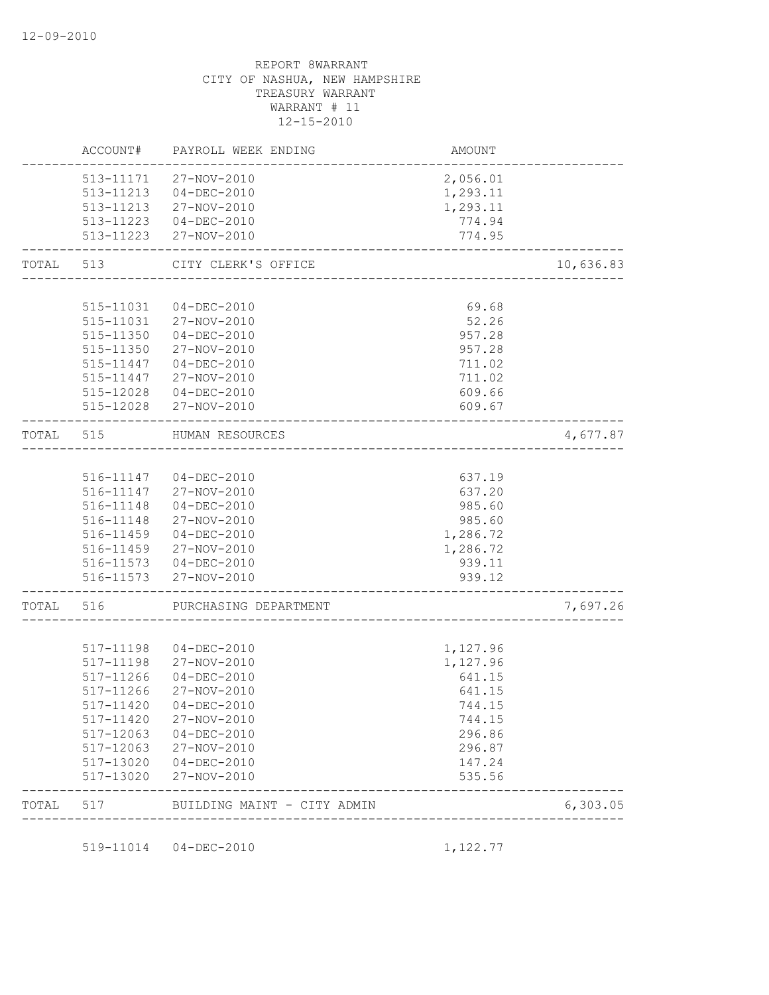|       | ACCOUNT#               | PAYROLL WEEK ENDING                           | AMOUNT           |           |
|-------|------------------------|-----------------------------------------------|------------------|-----------|
|       | 513-11171              | 27-NOV-2010                                   | 2,056.01         |           |
|       |                        | 513-11213  04-DEC-2010                        | 1,293.11         |           |
|       |                        | 513-11213 27-NOV-2010                         | 1,293.11         |           |
|       |                        | 513-11223  04-DEC-2010                        | 774.94           |           |
|       | 513-11223              | 27-NOV-2010                                   | 774.95           |           |
| TOTAL | 513                    | CITY CLERK'S OFFICE                           |                  | 10,636.83 |
|       |                        |                                               |                  |           |
|       | 515-11031              | $04 - DEC - 2010$                             | 69.68            |           |
|       | 515-11031              | 27-NOV-2010                                   | 52.26            |           |
|       | 515-11350              | $04 - DEC - 2010$                             | 957.28           |           |
|       | 515-11350              | 27-NOV-2010                                   | 957.28           |           |
|       | 515-11447              | $04 - DEC - 2010$                             | 711.02           |           |
|       | 515-11447              | 27-NOV-2010                                   | 711.02           |           |
|       | 515-12028<br>515-12028 | $04 - DEC - 2010$<br>27-NOV-2010              | 609.66<br>609.67 |           |
| TOTAL | 515                    | HUMAN RESOURCES<br>-------------------------- |                  | 4,677.87  |
|       |                        |                                               |                  |           |
|       |                        | 516-11147 04-DEC-2010                         | 637.19           |           |
|       | 516-11147              | 27-NOV-2010                                   | 637.20           |           |
|       | 516-11148              | $04-DEC-2010$                                 | 985.60           |           |
|       | 516-11148              | 27-NOV-2010                                   | 985.60           |           |
|       | 516-11459              | $04 - DEC - 2010$                             | 1,286.72         |           |
|       | 516-11459              | 27-NOV-2010                                   | 1,286.72         |           |
|       |                        | 516-11573 04-DEC-2010                         | 939.11           |           |
|       |                        | 516-11573 27-NOV-2010                         | 939.12           |           |
| TOTAL | 516                    | PURCHASING DEPARTMENT                         |                  | 7,697.26  |
|       |                        |                                               |                  |           |
|       | 517-11198              | $04 - DEC - 2010$                             | 1,127.96         |           |
|       | 517-11198              | 27-NOV-2010                                   | 1,127.96         |           |
|       | 517-11266              | $04 - DEC - 2010$                             | 641.15           |           |
|       | 517-11266              | 27-NOV-2010                                   | 641.15           |           |
|       | 517-11420              | $04 - DEC - 2010$                             | 744.15           |           |
|       | 517-11420              | 27-NOV-2010                                   | 744.15           |           |
|       | 517-12063              | $04 - DEC - 2010$                             | 296.86           |           |
|       | 517-12063              | 27-NOV-2010                                   | 296.87           |           |
|       | 517-13020<br>517-13020 | 04-DEC-2010<br>27-NOV-2010                    | 147.24<br>535.56 |           |
| TOTAL | 517                    | BUILDING MAINT - CITY ADMIN                   |                  | 6,303.05  |
|       |                        |                                               |                  |           |
|       | 519-11014              | $04 - DEC - 2010$                             | 1,122.77         |           |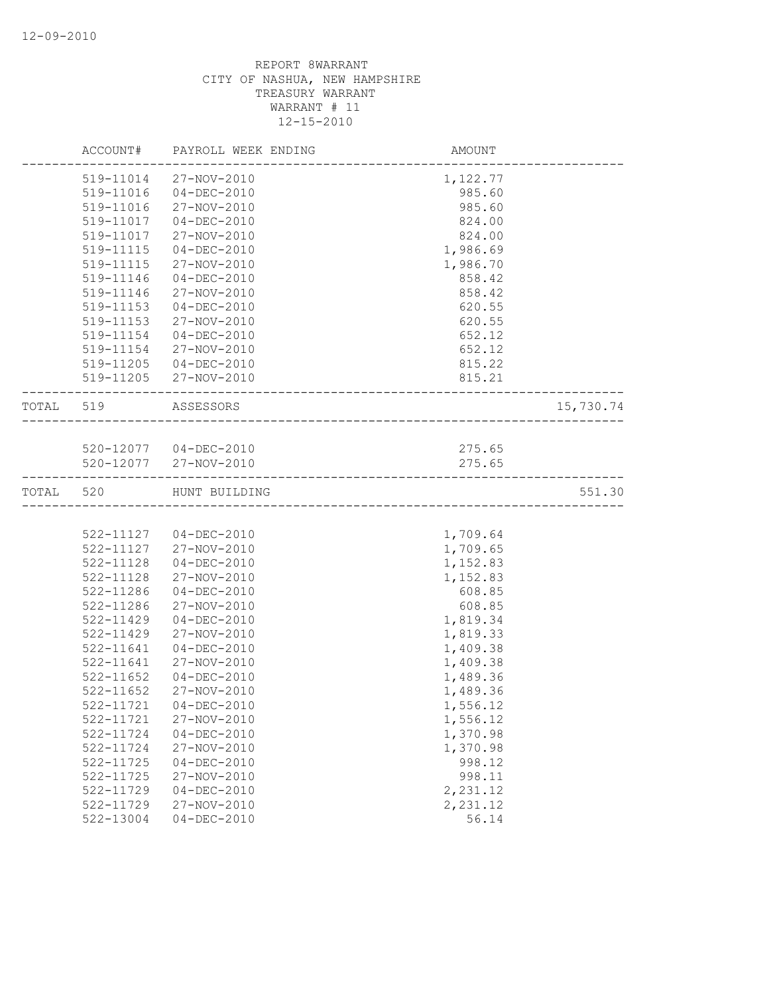|           | ACCOUNT#      | PAYROLL WEEK ENDING    | AMOUNT   |           |
|-----------|---------------|------------------------|----------|-----------|
|           | 519-11014     | 27-NOV-2010            | 1,122.77 |           |
|           | 519-11016     | $04 - DEC - 2010$      | 985.60   |           |
|           | 519-11016     | 27-NOV-2010            | 985.60   |           |
|           | 519-11017     | $04 - DEC - 2010$      | 824.00   |           |
|           | 519-11017     | 27-NOV-2010            | 824.00   |           |
|           | 519-11115     | $04 - DEC - 2010$      | 1,986.69 |           |
|           | 519-11115     | 27-NOV-2010            | 1,986.70 |           |
|           | 519-11146     | $04 - DEC - 2010$      | 858.42   |           |
|           | 519-11146     | 27-NOV-2010            | 858.42   |           |
|           | 519-11153     | $04 - DEC - 2010$      | 620.55   |           |
|           | 519-11153     | 27-NOV-2010            | 620.55   |           |
|           | 519-11154     | $04 - DEC - 2010$      | 652.12   |           |
|           | 519-11154     | 27-NOV-2010            | 652.12   |           |
|           | 519-11205     | 04-DEC-2010            | 815.22   |           |
|           | 519-11205     | 27-NOV-2010            | 815.21   |           |
| TOTAL 519 |               | ASSESSORS              |          | 15,730.74 |
|           |               |                        |          |           |
|           |               | 520-12077 04-DEC-2010  | 275.65   |           |
|           |               | 520-12077 27-NOV-2010  | 275.65   |           |
| TOTAL     | 520           | HUNT BUILDING          |          | 551.30    |
|           |               |                        |          |           |
|           |               | 522-11127  04-DEC-2010 | 1,709.64 |           |
|           | 522-11127     | 27-NOV-2010            | 1,709.65 |           |
|           | 522-11128     | $04 - DEC - 2010$      | 1,152.83 |           |
|           | 522-11128     | 27-NOV-2010            | 1,152.83 |           |
|           | 522-11286     | $04 - DEC - 2010$      | 608.85   |           |
|           | 522-11286     | 27-NOV-2010            | 608.85   |           |
|           | 522-11429     | $04 - DEC - 2010$      | 1,819.34 |           |
|           | 522-11429     | 27-NOV-2010            | 1,819.33 |           |
|           | 522-11641     | $04 - DEC - 2010$      | 1,409.38 |           |
|           | 522-11641     | 27-NOV-2010            | 1,409.38 |           |
|           | $522 - 11652$ | $04-DEC-2010$          | 1,489.36 |           |
|           | $522 - 11652$ | 27-NOV-2010            | 1,489.36 |           |
|           | 522-11721     | $04 - DEC - 2010$      | 1,556.12 |           |
|           | 522-11721     | 27-NOV-2010            | 1,556.12 |           |
|           | 522-11724     | $04 - DEC - 2010$      | 1,370.98 |           |
|           | 522-11724     | 27-NOV-2010            | 1,370.98 |           |
|           | 522-11725     | $04 - DEC - 2010$      | 998.12   |           |
|           | 522-11725     | 27-NOV-2010            | 998.11   |           |
|           | 522-11729     | $04 - DEC - 2010$      | 2,231.12 |           |
|           | 522-11729     | 27-NOV-2010            | 2,231.12 |           |
|           | 522-13004     | $04 - DEC - 2010$      | 56.14    |           |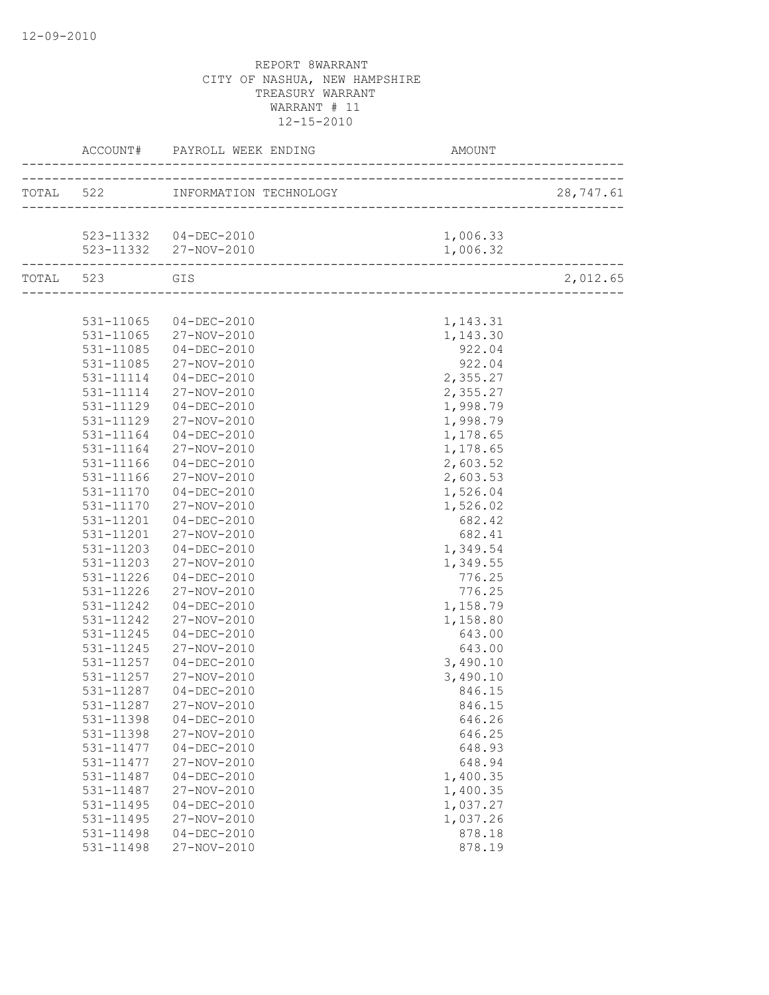|               |                       |          | 28,747.61 |
|---------------|-----------------------|----------|-----------|
|               |                       |          |           |
|               | 523-11332 04-DEC-2010 | 1,006.33 |           |
|               | 523-11332 27-NOV-2010 | 1,006.32 |           |
| TOTAL 523 GIS |                       |          | 2,012.65  |
|               |                       |          |           |
|               | 531-11065 04-DEC-2010 | 1,143.31 |           |
|               | 531-11065 27-NOV-2010 | 1,143.30 |           |
| 531-11085     | $04 - DEC - 2010$     | 922.04   |           |
| 531-11085     | 27-NOV-2010           | 922.04   |           |
| 531-11114     | 04-DEC-2010           | 2,355.27 |           |
| 531-11114     | 27-NOV-2010           | 2,355.27 |           |
| 531-11129     | 04-DEC-2010           | 1,998.79 |           |
| 531-11129     | 27-NOV-2010           | 1,998.79 |           |
| 531-11164     | 04-DEC-2010           | 1,178.65 |           |
| 531-11164     | 27-NOV-2010           | 1,178.65 |           |
| 531-11166     | $04 - DEC - 2010$     | 2,603.52 |           |
| 531-11166     | 27-NOV-2010           | 2,603.53 |           |
| 531-11170     | $04 - DEC - 2010$     | 1,526.04 |           |
| 531-11170     | 27-NOV-2010           | 1,526.02 |           |
| 531-11201     | 04-DEC-2010           | 682.42   |           |
| 531-11201     | 27-NOV-2010           | 682.41   |           |
| 531-11203     | $04 - DEC - 2010$     | 1,349.54 |           |
| 531-11203     | 27-NOV-2010           | 1,349.55 |           |
| 531-11226     | $04 - DEC - 2010$     | 776.25   |           |
| 531-11226     | 27-NOV-2010           | 776.25   |           |
| 531-11242     | 04-DEC-2010           | 1,158.79 |           |
| 531-11242     | 27-NOV-2010           | 1,158.80 |           |
| 531-11245     | $04 - DEC - 2010$     | 643.00   |           |
| 531-11245     | 27-NOV-2010           | 643.00   |           |
| 531-11257     | 04-DEC-2010           | 3,490.10 |           |
| 531-11257     | 27-NOV-2010           | 3,490.10 |           |
| 531-11287     | $04 - DEC - 2010$     | 846.15   |           |
|               | 531-11287 27-NOV-2010 | 846.15   |           |
| 531-11398     | $04 - DEC - 2010$     | 646.26   |           |
| 531-11398     | 27-NOV-2010           | 646.25   |           |
| 531-11477     | $04 - DEC - 2010$     | 648.93   |           |
| 531-11477     | 27-NOV-2010           | 648.94   |           |
| 531-11487     | $04 - DEC - 2010$     | 1,400.35 |           |
| 531-11487     | 27-NOV-2010           | 1,400.35 |           |
| 531-11495     | $04 - DEC - 2010$     | 1,037.27 |           |
| 531-11495     | 27-NOV-2010           | 1,037.26 |           |
| 531-11498     | $04 - DEC - 2010$     | 878.18   |           |
| 531-11498     | 27-NOV-2010           | 878.19   |           |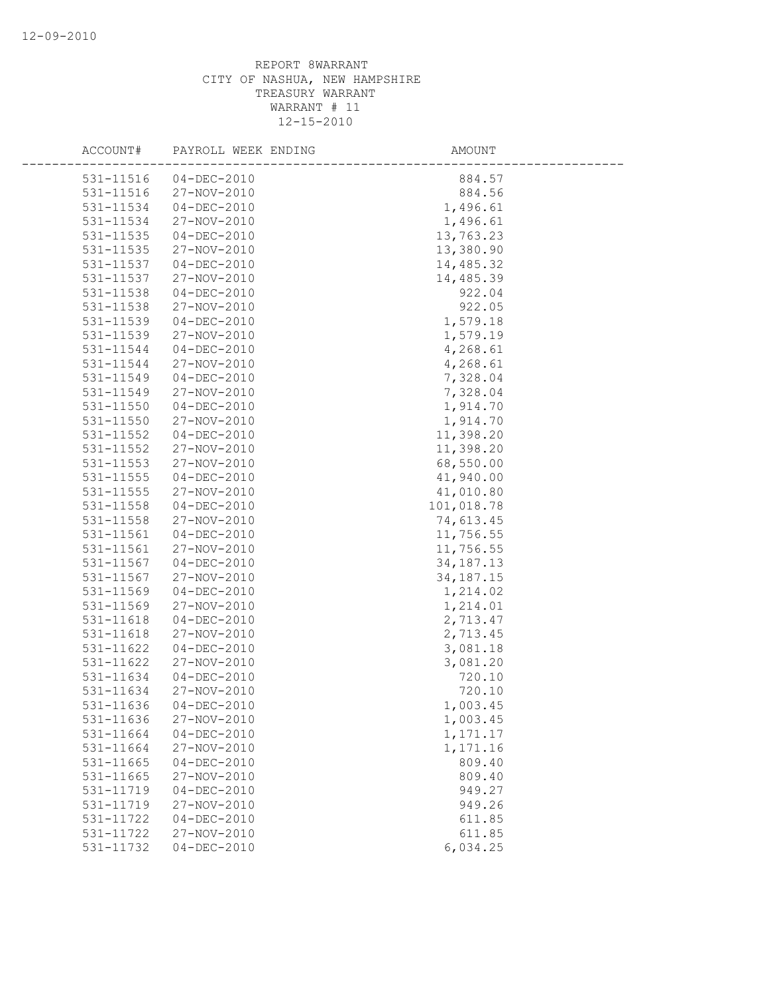| ACCOUNT#      | PAYROLL WEEK ENDING | AMOUNT      |  |
|---------------|---------------------|-------------|--|
| 531-11516     | $04 - DEC - 2010$   | 884.57      |  |
| 531-11516     | 27-NOV-2010         | 884.56      |  |
| 531-11534     | $04 - DEC - 2010$   | 1,496.61    |  |
| 531-11534     | 27-NOV-2010         | 1,496.61    |  |
| 531-11535     | $04 - DEC - 2010$   | 13,763.23   |  |
| 531-11535     | 27-NOV-2010         | 13,380.90   |  |
| 531-11537     | $04 - DEC - 2010$   | 14,485.32   |  |
| 531-11537     | 27-NOV-2010         | 14,485.39   |  |
| 531-11538     | $04 - DEC - 2010$   | 922.04      |  |
| 531-11538     | 27-NOV-2010         | 922.05      |  |
| 531-11539     | $04 - DEC - 2010$   | 1,579.18    |  |
| 531-11539     | 27-NOV-2010         | 1,579.19    |  |
| 531-11544     | $04 - DEC - 2010$   | 4,268.61    |  |
| 531-11544     | 27-NOV-2010         | 4,268.61    |  |
| 531-11549     | $04 - DEC - 2010$   | 7,328.04    |  |
| 531-11549     | 27-NOV-2010         | 7,328.04    |  |
| 531-11550     | $04 - DEC - 2010$   | 1,914.70    |  |
| 531-11550     | 27-NOV-2010         | 1,914.70    |  |
| 531-11552     | $04 - DEC - 2010$   | 11,398.20   |  |
| 531-11552     | 27-NOV-2010         | 11,398.20   |  |
| 531-11553     | 27-NOV-2010         | 68,550.00   |  |
| 531-11555     | $04 - DEC - 2010$   | 41,940.00   |  |
| 531-11555     | 27-NOV-2010         | 41,010.80   |  |
| 531-11558     | $04 - DEC - 2010$   | 101,018.78  |  |
| 531-11558     | 27-NOV-2010         | 74,613.45   |  |
| $531 - 11561$ | $04 - DEC - 2010$   | 11,756.55   |  |
| 531-11561     | 27-NOV-2010         | 11,756.55   |  |
| 531-11567     | $04 - DEC - 2010$   | 34, 187. 13 |  |
| 531-11567     | 27-NOV-2010         | 34, 187. 15 |  |
| 531-11569     | $04 - DEC - 2010$   | 1,214.02    |  |
| 531-11569     | 27-NOV-2010         | 1,214.01    |  |
| 531-11618     | $04 - DEC - 2010$   | 2,713.47    |  |
| 531-11618     | 27-NOV-2010         | 2,713.45    |  |
| 531-11622     | $04 - DEC - 2010$   | 3,081.18    |  |
| 531-11622     | 27-NOV-2010         | 3,081.20    |  |
| 531-11634     | $04 - DEC - 2010$   | 720.10      |  |
| 531-11634     | 27-NOV-2010         | 720.10      |  |
| 531-11636     | $04 - DEC - 2010$   | 1,003.45    |  |
| 531-11636     | 27-NOV-2010         | 1,003.45    |  |
| 531-11664     | $04 - DEC - 2010$   | 1,171.17    |  |
| 531-11664     | 27-NOV-2010         | 1,171.16    |  |
| 531-11665     | $04 - DEC - 2010$   | 809.40      |  |
| 531-11665     | 27-NOV-2010         | 809.40      |  |
| 531-11719     | $04 - DEC - 2010$   | 949.27      |  |
| 531-11719     | 27-NOV-2010         | 949.26      |  |
| 531-11722     | $04 - DEC - 2010$   | 611.85      |  |
| 531-11722     | 27-NOV-2010         | 611.85      |  |
| 531-11732     | $04 - DEC - 2010$   | 6,034.25    |  |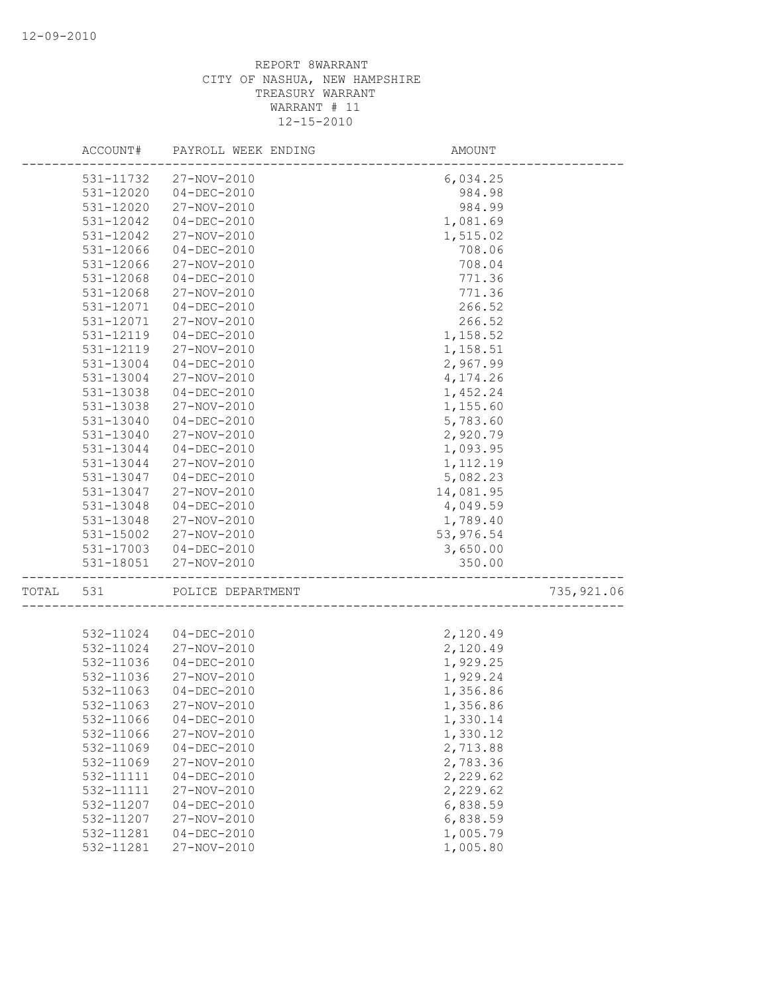|       | ACCOUNT#  | PAYROLL WEEK ENDING   | AMOUNT     |            |
|-------|-----------|-----------------------|------------|------------|
|       | 531-11732 | 27-NOV-2010           | 6,034.25   |            |
|       | 531-12020 | $04 - DEC - 2010$     | 984.98     |            |
|       | 531-12020 | 27-NOV-2010           | 984.99     |            |
|       | 531-12042 | $04 - DEC - 2010$     | 1,081.69   |            |
|       | 531-12042 | 27-NOV-2010           | 1,515.02   |            |
|       | 531-12066 | $04 - DEC - 2010$     | 708.06     |            |
|       | 531-12066 | 27-NOV-2010           | 708.04     |            |
|       | 531-12068 | $04 - DEC - 2010$     | 771.36     |            |
|       | 531-12068 | 27-NOV-2010           | 771.36     |            |
|       | 531-12071 | $04 - DEC - 2010$     | 266.52     |            |
|       | 531-12071 | 27-NOV-2010           | 266.52     |            |
|       | 531-12119 | $04 - DEC - 2010$     | 1,158.52   |            |
|       | 531-12119 | 27-NOV-2010           | 1,158.51   |            |
|       | 531-13004 | $04 - DEC - 2010$     | 2,967.99   |            |
|       | 531-13004 | 27-NOV-2010           | 4,174.26   |            |
|       | 531-13038 | $04 - DEC - 2010$     | 1,452.24   |            |
|       | 531-13038 | 27-NOV-2010           | 1,155.60   |            |
|       | 531-13040 | $04 - DEC - 2010$     | 5,783.60   |            |
|       | 531-13040 | 27-NOV-2010           | 2,920.79   |            |
|       | 531-13044 | $04 - DEC - 2010$     | 1,093.95   |            |
|       | 531-13044 | 27-NOV-2010           |            |            |
|       | 531-13047 | $04 - DEC - 2010$     | 1,112.19   |            |
|       |           |                       | 5,082.23   |            |
|       | 531-13047 | 27-NOV-2010           | 14,081.95  |            |
|       | 531-13048 | $04 - DEC - 2010$     | 4,049.59   |            |
|       | 531-13048 | 27-NOV-2010           | 1,789.40   |            |
|       | 531-15002 | 27-NOV-2010           | 53, 976.54 |            |
|       |           | 531-17003 04-DEC-2010 | 3,650.00   |            |
|       | 531-18051 | 27-NOV-2010           | 350.00     |            |
| TOTAL | 531       | POLICE DEPARTMENT     |            | 735,921.06 |
|       |           |                       |            |            |
|       | 532-11024 | 04-DEC-2010           | 2,120.49   |            |
|       | 532-11024 | 27-NOV-2010           | 2,120.49   |            |
|       | 532-11036 | $04 - DEC - 2010$     | 1,929.25   |            |
|       | 532-11036 | 27-NOV-2010           | 1,929.24   |            |
|       | 532-11063 | $04 - DEC - 2010$     | 1,356.86   |            |
|       | 532-11063 | 27-NOV-2010           | 1,356.86   |            |
|       | 532-11066 | $04 - DEC - 2010$     | 1,330.14   |            |
|       | 532-11066 | 27-NOV-2010           | 1,330.12   |            |
|       | 532-11069 | $04 - DEC - 2010$     | 2,713.88   |            |
|       | 532-11069 | 27-NOV-2010           | 2,783.36   |            |
|       | 532-11111 | $04 - DEC - 2010$     | 2,229.62   |            |
|       | 532-11111 | 27-NOV-2010           | 2,229.62   |            |
|       | 532-11207 | $04 - DEC - 2010$     | 6,838.59   |            |
|       | 532-11207 | 27-NOV-2010           | 6,838.59   |            |
|       | 532-11281 | $04-DEC-2010$         | 1,005.79   |            |
|       | 532-11281 | 27-NOV-2010           | 1,005.80   |            |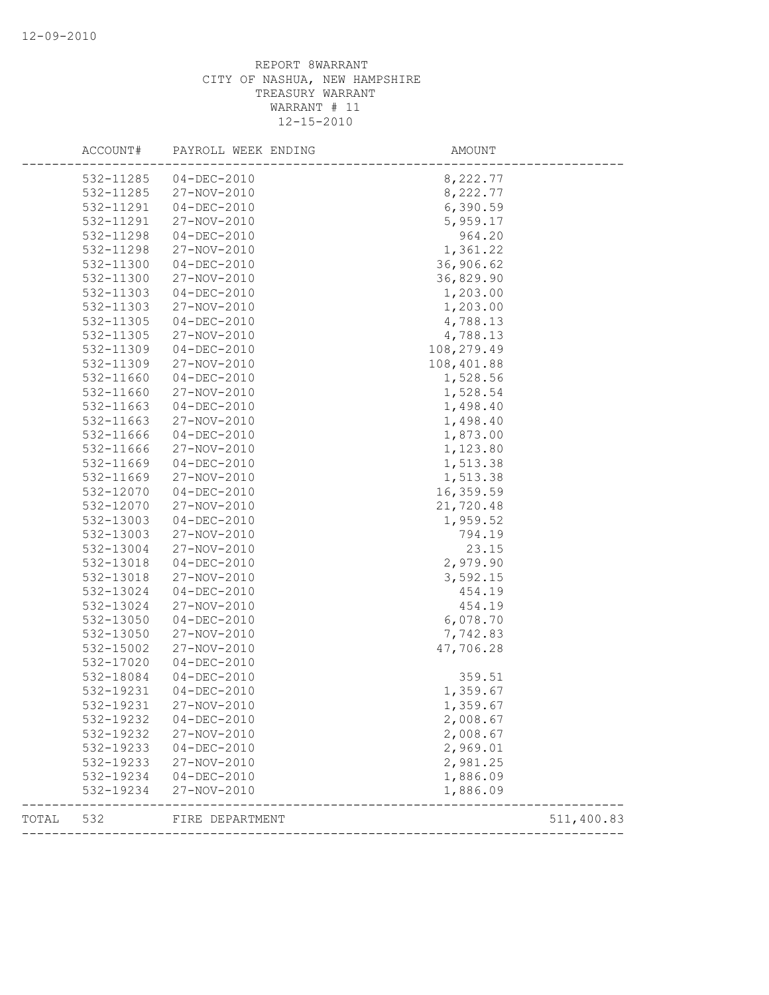|       | ACCOUNT#  | PAYROLL WEEK ENDING | AMOUNT     |            |
|-------|-----------|---------------------|------------|------------|
|       | 532-11285 | $04 - DEC - 2010$   | 8,222.77   |            |
|       | 532-11285 | 27-NOV-2010         | 8,222.77   |            |
|       | 532-11291 | $04 - DEC - 2010$   | 6,390.59   |            |
|       | 532-11291 | 27-NOV-2010         | 5,959.17   |            |
|       | 532-11298 | $04 - DEC - 2010$   | 964.20     |            |
|       | 532-11298 | 27-NOV-2010         | 1,361.22   |            |
|       | 532-11300 | $04 - DEC - 2010$   | 36,906.62  |            |
|       | 532-11300 | 27-NOV-2010         | 36,829.90  |            |
|       | 532-11303 | $04 - DEC - 2010$   | 1,203.00   |            |
|       | 532-11303 | 27-NOV-2010         | 1,203.00   |            |
|       | 532-11305 | $04 - DEC - 2010$   | 4,788.13   |            |
|       | 532-11305 | 27-NOV-2010         | 4,788.13   |            |
|       | 532-11309 | $04 - DEC - 2010$   | 108,279.49 |            |
|       | 532-11309 | 27-NOV-2010         | 108,401.88 |            |
|       | 532-11660 | $04 - DEC - 2010$   | 1,528.56   |            |
|       | 532-11660 | 27-NOV-2010         | 1,528.54   |            |
|       | 532-11663 | $04 - DEC - 2010$   | 1,498.40   |            |
|       | 532-11663 | 27-NOV-2010         | 1,498.40   |            |
|       | 532-11666 | $04 - DEC - 2010$   | 1,873.00   |            |
|       | 532-11666 | 27-NOV-2010         | 1,123.80   |            |
|       | 532-11669 | $04 - DEC - 2010$   | 1,513.38   |            |
|       | 532-11669 | 27-NOV-2010         | 1,513.38   |            |
|       | 532-12070 | $04 - DEC - 2010$   | 16,359.59  |            |
|       | 532-12070 | 27-NOV-2010         | 21,720.48  |            |
|       | 532-13003 | $04 - DEC - 2010$   | 1,959.52   |            |
|       | 532-13003 | 27-NOV-2010         | 794.19     |            |
|       | 532-13004 | 27-NOV-2010         | 23.15      |            |
|       | 532-13018 | $04 - DEC - 2010$   | 2,979.90   |            |
|       | 532-13018 | 27-NOV-2010         | 3,592.15   |            |
|       | 532-13024 | $04 - DEC - 2010$   | 454.19     |            |
|       | 532-13024 | 27-NOV-2010         | 454.19     |            |
|       | 532-13050 | $04 - DEC - 2010$   | 6,078.70   |            |
|       | 532-13050 | 27-NOV-2010         | 7,742.83   |            |
|       | 532-15002 | 27-NOV-2010         | 47,706.28  |            |
|       | 532-17020 | $04 - DEC - 2010$   |            |            |
|       | 532-18084 | $04 - DEC - 2010$   | 359.51     |            |
|       | 532-19231 | $04 - DEC - 2010$   | 1,359.67   |            |
|       | 532-19231 | 27-NOV-2010         | 1,359.67   |            |
|       | 532-19232 | $04 - DEC - 2010$   | 2,008.67   |            |
|       | 532-19232 | 27-NOV-2010         | 2,008.67   |            |
|       | 532-19233 | $04 - DEC - 2010$   | 2,969.01   |            |
|       | 532-19233 | 27-NOV-2010         | 2,981.25   |            |
|       | 532-19234 | 04-DEC-2010         | 1,886.09   |            |
|       | 532-19234 | 27-NOV-2010         | 1,886.09   |            |
| TOTAL | 532       | FIRE DEPARTMENT     |            | 511,400.83 |
|       |           |                     |            |            |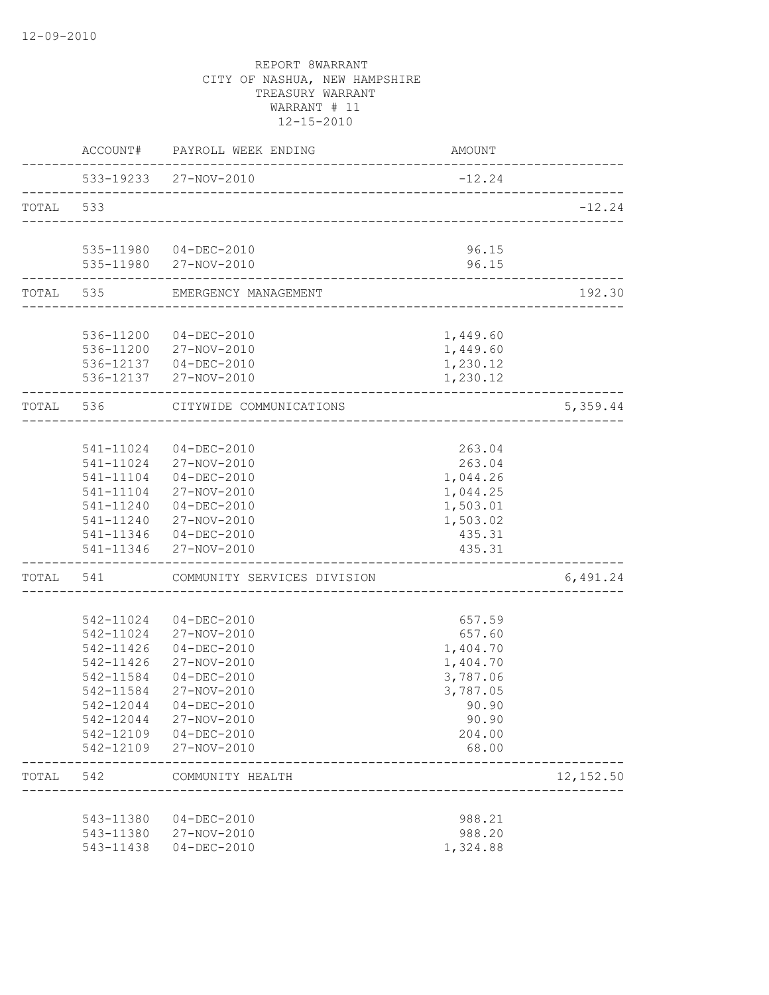|           |                        | ACCOUNT# PAYROLL WEEK ENDING                               | AMOUNT               |            |
|-----------|------------------------|------------------------------------------------------------|----------------------|------------|
|           |                        | 533-19233 27-NOV-2010<br>--------------------------------- | $-12.24$             |            |
| TOTAL 533 |                        |                                                            |                      | $-12.24$   |
|           |                        |                                                            |                      |            |
|           |                        | 535-11980  04-DEC-2010<br>535-11980 27-NOV-2010            | 96.15<br>96.15       |            |
|           |                        | TOTAL 535 EMERGENCY MANAGEMENT                             |                      | 192.30     |
|           |                        |                                                            |                      |            |
|           |                        | 536-11200 04-DEC-2010                                      | 1,449.60             |            |
|           |                        | 536-11200 27-NOV-2010                                      | 1,449.60             |            |
|           |                        | 536-12137  04-DEC-2010                                     | 1,230.12             |            |
|           |                        | 536-12137 27-NOV-2010                                      | 1,230.12             |            |
|           | TOTAL 536              | CITYWIDE COMMUNICATIONS                                    |                      | 5,359.44   |
|           |                        |                                                            |                      |            |
|           |                        | 541-11024 04-DEC-2010                                      | 263.04               |            |
|           |                        | 541-11024 27-NOV-2010                                      | 263.04               |            |
|           |                        | 541-11104 04-DEC-2010                                      | 1,044.26             |            |
|           |                        | 541-11104 27-NOV-2010                                      | 1,044.25             |            |
|           | 541-11240              | $04 - DEC - 2010$                                          | 1,503.01             |            |
|           |                        | 541-11240 27-NOV-2010                                      | 1,503.02             |            |
|           |                        | 541-11346 04-DEC-2010                                      | 435.31               |            |
|           | 541-11346              | 27-NOV-2010                                                | 435.31               |            |
|           |                        | TOTAL 541 COMMUNITY SERVICES DIVISION                      |                      | 6,491.24   |
|           |                        |                                                            |                      |            |
|           | 542-11024<br>542-11024 | $04 - DEC - 2010$                                          | 657.59               |            |
|           | 542-11426              | 27-NOV-2010                                                | 657.60               |            |
|           | 542-11426              | 04-DEC-2010<br>27-NOV-2010                                 | 1,404.70<br>1,404.70 |            |
|           | 542-11584              | 04-DEC-2010                                                | 3,787.06             |            |
|           | 542-11584              | 27-NOV-2010                                                | 3,787.05             |            |
|           |                        | 542-12044 04-DEC-2010                                      | 90.90                |            |
|           |                        | 542-12044 27-NOV-2010                                      | 90.90                |            |
|           |                        | 542-12109 04-DEC-2010                                      | 204.00               |            |
|           |                        | 542-12109 27-NOV-2010                                      | 68.00                |            |
| TOTAL 542 |                        | COMMUNITY HEALTH                                           |                      | 12, 152.50 |
|           |                        |                                                            |                      |            |
|           |                        | 543-11380 04-DEC-2010                                      | 988.21               |            |
|           |                        | 543-11380 27-NOV-2010                                      | 988.20               |            |
|           | 543-11438              | 04-DEC-2010                                                | 1,324.88             |            |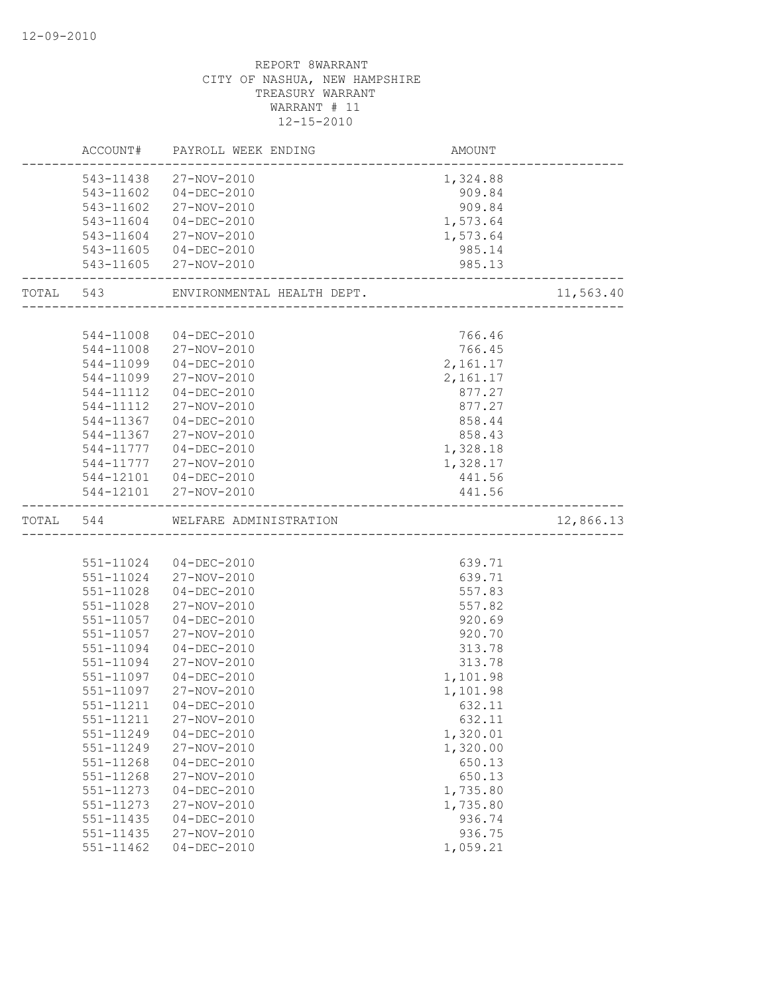|           | ACCOUNT#      | PAYROLL WEEK ENDING        | AMOUNT   |           |
|-----------|---------------|----------------------------|----------|-----------|
|           |               | 543-11438 27-NOV-2010      | 1,324.88 |           |
|           | 543-11602     | $04 - DEC - 2010$          | 909.84   |           |
|           | 543-11602     | 27-NOV-2010                | 909.84   |           |
|           | 543-11604     | 04-DEC-2010                | 1,573.64 |           |
|           | 543-11604     | 27-NOV-2010                | 1,573.64 |           |
|           |               | 543-11605 04-DEC-2010      | 985.14   |           |
|           | 543-11605     | 27-NOV-2010                | 985.13   |           |
| TOTAL 543 |               | ENVIRONMENTAL HEALTH DEPT. |          | 11,563.40 |
|           |               |                            |          |           |
|           | 544-11008     | 04-DEC-2010                | 766.46   |           |
|           | 544-11008     | 27-NOV-2010                | 766.45   |           |
|           | 544-11099     | $04 - DEC - 2010$          | 2,161.17 |           |
|           | 544-11099     | 27-NOV-2010                | 2,161.17 |           |
|           | 544-11112     | $04 - DEC - 2010$          | 877.27   |           |
|           | 544-11112     | 27-NOV-2010                | 877.27   |           |
|           | 544-11367     | $04 - DEC - 2010$          | 858.44   |           |
|           | 544-11367     | 27-NOV-2010                | 858.43   |           |
|           | 544-11777     | 04-DEC-2010                | 1,328.18 |           |
|           |               | 544-11777 27-NOV-2010      | 1,328.17 |           |
|           |               | 544-12101  04-DEC-2010     | 441.56   |           |
|           |               | 544-12101 27-NOV-2010      | 441.56   |           |
| TOTAL 544 |               | WELFARE ADMINISTRATION     |          | 12,866.13 |
|           |               |                            |          |           |
|           | 551-11024     | $04 - DEC - 2010$          | 639.71   |           |
|           | 551-11024     | 27-NOV-2010                | 639.71   |           |
|           | $551 - 11028$ | $04 - DEC - 2010$          | 557.83   |           |
|           | 551-11028     | 27-NOV-2010                | 557.82   |           |
|           | 551-11057     | $04 - DEC - 2010$          | 920.69   |           |
|           | 551-11057     | 27-NOV-2010                | 920.70   |           |
|           | 551-11094     | $04 - DEC - 2010$          | 313.78   |           |
|           | 551-11094     | 27-NOV-2010                | 313.78   |           |
|           | 551-11097     | $04 - DEC - 2010$          | 1,101.98 |           |
|           | 551-11097     | 27-NOV-2010                | 1,101.98 |           |
|           | 551-11211     | $04 - DEC - 2010$          | 632.11   |           |
|           | 551-11211     | 27-NOV-2010                | 632.11   |           |
|           | 551-11249     | $04 - DEC - 2010$          | 1,320.01 |           |
|           | 551-11249     | 27-NOV-2010                | 1,320.00 |           |
|           | 551-11268     | $04 - DEC - 2010$          | 650.13   |           |
|           | 551-11268     | 27-NOV-2010                | 650.13   |           |
|           | 551-11273     | $04 - DEC - 2010$          | 1,735.80 |           |
|           | 551-11273     | 27-NOV-2010                | 1,735.80 |           |
|           | 551-11435     | $04 - DEC - 2010$          | 936.74   |           |
|           | 551-11435     | 27-NOV-2010                | 936.75   |           |
|           | 551-11462     | $04 - DEC - 2010$          | 1,059.21 |           |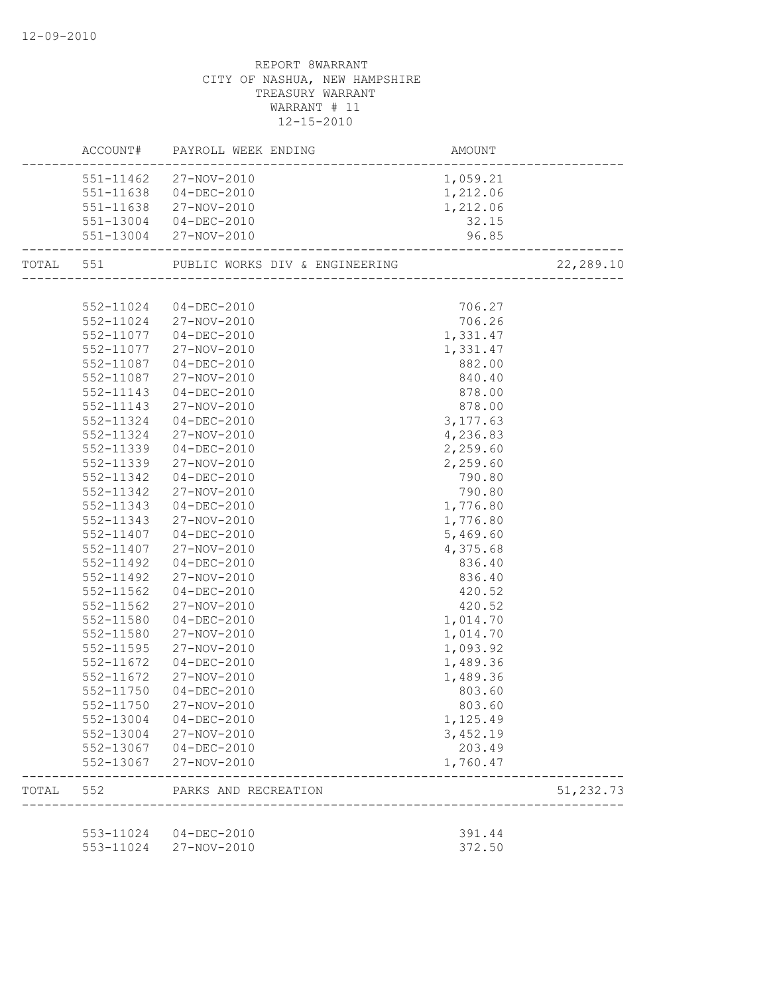|           |           | AMOUNT<br>-------------------------<br>ACCOUNT# PAYROLL WEEK ENDING |          |            |
|-----------|-----------|---------------------------------------------------------------------|----------|------------|
|           |           | 551-11462 27-NOV-2010                                               | 1,059.21 |            |
|           |           | 551-11638 04-DEC-2010                                               | 1,212.06 |            |
|           |           | 551-11638 27-NOV-2010                                               | 1,212.06 |            |
|           |           | 551-13004 04-DEC-2010                                               | 32.15    |            |
|           |           | 551-13004 27-NOV-2010<br>-----------------------------------        | 96.85    |            |
| TOTAL 551 |           |                                                                     |          | 22,289.10  |
|           |           |                                                                     |          |            |
|           |           | 552-11024 04-DEC-2010                                               | 706.27   |            |
|           |           | 552-11024 27-NOV-2010                                               | 706.26   |            |
|           |           | 552-11077 04-DEC-2010                                               | 1,331.47 |            |
|           | 552-11077 | 27-NOV-2010                                                         | 1,331.47 |            |
|           | 552-11087 | 04-DEC-2010                                                         | 882.00   |            |
|           | 552-11087 | 27-NOV-2010                                                         | 840.40   |            |
|           | 552-11143 | $04 - DEC - 2010$                                                   | 878.00   |            |
|           | 552-11143 | 27-NOV-2010                                                         | 878.00   |            |
|           | 552-11324 | 04-DEC-2010                                                         | 3,177.63 |            |
|           | 552-11324 | 27-NOV-2010                                                         | 4,236.83 |            |
|           | 552-11339 | 04-DEC-2010                                                         | 2,259.60 |            |
|           | 552-11339 | 27-NOV-2010                                                         | 2,259.60 |            |
|           | 552-11342 | 04-DEC-2010                                                         | 790.80   |            |
|           | 552-11342 | 27-NOV-2010                                                         | 790.80   |            |
|           | 552-11343 | $04 - DEC - 2010$                                                   | 1,776.80 |            |
|           | 552-11343 | 27-NOV-2010                                                         | 1,776.80 |            |
|           | 552-11407 | 04-DEC-2010                                                         | 5,469.60 |            |
|           | 552-11407 | 27-NOV-2010                                                         | 4,375.68 |            |
|           | 552-11492 | 04-DEC-2010                                                         | 836.40   |            |
|           | 552-11492 | 27-NOV-2010                                                         | 836.40   |            |
|           | 552-11562 | 04-DEC-2010                                                         | 420.52   |            |
|           | 552-11562 | 27-NOV-2010                                                         | 420.52   |            |
|           | 552-11580 | 04-DEC-2010                                                         | 1,014.70 |            |
|           | 552-11580 | 27-NOV-2010                                                         | 1,014.70 |            |
|           | 552-11595 | 27-NOV-2010                                                         | 1,093.92 |            |
|           | 552-11672 | 04-DEC-2010                                                         | 1,489.36 |            |
|           | 552-11672 | 27-NOV-2010                                                         | 1,489.36 |            |
|           | 552-11750 | 04-DEC-2010                                                         | 803.60   |            |
|           |           | 552-11750 27-NOV-2010                                               | 803.60   |            |
|           |           | 552-13004 04-DEC-2010                                               | 1,125.49 |            |
|           |           | 552-13004 27-NOV-2010                                               | 3,452.19 |            |
|           |           | 552-13067 04-DEC-2010                                               | 203.49   |            |
|           |           | 552-13067 27-NOV-2010                                               | 1,760.47 |            |
|           |           | TOTAL 552 PARKS AND RECREATION<br>---------------------             |          | 51, 232.73 |
|           |           |                                                                     |          |            |
|           |           | 553-11024 04-DEC-2010                                               | 391.44   |            |
|           |           | 553-11024 27-NOV-2010                                               | 372.50   |            |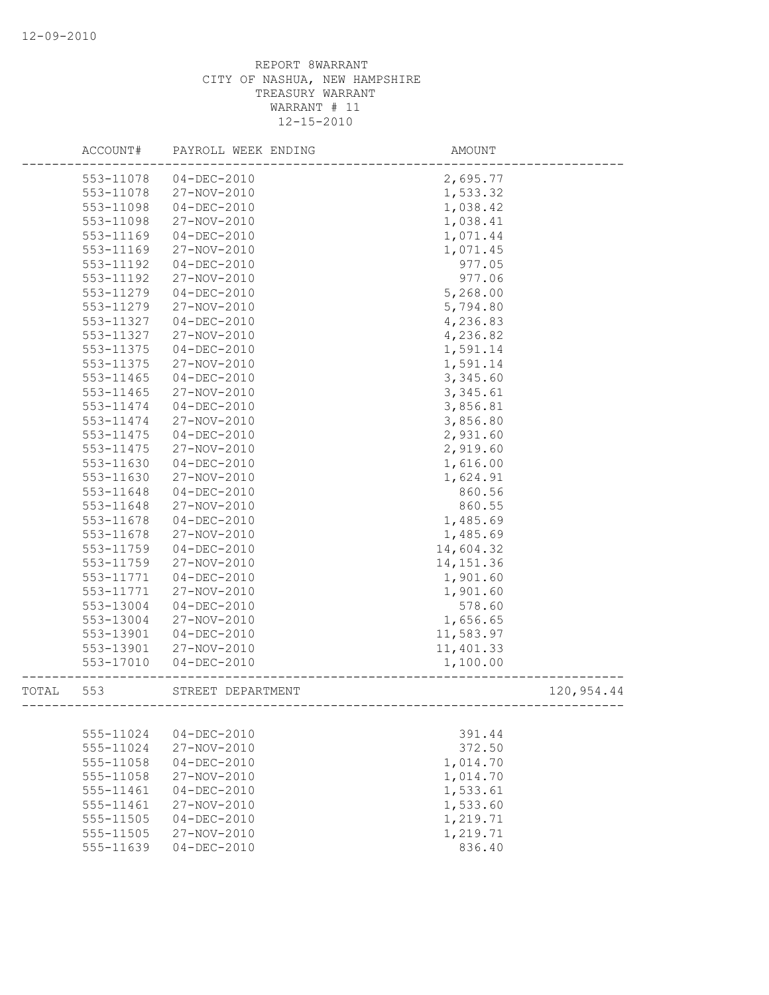|       | ACCOUNT#  | PAYROLL WEEK ENDING | AMOUNT     |            |
|-------|-----------|---------------------|------------|------------|
|       | 553-11078 | $04 - DEC - 2010$   | 2,695.77   |            |
|       | 553-11078 | 27-NOV-2010         | 1,533.32   |            |
|       | 553-11098 | $04-DEC-2010$       | 1,038.42   |            |
|       | 553-11098 | 27-NOV-2010         | 1,038.41   |            |
|       | 553-11169 | $04 - DEC - 2010$   | 1,071.44   |            |
|       | 553-11169 | 27-NOV-2010         | 1,071.45   |            |
|       | 553-11192 | $04 - DEC - 2010$   | 977.05     |            |
|       | 553-11192 | 27-NOV-2010         | 977.06     |            |
|       | 553-11279 | $04 - DEC - 2010$   | 5,268.00   |            |
|       | 553-11279 | 27-NOV-2010         | 5,794.80   |            |
|       | 553-11327 | $04-DEC-2010$       | 4,236.83   |            |
|       | 553-11327 | 27-NOV-2010         | 4,236.82   |            |
|       | 553-11375 | $04 - DEC - 2010$   | 1,591.14   |            |
|       | 553-11375 | 27-NOV-2010         | 1,591.14   |            |
|       | 553-11465 | $04 - DEC - 2010$   | 3,345.60   |            |
|       | 553-11465 | 27-NOV-2010         | 3,345.61   |            |
|       | 553-11474 | $04 - DEC - 2010$   | 3,856.81   |            |
|       | 553-11474 | 27-NOV-2010         | 3,856.80   |            |
|       | 553-11475 | $04 - DEC - 2010$   | 2,931.60   |            |
|       | 553-11475 | 27-NOV-2010         | 2,919.60   |            |
|       | 553-11630 | $04-DEC-2010$       | 1,616.00   |            |
|       | 553-11630 | 27-NOV-2010         | 1,624.91   |            |
|       | 553-11648 | $04 - DEC - 2010$   | 860.56     |            |
|       | 553-11648 | 27-NOV-2010         | 860.55     |            |
|       | 553-11678 | $04 - DEC - 2010$   | 1,485.69   |            |
|       | 553-11678 | 27-NOV-2010         | 1,485.69   |            |
|       | 553-11759 | $04 - DEC - 2010$   | 14,604.32  |            |
|       | 553-11759 | 27-NOV-2010         | 14, 151.36 |            |
|       | 553-11771 | $04 - DEC - 2010$   | 1,901.60   |            |
|       | 553-11771 | 27-NOV-2010         | 1,901.60   |            |
|       | 553-13004 | $04 - DEC - 2010$   | 578.60     |            |
|       | 553-13004 | 27-NOV-2010         | 1,656.65   |            |
|       | 553-13901 | $04 - DEC - 2010$   | 11,583.97  |            |
|       | 553-13901 | 27-NOV-2010         | 11,401.33  |            |
|       | 553-17010 | $04 - DEC - 2010$   | 1,100.00   |            |
| TOTAL | 553       | STREET DEPARTMENT   |            | 120,954.44 |
|       |           |                     |            |            |
|       | 555-11024 | $04 - DEC - 2010$   | 391.44     |            |
|       | 555-11024 | 27-NOV-2010         | 372.50     |            |
|       | 555-11058 | $04 - DEC - 2010$   | 1,014.70   |            |
|       | 555-11058 | 27-NOV-2010         | 1,014.70   |            |
|       | 555-11461 | $04 - DEC - 2010$   | 1,533.61   |            |
|       | 555-11461 | 27-NOV-2010         | 1,533.60   |            |
|       | 555-11505 | $04 - DEC - 2010$   | 1,219.71   |            |
|       | 555-11505 | 27-NOV-2010         | 1,219.71   |            |
|       | 555-11639 | $04 - DEC - 2010$   | 836.40     |            |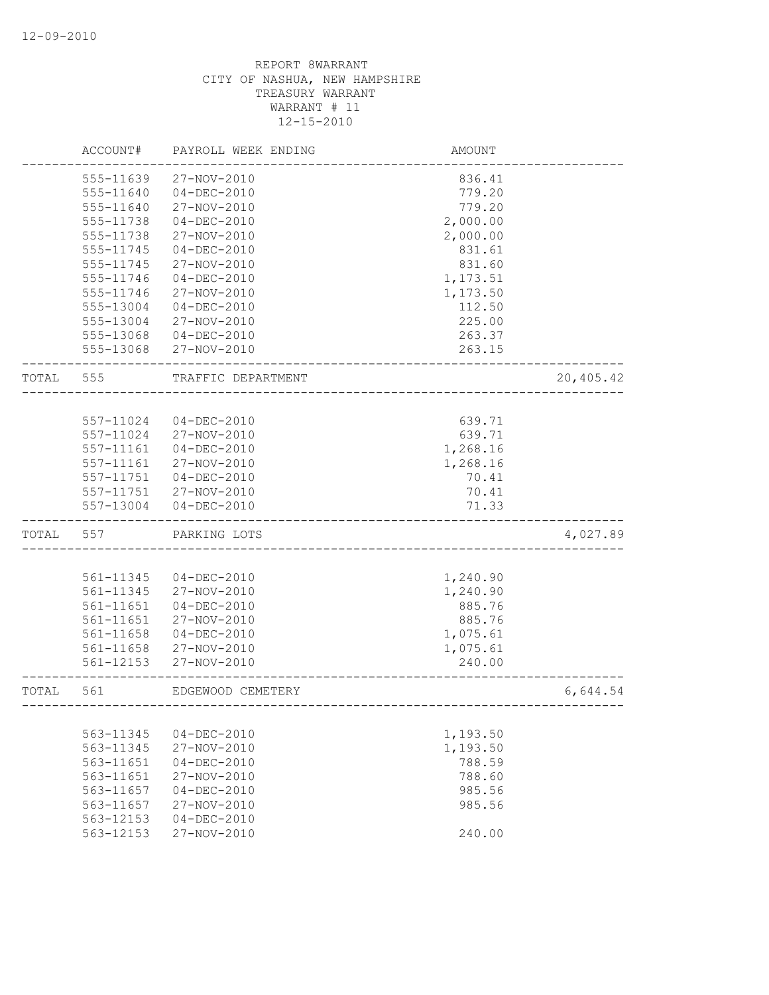|       | ACCOUNT#  | PAYROLL WEEK ENDING | <b>AMOUNT</b>         |           |
|-------|-----------|---------------------|-----------------------|-----------|
|       | 555-11639 | 27-NOV-2010         | 836.41                |           |
|       | 555-11640 | $04 - DEC - 2010$   | 779.20                |           |
|       | 555-11640 | 27-NOV-2010         | 779.20                |           |
|       | 555-11738 | $04 - DEC - 2010$   | 2,000.00              |           |
|       | 555-11738 | 27-NOV-2010         | 2,000.00              |           |
|       | 555-11745 | $04 - DEC - 2010$   | 831.61                |           |
|       | 555-11745 | 27-NOV-2010         | 831.60                |           |
|       | 555-11746 | $04 - DEC - 2010$   | 1,173.51              |           |
|       | 555-11746 | 27-NOV-2010         | 1,173.50              |           |
|       | 555-13004 | $04 - DEC - 2010$   | 112.50                |           |
|       | 555-13004 | 27-NOV-2010         | 225.00                |           |
|       | 555-13068 | $04 - DEC - 2010$   | 263.37                |           |
|       | 555-13068 | 27-NOV-2010         | 263.15                |           |
| TOTAL | 555       | TRAFFIC DEPARTMENT  |                       | 20,405.42 |
|       |           |                     |                       |           |
|       | 557-11024 | $04 - DEC - 2010$   | 639.71                |           |
|       | 557-11024 | 27-NOV-2010         | 639.71                |           |
|       | 557-11161 | $04 - DEC - 2010$   | 1,268.16              |           |
|       | 557-11161 | 27-NOV-2010         | 1,268.16              |           |
|       | 557-11751 | $04 - DEC - 2010$   | 70.41                 |           |
|       | 557-11751 | 27-NOV-2010         | 70.41                 |           |
|       | 557-13004 | $04 - DEC - 2010$   | 71.33                 |           |
| TOTAL | 557       | PARKING LOTS        |                       | 4,027.89  |
|       |           |                     |                       |           |
|       | 561-11345 | $04 - DEC - 2010$   | 1,240.90              |           |
|       | 561-11345 | 27-NOV-2010         | 1,240.90              |           |
|       | 561-11651 | $04 - DEC - 2010$   | 885.76                |           |
|       | 561-11651 | 27-NOV-2010         | 885.76                |           |
|       | 561-11658 | $04 - DEC - 2010$   | 1,075.61              |           |
|       | 561-11658 | 27-NOV-2010         | 1,075.61              |           |
|       | 561-12153 | 27-NOV-2010         | 240.00                |           |
| TOTAL | 561       | EDGEWOOD CEMETERY   | --------------------- | 6,644.54  |
|       |           |                     |                       |           |
|       | 563-11345 | $04 - DEC - 2010$   | 1,193.50              |           |
|       | 563-11345 | 27-NOV-2010         | 1,193.50              |           |
|       | 563-11651 | $04 - DEC - 2010$   | 788.59                |           |
|       | 563-11651 | 27-NOV-2010         | 788.60                |           |
|       | 563-11657 | $04 - DEC - 2010$   | 985.56                |           |
|       | 563-11657 | 27-NOV-2010         | 985.56                |           |
|       | 563-12153 | $04 - DEC - 2010$   |                       |           |
|       | 563-12153 | 27-NOV-2010         | 240.00                |           |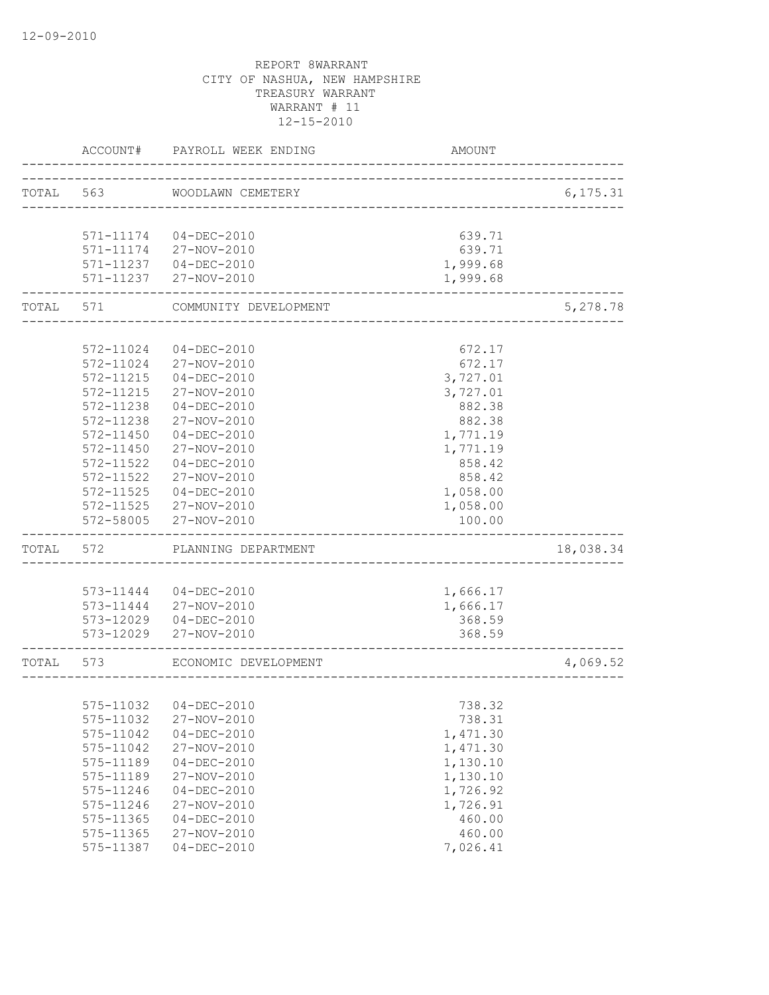|           | ACCOUNT#                  | PAYROLL WEEK ENDING    | AMOUNT                               |           |
|-----------|---------------------------|------------------------|--------------------------------------|-----------|
| TOTAL 563 |                           | WOODLAWN CEMETERY      | ------------------------------------ | 6, 175.31 |
|           |                           |                        |                                      |           |
|           |                           | 571-11174 04-DEC-2010  | 639.71                               |           |
|           |                           | 571-11174 27-NOV-2010  | 639.71                               |           |
|           |                           | 571-11237 04-DEC-2010  | 1,999.68                             |           |
|           |                           | 571-11237 27-NOV-2010  | 1,999.68                             |           |
| TOTAL 571 | . _ _ _ _ _ _ _ _ _ _ _ _ | COMMUNITY DEVELOPMENT  |                                      | 5,278.78  |
|           |                           |                        |                                      |           |
|           | 572-11024                 | $04 - DEC - 2010$      | 672.17                               |           |
|           | 572-11024                 | 27-NOV-2010            | 672.17                               |           |
|           | 572-11215                 | $04 - DEC - 2010$      | 3,727.01                             |           |
|           | 572-11215                 | 27-NOV-2010            | 3,727.01                             |           |
|           | 572-11238                 | $04 - DEC - 2010$      | 882.38                               |           |
|           | 572-11238                 | 27-NOV-2010            | 882.38                               |           |
|           | 572-11450                 | 04-DEC-2010            | 1,771.19                             |           |
|           | 572-11450                 | 27-NOV-2010            | 1,771.19                             |           |
|           | 572-11522                 | $04 - DEC - 2010$      | 858.42                               |           |
|           | 572-11522                 | 27-NOV-2010            | 858.42                               |           |
|           | 572-11525                 | $04 - DEC - 2010$      | 1,058.00                             |           |
|           | 572-11525                 | 27-NOV-2010            | 1,058.00                             |           |
|           | 572-58005                 | 27-NOV-2010            | 100.00                               |           |
| TOTAL     | 572                       | PLANNING DEPARTMENT    |                                      | 18,038.34 |
|           |                           |                        |                                      |           |
|           |                           | 573-11444 04-DEC-2010  | 1,666.17                             |           |
|           |                           | 573-11444 27-NOV-2010  | 1,666.17                             |           |
|           |                           | 573-12029  04-DEC-2010 | 368.59                               |           |
|           | 573-12029                 | 27-NOV-2010            | 368.59                               |           |
| TOTAL 573 |                           | ECONOMIC DEVELOPMENT   | ___________________________          | 4,069.52  |
|           |                           |                        |                                      |           |
|           | 575-11032                 | 04-DEC-2010            | 738.32                               |           |
|           | 575-11032                 | 27-NOV-2010            | 738.31                               |           |
|           | 575-11042                 | $04 - DEC - 2010$      | 1,471.30                             |           |
|           | 575-11042                 | 27-NOV-2010            | 1,471.30                             |           |
|           | 575-11189                 | $04 - DEC - 2010$      | 1,130.10                             |           |
|           | 575-11189                 | 27-NOV-2010            | 1,130.10                             |           |
|           | 575-11246                 | $04 - DEC - 2010$      | 1,726.92                             |           |
|           | 575-11246                 | 27-NOV-2010            | 1,726.91                             |           |
|           | 575-11365                 | $04 - DEC - 2010$      | 460.00                               |           |
|           | 575-11365                 | 27-NOV-2010            | 460.00                               |           |
|           | 575-11387                 | $04 - DEC - 2010$      | 7,026.41                             |           |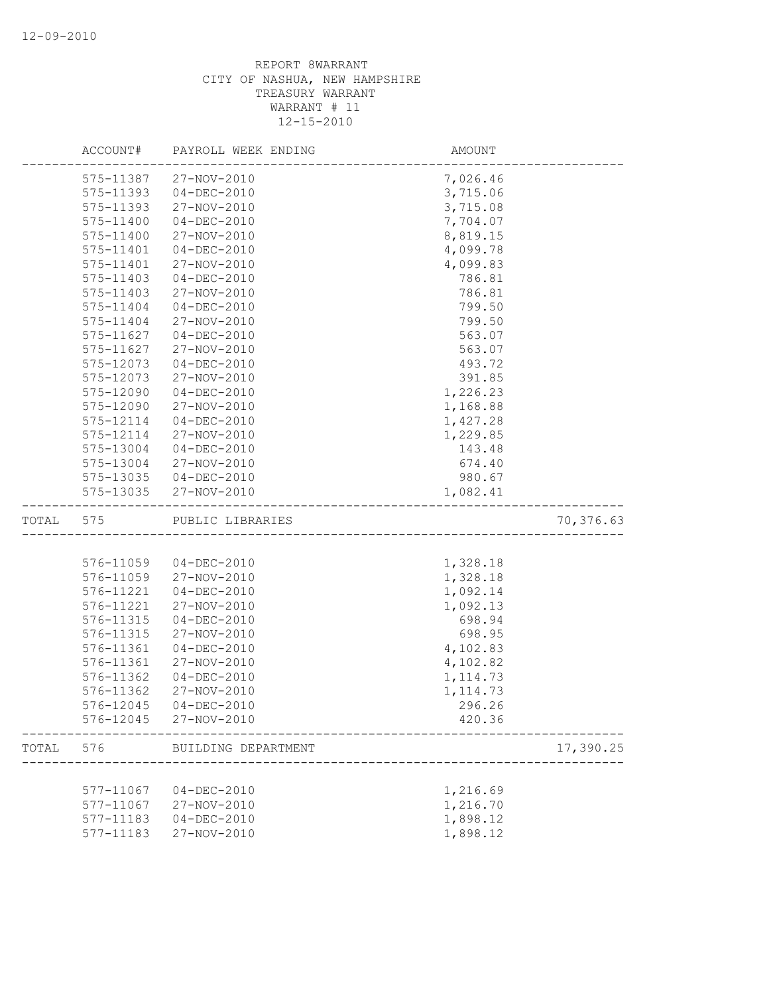|       | ACCOUNT#               | PAYROLL WEEK ENDING              | AMOUNT               |           |
|-------|------------------------|----------------------------------|----------------------|-----------|
|       | 575-11387              | 27-NOV-2010                      | 7,026.46             |           |
|       | 575-11393              | $04-DEC-2010$                    | 3,715.06             |           |
|       | 575-11393              | 27-NOV-2010                      | 3,715.08             |           |
|       | 575-11400              | $04 - DEC - 2010$                | 7,704.07             |           |
|       | 575-11400              | 27-NOV-2010                      | 8,819.15             |           |
|       | 575-11401              | $04 - DEC - 2010$                | 4,099.78             |           |
|       | 575-11401              | 27-NOV-2010                      | 4,099.83             |           |
|       | 575-11403              | $04 - DEC - 2010$                | 786.81               |           |
|       | 575-11403              | 27-NOV-2010                      | 786.81               |           |
|       | 575-11404              | $04 - DEC - 2010$                | 799.50               |           |
|       | 575-11404              | 27-NOV-2010                      | 799.50               |           |
|       | 575-11627              | $04 - DEC - 2010$                | 563.07               |           |
|       | 575-11627              | 27-NOV-2010                      | 563.07               |           |
|       | 575-12073              | $04 - DEC - 2010$                | 493.72               |           |
|       | 575-12073              | 27-NOV-2010                      | 391.85               |           |
|       | 575-12090              | $04 - DEC - 2010$                | 1,226.23             |           |
|       | 575-12090              | 27-NOV-2010                      | 1,168.88             |           |
|       | 575-12114              | $04 - DEC - 2010$                | 1,427.28             |           |
|       | 575-12114              | 27-NOV-2010                      | 1,229.85             |           |
|       | 575-13004              | $04 - DEC - 2010$                | 143.48               |           |
|       | 575-13004              | 27-NOV-2010                      | 674.40               |           |
|       | 575-13035              | 04-DEC-2010                      | 980.67               |           |
|       | 575-13035              | 27-NOV-2010                      | 1,082.41             |           |
| TOTAL | 575                    | PUBLIC LIBRARIES                 |                      | 70,376.63 |
|       |                        |                                  |                      |           |
|       |                        |                                  |                      |           |
|       | 576-11059              | 04-DEC-2010                      | 1,328.18             |           |
|       | 576-11059              | 27-NOV-2010                      | 1,328.18             |           |
|       | 576-11221              | $04 - DEC - 2010$                | 1,092.14             |           |
|       | 576-11221              | 27-NOV-2010                      | 1,092.13             |           |
|       | 576-11315              | $04 - DEC - 2010$                | 698.94               |           |
|       | 576-11315              | 27-NOV-2010                      | 698.95               |           |
|       | 576-11361              | $04 - DEC - 2010$                | 4,102.83             |           |
|       | 576-11361              | 27-NOV-2010                      | 4,102.82             |           |
|       | 576-11362              | $04 - DEC - 2010$                | 1, 114.73            |           |
|       | 576-11362              | 27-NOV-2010                      | 1, 114.73            |           |
|       |                        |                                  | 296.26               |           |
|       |                        | 576-12045 27-NOV-2010            | 420.36               |           |
| TOTAL | 576                    | BUILDING DEPARTMENT              |                      | 17,390.25 |
|       |                        |                                  |                      |           |
|       | 577-11067              | $04 - DEC - 2010$                | 1,216.69             |           |
|       | 577-11067              | 27-NOV-2010                      | 1,216.70             |           |
|       | 577-11183<br>577-11183 | $04 - DEC - 2010$<br>27-NOV-2010 | 1,898.12<br>1,898.12 |           |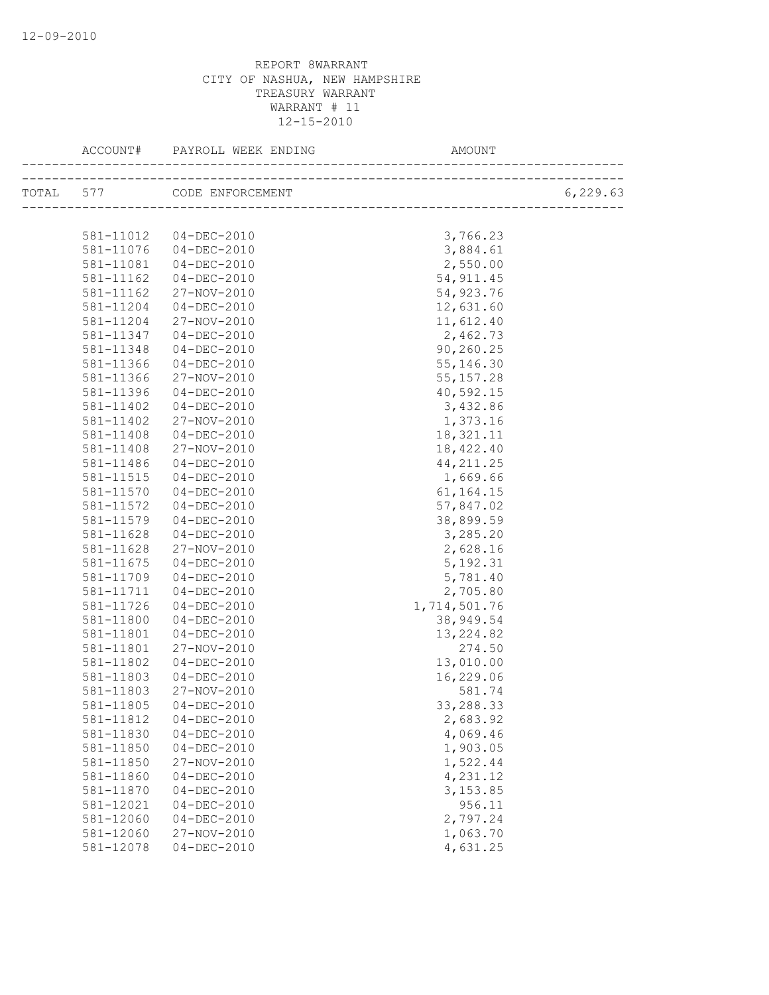| ACCOUNT#  | PAYROLL WEEK ENDING        | AMOUNT       |          |
|-----------|----------------------------|--------------|----------|
|           | TOTAL 577 CODE ENFORCEMENT |              | 6,229.63 |
|           |                            |              |          |
|           | 581-11012  04-DEC-2010     | 3,766.23     |          |
| 581-11076 | $04 - DEC - 2010$          | 3,884.61     |          |
| 581-11081 | $04 - DEC - 2010$          | 2,550.00     |          |
| 581-11162 | $04 - DEC - 2010$          | 54, 911.45   |          |
| 581-11162 | 27-NOV-2010                | 54,923.76    |          |
| 581-11204 | $04 - DEC - 2010$          | 12,631.60    |          |
| 581-11204 | 27-NOV-2010                | 11,612.40    |          |
| 581-11347 | $04 - DEC - 2010$          | 2,462.73     |          |
| 581-11348 | 04-DEC-2010                | 90,260.25    |          |
| 581-11366 | 04-DEC-2010                | 55, 146.30   |          |
| 581-11366 | 27-NOV-2010                | 55, 157.28   |          |
| 581-11396 | 04-DEC-2010                | 40,592.15    |          |
| 581-11402 | 04-DEC-2010                | 3,432.86     |          |
| 581-11402 | 27-NOV-2010                | 1,373.16     |          |
| 581-11408 | 04-DEC-2010                | 18, 321. 11  |          |
| 581-11408 | 27-NOV-2010                | 18,422.40    |          |
| 581-11486 | 04-DEC-2010                | 44, 211.25   |          |
| 581-11515 | 04-DEC-2010                | 1,669.66     |          |
| 581-11570 | $04 - DEC - 2010$          | 61,164.15    |          |
| 581-11572 | $04 - DEC - 2010$          | 57,847.02    |          |
| 581-11579 | 04-DEC-2010                | 38,899.59    |          |
| 581-11628 | 04-DEC-2010                | 3,285.20     |          |
| 581-11628 | 27-NOV-2010                | 2,628.16     |          |
| 581-11675 | $04 - DEC - 2010$          | 5, 192.31    |          |
| 581-11709 | 04-DEC-2010                | 5,781.40     |          |
| 581-11711 | 04-DEC-2010                | 2,705.80     |          |
| 581-11726 | 04-DEC-2010                | 1,714,501.76 |          |
| 581-11800 | $04 - DEC - 2010$          | 38,949.54    |          |
| 581-11801 | 04-DEC-2010                | 13, 224.82   |          |
| 581-11801 | 27-NOV-2010                | 274.50       |          |
| 581-11802 | 04-DEC-2010                | 13,010.00    |          |
| 581-11803 | 04-DEC-2010                | 16,229.06    |          |
| 581-11803 | 27-NOV-2010                | 581.74       |          |
| 581-11805 | 04-DEC-2010                | 33,288.33    |          |
| 581-11812 | $04 - DEC - 2010$          | 2,683.92     |          |
| 581-11830 | $04 - DEC - 2010$          | 4,069.46     |          |
| 581-11850 | $04 - DEC - 2010$          | 1,903.05     |          |
| 581-11850 | 27-NOV-2010                | 1,522.44     |          |
| 581-11860 | $04 - DEC - 2010$          | 4,231.12     |          |
| 581-11870 | $04 - DEC - 2010$          | 3,153.85     |          |
| 581-12021 | $04 - DEC - 2010$          | 956.11       |          |
| 581-12060 | $04 - DEC - 2010$          | 2,797.24     |          |
| 581-12060 | 27-NOV-2010                | 1,063.70     |          |
| 581-12078 | $04 - DEC - 2010$          | 4,631.25     |          |
|           |                            |              |          |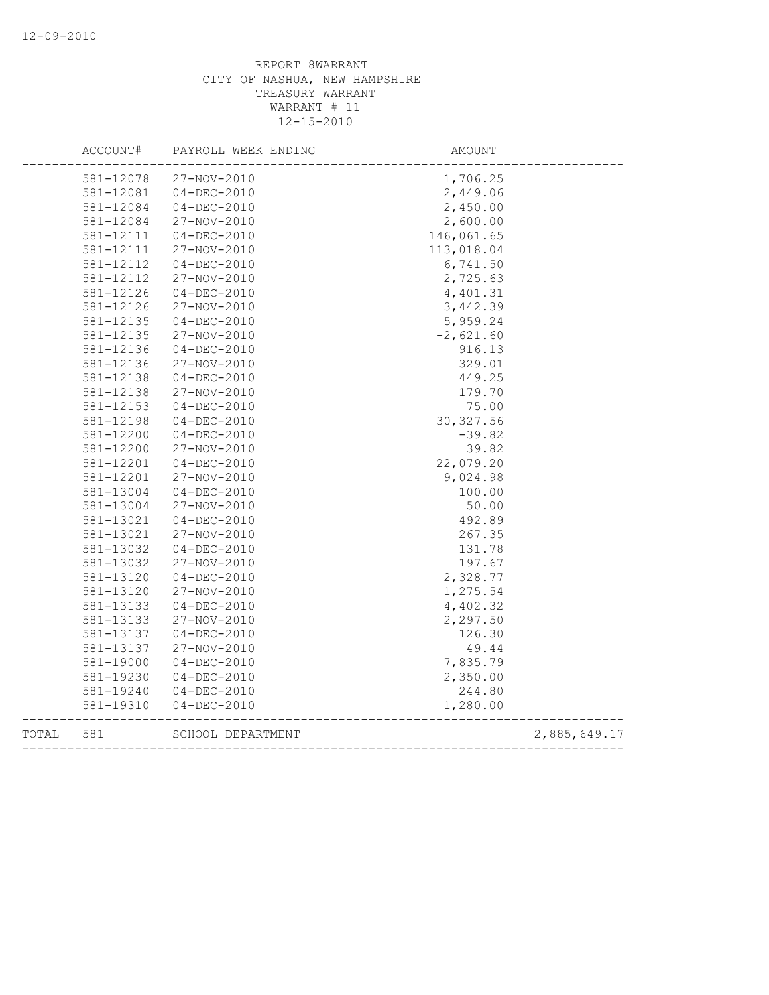|       | ACCOUNT#  | PAYROLL WEEK ENDING | AMOUNT      |              |
|-------|-----------|---------------------|-------------|--------------|
|       | 581-12078 | 27-NOV-2010         | 1,706.25    |              |
|       | 581-12081 | $04 - DEC - 2010$   | 2,449.06    |              |
|       | 581-12084 | $04 - DEC - 2010$   | 2,450.00    |              |
|       | 581-12084 | 27-NOV-2010         | 2,600.00    |              |
|       | 581-12111 | $04-DEC-2010$       | 146,061.65  |              |
|       | 581-12111 | 27-NOV-2010         | 113,018.04  |              |
|       | 581-12112 | $04 - DEC - 2010$   | 6,741.50    |              |
|       | 581-12112 | 27-NOV-2010         | 2,725.63    |              |
|       | 581-12126 | $04 - DEC - 2010$   | 4,401.31    |              |
|       | 581-12126 | 27-NOV-2010         | 3,442.39    |              |
|       | 581-12135 | $04 - DEC - 2010$   | 5,959.24    |              |
|       | 581-12135 | 27-NOV-2010         | $-2,621.60$ |              |
|       | 581-12136 | $04 - DEC - 2010$   | 916.13      |              |
|       | 581-12136 | 27-NOV-2010         | 329.01      |              |
|       | 581-12138 | $04 - DEC - 2010$   | 449.25      |              |
|       | 581-12138 | 27-NOV-2010         | 179.70      |              |
|       | 581-12153 | $04 - DEC - 2010$   | 75.00       |              |
|       | 581-12198 | $04 - DEC - 2010$   | 30, 327.56  |              |
|       | 581-12200 | $04 - DEC - 2010$   | $-39.82$    |              |
|       | 581-12200 | 27-NOV-2010         | 39.82       |              |
|       | 581-12201 | $04 - DEC - 2010$   | 22,079.20   |              |
|       | 581-12201 | 27-NOV-2010         | 9,024.98    |              |
|       | 581-13004 | $04 - DEC - 2010$   | 100.00      |              |
|       | 581-13004 | 27-NOV-2010         | 50.00       |              |
|       | 581-13021 | $04 - DEC - 2010$   | 492.89      |              |
|       | 581-13021 | 27-NOV-2010         | 267.35      |              |
|       | 581-13032 | $04 - DEC - 2010$   | 131.78      |              |
|       | 581-13032 | 27-NOV-2010         | 197.67      |              |
|       | 581-13120 | $04 - DEC - 2010$   | 2,328.77    |              |
|       | 581-13120 | 27-NOV-2010         | 1,275.54    |              |
|       | 581-13133 | $04 - DEC - 2010$   | 4,402.32    |              |
|       | 581-13133 | 27-NOV-2010         | 2,297.50    |              |
|       | 581-13137 | $04 - DEC - 2010$   | 126.30      |              |
|       | 581-13137 | 27-NOV-2010         | 49.44       |              |
|       | 581-19000 | $04 - DEC - 2010$   | 7,835.79    |              |
|       | 581-19230 | $04 - DEC - 2010$   | 2,350.00    |              |
|       | 581-19240 | $04 - DEC - 2010$   | 244.80      |              |
|       | 581-19310 | $04 - DEC - 2010$   | 1,280.00    |              |
| TOTAL | 581       | SCHOOL DEPARTMENT   |             | 2,885,649.17 |
|       |           |                     |             |              |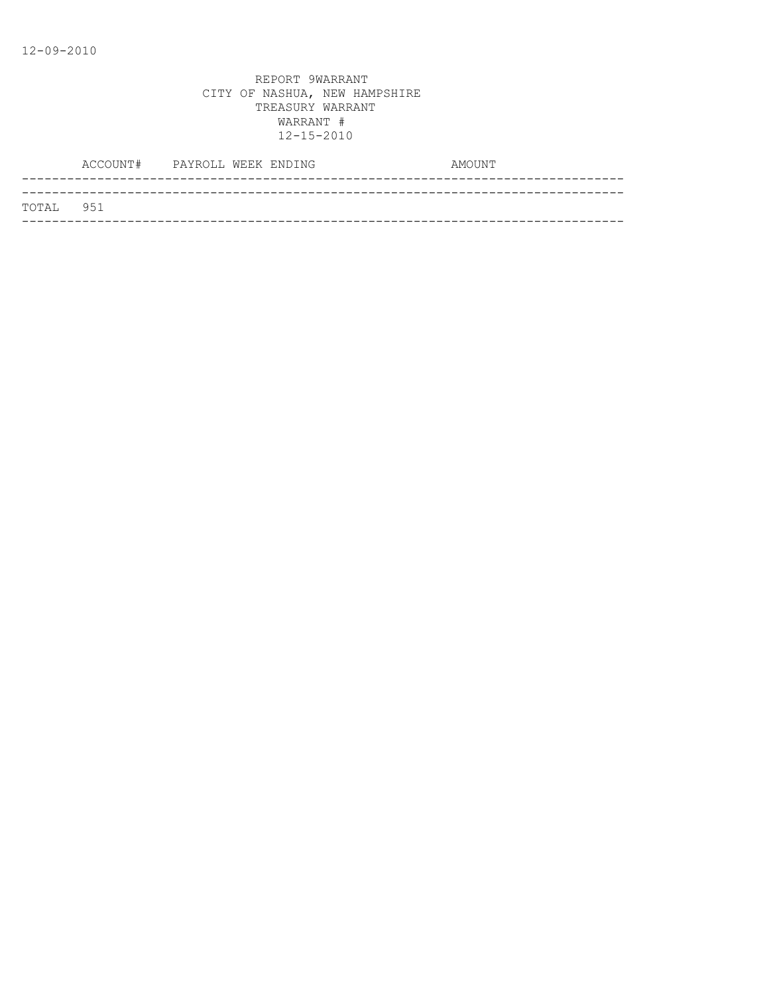|           | ACCOUNT# PAYROLL WEEK ENDING |  | AMOUNT |
|-----------|------------------------------|--|--------|
|           |                              |  |        |
| TOTAL 951 |                              |  |        |
|           |                              |  |        |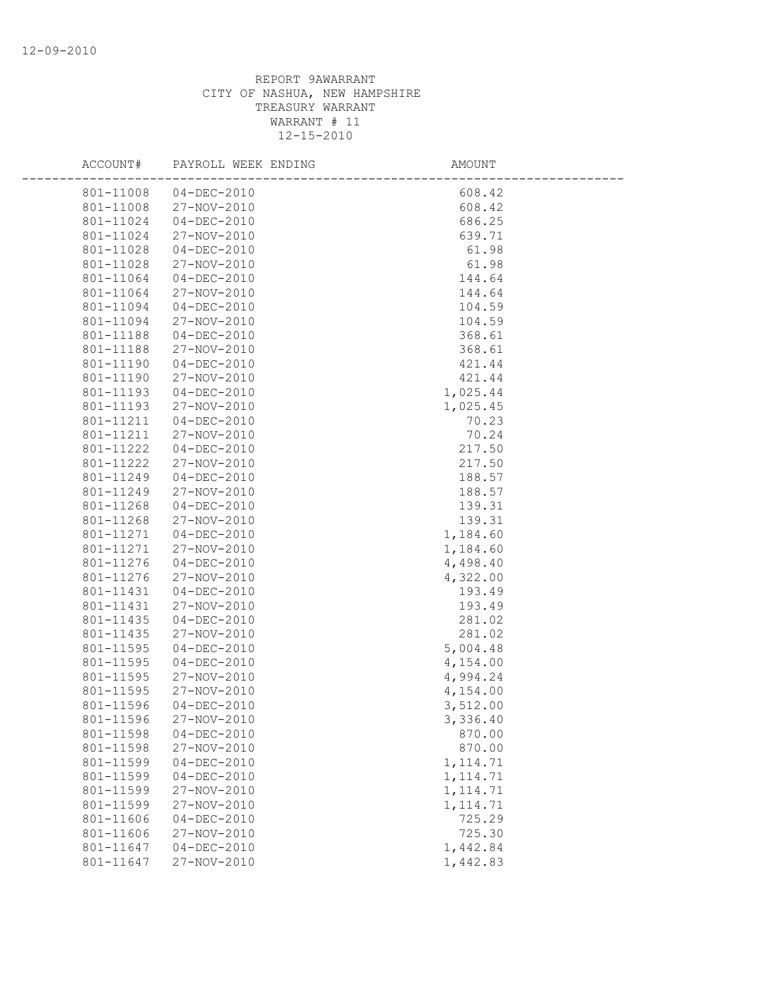| ACCOUNT#               | PAYROLL WEEK ENDING        | AMOUNT               |  |
|------------------------|----------------------------|----------------------|--|
| 801-11008              | $04 - DEC - 2010$          | 608.42               |  |
| 801-11008              | 27-NOV-2010                | 608.42               |  |
| 801-11024              | $04 - DEC - 2010$          | 686.25               |  |
| 801-11024              | 27-NOV-2010                | 639.71               |  |
| 801-11028              | $04 - DEC - 2010$          | 61.98                |  |
| 801-11028              | 27-NOV-2010                | 61.98                |  |
| 801-11064              | $04 - DEC - 2010$          | 144.64               |  |
| 801-11064              | 27-NOV-2010                | 144.64               |  |
| 801-11094              | $04 - DEC - 2010$          | 104.59               |  |
| 801-11094              | 27-NOV-2010                | 104.59               |  |
| 801-11188              | $04 - DEC - 2010$          | 368.61               |  |
| 801-11188              | 27-NOV-2010                | 368.61               |  |
| 801-11190              | $04 - DEC - 2010$          | 421.44               |  |
| 801-11190              | 27-NOV-2010                | 421.44               |  |
| 801-11193              | $04 - DEC - 2010$          | 1,025.44             |  |
| 801-11193              | 27-NOV-2010                | 1,025.45             |  |
| 801-11211              | $04 - DEC - 2010$          | 70.23                |  |
| 801-11211              | 27-NOV-2010                | 70.24                |  |
| 801-11222              | $04-DEC-2010$              | 217.50               |  |
| 801-11222              | 27-NOV-2010                | 217.50               |  |
| 801-11249              | $04 - DEC - 2010$          | 188.57               |  |
| 801-11249              | 27-NOV-2010                | 188.57               |  |
| 801-11268              | $04 - DEC - 2010$          | 139.31               |  |
| 801-11268              | 27-NOV-2010                | 139.31               |  |
| 801-11271              | $04 - DEC - 2010$          | 1,184.60             |  |
| 801-11271              | 27-NOV-2010                | 1,184.60             |  |
| 801-11276              | $04 - DEC - 2010$          | 4,498.40             |  |
| 801-11276              | 27-NOV-2010                | 4,322.00             |  |
| 801-11431              | $04 - DEC - 2010$          | 193.49               |  |
| 801-11431              | 27-NOV-2010                | 193.49               |  |
| 801-11435              | $04 - DEC - 2010$          | 281.02               |  |
| 801-11435              | 27-NOV-2010                | 281.02               |  |
| 801-11595              | $04 - DEC - 2010$          | 5,004.48             |  |
| 801-11595              | $04 - DEC - 2010$          | 4,154.00             |  |
| 801-11595<br>801-11595 | 27-NOV-2010<br>27-NOV-2010 | 4,994.24             |  |
| 801-11596              | $04 - DEC - 2010$          | 4,154.00<br>3,512.00 |  |
| 801-11596              | 27-NOV-2010                | 3,336.40             |  |
| 801-11598              | $04 - DEC - 2010$          | 870.00               |  |
| 801-11598              | 27-NOV-2010                | 870.00               |  |
| 801-11599              | $04 - DEC - 2010$          | 1, 114.71            |  |
| 801-11599              | $04 - DEC - 2010$          | 1, 114.71            |  |
| 801-11599              | 27-NOV-2010                | 1, 114.71            |  |
| 801-11599              | 27-NOV-2010                | 1, 114.71            |  |
| 801-11606              | $04 - DEC - 2010$          | 725.29               |  |
| 801-11606              | 27-NOV-2010                | 725.30               |  |
| 801-11647              | $04 - DEC - 2010$          | 1,442.84             |  |
| 801-11647              | 27-NOV-2010                | 1,442.83             |  |
|                        |                            |                      |  |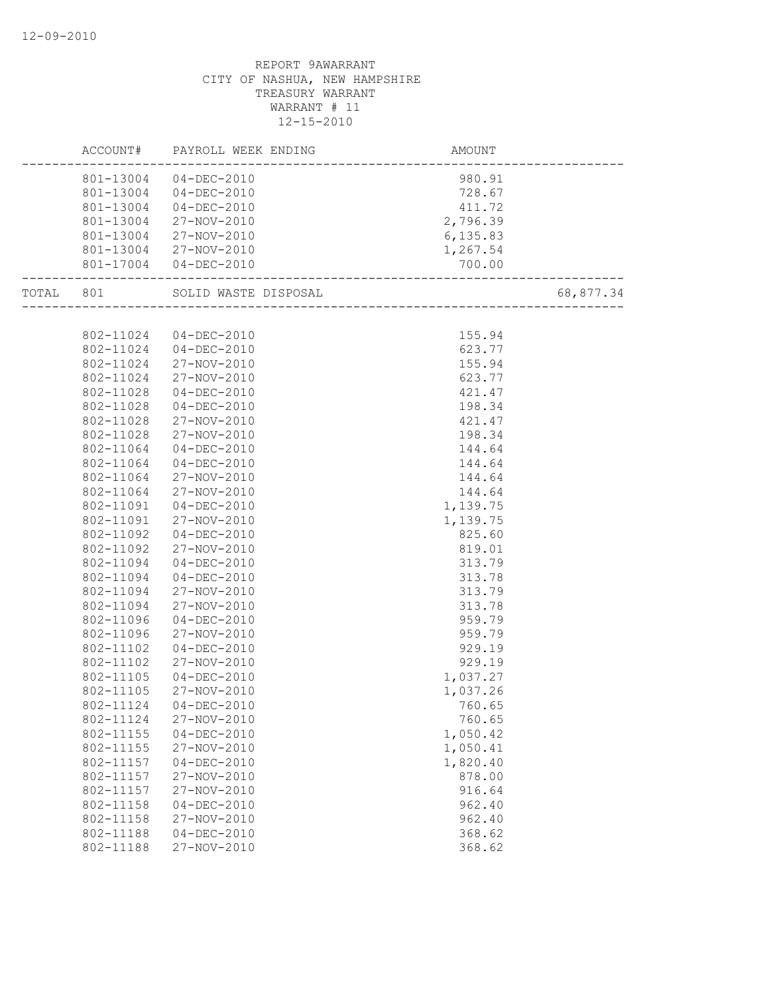|           | ACCOUNT#  | PAYROLL WEEK ENDING   | AMOUNT    |           |
|-----------|-----------|-----------------------|-----------|-----------|
|           |           | 801-13004 04-DEC-2010 | 980.91    |           |
|           |           | 801-13004 04-DEC-2010 | 728.67    |           |
|           | 801-13004 | 04-DEC-2010           | 411.72    |           |
|           | 801-13004 | 27-NOV-2010           | 2,796.39  |           |
|           | 801-13004 | 27-NOV-2010           | 6, 135.83 |           |
|           |           | 801-13004 27-NOV-2010 | 1,267.54  |           |
|           |           | 801-17004 04-DEC-2010 | 700.00    |           |
| TOTAL 801 |           | SOLID WASTE DISPOSAL  |           | 68,877.34 |
|           |           |                       |           |           |
|           | 802-11024 | 04-DEC-2010           | 155.94    |           |
|           | 802-11024 | 04-DEC-2010           | 623.77    |           |
|           | 802-11024 | 27-NOV-2010           | 155.94    |           |
|           | 802-11024 | 27-NOV-2010           | 623.77    |           |
|           | 802-11028 | $04 - DEC - 2010$     | 421.47    |           |
|           | 802-11028 | $04 - DEC - 2010$     | 198.34    |           |
|           | 802-11028 | 27-NOV-2010           | 421.47    |           |
|           | 802-11028 | 27-NOV-2010           | 198.34    |           |
|           | 802-11064 | $04-DEC-2010$         | 144.64    |           |
|           | 802-11064 | $04 - DEC - 2010$     | 144.64    |           |
|           | 802-11064 | 27-NOV-2010           | 144.64    |           |
|           | 802-11064 | 27-NOV-2010           | 144.64    |           |
|           | 802-11091 | $04-DEC-2010$         | 1,139.75  |           |
|           | 802-11091 | 27-NOV-2010           | 1,139.75  |           |
|           | 802-11092 | $04 - DEC - 2010$     | 825.60    |           |
|           | 802-11092 | 27-NOV-2010           | 819.01    |           |
|           | 802-11094 | $04 - DEC - 2010$     | 313.79    |           |
|           | 802-11094 | $04 - DEC - 2010$     | 313.78    |           |
|           | 802-11094 | 27-NOV-2010           | 313.79    |           |
|           | 802-11094 | 27-NOV-2010           | 313.78    |           |
|           | 802-11096 | $04 - DEC - 2010$     | 959.79    |           |
|           | 802-11096 | 27-NOV-2010           | 959.79    |           |
|           | 802-11102 | $04 - DEC - 2010$     | 929.19    |           |
|           | 802-11102 | 27-NOV-2010           | 929.19    |           |
|           | 802-11105 | $04 - DEC - 2010$     | 1,037.27  |           |
|           | 802-11105 | 27-NOV-2010           | 1,037.26  |           |
|           | 802-11124 | $04 - DEC - 2010$     | 760.65    |           |
|           | 802-11124 | 27-NOV-2010           | 760.65    |           |
|           | 802-11155 | $04 - DEC - 2010$     | 1,050.42  |           |
|           | 802-11155 | 27-NOV-2010           | 1,050.41  |           |
|           | 802-11157 | $04 - DEC - 2010$     | 1,820.40  |           |
|           | 802-11157 | 27-NOV-2010           | 878.00    |           |
|           | 802-11157 | 27-NOV-2010           | 916.64    |           |
|           | 802-11158 | $04 - DEC - 2010$     | 962.40    |           |
|           | 802-11158 | 27-NOV-2010           | 962.40    |           |
|           | 802-11188 | $04 - DEC - 2010$     | 368.62    |           |
|           | 802-11188 | 27-NOV-2010           | 368.62    |           |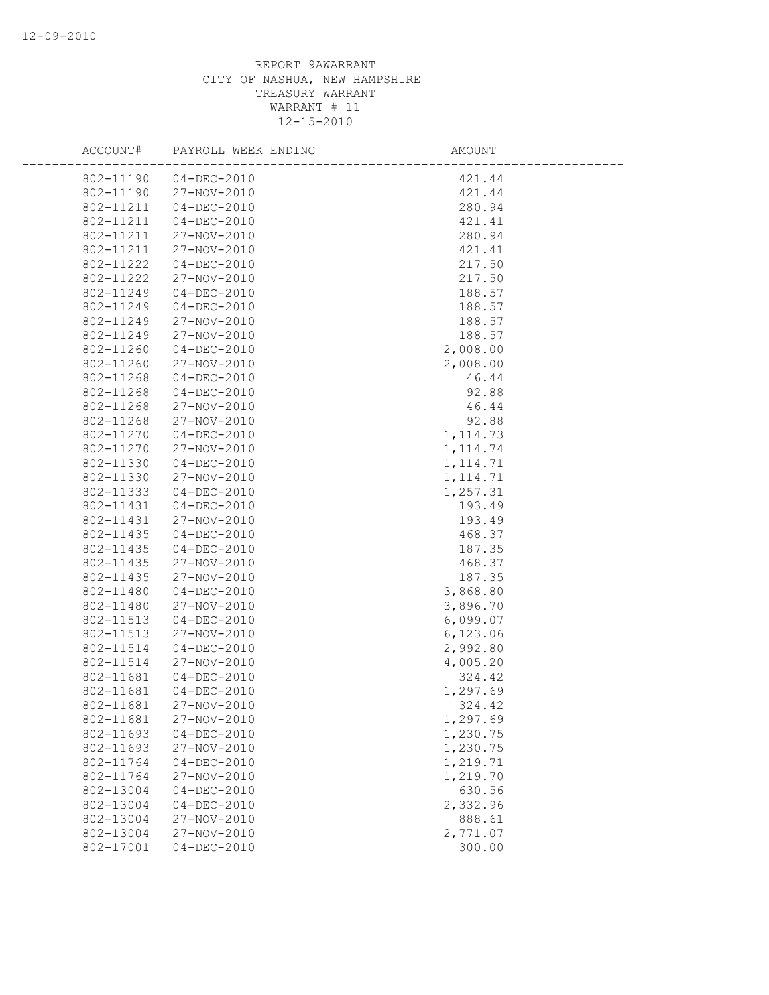| ACCOUNT#               | PAYROLL WEEK ENDING              | AMOUNT               |
|------------------------|----------------------------------|----------------------|
| 802-11190              | $04 - DEC - 2010$                | 421.44               |
| 802-11190              | 27-NOV-2010                      | 421.44               |
| 802-11211              | $04 - DEC - 2010$                | 280.94               |
| 802-11211              | $04 - DEC - 2010$                | 421.41               |
| 802-11211              | 27-NOV-2010                      | 280.94               |
| 802-11211              | 27-NOV-2010                      | 421.41               |
| 802-11222              | $04 - DEC - 2010$                | 217.50               |
| 802-11222              | 27-NOV-2010                      | 217.50               |
| 802-11249              | $04 - DEC - 2010$                | 188.57               |
| 802-11249              | $04-DEC-2010$                    | 188.57               |
| 802-11249              | 27-NOV-2010                      | 188.57               |
| 802-11249              | 27-NOV-2010                      | 188.57               |
| 802-11260              | $04 - DEC - 2010$                | 2,008.00             |
| 802-11260              | 27-NOV-2010                      | 2,008.00             |
| 802-11268              | $04 - DEC - 2010$                | 46.44                |
| 802-11268              | $04 - DEC - 2010$                | 92.88                |
| 802-11268              | 27-NOV-2010                      | 46.44                |
| 802-11268              | 27-NOV-2010                      | 92.88                |
| 802-11270              | $04 - DEC - 2010$                | 1, 114.73            |
| 802-11270              | 27-NOV-2010                      | 1, 114.74            |
| 802-11330              | $04 - DEC - 2010$                | 1, 114.71            |
| 802-11330              | 27-NOV-2010                      | 1, 114.71            |
| 802-11333              | $04 - DEC - 2010$                | 1,257.31             |
| 802-11431              | $04 - DEC - 2010$                | 193.49               |
| 802-11431              | 27-NOV-2010                      | 193.49               |
| 802-11435              | $04 - DEC - 2010$                | 468.37               |
| 802-11435              | $04 - DEC - 2010$                | 187.35               |
| 802-11435              | 27-NOV-2010                      | 468.37               |
| 802-11435              | 27-NOV-2010                      | 187.35               |
| 802-11480              | $04 - DEC - 2010$                | 3,868.80             |
| 802-11480              | 27-NOV-2010                      | 3,896.70             |
| 802-11513              | $04 - DEC - 2010$                | 6,099.07             |
| 802-11513              | 27-NOV-2010                      | 6,123.06             |
| 802-11514              | $04 - DEC - 2010$                | 2,992.80             |
| 802-11514              | 27-NOV-2010                      | 4,005.20             |
| 802-11681              | $04 - DEC - 2010$                | 324.42               |
| 802-11681              | $04 - DEC - 2010$                | 1,297.69             |
| 802-11681              | 27-NOV-2010                      | 324.42               |
| 802-11681<br>802-11693 | 27-NOV-2010<br>$04 - DEC - 2010$ | 1,297.69             |
| 802-11693              | 27-NOV-2010                      | 1,230.75<br>1,230.75 |
| 802-11764              | $04 - DEC - 2010$                | 1,219.71             |
| 802-11764              | 27-NOV-2010                      | 1,219.70             |
| 802-13004              | $04 - DEC - 2010$                | 630.56               |
| 802-13004              | $04 - DEC - 2010$                | 2,332.96             |
| 802-13004              | 27-NOV-2010                      | 888.61               |
| 802-13004              | 27-NOV-2010                      | 2,771.07             |
| 802-17001              | $04 - DEC - 2010$                | 300.00               |
|                        |                                  |                      |